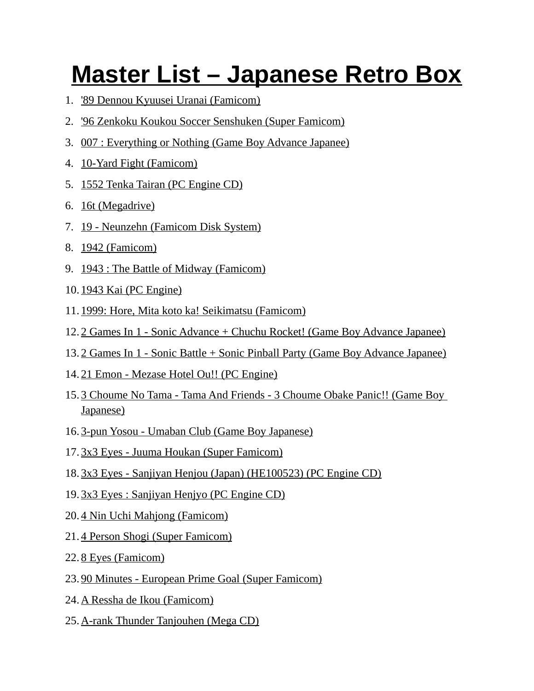## **Master List – Japanese Retro Box**

- 1. '89 Dennou Kyuusei Uranai (Famicom)
- 2. '96 Zenkoku Koukou Soccer Senshuken (Super Famicom)
- 3. 007 : Everything or Nothing (Game Boy Advance Japanee)
- 4. 10-Yard Fight (Famicom)
- 5. 1552 Tenka Tairan (PC Engine CD)
- 6. 16t (Megadrive)
- 7. 19 Neunzehn (Famicom Disk System)
- 8. 1942 (Famicom)
- 9. 1943 : The Battle of Midway (Famicom)
- 10. 1943 Kai (PC Engine)
- 11. 1999: Hore, Mita koto ka! Seikimatsu (Famicom)
- 12. 2 Games In 1 Sonic Advance + Chuchu Rocket! (Game Boy Advance Japanee)
- 13. 2 Games In 1 Sonic Battle + Sonic Pinball Party (Game Boy Advance Japanee)
- 14. 21 Emon Mezase Hotel Ou!! (PC Engine)
- 15. 3 Choume No Tama Tama And Friends 3 Choume Obake Panic!! (Game Boy Japanese)
- 16. 3-pun Yosou Umaban Club (Game Boy Japanese)
- 17. 3x3 Eyes Juuma Houkan (Super Famicom)
- 18. 3x3 Eyes Sanjiyan Henjou (Japan) (HE100523) (PC Engine CD)
- 19. 3x3 Eyes : Sanjiyan Henjyo (PC Engine CD)
- 20. 4 Nin Uchi Mahjong (Famicom)
- 21. 4 Person Shogi (Super Famicom)
- 22. 8 Eyes (Famicom)
- 23. 90 Minutes European Prime Goal (Super Famicom)
- 24. A Ressha de Ikou (Famicom)
- 25.A-rank Thunder Tanjouhen (Mega CD)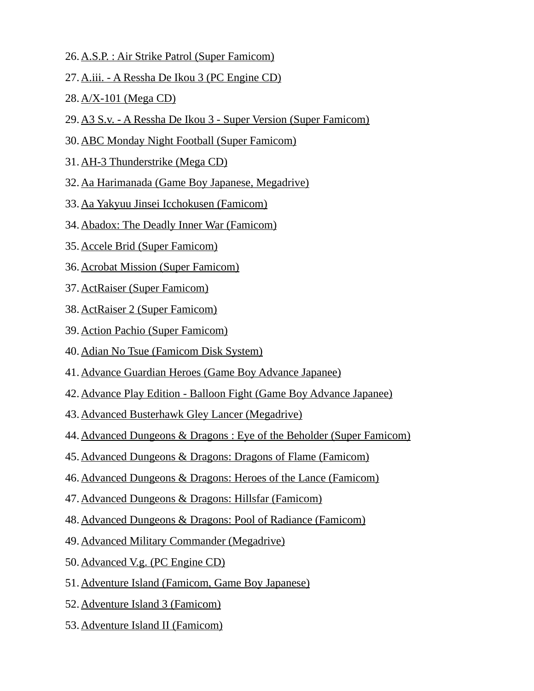- 26. A.S.P. : Air Strike Patrol (Super Famicom)
- 27.A.iii. A Ressha De Ikou 3 (PC Engine CD)
- 28. A/X-101 (Mega CD)
- 29.A3 S.v. A Ressha De Ikou 3 Super Version (Super Famicom)
- 30.ABC Monday Night Football (Super Famicom)
- 31. AH-3 Thunderstrike (Mega CD)
- 32.Aa Harimanada (Game Boy Japanese, Megadrive)
- 33.Aa Yakyuu Jinsei Icchokusen (Famicom)
- 34.Abadox: The Deadly Inner War (Famicom)
- 35. Accele Brid (Super Famicom)
- 36. Acrobat Mission (Super Famicom)
- 37. ActRaiser (Super Famicom)
- 38. ActRaiser 2 (Super Famicom)
- 39. Action Pachio (Super Famicom)
- 40.Adian No Tsue (Famicom Disk System)
- 41.Advance Guardian Heroes (Game Boy Advance Japanee)
- 42.Advance Play Edition Balloon Fight (Game Boy Advance Japanee)
- 43.Advanced Busterhawk Gley Lancer (Megadrive)
- 44.Advanced Dungeons & Dragons : Eye of the Beholder (Super Famicom)
- 45.Advanced Dungeons & Dragons: Dragons of Flame (Famicom)
- 46.Advanced Dungeons & Dragons: Heroes of the Lance (Famicom)
- 47.Advanced Dungeons & Dragons: Hillsfar (Famicom)
- 48.Advanced Dungeons & Dragons: Pool of Radiance (Famicom)
- 49.Advanced Military Commander (Megadrive)
- 50. Advanced V.g. (PC Engine CD)
- 51.Adventure Island (Famicom, Game Boy Japanese)
- 52. Adventure Island 3 (Famicom)
- 53. Adventure Island II (Famicom)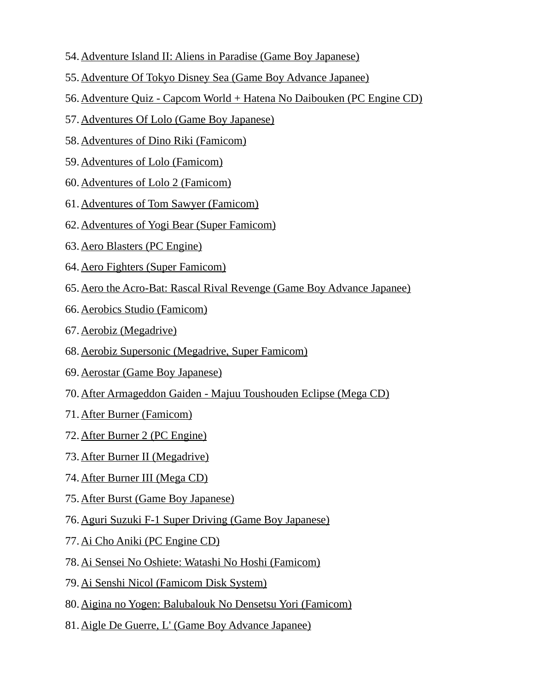- 54. Adventure Island II: Aliens in Paradise (Game Boy Japanese)
- 55.Adventure Of Tokyo Disney Sea (Game Boy Advance Japanee)
- 56.Adventure Quiz Capcom World + Hatena No Daibouken (PC Engine CD)
- 57.Adventures Of Lolo (Game Boy Japanese)
- 58. Adventures of Dino Riki (Famicom)
- 59. Adventures of Lolo (Famicom)
- 60. Adventures of Lolo 2 (Famicom)
- 61.Adventures of Tom Sawyer (Famicom)
- 62.Adventures of Yogi Bear (Super Famicom)
- 63. Aero Blasters (PC Engine)
- 64. Aero Fighters (Super Famicom)
- 65.Aero the Acro-Bat: Rascal Rival Revenge (Game Boy Advance Japanee)
- 66. Aerobics Studio (Famicom)
- 67. Aerobiz (Megadrive)
- 68.Aerobiz Supersonic (Megadrive, Super Famicom)
- 69. Aerostar (Game Boy Japanese)
- 70.After Armageddon Gaiden Majuu Toushouden Eclipse (Mega CD)
- 71. After Burner (Famicom)
- 72. After Burner 2 (PC Engine)
- 73. After Burner II (Megadrive)
- 74. After Burner III (Mega CD)
- 75. After Burst (Game Boy Japanese)
- 76.Aguri Suzuki F-1 Super Driving (Game Boy Japanese)
- 77. Ai Cho Aniki (PC Engine CD)
- 78.Ai Sensei No Oshiete: Watashi No Hoshi (Famicom)
- 79.Ai Senshi Nicol (Famicom Disk System)
- 80.Aigina no Yogen: Balubalouk No Densetsu Yori (Famicom)
- 81.Aigle De Guerre, L' (Game Boy Advance Japanee)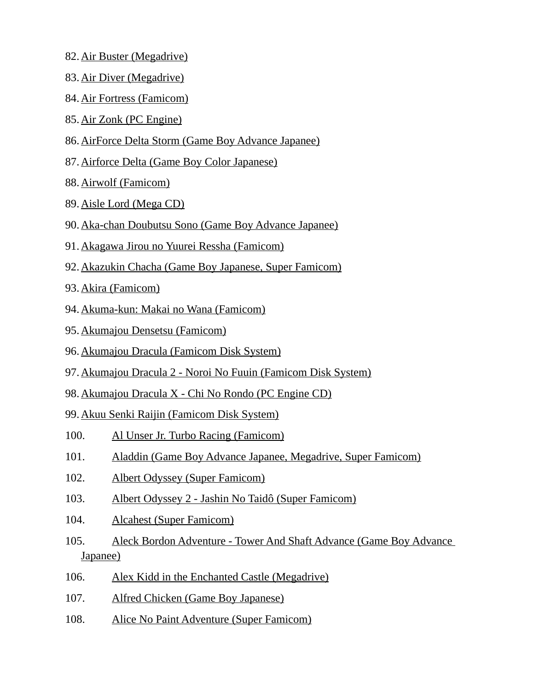- 82. Air Buster (Megadrive)
- 83. Air Diver (Megadrive)
- 84. Air Fortress (Famicom)
- 85. Air Zonk (PC Engine)
- 86.AirForce Delta Storm (Game Boy Advance Japanee)
- 87.Airforce Delta (Game Boy Color Japanese)
- 88. Airwolf (Famicom)
- 89. Aisle Lord (Mega CD)
- 90.Aka-chan Doubutsu Sono (Game Boy Advance Japanee)
- 91.Akagawa Jirou no Yuurei Ressha (Famicom)
- 92.Akazukin Chacha (Game Boy Japanese, Super Famicom)
- 93. Akira (Famicom)
- 94.Akuma-kun: Makai no Wana (Famicom)
- 95. Akumajou Densetsu (Famicom)
- 96.Akumajou Dracula (Famicom Disk System)
- 97.Akumajou Dracula 2 Noroi No Fuuin (Famicom Disk System)
- 98.Akumajou Dracula X Chi No Rondo (PC Engine CD)
- 99.Akuu Senki Raijin (Famicom Disk System)
- 100. Al Unser Jr. Turbo Racing (Famicom)
- 101. Aladdin (Game Boy Advance Japanee, Megadrive, Super Famicom)
- 102. Albert Odyssey (Super Famicom)
- 103. Albert Odyssey 2 Jashin No Taidô (Super Famicom)
- 104. Alcahest (Super Famicom)
- 105. Aleck Bordon Adventure Tower And Shaft Advance (Game Boy Advance Japanee)
- 106. Alex Kidd in the Enchanted Castle (Megadrive)
- 107. Alfred Chicken (Game Boy Japanese)
- 108. Alice No Paint Adventure (Super Famicom)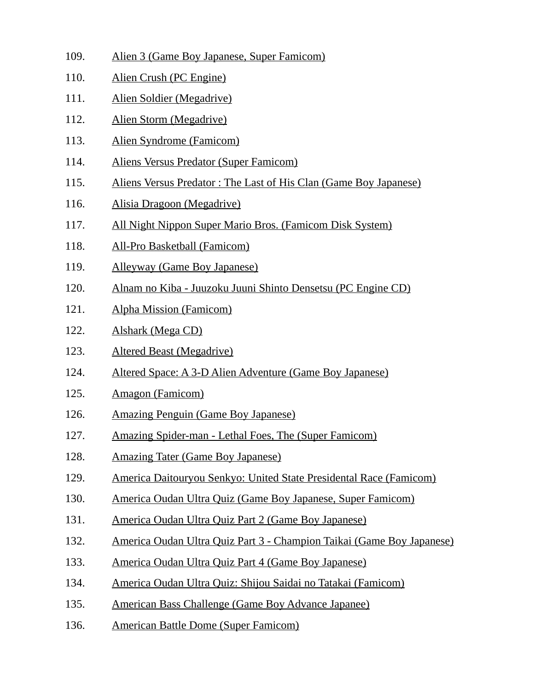- 109. Alien 3 (Game Boy Japanese, Super Famicom)
- 110. Alien Crush (PC Engine)
- 111. Alien Soldier (Megadrive)
- 112. Alien Storm (Megadrive)
- 113. Alien Syndrome (Famicom)
- 114. Aliens Versus Predator (Super Famicom)
- 115. Aliens Versus Predator : The Last of His Clan (Game Boy Japanese)
- 116. Alisia Dragoon (Megadrive)
- 117. All Night Nippon Super Mario Bros. (Famicom Disk System)
- 118. All-Pro Basketball (Famicom)
- 119. Alleyway (Game Boy Japanese)
- 120. Alnam no Kiba Juuzoku Juuni Shinto Densetsu (PC Engine CD)
- 121. Alpha Mission (Famicom)
- 122. Alshark (Mega CD)
- 123. Altered Beast (Megadrive)
- 124. Altered Space: A 3-D Alien Adventure (Game Boy Japanese)
- 125. Amagon (Famicom)
- 126. Amazing Penguin (Game Boy Japanese)
- 127. Amazing Spider-man Lethal Foes, The (Super Famicom)
- 128. Amazing Tater (Game Boy Japanese)
- 129. America Daitouryou Senkyo: United State Presidental Race (Famicom)
- 130. America Oudan Ultra Quiz (Game Boy Japanese, Super Famicom)
- 131. America Oudan Ultra Quiz Part 2 (Game Boy Japanese)
- 132. America Oudan Ultra Quiz Part 3 Champion Taikai (Game Boy Japanese)
- 133. America Oudan Ultra Quiz Part 4 (Game Boy Japanese)
- 134. America Oudan Ultra Quiz: Shijou Saidai no Tatakai (Famicom)
- 135. American Bass Challenge (Game Boy Advance Japanee)
- 136. American Battle Dome (Super Famicom)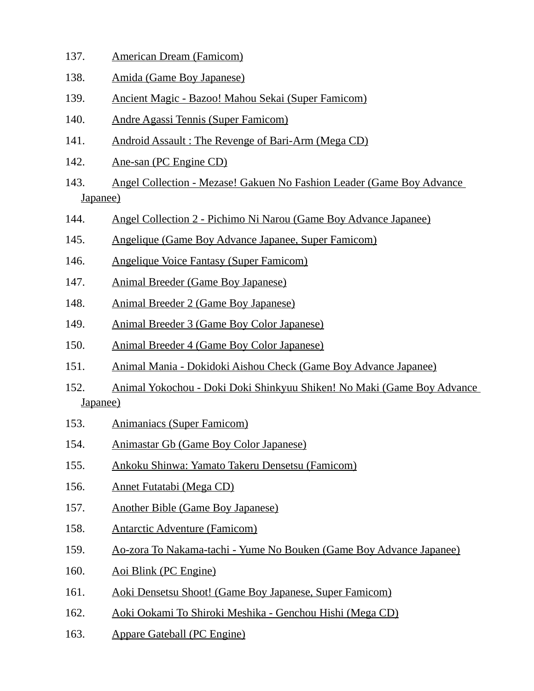- 137. American Dream (Famicom)
- 138. Amida (Game Boy Japanese)
- 139. Ancient Magic Bazoo! Mahou Sekai (Super Famicom)
- 140. Andre Agassi Tennis (Super Famicom)
- 141. Android Assault : The Revenge of Bari-Arm (Mega CD)
- 142. Ane-san (PC Engine CD)
- 143. Angel Collection Mezase! Gakuen No Fashion Leader (Game Boy Advance Japanee)
- 144. Angel Collection 2 Pichimo Ni Narou (Game Boy Advance Japanee)
- 145. Angelique (Game Boy Advance Japanee, Super Famicom)
- 146. Angelique Voice Fantasy (Super Famicom)
- 147. Animal Breeder (Game Boy Japanese)
- 148. Animal Breeder 2 (Game Boy Japanese)
- 149. Animal Breeder 3 (Game Boy Color Japanese)
- 150. Animal Breeder 4 (Game Boy Color Japanese)
- 151. Animal Mania Dokidoki Aishou Check (Game Boy Advance Japanee)
- 152. Animal Yokochou Doki Doki Shinkyuu Shiken! No Maki (Game Boy Advance Japanee)
- 153. Animaniacs (Super Famicom)
- 154. Animastar Gb (Game Boy Color Japanese)
- 155. Ankoku Shinwa: Yamato Takeru Densetsu (Famicom)
- 156. Annet Futatabi (Mega CD)
- 157. Another Bible (Game Boy Japanese)
- 158. Antarctic Adventure (Famicom)
- 159. Ao-zora To Nakama-tachi Yume No Bouken (Game Boy Advance Japanee)
- 160. Aoi Blink (PC Engine)
- 161. Aoki Densetsu Shoot! (Game Boy Japanese, Super Famicom)
- 162. Aoki Ookami To Shiroki Meshika Genchou Hishi (Mega CD)
- 163. Appare Gateball (PC Engine)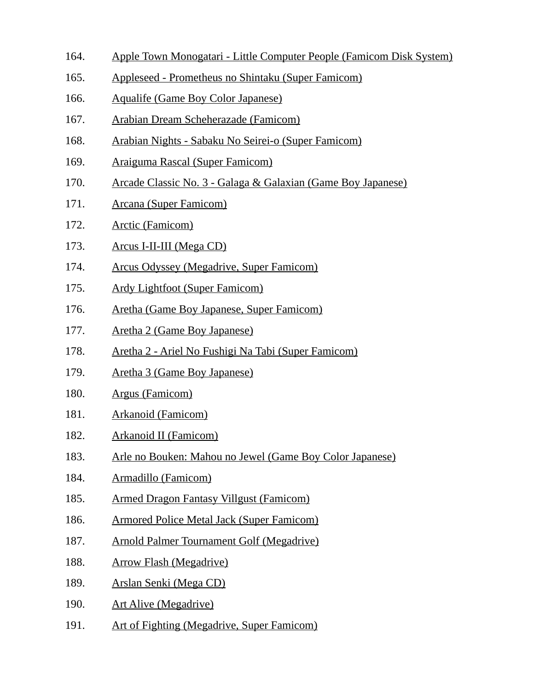- 164. Apple Town Monogatari Little Computer People (Famicom Disk System)
- 165. Appleseed Prometheus no Shintaku (Super Famicom)
- 166. Aqualife (Game Boy Color Japanese)
- 167. Arabian Dream Scheherazade (Famicom)
- 168. Arabian Nights Sabaku No Seirei-o (Super Famicom)
- 169. Araiguma Rascal (Super Famicom)
- 170. Arcade Classic No. 3 Galaga & Galaxian (Game Boy Japanese)
- 171. Arcana (Super Famicom)
- 172. Arctic (Famicom)
- 173. Arcus I-II-III (Mega CD)
- 174. Arcus Odyssey (Megadrive, Super Famicom)
- 175. Ardy Lightfoot (Super Famicom)
- 176. Aretha (Game Boy Japanese, Super Famicom)
- 177. Aretha 2 (Game Boy Japanese)
- 178. Aretha 2 Ariel No Fushigi Na Tabi (Super Famicom)
- 179. Aretha 3 (Game Boy Japanese)
- 180. Argus (Famicom)
- 181. Arkanoid (Famicom)
- 182. Arkanoid II (Famicom)
- 183. Arle no Bouken: Mahou no Jewel (Game Boy Color Japanese)
- 184. Armadillo (Famicom)
- 185. Armed Dragon Fantasy Villgust (Famicom)
- 186. Armored Police Metal Jack (Super Famicom)
- 187. Arnold Palmer Tournament Golf (Megadrive)
- 188. Arrow Flash (Megadrive)
- 189. Arslan Senki (Mega CD)
- 190. Art Alive (Megadrive)
- 191. Art of Fighting (Megadrive, Super Famicom)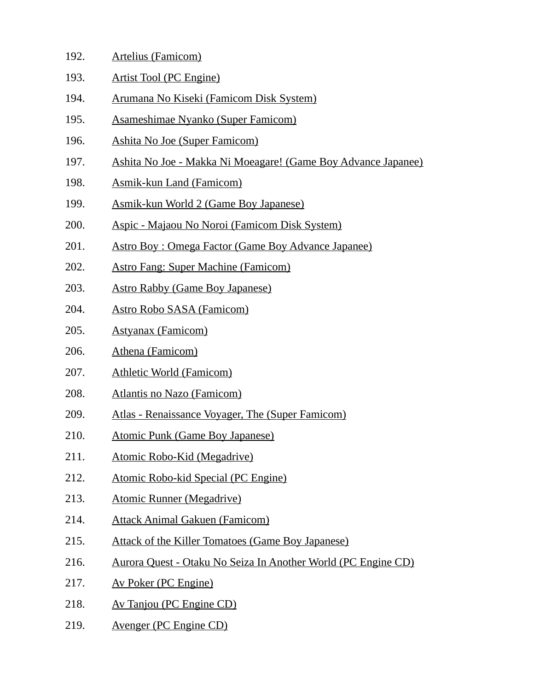- 192. Artelius (Famicom)
- 193. Artist Tool (PC Engine)
- 194. Arumana No Kiseki (Famicom Disk System)
- 195. Asameshimae Nyanko (Super Famicom)
- 196. Ashita No Joe (Super Famicom)
- 197. Ashita No Joe Makka Ni Moeagare! (Game Boy Advance Japanee)
- 198. Asmik-kun Land (Famicom)
- 199. Asmik-kun World 2 (Game Boy Japanese)
- 200. Aspic Majaou No Noroi (Famicom Disk System)
- 201. Astro Boy : Omega Factor (Game Boy Advance Japanee)
- 202. Astro Fang: Super Machine (Famicom)
- 203. Astro Rabby (Game Boy Japanese)
- 204. Astro Robo SASA (Famicom)
- 205. Astyanax (Famicom)
- 206. Athena (Famicom)
- 207. Athletic World (Famicom)
- 208. Atlantis no Nazo (Famicom)
- 209. Atlas Renaissance Voyager, The (Super Famicom)
- 210. Atomic Punk (Game Boy Japanese)
- 211. Atomic Robo-Kid (Megadrive)
- 212. Atomic Robo-kid Special (PC Engine)
- 213. Atomic Runner (Megadrive)
- 214. Attack Animal Gakuen (Famicom)
- 215. Attack of the Killer Tomatoes (Game Boy Japanese)
- 216. Aurora Quest Otaku No Seiza In Another World (PC Engine CD)
- 217. Av Poker (PC Engine)
- 218. Av Tanjou (PC Engine CD)
- 219. Avenger (PC Engine CD)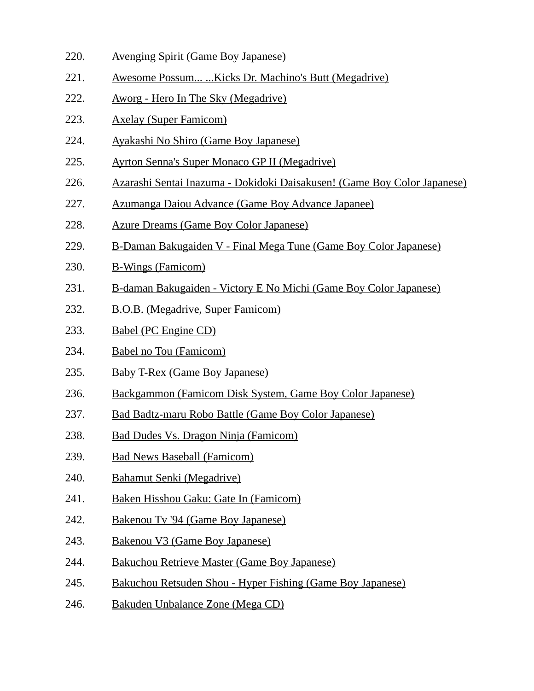- 220. Avenging Spirit (Game Boy Japanese)
- 221. Awesome Possum... ...Kicks Dr. Machino's Butt (Megadrive)
- 222. Aworg Hero In The Sky (Megadrive)
- 223. Axelay (Super Famicom)
- 224. Ayakashi No Shiro (Game Boy Japanese)
- 225. Ayrton Senna's Super Monaco GP II (Megadrive)
- 226. Azarashi Sentai Inazuma Dokidoki Daisakusen! (Game Boy Color Japanese)
- 227. Azumanga Daiou Advance (Game Boy Advance Japanee)
- 228. Azure Dreams (Game Boy Color Japanese)
- 229. B-Daman Bakugaiden V Final Mega Tune (Game Boy Color Japanese)
- 230. B-Wings (Famicom)
- 231. B-daman Bakugaiden Victory E No Michi (Game Boy Color Japanese)
- 232. B.O.B. (Megadrive, Super Famicom)
- 233. Babel (PC Engine CD)
- 234. Babel no Tou (Famicom)
- 235. Baby T-Rex (Game Boy Japanese)
- 236. Backgammon (Famicom Disk System, Game Boy Color Japanese)
- 237. Bad Badtz-maru Robo Battle (Game Boy Color Japanese)
- 238. Bad Dudes Vs. Dragon Ninja (Famicom)
- 239. Bad News Baseball (Famicom)
- 240. Bahamut Senki (Megadrive)
- 241. Baken Hisshou Gaku: Gate In (Famicom)
- 242. Bakenou Tv '94 (Game Boy Japanese)
- 243. Bakenou V3 (Game Boy Japanese)
- 244. Bakuchou Retrieve Master (Game Boy Japanese)
- 245. Bakuchou Retsuden Shou Hyper Fishing (Game Boy Japanese)
- 246. Bakuden Unbalance Zone (Mega CD)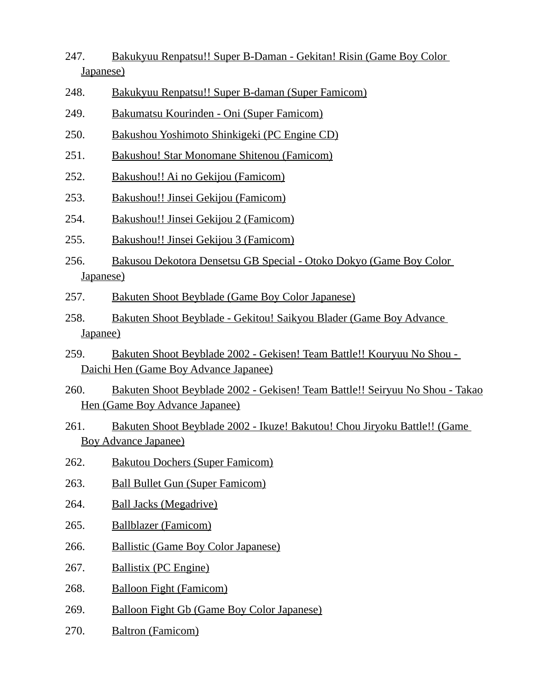- 247. Bakukyuu Renpatsu!! Super B-Daman Gekitan! Risin (Game Boy Color Japanese)
- 248. Bakukyuu Renpatsu!! Super B-daman (Super Famicom)
- 249. Bakumatsu Kourinden Oni (Super Famicom)
- 250. Bakushou Yoshimoto Shinkigeki (PC Engine CD)
- 251. Bakushou! Star Monomane Shitenou (Famicom)
- 252. Bakushou!! Ai no Gekijou (Famicom)
- 253. Bakushou!! Jinsei Gekijou (Famicom)
- 254. Bakushou!! Jinsei Gekijou 2 (Famicom)
- 255. Bakushou!! Jinsei Gekijou 3 (Famicom)
- 256. Bakusou Dekotora Densetsu GB Special Otoko Dokyo (Game Boy Color Japanese)
- 257. Bakuten Shoot Beyblade (Game Boy Color Japanese)
- 258. Bakuten Shoot Beyblade Gekitou! Saikyou Blader (Game Boy Advance Japanee)
- 259. Bakuten Shoot Beyblade 2002 Gekisen! Team Battle!! Kouryuu No Shou Daichi Hen (Game Boy Advance Japanee)
- 260. Bakuten Shoot Beyblade 2002 Gekisen! Team Battle!! Seiryuu No Shou Takao Hen (Game Boy Advance Japanee)
- 261. Bakuten Shoot Beyblade 2002 Ikuze! Bakutou! Chou Jiryoku Battle!! (Game Boy Advance Japanee)
- 262. Bakutou Dochers (Super Famicom)
- 263. Ball Bullet Gun (Super Famicom)
- 264. Ball Jacks (Megadrive)
- 265. Ballblazer (Famicom)
- 266. Ballistic (Game Boy Color Japanese)
- 267. Ballistix (PC Engine)
- 268. Balloon Fight (Famicom)
- 269. Balloon Fight Gb (Game Boy Color Japanese)
- 270. Baltron (Famicom)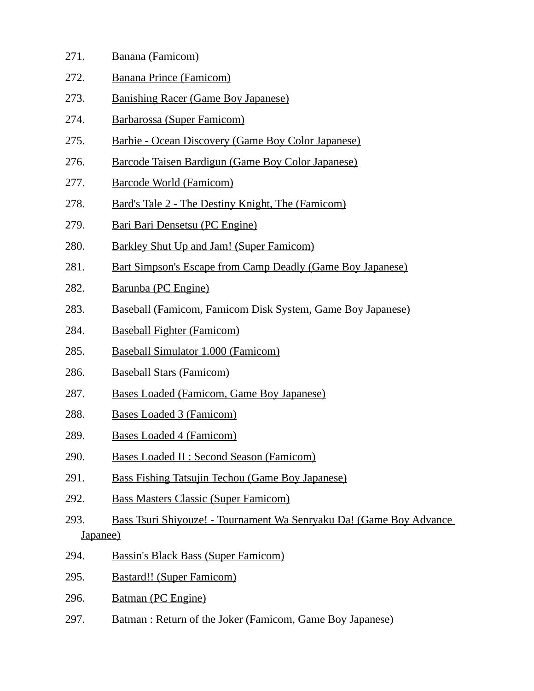| 271. | Banana (Famicom)        |  |
|------|-------------------------|--|
| 272. | Banana Prince (Famicom) |  |

- 273. Banishing Racer (Game Boy Japanese)
- 274. Barbarossa (Super Famicom)
- 275. Barbie Ocean Discovery (Game Boy Color Japanese)
- 276. Barcode Taisen Bardigun (Game Boy Color Japanese)
- 277. Barcode World (Famicom)
- 278. Bard's Tale 2 The Destiny Knight, The (Famicom)
- 279. Bari Bari Densetsu (PC Engine)
- 280. Barkley Shut Up and Jam! (Super Famicom)
- 281. Bart Simpson's Escape from Camp Deadly (Game Boy Japanese)
- 282. Barunba (PC Engine)
- 283. Baseball (Famicom, Famicom Disk System, Game Boy Japanese)
- 284. Baseball Fighter (Famicom)
- 285. Baseball Simulator 1.000 (Famicom)
- 286. Baseball Stars (Famicom)
- 287. Bases Loaded (Famicom, Game Boy Japanese)
- 288. Bases Loaded 3 (Famicom)
- 289. Bases Loaded 4 (Famicom)
- 290. Bases Loaded II : Second Season (Famicom)
- 291. Bass Fishing Tatsujin Techou (Game Boy Japanese)
- 292. Bass Masters Classic (Super Famicom)
- 293. Bass Tsuri Shiyouze! Tournament Wa Senryaku Da! (Game Boy Advance Japanee)
- 294. Bassin's Black Bass (Super Famicom)
- 295. Bastard!! (Super Famicom)
- 296. Batman (PC Engine)
- 297. Batman : Return of the Joker (Famicom, Game Boy Japanese)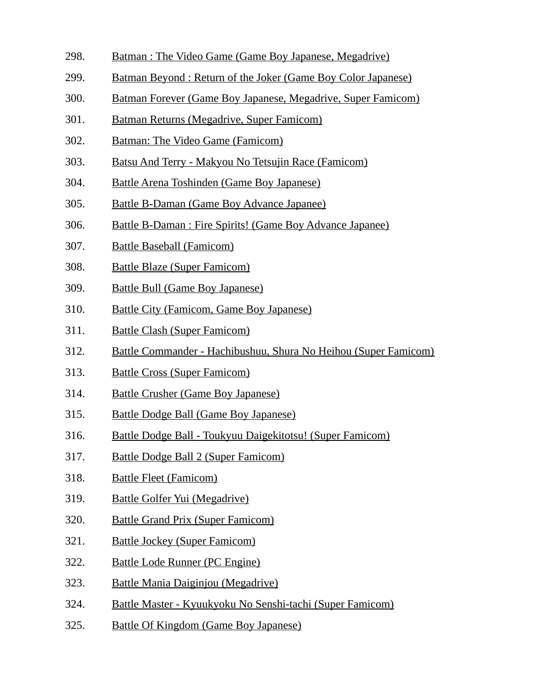- 298. Batman : The Video Game (Game Boy Japanese, Megadrive)
- 299. Batman Beyond : Return of the Joker (Game Boy Color Japanese)
- 300. Batman Forever (Game Boy Japanese, Megadrive, Super Famicom)
- 301. Batman Returns (Megadrive, Super Famicom)
- 302. Batman: The Video Game (Famicom)
- 303. Batsu And Terry Makyou No Tetsujin Race (Famicom)
- 304. Battle Arena Toshinden (Game Boy Japanese)
- 305. Battle B-Daman (Game Boy Advance Japanee)
- 306. Battle B-Daman : Fire Spirits! (Game Boy Advance Japanee)
- 307. Battle Baseball (Famicom)
- 308. Battle Blaze (Super Famicom)
- 309. Battle Bull (Game Boy Japanese)
- 310. Battle City (Famicom, Game Boy Japanese)
- 311. Battle Clash (Super Famicom)
- 312. Battle Commander Hachibushuu, Shura No Heihou (Super Famicom)
- 313. Battle Cross (Super Famicom)
- 314. Battle Crusher (Game Boy Japanese)
- 315. Battle Dodge Ball (Game Boy Japanese)
- 316. Battle Dodge Ball Toukyuu Daigekitotsu! (Super Famicom)
- 317. Battle Dodge Ball 2 (Super Famicom)
- 318. Battle Fleet (Famicom)
- 319. Battle Golfer Yui (Megadrive)
- 320. Battle Grand Prix (Super Famicom)
- 321. Battle Jockey (Super Famicom)
- 322. Battle Lode Runner (PC Engine)
- 323. Battle Mania Daiginjou (Megadrive)
- 324. Battle Master Kyuukyoku No Senshi-tachi (Super Famicom)
- 325. Battle Of Kingdom (Game Boy Japanese)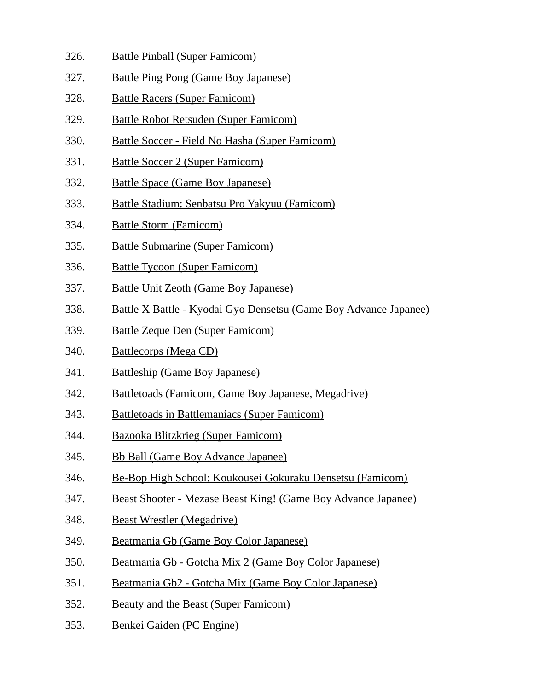- 326. Battle Pinball (Super Famicom)
- 327. Battle Ping Pong (Game Boy Japanese)
- 328. Battle Racers (Super Famicom)
- 329. Battle Robot Retsuden (Super Famicom)
- 330. Battle Soccer Field No Hasha (Super Famicom)
- 331. Battle Soccer 2 (Super Famicom)
- 332. Battle Space (Game Boy Japanese)
- 333. Battle Stadium: Senbatsu Pro Yakyuu (Famicom)
- 334. Battle Storm (Famicom)
- 335. Battle Submarine (Super Famicom)
- 336. Battle Tycoon (Super Famicom)
- 337. Battle Unit Zeoth (Game Boy Japanese)
- 338. Battle X Battle Kyodai Gyo Densetsu (Game Boy Advance Japanee)
- 339. Battle Zeque Den (Super Famicom)
- 340. Battlecorps (Mega CD)
- 341. Battleship (Game Boy Japanese)
- 342. Battletoads (Famicom, Game Boy Japanese, Megadrive)
- 343. Battletoads in Battlemaniacs (Super Famicom)
- 344. Bazooka Blitzkrieg (Super Famicom)
- 345. Bb Ball (Game Boy Advance Japanee)
- 346. Be-Bop High School: Koukousei Gokuraku Densetsu (Famicom)
- 347. Beast Shooter Mezase Beast King! (Game Boy Advance Japanee)
- 348. Beast Wrestler (Megadrive)
- 349. Beatmania Gb (Game Boy Color Japanese)
- 350. Beatmania Gb Gotcha Mix 2 (Game Boy Color Japanese)
- 351. Beatmania Gb2 Gotcha Mix (Game Boy Color Japanese)
- 352. Beauty and the Beast (Super Famicom)
- 353. Benkei Gaiden (PC Engine)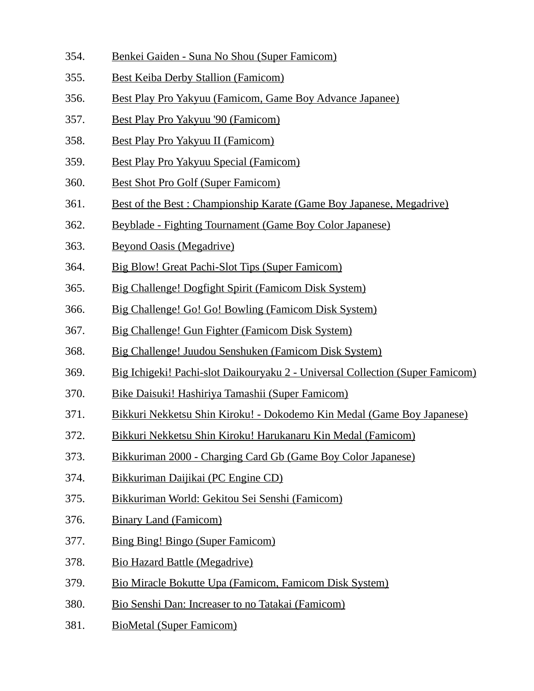- 354. Benkei Gaiden Suna No Shou (Super Famicom)
- 355. Best Keiba Derby Stallion (Famicom)
- 356. Best Play Pro Yakyuu (Famicom, Game Boy Advance Japanee)
- 357. Best Play Pro Yakyuu '90 (Famicom)
- 358. Best Play Pro Yakyuu II (Famicom)
- 359. Best Play Pro Yakyuu Special (Famicom)
- 360. Best Shot Pro Golf (Super Famicom)
- 361. Best of the Best : Championship Karate (Game Boy Japanese, Megadrive)
- 362. Beyblade Fighting Tournament (Game Boy Color Japanese)
- 363. Beyond Oasis (Megadrive)
- 364. Big Blow! Great Pachi-Slot Tips (Super Famicom)
- 365. Big Challenge! Dogfight Spirit (Famicom Disk System)
- 366. Big Challenge! Go! Go! Bowling (Famicom Disk System)
- 367. Big Challenge! Gun Fighter (Famicom Disk System)
- 368. Big Challenge! Juudou Senshuken (Famicom Disk System)
- 369. Big Ichigeki! Pachi-slot Daikouryaku 2 Universal Collection (Super Famicom)
- 370. Bike Daisuki! Hashiriya Tamashii (Super Famicom)
- 371. Bikkuri Nekketsu Shin Kiroku! Dokodemo Kin Medal (Game Boy Japanese)
- 372. Bikkuri Nekketsu Shin Kiroku! Harukanaru Kin Medal (Famicom)
- 373. Bikkuriman 2000 Charging Card Gb (Game Boy Color Japanese)
- 374. Bikkuriman Daijikai (PC Engine CD)
- 375. Bikkuriman World: Gekitou Sei Senshi (Famicom)
- 376. Binary Land (Famicom)
- 377. Bing Bing! Bingo (Super Famicom)
- 378. Bio Hazard Battle (Megadrive)
- 379. Bio Miracle Bokutte Upa (Famicom, Famicom Disk System)
- 380. Bio Senshi Dan: Increaser to no Tatakai (Famicom)
- 381. BioMetal (Super Famicom)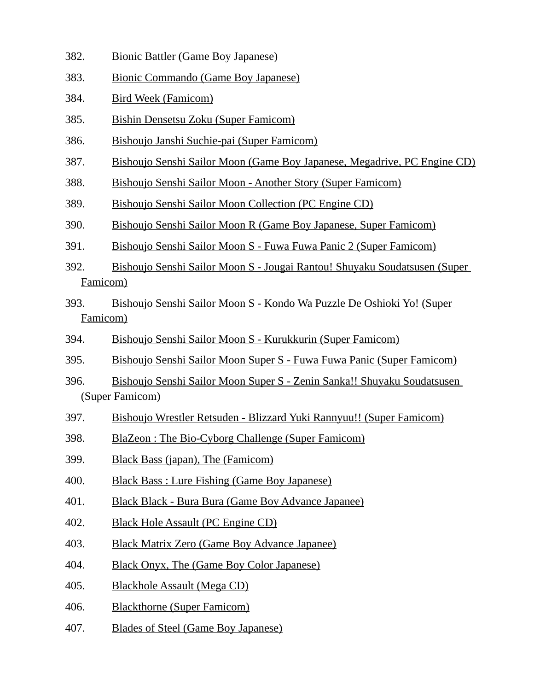- 382. Bionic Battler (Game Boy Japanese)
- 383. Bionic Commando (Game Boy Japanese)
- 384. Bird Week (Famicom)
- 385. Bishin Densetsu Zoku (Super Famicom)
- 386. Bishoujo Janshi Suchie-pai (Super Famicom)
- 387. Bishoujo Senshi Sailor Moon (Game Boy Japanese, Megadrive, PC Engine CD)
- 388. Bishoujo Senshi Sailor Moon Another Story (Super Famicom)
- 389. Bishoujo Senshi Sailor Moon Collection (PC Engine CD)
- 390. Bishoujo Senshi Sailor Moon R (Game Boy Japanese, Super Famicom)
- 391. Bishoujo Senshi Sailor Moon S Fuwa Fuwa Panic 2 (Super Famicom)
- 392. Bishoujo Senshi Sailor Moon S Jougai Rantou! Shuyaku Soudatsusen (Super Famicom)
- 393. Bishoujo Senshi Sailor Moon S Kondo Wa Puzzle De Oshioki Yo! (Super Famicom)
- 394. Bishoujo Senshi Sailor Moon S Kurukkurin (Super Famicom)
- 395. Bishoujo Senshi Sailor Moon Super S Fuwa Fuwa Panic (Super Famicom)
- 396. Bishoujo Senshi Sailor Moon Super S Zenin Sanka!! Shuyaku Soudatsusen (Super Famicom)
- 397. Bishoujo Wrestler Retsuden Blizzard Yuki Rannyuu!! (Super Famicom)
- 398. BlaZeon : The Bio-Cyborg Challenge (Super Famicom)
- 399. Black Bass (japan), The (Famicom)
- 400. Black Bass : Lure Fishing (Game Boy Japanese)
- 401. Black Black Bura Bura (Game Boy Advance Japanee)
- 402. Black Hole Assault (PC Engine CD)
- 403. Black Matrix Zero (Game Boy Advance Japanee)
- 404. Black Onyx, The (Game Boy Color Japanese)
- 405. Blackhole Assault (Mega CD)
- 406. Blackthorne (Super Famicom)
- 407. Blades of Steel (Game Boy Japanese)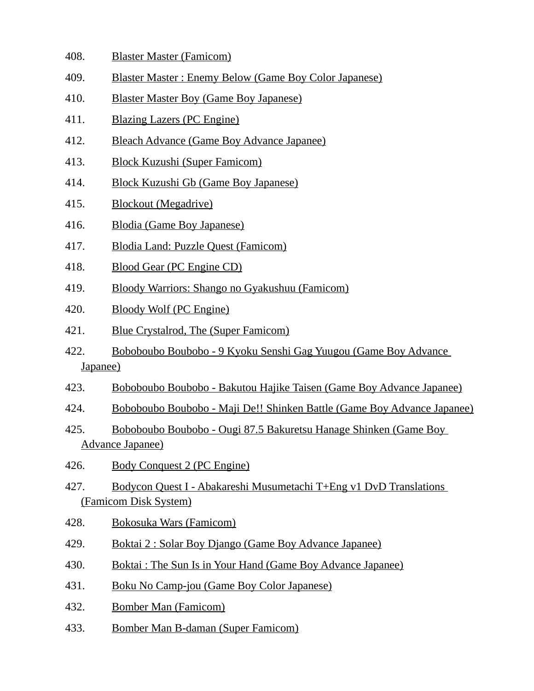- 408. Blaster Master (Famicom)
- 409. Blaster Master : Enemy Below (Game Boy Color Japanese)
- 410. Blaster Master Boy (Game Boy Japanese)
- 411. Blazing Lazers (PC Engine)
- 412. Bleach Advance (Game Boy Advance Japanee)
- 413. Block Kuzushi (Super Famicom)
- 414. Block Kuzushi Gb (Game Boy Japanese)
- 415. Blockout (Megadrive)
- 416. Blodia (Game Boy Japanese)
- 417. Blodia Land: Puzzle Quest (Famicom)
- 418. Blood Gear (PC Engine CD)
- 419. Bloody Warriors: Shango no Gyakushuu (Famicom)
- 420. Bloody Wolf (PC Engine)
- 421. Blue Crystalrod, The (Super Famicom)
- 422. Boboboubo Boubobo 9 Kyoku Senshi Gag Yuugou (Game Boy Advance Japanee)
- 423. Boboboubo Boubobo Bakutou Hajike Taisen (Game Boy Advance Japanee)
- 424. Boboboubo Boubobo Maji De!! Shinken Battle (Game Boy Advance Japanee)
- 425. Boboboubo Boubobo Ougi 87.5 Bakuretsu Hanage Shinken (Game Boy Advance Japanee)
- 426. Body Conquest 2 (PC Engine)
- 427. Bodycon Quest I Abakareshi Musumetachi T+Eng v1 DvD Translations (Famicom Disk System)
- 428. Bokosuka Wars (Famicom)
- 429. Boktai 2 : Solar Boy Django (Game Boy Advance Japanee)
- 430. Boktai : The Sun Is in Your Hand (Game Boy Advance Japanee)
- 431. Boku No Camp-jou (Game Boy Color Japanese)
- 432. Bomber Man (Famicom)
- 433. Bomber Man B-daman (Super Famicom)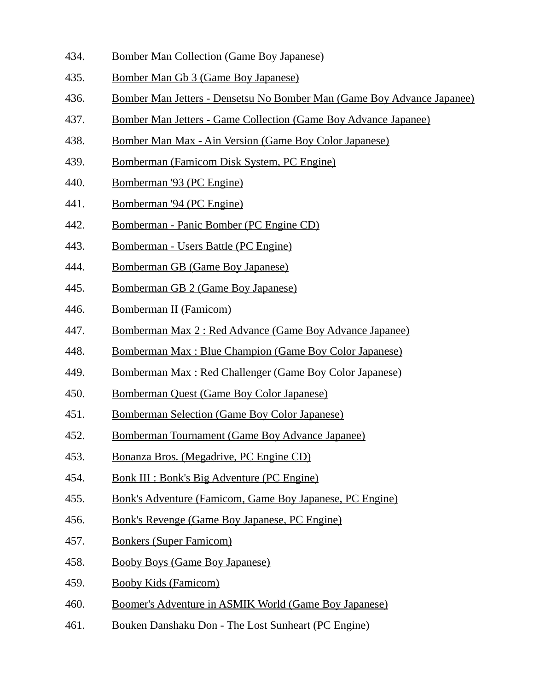- 434. Bomber Man Collection (Game Boy Japanese)
- 435. Bomber Man Gb 3 (Game Boy Japanese)
- 436. Bomber Man Jetters Densetsu No Bomber Man (Game Boy Advance Japanee)
- 437. Bomber Man Jetters Game Collection (Game Boy Advance Japanee)
- 438. Bomber Man Max Ain Version (Game Boy Color Japanese)
- 439. Bomberman (Famicom Disk System, PC Engine)
- 440. Bomberman '93 (PC Engine)
- 441. Bomberman '94 (PC Engine)
- 442. Bomberman Panic Bomber (PC Engine CD)
- 443. Bomberman Users Battle (PC Engine)
- 444. Bomberman GB (Game Boy Japanese)
- 445. Bomberman GB 2 (Game Boy Japanese)
- 446. Bomberman II (Famicom)
- 447. Bomberman Max 2 : Red Advance (Game Boy Advance Japanee)
- 448. Bomberman Max : Blue Champion (Game Boy Color Japanese)
- 449. Bomberman Max : Red Challenger (Game Boy Color Japanese)
- 450. Bomberman Quest (Game Boy Color Japanese)
- 451. Bomberman Selection (Game Boy Color Japanese)
- 452. Bomberman Tournament (Game Boy Advance Japanee)
- 453. Bonanza Bros. (Megadrive, PC Engine CD)
- 454. Bonk III : Bonk's Big Adventure (PC Engine)
- 455. Bonk's Adventure (Famicom, Game Boy Japanese, PC Engine)
- 456. Bonk's Revenge (Game Boy Japanese, PC Engine)
- 457. Bonkers (Super Famicom)
- 458. Booby Boys (Game Boy Japanese)
- 459. Booby Kids (Famicom)
- 460. Boomer's Adventure in ASMIK World (Game Boy Japanese)
- 461. Bouken Danshaku Don The Lost Sunheart (PC Engine)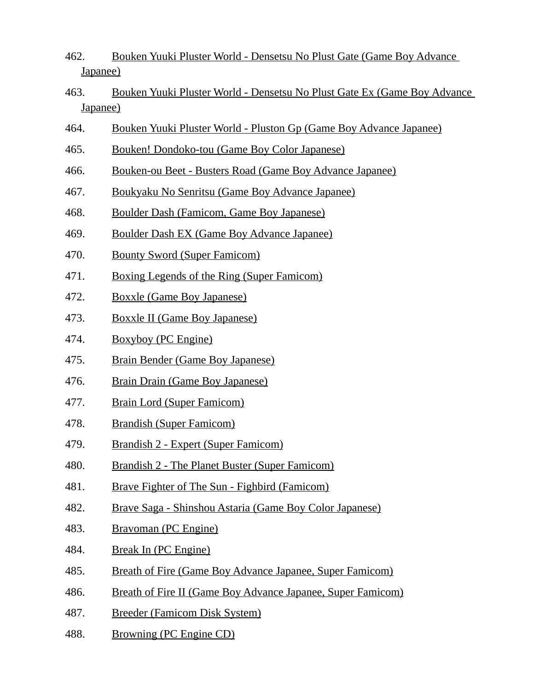- 462. Bouken Yuuki Pluster World Densetsu No Plust Gate (Game Boy Advance Japanee)
- 463. Bouken Yuuki Pluster World Densetsu No Plust Gate Ex (Game Boy Advance Japanee)
- 464. Bouken Yuuki Pluster World Pluston Gp (Game Boy Advance Japanee)
- 465. Bouken! Dondoko-tou (Game Boy Color Japanese)
- 466. Bouken-ou Beet Busters Road (Game Boy Advance Japanee)
- 467. Boukyaku No Senritsu (Game Boy Advance Japanee)
- 468. Boulder Dash (Famicom, Game Boy Japanese)
- 469. Boulder Dash EX (Game Boy Advance Japanee)
- 470. Bounty Sword (Super Famicom)
- 471. Boxing Legends of the Ring (Super Famicom)
- 472. Boxxle (Game Boy Japanese)
- 473. Boxxle II (Game Boy Japanese)
- 474. Boxyboy (PC Engine)
- 475. Brain Bender (Game Boy Japanese)
- 476. Brain Drain (Game Boy Japanese)
- 477. Brain Lord (Super Famicom)
- 478. Brandish (Super Famicom)
- 479. Brandish 2 Expert (Super Famicom)
- 480. Brandish 2 The Planet Buster (Super Famicom)
- 481. Brave Fighter of The Sun Fighbird (Famicom)
- 482. Brave Saga Shinshou Astaria (Game Boy Color Japanese)
- 483. Bravoman (PC Engine)
- 484. Break In (PC Engine)
- 485. Breath of Fire (Game Boy Advance Japanee, Super Famicom)
- 486. Breath of Fire II (Game Boy Advance Japanee, Super Famicom)
- 487. Breeder (Famicom Disk System)
- 488. Browning (PC Engine CD)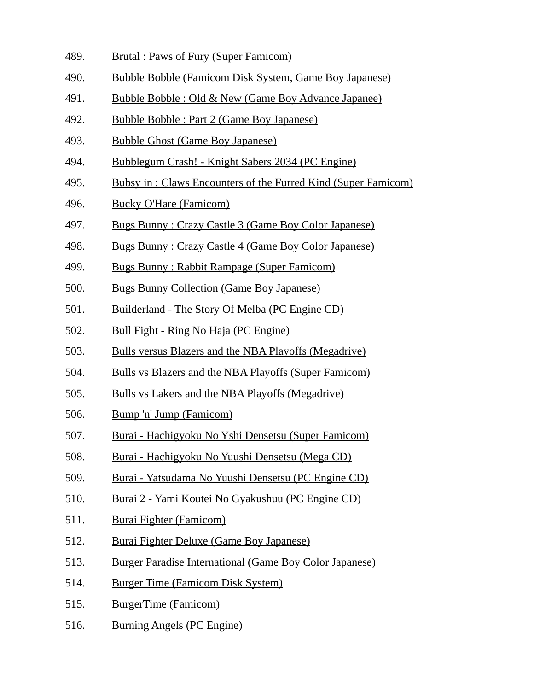- 489. Brutal : Paws of Fury (Super Famicom)
- 490. Bubble Bobble (Famicom Disk System, Game Boy Japanese)
- 491. Bubble Bobble : Old & New (Game Boy Advance Japanee)
- 492. Bubble Bobble : Part 2 (Game Boy Japanese)
- 493. Bubble Ghost (Game Boy Japanese)
- 494. Bubblegum Crash! Knight Sabers 2034 (PC Engine)
- 495. Bubsy in : Claws Encounters of the Furred Kind (Super Famicom)
- 496. Bucky O'Hare (Famicom)
- 497. Bugs Bunny : Crazy Castle 3 (Game Boy Color Japanese)
- 498. Bugs Bunny : Crazy Castle 4 (Game Boy Color Japanese)
- 499. Bugs Bunny : Rabbit Rampage (Super Famicom)
- 500. Bugs Bunny Collection (Game Boy Japanese)
- 501. Builderland The Story Of Melba (PC Engine CD)
- 502. Bull Fight Ring No Haja (PC Engine)
- 503. Bulls versus Blazers and the NBA Playoffs (Megadrive)
- 504. Bulls vs Blazers and the NBA Playoffs (Super Famicom)
- 505. Bulls vs Lakers and the NBA Playoffs (Megadrive)
- 506. Bump 'n' Jump (Famicom)
- 507. Burai Hachigyoku No Yshi Densetsu (Super Famicom)
- 508. Burai Hachigyoku No Yuushi Densetsu (Mega CD)
- 509. Burai Yatsudama No Yuushi Densetsu (PC Engine CD)
- 510. Burai 2 Yami Koutei No Gyakushuu (PC Engine CD)
- 511. Burai Fighter (Famicom)
- 512. Burai Fighter Deluxe (Game Boy Japanese)
- 513. Burger Paradise International (Game Boy Color Japanese)
- 514. Burger Time (Famicom Disk System)
- 515. BurgerTime (Famicom)
- 516. Burning Angels (PC Engine)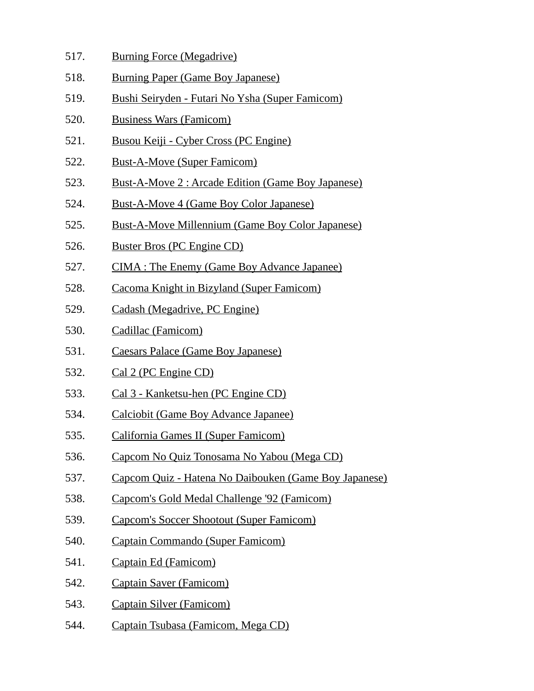- 517. Burning Force (Megadrive)
- 518. Burning Paper (Game Boy Japanese)
- 519. Bushi Seiryden Futari No Ysha (Super Famicom)
- 520. Business Wars (Famicom)
- 521. Busou Keiji Cyber Cross (PC Engine)
- 522. Bust-A-Move (Super Famicom)
- 523. Bust-A-Move 2 : Arcade Edition (Game Boy Japanese)
- 524. Bust-A-Move 4 (Game Boy Color Japanese)
- 525. Bust-A-Move Millennium (Game Boy Color Japanese)
- 526. Buster Bros (PC Engine CD)
- 527. CIMA : The Enemy (Game Boy Advance Japanee)
- 528. Cacoma Knight in Bizyland (Super Famicom)
- 529. Cadash (Megadrive, PC Engine)
- 530. Cadillac (Famicom)
- 531. Caesars Palace (Game Boy Japanese)
- 532. Cal 2 (PC Engine CD)
- 533. Cal 3 Kanketsu-hen (PC Engine CD)
- 534. Calciobit (Game Boy Advance Japanee)
- 535. California Games II (Super Famicom)
- 536. Capcom No Quiz Tonosama No Yabou (Mega CD)
- 537. Capcom Quiz Hatena No Daibouken (Game Boy Japanese)
- 538. Capcom's Gold Medal Challenge '92 (Famicom)
- 539. Capcom's Soccer Shootout (Super Famicom)
- 540. Captain Commando (Super Famicom)
- 541. Captain Ed (Famicom)
- 542. Captain Saver (Famicom)
- 543. Captain Silver (Famicom)
- 544. Captain Tsubasa (Famicom, Mega CD)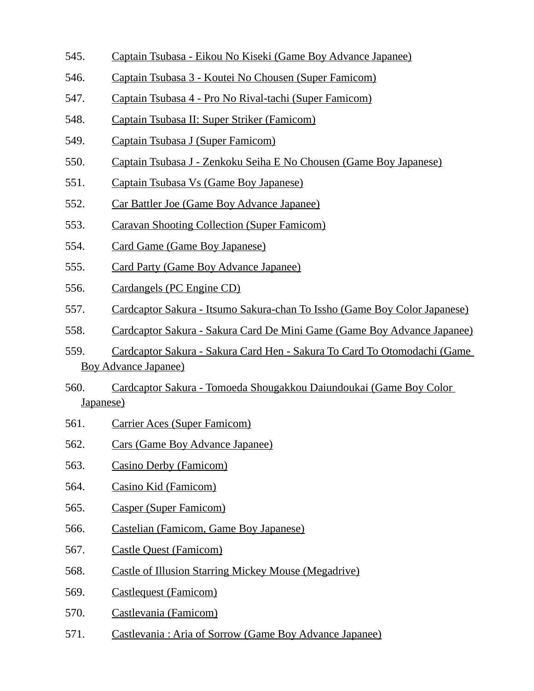- 545. Captain Tsubasa Eikou No Kiseki (Game Boy Advance Japanee)
- 546. Captain Tsubasa 3 Koutei No Chousen (Super Famicom)
- 547. Captain Tsubasa 4 Pro No Rival-tachi (Super Famicom)
- 548. Captain Tsubasa II: Super Striker (Famicom)
- 549. Captain Tsubasa J (Super Famicom)
- 550. Captain Tsubasa J Zenkoku Seiha E No Chousen (Game Boy Japanese)
- 551. Captain Tsubasa Vs (Game Boy Japanese)
- 552. Car Battler Joe (Game Boy Advance Japanee)
- 553. Caravan Shooting Collection (Super Famicom)
- 554. Card Game (Game Boy Japanese)
- 555. Card Party (Game Boy Advance Japanee)
- 556. Cardangels (PC Engine CD)
- 557. Cardcaptor Sakura Itsumo Sakura-chan To Issho (Game Boy Color Japanese)
- 558. Cardcaptor Sakura Sakura Card De Mini Game (Game Boy Advance Japanee)
- 559. Cardcaptor Sakura Sakura Card Hen Sakura To Card To Otomodachi (Game Boy Advance Japanee)
- 560. Cardcaptor Sakura Tomoeda Shougakkou Daiundoukai (Game Boy Color Japanese)
- 561. Carrier Aces (Super Famicom)
- 562. Cars (Game Boy Advance Japanee)
- 563. Casino Derby (Famicom)
- 564. Casino Kid (Famicom)
- 565. Casper (Super Famicom)
- 566. Castelian (Famicom, Game Boy Japanese)
- 567. Castle Quest (Famicom)
- 568. Castle of Illusion Starring Mickey Mouse (Megadrive)
- 569. Castlequest (Famicom)
- 570. Castlevania (Famicom)
- 571. Castlevania : Aria of Sorrow (Game Boy Advance Japanee)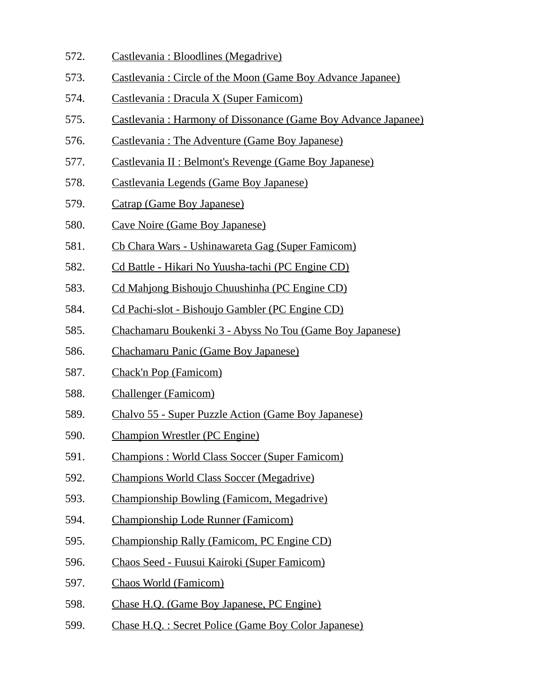- 572. Castlevania : Bloodlines (Megadrive)
- 573. Castlevania : Circle of the Moon (Game Boy Advance Japanee)
- 574. Castlevania : Dracula X (Super Famicom)
- 575. Castlevania : Harmony of Dissonance (Game Boy Advance Japanee)
- 576. Castlevania : The Adventure (Game Boy Japanese)
- 577. Castlevania II : Belmont's Revenge (Game Boy Japanese)
- 578. Castlevania Legends (Game Boy Japanese)
- 579. Catrap (Game Boy Japanese)
- 580. Cave Noire (Game Boy Japanese)
- 581. Cb Chara Wars Ushinawareta Gag (Super Famicom)
- 582. Cd Battle Hikari No Yuusha-tachi (PC Engine CD)
- 583. Cd Mahjong Bishoujo Chuushinha (PC Engine CD)
- 584. Cd Pachi-slot Bishoujo Gambler (PC Engine CD)
- 585. Chachamaru Boukenki 3 Abyss No Tou (Game Boy Japanese)
- 586. Chachamaru Panic (Game Boy Japanese)
- 587. Chack'n Pop (Famicom)
- 588. Challenger (Famicom)
- 589. Chalvo 55 Super Puzzle Action (Game Boy Japanese)
- 590. Champion Wrestler (PC Engine)
- 591. Champions : World Class Soccer (Super Famicom)
- 592. Champions World Class Soccer (Megadrive)
- 593. Championship Bowling (Famicom, Megadrive)
- 594. Championship Lode Runner (Famicom)
- 595. Championship Rally (Famicom, PC Engine CD)
- 596. Chaos Seed Fuusui Kairoki (Super Famicom)
- 597. Chaos World (Famicom)
- 598. Chase H.Q. (Game Boy Japanese, PC Engine)
- 599. Chase H.Q. : Secret Police (Game Boy Color Japanese)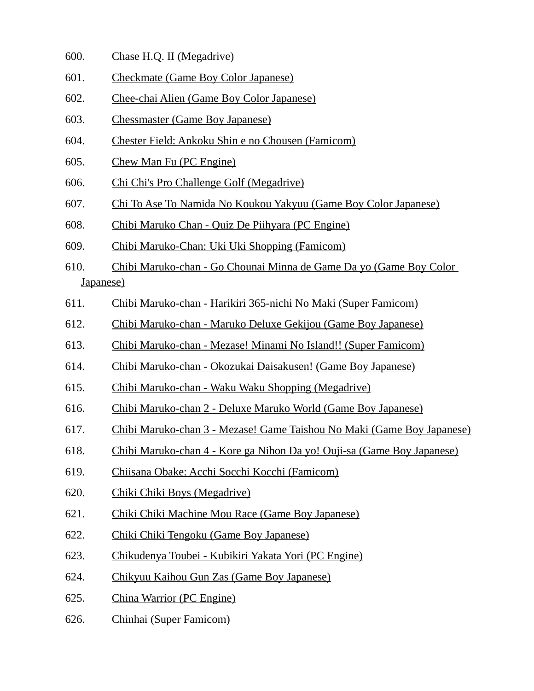- 600. Chase H.Q. II (Megadrive)
- 601. Checkmate (Game Boy Color Japanese)
- 602. Chee-chai Alien (Game Boy Color Japanese)
- 603. Chessmaster (Game Boy Japanese)
- 604. Chester Field: Ankoku Shin e no Chousen (Famicom)
- 605. Chew Man Fu (PC Engine)
- 606. Chi Chi's Pro Challenge Golf (Megadrive)
- 607. Chi To Ase To Namida No Koukou Yakyuu (Game Boy Color Japanese)
- 608. Chibi Maruko Chan Quiz De Piihyara (PC Engine)
- 609. Chibi Maruko-Chan: Uki Uki Shopping (Famicom)
- 610. Chibi Maruko-chan Go Chounai Minna de Game Da yo (Game Boy Color Japanese)
- 611. Chibi Maruko-chan Harikiri 365-nichi No Maki (Super Famicom)
- 612. Chibi Maruko-chan Maruko Deluxe Gekijou (Game Boy Japanese)
- 613. Chibi Maruko-chan Mezase! Minami No Island!! (Super Famicom)
- 614. Chibi Maruko-chan Okozukai Daisakusen! (Game Boy Japanese)
- 615. Chibi Maruko-chan Waku Waku Shopping (Megadrive)
- 616. Chibi Maruko-chan 2 Deluxe Maruko World (Game Boy Japanese)
- 617. Chibi Maruko-chan 3 Mezase! Game Taishou No Maki (Game Boy Japanese)
- 618. Chibi Maruko-chan 4 Kore ga Nihon Da yo! Ouji-sa (Game Boy Japanese)
- 619. Chiisana Obake: Acchi Socchi Kocchi (Famicom)
- 620. Chiki Chiki Boys (Megadrive)
- 621. Chiki Chiki Machine Mou Race (Game Boy Japanese)
- 622. Chiki Chiki Tengoku (Game Boy Japanese)
- 623. Chikudenya Toubei Kubikiri Yakata Yori (PC Engine)
- 624. Chikyuu Kaihou Gun Zas (Game Boy Japanese)
- 625. China Warrior (PC Engine)
- 626. Chinhai (Super Famicom)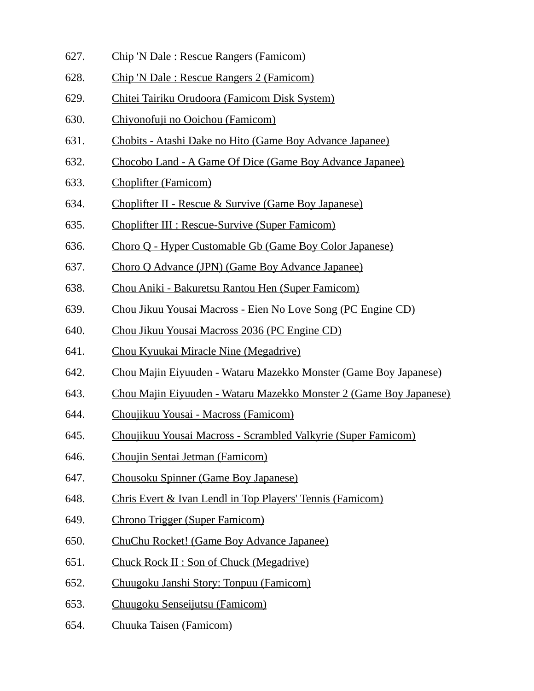- 627. Chip 'N Dale : Rescue Rangers (Famicom)
- 628. Chip 'N Dale : Rescue Rangers 2 (Famicom)
- 629. Chitei Tairiku Orudoora (Famicom Disk System)
- 630. Chiyonofuji no Ooichou (Famicom)
- 631. Chobits Atashi Dake no Hito (Game Boy Advance Japanee)
- 632. Chocobo Land A Game Of Dice (Game Boy Advance Japanee)
- 633. Choplifter (Famicom)
- 634. Choplifter II Rescue & Survive (Game Boy Japanese)
- 635. Choplifter III : Rescue-Survive (Super Famicom)
- 636. Choro Q Hyper Customable Gb (Game Boy Color Japanese)
- 637. Choro Q Advance (JPN) (Game Boy Advance Japanee)
- 638. Chou Aniki Bakuretsu Rantou Hen (Super Famicom)
- 639. Chou Jikuu Yousai Macross Eien No Love Song (PC Engine CD)
- 640. Chou Jikuu Yousai Macross 2036 (PC Engine CD)
- 641. Chou Kyuukai Miracle Nine (Megadrive)
- 642. Chou Majin Eiyuuden Wataru Mazekko Monster (Game Boy Japanese)
- 643. Chou Majin Eiyuuden Wataru Mazekko Monster 2 (Game Boy Japanese)
- 644. Choujikuu Yousai Macross (Famicom)
- 645. Choujikuu Yousai Macross Scrambled Valkyrie (Super Famicom)
- 646. Choujin Sentai Jetman (Famicom)
- 647. Chousoku Spinner (Game Boy Japanese)
- 648. Chris Evert & Ivan Lendl in Top Players' Tennis (Famicom)
- 649. Chrono Trigger (Super Famicom)
- 650. ChuChu Rocket! (Game Boy Advance Japanee)
- 651. Chuck Rock II : Son of Chuck (Megadrive)
- 652. Chuugoku Janshi Story: Tonpuu (Famicom)
- 653. Chuugoku Senseijutsu (Famicom)
- 654. Chuuka Taisen (Famicom)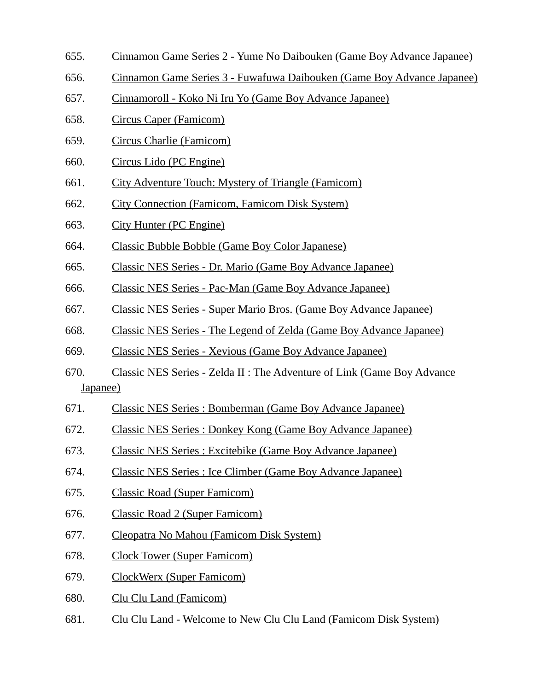- 655. Cinnamon Game Series 2 Yume No Daibouken (Game Boy Advance Japanee)
- 656. Cinnamon Game Series 3 Fuwafuwa Daibouken (Game Boy Advance Japanee)
- 657. Cinnamoroll Koko Ni Iru Yo (Game Boy Advance Japanee)
- 658. Circus Caper (Famicom)
- 659. Circus Charlie (Famicom)
- 660. Circus Lido (PC Engine)
- 661. City Adventure Touch: Mystery of Triangle (Famicom)
- 662. City Connection (Famicom, Famicom Disk System)
- 663. City Hunter (PC Engine)
- 664. Classic Bubble Bobble (Game Boy Color Japanese)
- 665. Classic NES Series Dr. Mario (Game Boy Advance Japanee)
- 666. Classic NES Series Pac-Man (Game Boy Advance Japanee)
- 667. Classic NES Series Super Mario Bros. (Game Boy Advance Japanee)
- 668. Classic NES Series The Legend of Zelda (Game Boy Advance Japanee)
- 669. Classic NES Series Xevious (Game Boy Advance Japanee)
- 670. Classic NES Series Zelda II : The Adventure of Link (Game Boy Advance Japanee)
- 671. Classic NES Series : Bomberman (Game Boy Advance Japanee)
- 672. Classic NES Series : Donkey Kong (Game Boy Advance Japanee)
- 673. Classic NES Series : Excitebike (Game Boy Advance Japanee)
- 674. Classic NES Series : Ice Climber (Game Boy Advance Japanee)
- 675. Classic Road (Super Famicom)
- 676. Classic Road 2 (Super Famicom)
- 677. Cleopatra No Mahou (Famicom Disk System)
- 678. Clock Tower (Super Famicom)
- 679. ClockWerx (Super Famicom)
- 680. Clu Clu Land (Famicom)
- 681. Clu Clu Land Welcome to New Clu Clu Land (Famicom Disk System)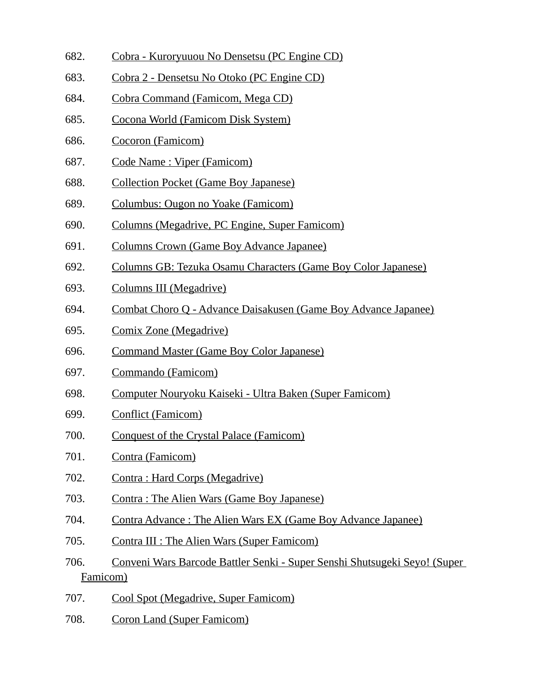- 682. Cobra Kuroryuuou No Densetsu (PC Engine CD)
- 683. Cobra 2 Densetsu No Otoko (PC Engine CD)
- 684. Cobra Command (Famicom, Mega CD)
- 685. Cocona World (Famicom Disk System)
- 686. Cocoron (Famicom)
- 687. Code Name : Viper (Famicom)
- 688. Collection Pocket (Game Boy Japanese)
- 689. Columbus: Ougon no Yoake (Famicom)
- 690. Columns (Megadrive, PC Engine, Super Famicom)
- 691. Columns Crown (Game Boy Advance Japanee)
- 692. Columns GB: Tezuka Osamu Characters (Game Boy Color Japanese)
- 693. Columns III (Megadrive)
- 694. Combat Choro Q Advance Daisakusen (Game Boy Advance Japanee)
- 695. Comix Zone (Megadrive)
- 696. Command Master (Game Boy Color Japanese)
- 697. Commando (Famicom)
- 698. Computer Nouryoku Kaiseki Ultra Baken (Super Famicom)
- 699. Conflict (Famicom)
- 700. Conquest of the Crystal Palace (Famicom)
- 701. Contra (Famicom)
- 702. Contra : Hard Corps (Megadrive)
- 703. Contra : The Alien Wars (Game Boy Japanese)
- 704. Contra Advance : The Alien Wars EX (Game Boy Advance Japanee)
- 705. Contra III : The Alien Wars (Super Famicom)
- 706. Conveni Wars Barcode Battler Senki Super Senshi Shutsugeki Seyo! (Super Famicom)
- 707. Cool Spot (Megadrive, Super Famicom)
- 708. Coron Land (Super Famicom)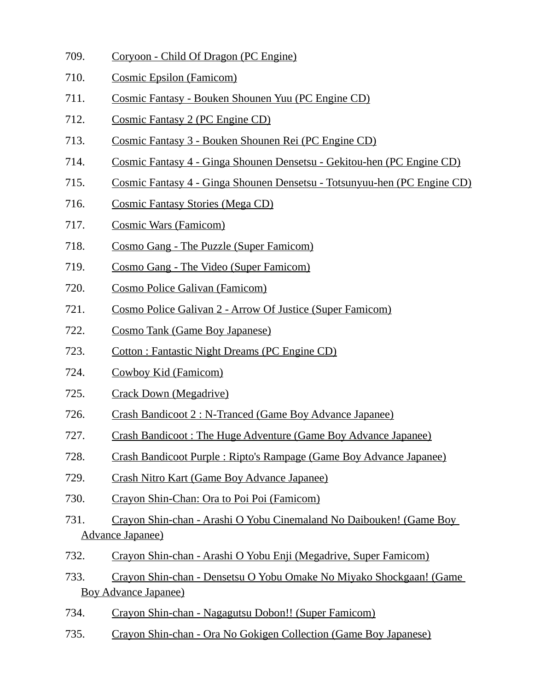- 709. Coryoon Child Of Dragon (PC Engine)
- 710. Cosmic Epsilon (Famicom)
- 711. Cosmic Fantasy Bouken Shounen Yuu (PC Engine CD)
- 712. Cosmic Fantasy 2 (PC Engine CD)
- 713. Cosmic Fantasy 3 Bouken Shounen Rei (PC Engine CD)
- 714. Cosmic Fantasy 4 Ginga Shounen Densetsu Gekitou-hen (PC Engine CD)
- 715. Cosmic Fantasy 4 Ginga Shounen Densetsu Totsunyuu-hen (PC Engine CD)
- 716. Cosmic Fantasy Stories (Mega CD)
- 717. Cosmic Wars (Famicom)
- 718. Cosmo Gang The Puzzle (Super Famicom)
- 719. Cosmo Gang The Video (Super Famicom)
- 720. Cosmo Police Galivan (Famicom)
- 721. Cosmo Police Galivan 2 Arrow Of Justice (Super Famicom)
- 722. Cosmo Tank (Game Boy Japanese)
- 723. Cotton : Fantastic Night Dreams (PC Engine CD)
- 724. Cowboy Kid (Famicom)
- 725. Crack Down (Megadrive)
- 726. Crash Bandicoot 2 : N-Tranced (Game Boy Advance Japanee)
- 727. Crash Bandicoot : The Huge Adventure (Game Boy Advance Japanee)
- 728. Crash Bandicoot Purple : Ripto's Rampage (Game Boy Advance Japanee)
- 729. Crash Nitro Kart (Game Boy Advance Japanee)
- 730. Crayon Shin-Chan: Ora to Poi Poi (Famicom)
- 731. Crayon Shin-chan Arashi O Yobu Cinemaland No Daibouken! (Game Boy Advance Japanee)
- 732. Crayon Shin-chan Arashi O Yobu Enji (Megadrive, Super Famicom)
- 733. Crayon Shin-chan Densetsu O Yobu Omake No Miyako Shockgaan! (Game Boy Advance Japanee)
- 734. Crayon Shin-chan Nagagutsu Dobon!! (Super Famicom)
- 735. Crayon Shin-chan Ora No Gokigen Collection (Game Boy Japanese)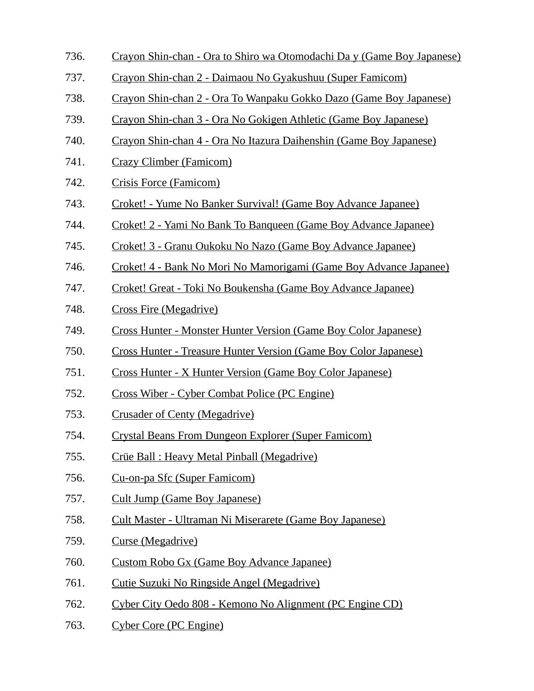- 736. Crayon Shin-chan Ora to Shiro wa Otomodachi Da y (Game Boy Japanese)
- 737. Crayon Shin-chan 2 Daimaou No Gyakushuu (Super Famicom)
- 738. Crayon Shin-chan 2 Ora To Wanpaku Gokko Dazo (Game Boy Japanese)
- 739. Crayon Shin-chan 3 Ora No Gokigen Athletic (Game Boy Japanese)
- 740. Crayon Shin-chan 4 Ora No Itazura Daihenshin (Game Boy Japanese)
- 741. Crazy Climber (Famicom)
- 742. Crisis Force (Famicom)
- 743. Croket! Yume No Banker Survival! (Game Boy Advance Japanee)
- 744. Croket! 2 Yami No Bank To Banqueen (Game Boy Advance Japanee)
- 745. Croket! 3 Granu Oukoku No Nazo (Game Boy Advance Japanee)
- 746. Croket! 4 Bank No Mori No Mamorigami (Game Boy Advance Japanee)
- 747. Croket! Great Toki No Boukensha (Game Boy Advance Japanee)
- 748. Cross Fire (Megadrive)
- 749. Cross Hunter Monster Hunter Version (Game Boy Color Japanese)
- 750. Cross Hunter Treasure Hunter Version (Game Boy Color Japanese)
- 751. Cross Hunter X Hunter Version (Game Boy Color Japanese)
- 752. Cross Wiber Cyber Combat Police (PC Engine)
- 753. Crusader of Centy (Megadrive)
- 754. Crystal Beans From Dungeon Explorer (Super Famicom)
- 755. Crüe Ball : Heavy Metal Pinball (Megadrive)
- 756. Cu-on-pa Sfc (Super Famicom)
- 757. Cult Jump (Game Boy Japanese)
- 758. Cult Master Ultraman Ni Miserarete (Game Boy Japanese)
- 759. Curse (Megadrive)
- 760. Custom Robo Gx (Game Boy Advance Japanee)
- 761. Cutie Suzuki No Ringside Angel (Megadrive)
- 762. Cyber City Oedo 808 Kemono No Alignment (PC Engine CD)
- 763. Cyber Core (PC Engine)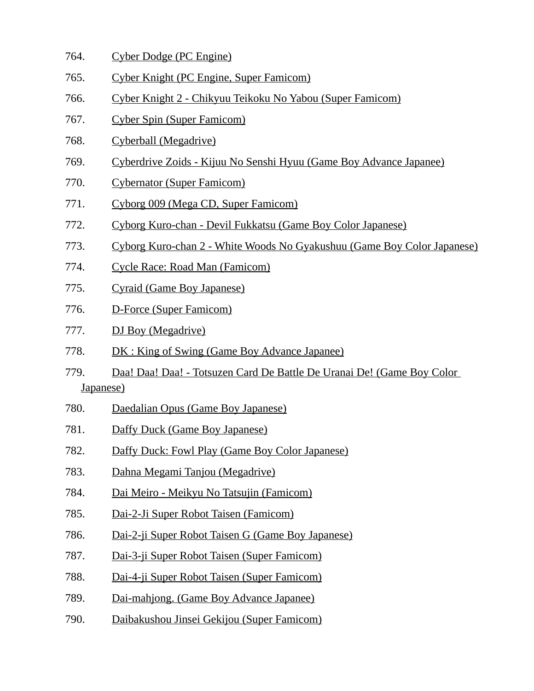- 764. Cyber Dodge (PC Engine)
- 765. Cyber Knight (PC Engine, Super Famicom)
- 766. Cyber Knight 2 Chikyuu Teikoku No Yabou (Super Famicom)
- 767. Cyber Spin (Super Famicom)
- 768. Cyberball (Megadrive)
- 769. Cyberdrive Zoids Kijuu No Senshi Hyuu (Game Boy Advance Japanee)
- 770. Cybernator (Super Famicom)
- 771. Cyborg 009 (Mega CD, Super Famicom)
- 772. Cyborg Kuro-chan Devil Fukkatsu (Game Boy Color Japanese)
- 773. Cyborg Kuro-chan 2 White Woods No Gyakushuu (Game Boy Color Japanese)
- 774. Cycle Race: Road Man (Famicom)
- 775. Cyraid (Game Boy Japanese)
- 776. D-Force (Super Famicom)
- 777. DJ Boy (Megadrive)
- 778. DK : King of Swing (Game Boy Advance Japanee)
- 779. Daa! Daa! Daa! Totsuzen Card De Battle De Uranai De! (Game Boy Color Japanese)
- 780. Daedalian Opus (Game Boy Japanese)
- 781. Daffy Duck (Game Boy Japanese)
- 782. Daffy Duck: Fowl Play (Game Boy Color Japanese)
- 783. Dahna Megami Tanjou (Megadrive)
- 784. Dai Meiro Meikyu No Tatsujin (Famicom)
- 785. Dai-2-Ji Super Robot Taisen (Famicom)
- 786. Dai-2-ji Super Robot Taisen G (Game Boy Japanese)
- 787. Dai-3-ji Super Robot Taisen (Super Famicom)
- 788. Dai-4-ji Super Robot Taisen (Super Famicom)
- 789. Dai-mahjong. (Game Boy Advance Japanee)
- 790. Daibakushou Jinsei Gekijou (Super Famicom)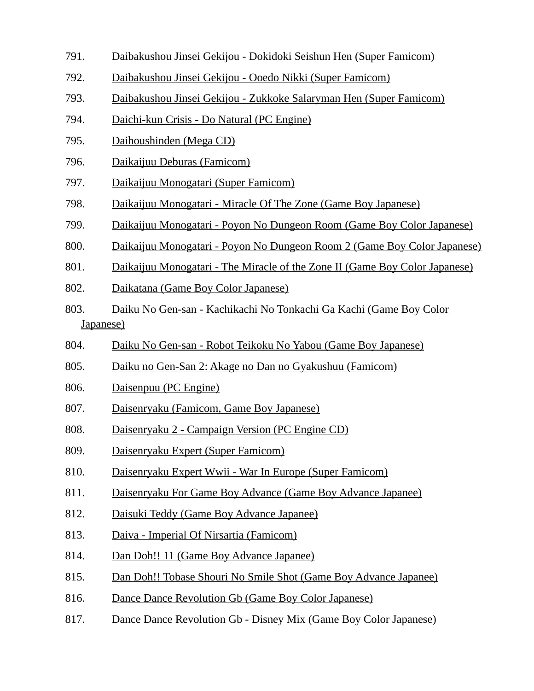- 791. Daibakushou Jinsei Gekijou Dokidoki Seishun Hen (Super Famicom)
- 792. Daibakushou Jinsei Gekijou Ooedo Nikki (Super Famicom)
- 793. Daibakushou Jinsei Gekijou Zukkoke Salaryman Hen (Super Famicom)
- 794. Daichi-kun Crisis Do Natural (PC Engine)
- 795. Daihoushinden (Mega CD)
- 796. Daikaijuu Deburas (Famicom)
- 797. Daikaijuu Monogatari (Super Famicom)
- 798. Daikaijuu Monogatari Miracle Of The Zone (Game Boy Japanese)
- 799. Daikaijuu Monogatari Poyon No Dungeon Room (Game Boy Color Japanese)
- 800. Daikaijuu Monogatari Poyon No Dungeon Room 2 (Game Boy Color Japanese)
- 801. Daikaijuu Monogatari The Miracle of the Zone II (Game Boy Color Japanese)
- 802. Daikatana (Game Boy Color Japanese)
- 803. Daiku No Gen-san Kachikachi No Tonkachi Ga Kachi (Game Boy Color Japanese)
- 804. Daiku No Gen-san Robot Teikoku No Yabou (Game Boy Japanese)
- 805. Daiku no Gen-San 2: Akage no Dan no Gyakushuu (Famicom)
- 806. Daisenpuu (PC Engine)
- 807. Daisenryaku (Famicom, Game Boy Japanese)
- 808. Daisenryaku 2 Campaign Version (PC Engine CD)
- 809. Daisenryaku Expert (Super Famicom)
- 810. Daisenryaku Expert Wwii War In Europe (Super Famicom)
- 811. Daisenryaku For Game Boy Advance (Game Boy Advance Japanee)
- 812. Daisuki Teddy (Game Boy Advance Japanee)
- 813. Daiva Imperial Of Nirsartia (Famicom)
- 814. Dan Doh!! 11 (Game Boy Advance Japanee)
- 815. Dan Doh!! Tobase Shouri No Smile Shot (Game Boy Advance Japanee)
- 816. Dance Dance Revolution Gb (Game Boy Color Japanese)
- 817. Dance Dance Revolution Gb Disney Mix (Game Boy Color Japanese)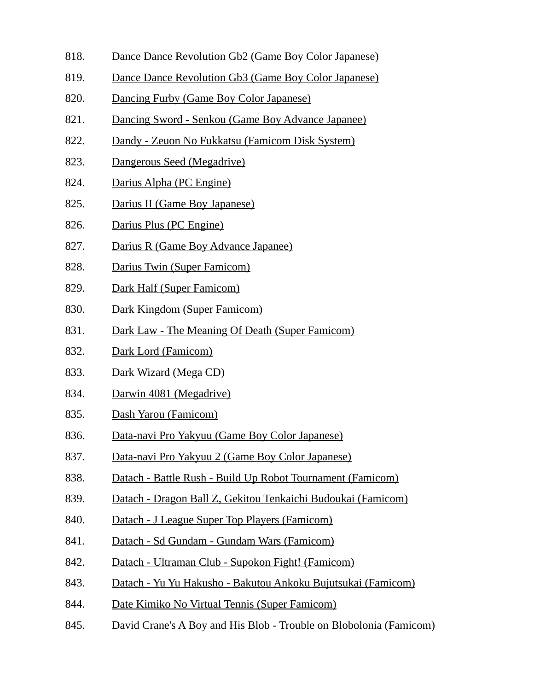- 818. Dance Dance Revolution Gb2 (Game Boy Color Japanese)
- 819. Dance Dance Revolution Gb3 (Game Boy Color Japanese)
- 820. Dancing Furby (Game Boy Color Japanese)
- 821. Dancing Sword Senkou (Game Boy Advance Japanee)
- 822. Dandy Zeuon No Fukkatsu (Famicom Disk System)
- 823. Dangerous Seed (Megadrive)
- 824. Darius Alpha (PC Engine)
- 825. Darius II (Game Boy Japanese)
- 826. Darius Plus (PC Engine)
- 827. Darius R (Game Boy Advance Japanee)
- 828. Darius Twin (Super Famicom)
- 829. Dark Half (Super Famicom)
- 830. Dark Kingdom (Super Famicom)
- 831. Dark Law The Meaning Of Death (Super Famicom)
- 832. Dark Lord (Famicom)
- 833. Dark Wizard (Mega CD)
- 834. Darwin 4081 (Megadrive)
- 835. Dash Yarou (Famicom)
- 836. Data-navi Pro Yakyuu (Game Boy Color Japanese)
- 837. Data-navi Pro Yakyuu 2 (Game Boy Color Japanese)
- 838. Datach Battle Rush Build Up Robot Tournament (Famicom)
- 839. Datach Dragon Ball Z, Gekitou Tenkaichi Budoukai (Famicom)
- 840. Datach J League Super Top Players (Famicom)
- 841. Datach Sd Gundam Gundam Wars (Famicom)
- 842. Datach Ultraman Club Supokon Fight! (Famicom)
- 843. Datach Yu Yu Hakusho Bakutou Ankoku Bujutsukai (Famicom)
- 844. Date Kimiko No Virtual Tennis (Super Famicom)
- 845. David Crane's A Boy and His Blob Trouble on Blobolonia (Famicom)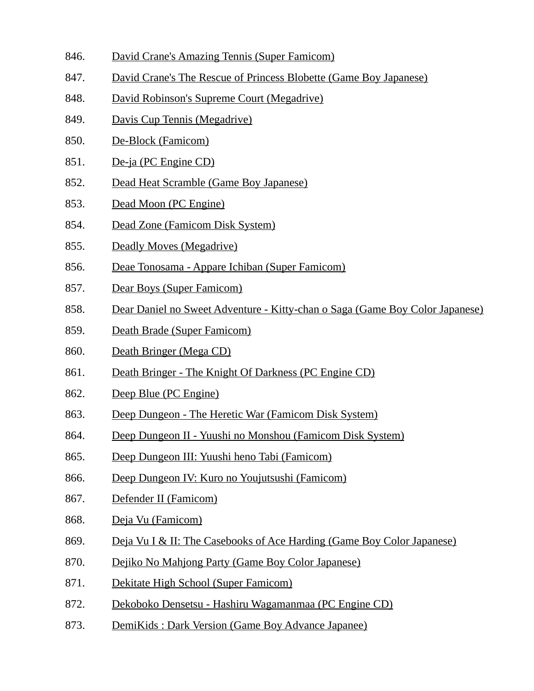- 846. David Crane's Amazing Tennis (Super Famicom)
- 847. David Crane's The Rescue of Princess Blobette (Game Boy Japanese)
- 848. David Robinson's Supreme Court (Megadrive)
- 849. Davis Cup Tennis (Megadrive)
- 850. De-Block (Famicom)
- 851. De-ja (PC Engine CD)
- 852. Dead Heat Scramble (Game Boy Japanese)
- 853. Dead Moon (PC Engine)
- 854. Dead Zone (Famicom Disk System)
- 855. Deadly Moves (Megadrive)
- 856. Deae Tonosama Appare Ichiban (Super Famicom)
- 857. Dear Boys (Super Famicom)
- 858. Dear Daniel no Sweet Adventure Kitty-chan o Saga (Game Boy Color Japanese)
- 859. Death Brade (Super Famicom)
- 860. Death Bringer (Mega CD)
- 861. Death Bringer The Knight Of Darkness (PC Engine CD)
- 862. Deep Blue (PC Engine)
- 863. Deep Dungeon The Heretic War (Famicom Disk System)
- 864. Deep Dungeon II Yuushi no Monshou (Famicom Disk System)
- 865. Deep Dungeon III: Yuushi heno Tabi (Famicom)
- 866. Deep Dungeon IV: Kuro no Youjutsushi (Famicom)
- 867. Defender II (Famicom)
- 868. Deja Vu (Famicom)
- 869. Deja Vu I & II: The Casebooks of Ace Harding (Game Boy Color Japanese)
- 870. Dejiko No Mahjong Party (Game Boy Color Japanese)
- 871. Dekitate High School (Super Famicom)
- 872. Dekoboko Densetsu Hashiru Wagamanmaa (PC Engine CD)
- 873. DemiKids : Dark Version (Game Boy Advance Japanee)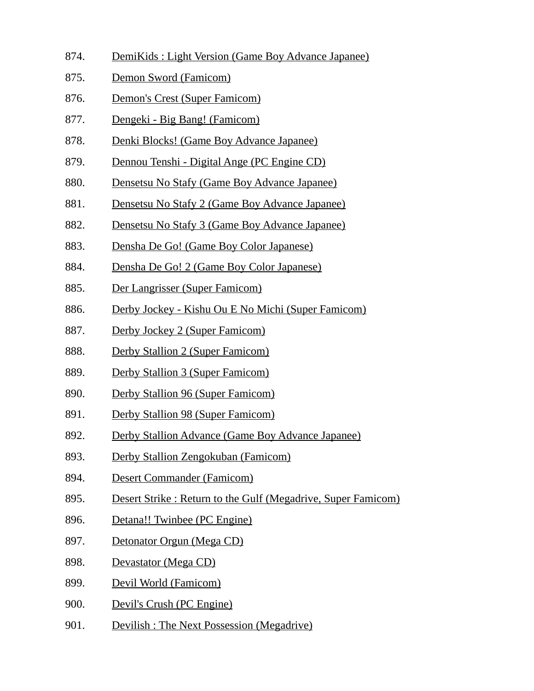- 874. DemiKids : Light Version (Game Boy Advance Japanee)
- 875. Demon Sword (Famicom)
- 876. Demon's Crest (Super Famicom)
- 877. Dengeki Big Bang! (Famicom)
- 878. Denki Blocks! (Game Boy Advance Japanee)
- 879. Dennou Tenshi Digital Ange (PC Engine CD)
- 880. Densetsu No Stafy (Game Boy Advance Japanee)
- 881. Densetsu No Stafy 2 (Game Boy Advance Japanee)
- 882. Densetsu No Stafy 3 (Game Boy Advance Japanee)
- 883. Densha De Go! (Game Boy Color Japanese)
- 884. Densha De Go! 2 (Game Boy Color Japanese)
- 885. Der Langrisser (Super Famicom)
- 886. Derby Jockey Kishu Ou E No Michi (Super Famicom)
- 887. Derby Jockey 2 (Super Famicom)
- 888. Derby Stallion 2 (Super Famicom)
- 889. Derby Stallion 3 (Super Famicom)
- 890. Derby Stallion 96 (Super Famicom)
- 891. Derby Stallion 98 (Super Famicom)
- 892. Derby Stallion Advance (Game Boy Advance Japanee)
- 893. Derby Stallion Zengokuban (Famicom)
- 894. Desert Commander (Famicom)
- 895. Desert Strike : Return to the Gulf (Megadrive, Super Famicom)
- 896. Detana!! Twinbee (PC Engine)
- 897. Detonator Orgun (Mega CD)
- 898. Devastator (Mega CD)
- 899. Devil World (Famicom)
- 900. Devil's Crush (PC Engine)
- 901. Devilish : The Next Possession (Megadrive)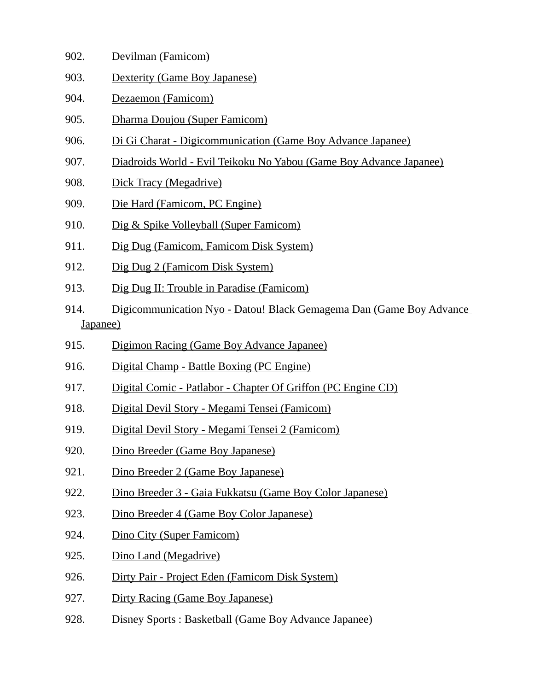- 902. Devilman (Famicom)
- 903. Dexterity (Game Boy Japanese)
- 904. Dezaemon (Famicom)
- 905. Dharma Doujou (Super Famicom)
- 906. Di Gi Charat Digicommunication (Game Boy Advance Japanee)
- 907. Diadroids World Evil Teikoku No Yabou (Game Boy Advance Japanee)
- 908. Dick Tracy (Megadrive)
- 909. Die Hard (Famicom, PC Engine)
- 910. Dig & Spike Volleyball (Super Famicom)
- 911. Dig Dug (Famicom, Famicom Disk System)
- 912. Dig Dug 2 (Famicom Disk System)
- 913. Dig Dug II: Trouble in Paradise (Famicom)
- 914. Digicommunication Nyo Datou! Black Gemagema Dan (Game Boy Advance Japanee)
- 915. Digimon Racing (Game Boy Advance Japanee)
- 916. Digital Champ Battle Boxing (PC Engine)
- 917. Digital Comic Patlabor Chapter Of Griffon (PC Engine CD)
- 918. Digital Devil Story Megami Tensei (Famicom)
- 919. Digital Devil Story Megami Tensei 2 (Famicom)
- 920. Dino Breeder (Game Boy Japanese)
- 921. Dino Breeder 2 (Game Boy Japanese)
- 922. Dino Breeder 3 Gaia Fukkatsu (Game Boy Color Japanese)
- 923. Dino Breeder 4 (Game Boy Color Japanese)
- 924. Dino City (Super Famicom)
- 925. Dino Land (Megadrive)
- 926. Dirty Pair Project Eden (Famicom Disk System)
- 927. Dirty Racing (Game Boy Japanese)
- 928. Disney Sports : Basketball (Game Boy Advance Japanee)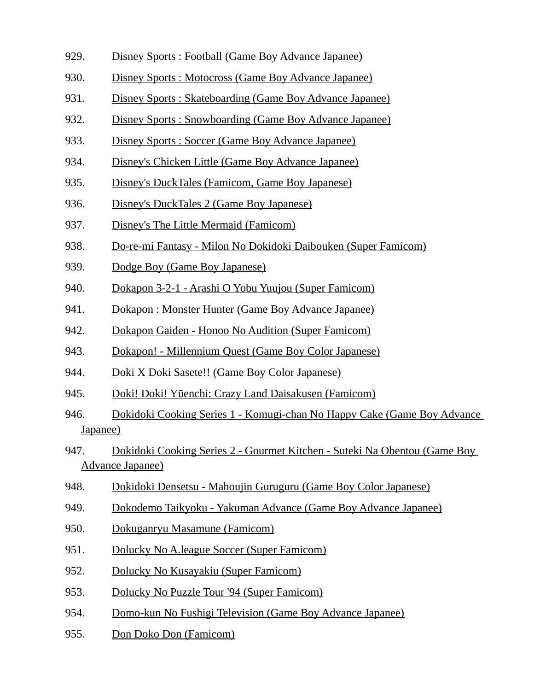- 929. Disney Sports : Football (Game Boy Advance Japanee)
- 930. Disney Sports : Motocross (Game Boy Advance Japanee)
- 931. Disney Sports : Skateboarding (Game Boy Advance Japanee)
- 932. Disney Sports : Snowboarding (Game Boy Advance Japanee)
- 933. Disney Sports : Soccer (Game Boy Advance Japanee)
- 934. Disney's Chicken Little (Game Boy Advance Japanee)
- 935. Disney's DuckTales (Famicom, Game Boy Japanese)
- 936. Disney's DuckTales 2 (Game Boy Japanese)
- 937. Disney's The Little Mermaid (Famicom)
- 938. Do-re-mi Fantasy Milon No Dokidoki Daibouken (Super Famicom)
- 939. Dodge Boy (Game Boy Japanese)
- 940. Dokapon 3-2-1 Arashi O Yobu Yuujou (Super Famicom)
- 941. Dokapon : Monster Hunter (Game Boy Advance Japanee)
- 942. Dokapon Gaiden Honoo No Audition (Super Famicom)
- 943. Dokapon! Millennium Quest (Game Boy Color Japanese)
- 944. Doki X Doki Sasete!! (Game Boy Color Japanese)
- 945. Doki! Doki! Yūenchi: Crazy Land Daisakusen (Famicom)
- 946. Dokidoki Cooking Series 1 Komugi-chan No Happy Cake (Game Boy Advance Japanee)
- 947. Dokidoki Cooking Series 2 Gourmet Kitchen Suteki Na Obentou (Game Boy Advance Japanee)
- 948. Dokidoki Densetsu Mahoujin Guruguru (Game Boy Color Japanese)
- 949. Dokodemo Taikyoku Yakuman Advance (Game Boy Advance Japanee)
- 950. Dokuganryu Masamune (Famicom)
- 951. Dolucky No A.league Soccer (Super Famicom)
- 952. Dolucky No Kusayakiu (Super Famicom)
- 953. Dolucky No Puzzle Tour '94 (Super Famicom)
- 954. Domo-kun No Fushigi Television (Game Boy Advance Japanee)
- 955. Don Doko Don (Famicom)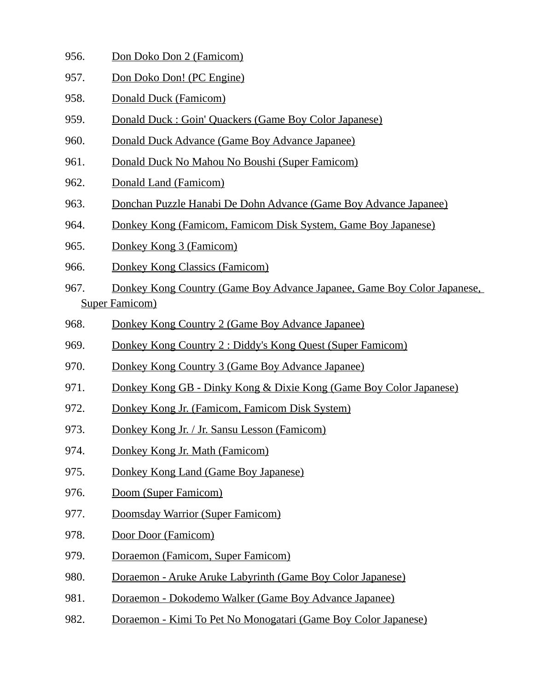- 956. Don Doko Don 2 (Famicom)
- 957. Don Doko Don! (PC Engine)
- 958. Donald Duck (Famicom)
- 959. Donald Duck : Goin' Quackers (Game Boy Color Japanese)
- 960. Donald Duck Advance (Game Boy Advance Japanee)
- 961. Donald Duck No Mahou No Boushi (Super Famicom)
- 962. Donald Land (Famicom)
- 963. Donchan Puzzle Hanabi De Dohn Advance (Game Boy Advance Japanee)
- 964. Donkey Kong (Famicom, Famicom Disk System, Game Boy Japanese)
- 965. Donkey Kong 3 (Famicom)
- 966. Donkey Kong Classics (Famicom)
- 967. Donkey Kong Country (Game Boy Advance Japanee, Game Boy Color Japanese, Super Famicom)
- 968. Donkey Kong Country 2 (Game Boy Advance Japanee)
- 969. Donkey Kong Country 2 : Diddy's Kong Quest (Super Famicom)
- 970. Donkey Kong Country 3 (Game Boy Advance Japanee)
- 971. Donkey Kong GB Dinky Kong & Dixie Kong (Game Boy Color Japanese)
- 972. Donkey Kong Jr. (Famicom, Famicom Disk System)
- 973. Donkey Kong Jr. / Jr. Sansu Lesson (Famicom)
- 974. Donkey Kong Jr. Math (Famicom)
- 975. Donkey Kong Land (Game Boy Japanese)
- 976. Doom (Super Famicom)
- 977. Doomsday Warrior (Super Famicom)
- 978. Door Door (Famicom)
- 979. Doraemon (Famicom, Super Famicom)
- 980. Doraemon Aruke Aruke Labyrinth (Game Boy Color Japanese)
- 981. Doraemon Dokodemo Walker (Game Boy Advance Japanee)
- 982. Doraemon Kimi To Pet No Monogatari (Game Boy Color Japanese)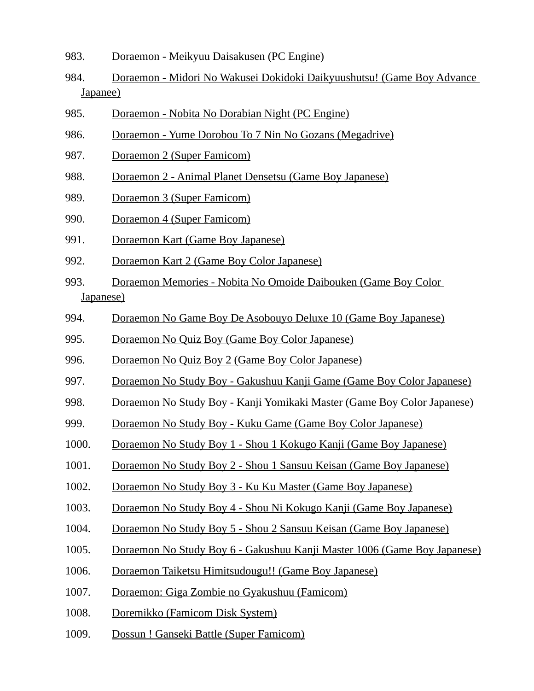- 983. Doraemon Meikyuu Daisakusen (PC Engine)
- 984. Doraemon Midori No Wakusei Dokidoki Daikyuushutsu! (Game Boy Advance Japanee)
- 985. Doraemon Nobita No Dorabian Night (PC Engine)
- 986. Doraemon Yume Dorobou To 7 Nin No Gozans (Megadrive)
- 987. Doraemon 2 (Super Famicom)
- 988. Doraemon 2 Animal Planet Densetsu (Game Boy Japanese)
- 989. Doraemon 3 (Super Famicom)
- 990. Doraemon 4 (Super Famicom)
- 991. Doraemon Kart (Game Boy Japanese)
- 992. Doraemon Kart 2 (Game Boy Color Japanese)
- 993. Doraemon Memories Nobita No Omoide Daibouken (Game Boy Color Japanese)
- 994. Doraemon No Game Boy De Asobouyo Deluxe 10 (Game Boy Japanese)
- 995. Doraemon No Quiz Boy (Game Boy Color Japanese)
- 996. Doraemon No Quiz Boy 2 (Game Boy Color Japanese)
- 997. Doraemon No Study Boy Gakushuu Kanji Game (Game Boy Color Japanese)
- 998. Doraemon No Study Boy Kanji Yomikaki Master (Game Boy Color Japanese)
- 999. Doraemon No Study Boy Kuku Game (Game Boy Color Japanese)
- 1000. Doraemon No Study Boy 1 Shou 1 Kokugo Kanji (Game Boy Japanese)
- 1001. Doraemon No Study Boy 2 Shou 1 Sansuu Keisan (Game Boy Japanese)
- 1002. Doraemon No Study Boy 3 Ku Ku Master (Game Boy Japanese)
- 1003. Doraemon No Study Boy 4 Shou Ni Kokugo Kanji (Game Boy Japanese)
- 1004. Doraemon No Study Boy 5 Shou 2 Sansuu Keisan (Game Boy Japanese)
- 1005. Doraemon No Study Boy 6 Gakushuu Kanji Master 1006 (Game Boy Japanese)
- 1006. Doraemon Taiketsu Himitsudougu!! (Game Boy Japanese)
- 1007. Doraemon: Giga Zombie no Gyakushuu (Famicom)
- 1008. Doremikko (Famicom Disk System)
- 1009. Dossun ! Ganseki Battle (Super Famicom)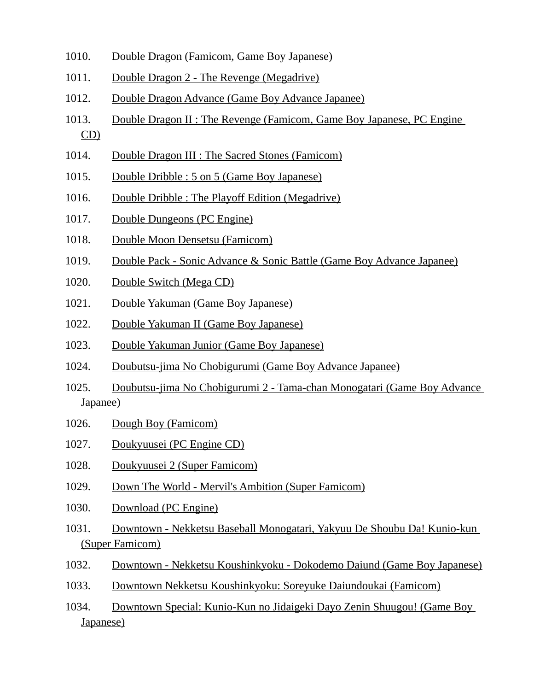- 1010. Double Dragon (Famicom, Game Boy Japanese)
- 1011. Double Dragon 2 The Revenge (Megadrive)
- 1012. Double Dragon Advance (Game Boy Advance Japanee)
- 1013. Double Dragon II : The Revenge (Famicom, Game Boy Japanese, PC Engine CD)
- 1014. Double Dragon III : The Sacred Stones (Famicom)
- 1015. Double Dribble : 5 on 5 (Game Boy Japanese)
- 1016. Double Dribble : The Playoff Edition (Megadrive)
- 1017. Double Dungeons (PC Engine)
- 1018. Double Moon Densetsu (Famicom)
- 1019. Double Pack Sonic Advance & Sonic Battle (Game Boy Advance Japanee)
- 1020. Double Switch (Mega CD)
- 1021. Double Yakuman (Game Boy Japanese)
- 1022. Double Yakuman II (Game Boy Japanese)
- 1023. Double Yakuman Junior (Game Boy Japanese)
- 1024. Doubutsu-jima No Chobigurumi (Game Boy Advance Japanee)
- 1025. Doubutsu-jima No Chobigurumi 2 Tama-chan Monogatari (Game Boy Advance Japanee)
- 1026. Dough Boy (Famicom)
- 1027. Doukyuusei (PC Engine CD)
- 1028. Doukyuusei 2 (Super Famicom)
- 1029. Down The World Mervil's Ambition (Super Famicom)
- 1030. Download (PC Engine)
- 1031. Downtown Nekketsu Baseball Monogatari, Yakyuu De Shoubu Da! Kunio-kun (Super Famicom)
- 1032. Downtown Nekketsu Koushinkyoku Dokodemo Daiund (Game Boy Japanese)
- 1033. Downtown Nekketsu Koushinkyoku: Soreyuke Daiundoukai (Famicom)
- 1034. Downtown Special: Kunio-Kun no Jidaigeki Dayo Zenin Shuugou! (Game Boy Japanese)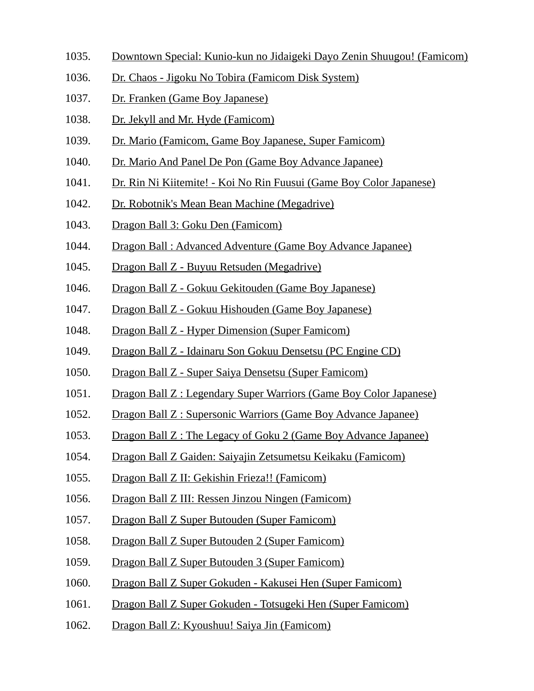- 1035. Downtown Special: Kunio-kun no Jidaigeki Dayo Zenin Shuugou! (Famicom)
- 1036. Dr. Chaos Jigoku No Tobira (Famicom Disk System)
- 1037. Dr. Franken (Game Boy Japanese)
- 1038. Dr. Jekyll and Mr. Hyde (Famicom)
- 1039. Dr. Mario (Famicom, Game Boy Japanese, Super Famicom)
- 1040. Dr. Mario And Panel De Pon (Game Boy Advance Japanee)
- 1041. Dr. Rin Ni Kiitemite! Koi No Rin Fuusui (Game Boy Color Japanese)
- 1042. Dr. Robotnik's Mean Bean Machine (Megadrive)
- 1043. Dragon Ball 3: Goku Den (Famicom)
- 1044. Dragon Ball : Advanced Adventure (Game Boy Advance Japanee)
- 1045. Dragon Ball Z Buyuu Retsuden (Megadrive)
- 1046. Dragon Ball Z Gokuu Gekitouden (Game Boy Japanese)
- 1047. Dragon Ball Z Gokuu Hishouden (Game Boy Japanese)
- 1048. Dragon Ball Z Hyper Dimension (Super Famicom)
- 1049. Dragon Ball Z Idainaru Son Gokuu Densetsu (PC Engine CD)
- 1050. Dragon Ball Z Super Saiya Densetsu (Super Famicom)
- 1051. Dragon Ball Z : Legendary Super Warriors (Game Boy Color Japanese)
- 1052. Dragon Ball Z : Supersonic Warriors (Game Boy Advance Japanee)
- 1053. Dragon Ball Z : The Legacy of Goku 2 (Game Boy Advance Japanee)
- 1054. Dragon Ball Z Gaiden: Saiyajin Zetsumetsu Keikaku (Famicom)
- 1055. Dragon Ball Z II: Gekishin Frieza!! (Famicom)
- 1056. Dragon Ball Z III: Ressen Jinzou Ningen (Famicom)
- 1057. Dragon Ball Z Super Butouden (Super Famicom)
- 1058. Dragon Ball Z Super Butouden 2 (Super Famicom)
- 1059. Dragon Ball Z Super Butouden 3 (Super Famicom)
- 1060. Dragon Ball Z Super Gokuden Kakusei Hen (Super Famicom)
- 1061. Dragon Ball Z Super Gokuden Totsugeki Hen (Super Famicom)
- 1062. Dragon Ball Z: Kyoushuu! Saiya Jin (Famicom)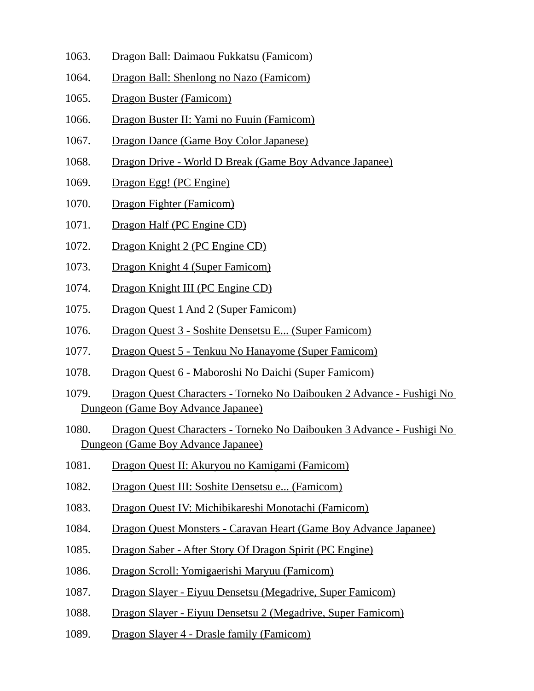- 1063. Dragon Ball: Daimaou Fukkatsu (Famicom)
- 1064. Dragon Ball: Shenlong no Nazo (Famicom)
- 1065. Dragon Buster (Famicom)
- 1066. Dragon Buster II: Yami no Fuuin (Famicom)
- 1067. Dragon Dance (Game Boy Color Japanese)
- 1068. Dragon Drive World D Break (Game Boy Advance Japanee)
- 1069. Dragon Egg! (PC Engine)
- 1070. Dragon Fighter (Famicom)
- 1071. Dragon Half (PC Engine CD)
- 1072. Dragon Knight 2 (PC Engine CD)
- 1073. Dragon Knight 4 (Super Famicom)
- 1074. Dragon Knight III (PC Engine CD)
- 1075. Dragon Quest 1 And 2 (Super Famicom)
- 1076. Dragon Quest 3 Soshite Densetsu E... (Super Famicom)
- 1077. Dragon Quest 5 Tenkuu No Hanayome (Super Famicom)
- 1078. Dragon Quest 6 Maboroshi No Daichi (Super Famicom)
- 1079. Dragon Quest Characters Torneko No Daibouken 2 Advance Fushigi No Dungeon (Game Boy Advance Japanee)
- 1080. Dragon Quest Characters Torneko No Daibouken 3 Advance Fushigi No Dungeon (Game Boy Advance Japanee)
- 1081. Dragon Quest II: Akuryou no Kamigami (Famicom)
- 1082. Dragon Quest III: Soshite Densetsu e... (Famicom)
- 1083. Dragon Quest IV: Michibikareshi Monotachi (Famicom)
- 1084. Dragon Quest Monsters Caravan Heart (Game Boy Advance Japanee)
- 1085. Dragon Saber After Story Of Dragon Spirit (PC Engine)
- 1086. Dragon Scroll: Yomigaerishi Maryuu (Famicom)
- 1087. Dragon Slayer Eiyuu Densetsu (Megadrive, Super Famicom)
- 1088. Dragon Slayer Eiyuu Densetsu 2 (Megadrive, Super Famicom)
- 1089. Dragon Slayer 4 Drasle family (Famicom)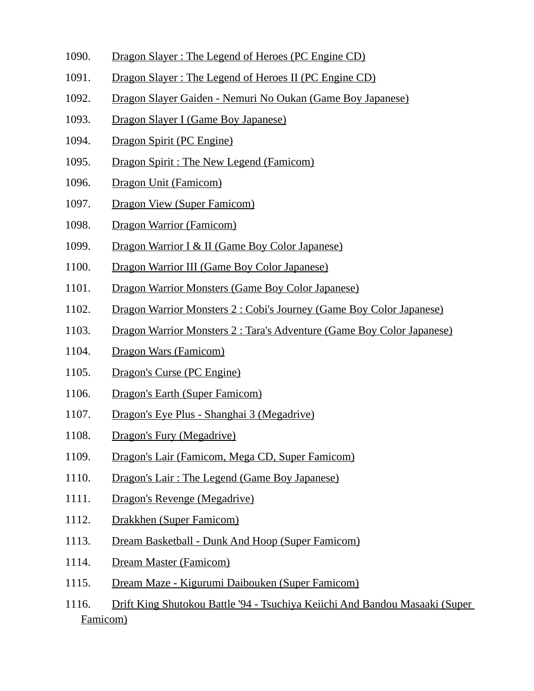- 1090. Dragon Slayer : The Legend of Heroes (PC Engine CD)
- 1091. Dragon Slayer : The Legend of Heroes II (PC Engine CD)
- 1092. Dragon Slayer Gaiden Nemuri No Oukan (Game Boy Japanese)
- 1093. Dragon Slayer I (Game Bov Japanese)
- 1094. Dragon Spirit (PC Engine)
- 1095. Dragon Spirit : The New Legend (Famicom)
- 1096. Dragon Unit (Famicom)
- 1097. Dragon View (Super Famicom)
- 1098. Dragon Warrior (Famicom)
- 1099. Dragon Warrior I & II (Game Boy Color Japanese)
- 1100. Dragon Warrior III (Game Boy Color Japanese)
- 1101. Dragon Warrior Monsters (Game Boy Color Japanese)
- 1102. Dragon Warrior Monsters 2 : Cobi's Journey (Game Boy Color Japanese)
- 1103. Dragon Warrior Monsters 2 : Tara's Adventure (Game Boy Color Japanese)
- 1104. Dragon Wars (Famicom)
- 1105. Dragon's Curse (PC Engine)
- 1106. Dragon's Earth (Super Famicom)
- 1107. Dragon's Eye Plus Shanghai 3 (Megadrive)
- 1108. Dragon's Fury (Megadrive)
- 1109. Dragon's Lair (Famicom, Mega CD, Super Famicom)
- 1110. Dragon's Lair : The Legend (Game Boy Japanese)
- 1111. Dragon's Revenge (Megadrive)
- 1112. Drakkhen (Super Famicom)
- 1113. Dream Basketball Dunk And Hoop (Super Famicom)
- 1114. Dream Master (Famicom)
- 1115. Dream Maze Kigurumi Daibouken (Super Famicom)
- 1116. Drift King Shutokou Battle '94 Tsuchiya Keiichi And Bandou Masaaki (Super Famicom)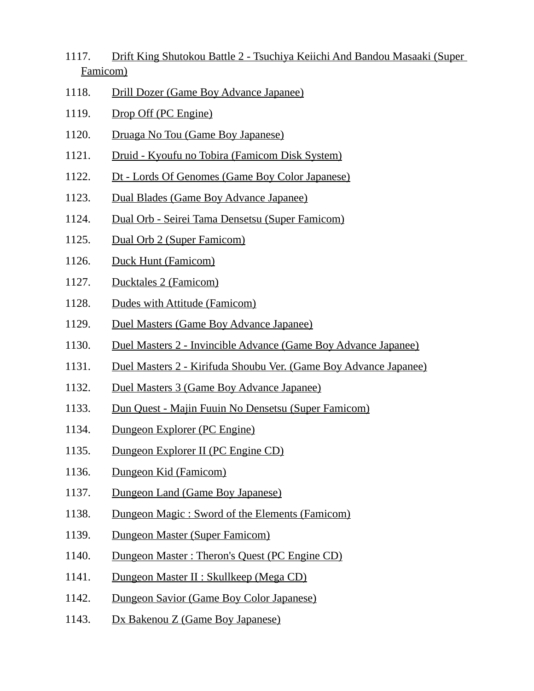- 1117. Drift King Shutokou Battle 2 Tsuchiya Keiichi And Bandou Masaaki (Super Famicom)
- 1118. Drill Dozer (Game Boy Advance Japanee)
- 1119. Drop Off (PC Engine)
- 1120. Druaga No Tou (Game Boy Japanese)
- 1121. Druid Kyoufu no Tobira (Famicom Disk System)
- 1122. Dt Lords Of Genomes (Game Boy Color Japanese)
- 1123. Dual Blades (Game Boy Advance Japanee)
- 1124. Dual Orb Seirei Tama Densetsu (Super Famicom)
- 1125. Dual Orb 2 (Super Famicom)
- 1126. Duck Hunt (Famicom)
- 1127. Ducktales 2 (Famicom)
- 1128. Dudes with Attitude (Famicom)
- 1129. Duel Masters (Game Boy Advance Japanee)
- 1130. Duel Masters 2 Invincible Advance (Game Boy Advance Japanee)
- 1131. Duel Masters 2 Kirifuda Shoubu Ver. (Game Boy Advance Japanee)
- 1132. Duel Masters 3 (Game Boy Advance Japanee)
- 1133. Dun Quest Majin Fuuin No Densetsu (Super Famicom)
- 1134. Dungeon Explorer (PC Engine)
- 1135. Dungeon Explorer II (PC Engine CD)
- 1136. Dungeon Kid (Famicom)
- 1137. Dungeon Land (Game Boy Japanese)
- 1138. Dungeon Magic : Sword of the Elements (Famicom)
- 1139. Dungeon Master (Super Famicom)
- 1140. Dungeon Master : Theron's Quest (PC Engine CD)
- 1141. Dungeon Master II : Skullkeep (Mega CD)
- 1142. Dungeon Savior (Game Boy Color Japanese)
- 1143. Dx Bakenou Z (Game Boy Japanese)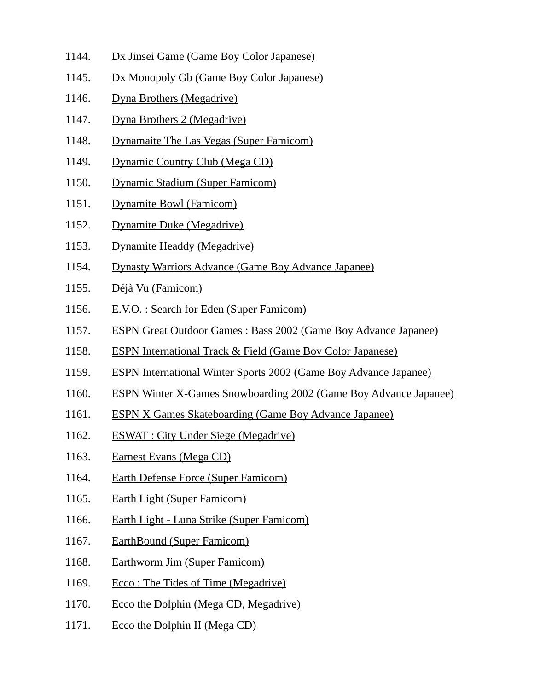- 1144. Dx Jinsei Game (Game Boy Color Japanese)
- 1145. Dx Monopoly Gb (Game Boy Color Japanese)
- 1146. Dyna Brothers (Megadrive)
- 1147. Dyna Brothers 2 (Megadrive)
- 1148. Dynamaite The Las Vegas (Super Famicom)
- 1149. Dynamic Country Club (Mega CD)
- 1150. Dynamic Stadium (Super Famicom)
- 1151. Dynamite Bowl (Famicom)
- 1152. Dynamite Duke (Megadrive)
- 1153. Dynamite Headdy (Megadrive)
- 1154. Dynasty Warriors Advance (Game Boy Advance Japanee)
- 1155. Déjà Vu (Famicom)
- 1156. E.V.O. : Search for Eden (Super Famicom)
- 1157. ESPN Great Outdoor Games : Bass 2002 (Game Boy Advance Japanee)
- 1158. ESPN International Track & Field (Game Boy Color Japanese)
- 1159. ESPN International Winter Sports 2002 (Game Boy Advance Japanee)
- 1160. ESPN Winter X-Games Snowboarding 2002 (Game Boy Advance Japanee)
- 1161. ESPN X Games Skateboarding (Game Boy Advance Japanee)
- 1162. ESWAT : City Under Siege (Megadrive)
- 1163. Earnest Evans (Mega CD)
- 1164. Earth Defense Force (Super Famicom)
- 1165. Earth Light (Super Famicom)
- 1166. Earth Light Luna Strike (Super Famicom)
- 1167. EarthBound (Super Famicom)
- 1168. Earthworm Jim (Super Famicom)
- 1169. Ecco: The Tides of Time (Megadrive)
- 1170. Ecco the Dolphin (Mega CD, Megadrive)
- 1171. Ecco the Dolphin II (Mega CD)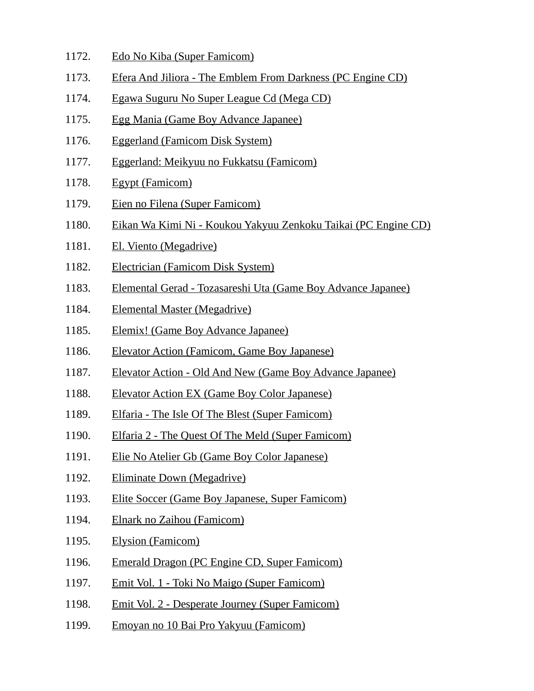- 1172. Edo No Kiba (Super Famicom)
- 1173. Efera And Jiliora The Emblem From Darkness (PC Engine CD)
- 1174. Egawa Suguru No Super League Cd (Mega CD)
- 1175. Egg Mania (Game Boy Advance Japanee)
- 1176. Eggerland (Famicom Disk System)
- 1177. Eggerland: Meikyuu no Fukkatsu (Famicom)
- 1178. Egypt (Famicom)
- 1179. Eien no Filena (Super Famicom)
- 1180. Eikan Wa Kimi Ni Koukou Yakyuu Zenkoku Taikai (PC Engine CD)
- 1181. El. Viento (Megadrive)
- 1182. Electrician (Famicom Disk System)
- 1183. Elemental Gerad Tozasareshi Uta (Game Boy Advance Japanee)
- 1184. Elemental Master (Megadrive)
- 1185. Elemix! (Game Boy Advance Japanee)
- 1186. Elevator Action (Famicom, Game Boy Japanese)
- 1187. Elevator Action Old And New (Game Boy Advance Japanee)
- 1188. Elevator Action EX (Game Boy Color Japanese)
- 1189. Elfaria The Isle Of The Blest (Super Famicom)
- 1190. Elfaria 2 The Quest Of The Meld (Super Famicom)
- 1191. Elie No Atelier Gb (Game Boy Color Japanese)
- 1192. Eliminate Down (Megadrive)
- 1193. Elite Soccer (Game Boy Japanese, Super Famicom)
- 1194. Elnark no Zaihou (Famicom)
- 1195. Elysion (Famicom)
- 1196. Emerald Dragon (PC Engine CD, Super Famicom)
- 1197. Emit Vol. 1 Toki No Maigo (Super Famicom)
- 1198. Emit Vol. 2 Desperate Journey (Super Famicom)
- 1199. Emoyan no 10 Bai Pro Yakyuu (Famicom)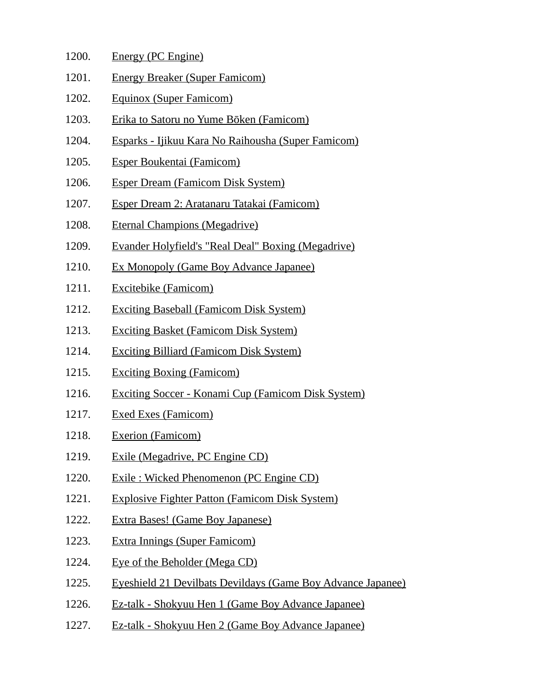| 1200. | Energy (PC Engine)                    |
|-------|---------------------------------------|
| 1201. | <b>Energy Breaker (Super Famicom)</b> |

- 1202. Equinox (Super Famicom)
- 1203. Erika to Satoru no Yume Bōken (Famicom)
- 1204. Esparks Ijikuu Kara No Raihousha (Super Famicom)
- 1205. Esper Boukentai (Famicom)
- 1206. Esper Dream (Famicom Disk System)
- 1207. Esper Dream 2: Aratanaru Tatakai (Famicom)
- 1208. Eternal Champions (Megadrive)
- 1209. Evander Holyfield's "Real Deal" Boxing (Megadrive)
- 1210. Ex Monopoly (Game Boy Advance Japanee)
- 1211. Excitebike (Famicom)
- 1212. Exciting Baseball (Famicom Disk System)
- 1213. Exciting Basket (Famicom Disk System)
- 1214. Exciting Billiard (Famicom Disk System)
- 1215. Exciting Boxing (Famicom)
- 1216. Exciting Soccer Konami Cup (Famicom Disk System)
- 1217. Exed Exes (Famicom)
- 1218. Exerion (Famicom)
- 1219. Exile (Megadrive, PC Engine CD)
- 1220. Exile : Wicked Phenomenon (PC Engine CD)
- 1221. Explosive Fighter Patton (Famicom Disk System)
- 1222. Extra Bases! (Game Boy Japanese)
- 1223. Extra Innings (Super Famicom)
- 1224. Eye of the Beholder (Mega CD)
- 1225. Eyeshield 21 Devilbats Devildays (Game Boy Advance Japanee)
- 1226. Ez-talk Shokyuu Hen 1 (Game Boy Advance Japanee)
- 1227. Ez-talk Shokyuu Hen 2 (Game Boy Advance Japanee)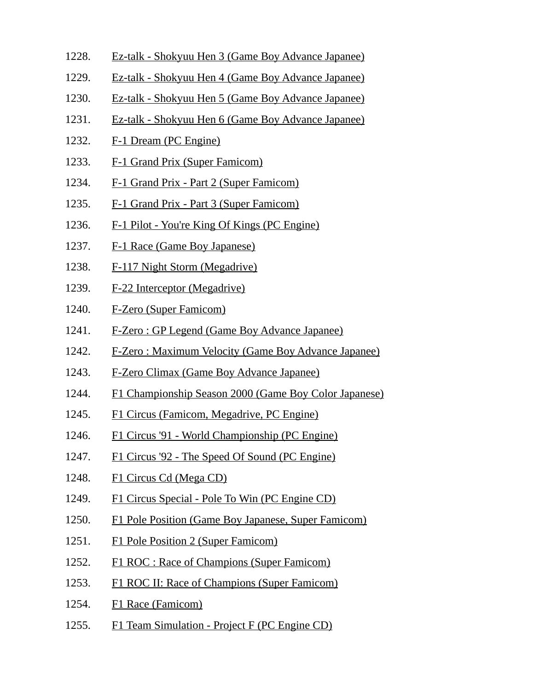- 1228. Ez-talk Shokyuu Hen 3 (Game Boy Advance Japanee)
- 1229. Ez-talk Shokyuu Hen 4 (Game Boy Advance Japanee)
- 1230. Ez-talk Shokyuu Hen 5 (Game Boy Advance Japanee)
- 1231. Ez-talk Shokyuu Hen 6 (Game Boy Advance Japanee)
- 1232. F-1 Dream (PC Engine)
- 1233. F-1 Grand Prix (Super Famicom)
- 1234. F-1 Grand Prix Part 2 (Super Famicom)
- 1235. F-1 Grand Prix Part 3 (Super Famicom)
- 1236. F-1 Pilot You're King Of Kings (PC Engine)
- 1237. F-1 Race (Game Boy Japanese)
- 1238. F-117 Night Storm (Megadrive)
- 1239. F-22 Interceptor (Megadrive)
- 1240. F-Zero (Super Famicom)
- 1241. F-Zero : GP Legend (Game Boy Advance Japanee)
- 1242. F-Zero : Maximum Velocity (Game Boy Advance Japanee)
- 1243. F-Zero Climax (Game Boy Advance Japanee)
- 1244. F1 Championship Season 2000 (Game Boy Color Japanese)
- 1245. F1 Circus (Famicom, Megadrive, PC Engine)
- 1246. F1 Circus '91 World Championship (PC Engine)
- 1247. F1 Circus '92 The Speed Of Sound (PC Engine)
- 1248. F1 Circus Cd (Mega CD)
- 1249. F1 Circus Special Pole To Win (PC Engine CD)
- 1250. F1 Pole Position (Game Boy Japanese, Super Famicom)
- 1251. F1 Pole Position 2 (Super Famicom)
- 1252. F1 ROC : Race of Champions (Super Famicom)
- 1253. F1 ROC II: Race of Champions (Super Famicom)
- 1254. F1 Race (Famicom)
- 1255. F1 Team Simulation Project F (PC Engine CD)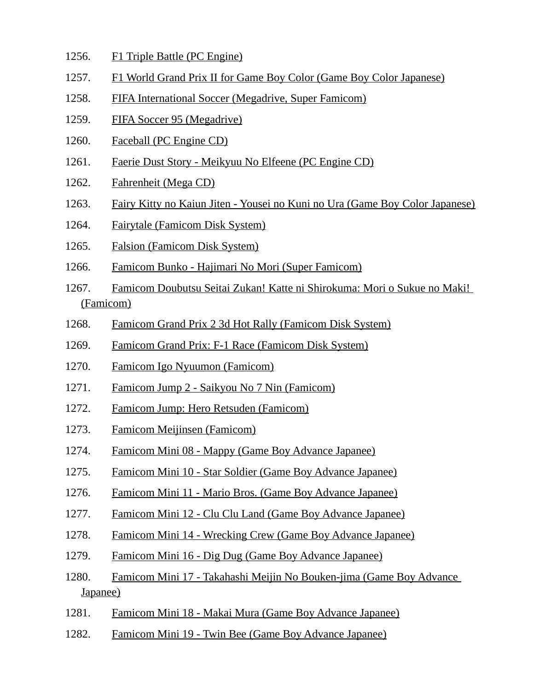- 1256. F1 Triple Battle (PC Engine)
- 1257. F1 World Grand Prix II for Game Boy Color (Game Boy Color Japanese)
- 1258. FIFA International Soccer (Megadrive, Super Famicom)
- 1259. FIFA Soccer 95 (Megadrive)
- 1260. Faceball (PC Engine CD)
- 1261. Faerie Dust Story Meikyuu No Elfeene (PC Engine CD)
- 1262. Fahrenheit (Mega CD)
- 1263. Fairy Kitty no Kaiun Jiten Yousei no Kuni no Ura (Game Boy Color Japanese)
- 1264. Fairytale (Famicom Disk System)
- 1265. Falsion (Famicom Disk System)
- 1266. Famicom Bunko Hajimari No Mori (Super Famicom)
- 1267. Famicom Doubutsu Seitai Zukan! Katte ni Shirokuma: Mori o Sukue no Maki! (Famicom)
- 1268. Famicom Grand Prix 2 3d Hot Rally (Famicom Disk System)
- 1269. Famicom Grand Prix: F-1 Race (Famicom Disk System)
- 1270. Famicom Igo Nyuumon (Famicom)
- 1271. Famicom Jump 2 Saikyou No 7 Nin (Famicom)
- 1272. Famicom Jump: Hero Retsuden (Famicom)
- 1273. Famicom Meijinsen (Famicom)
- 1274. Famicom Mini 08 Mappy (Game Boy Advance Japanee)
- 1275. Famicom Mini 10 Star Soldier (Game Boy Advance Japanee)
- 1276. Famicom Mini 11 Mario Bros. (Game Boy Advance Japanee)
- 1277. Famicom Mini 12 Clu Clu Land (Game Boy Advance Japanee)
- 1278. Famicom Mini 14 Wrecking Crew (Game Boy Advance Japanee)
- 1279. Famicom Mini 16 Dig Dug (Game Boy Advance Japanee)
- 1280. Famicom Mini 17 Takahashi Meijin No Bouken-jima (Game Boy Advance Japanee)
- 1281. Famicom Mini 18 Makai Mura (Game Boy Advance Japanee)
- 1282. Famicom Mini 19 Twin Bee (Game Boy Advance Japanee)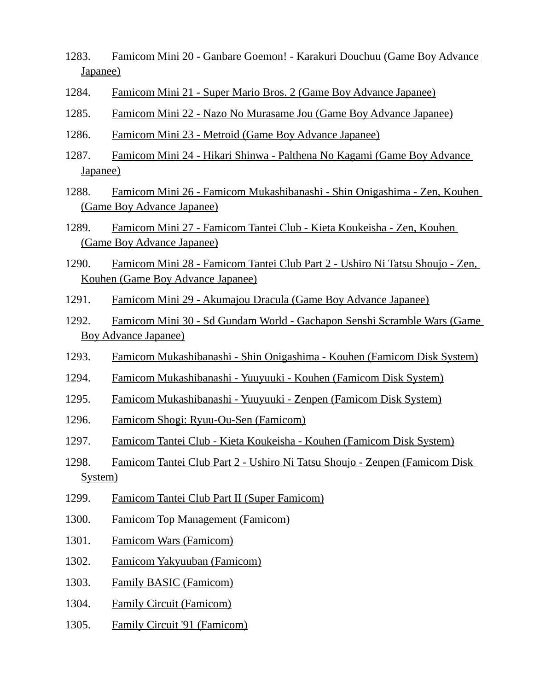- 1283. Famicom Mini 20 Ganbare Goemon! Karakuri Douchuu (Game Boy Advance Japanee)
- 1284. Famicom Mini 21 Super Mario Bros. 2 (Game Boy Advance Japanee)
- 1285. Famicom Mini 22 Nazo No Murasame Jou (Game Boy Advance Japanee)
- 1286. Famicom Mini 23 Metroid (Game Boy Advance Japanee)
- 1287. Famicom Mini 24 Hikari Shinwa Palthena No Kagami (Game Boy Advance Japanee)
- 1288. Famicom Mini 26 Famicom Mukashibanashi Shin Onigashima Zen, Kouhen (Game Boy Advance Japanee)
- 1289. Famicom Mini 27 Famicom Tantei Club Kieta Koukeisha Zen, Kouhen (Game Boy Advance Japanee)
- 1290. Famicom Mini 28 Famicom Tantei Club Part 2 Ushiro Ni Tatsu Shoujo Zen, Kouhen (Game Boy Advance Japanee)
- 1291. Famicom Mini 29 Akumajou Dracula (Game Boy Advance Japanee)
- 1292. Famicom Mini 30 Sd Gundam World Gachapon Senshi Scramble Wars (Game Boy Advance Japanee)
- 1293. Famicom Mukashibanashi Shin Onigashima Kouhen (Famicom Disk System)
- 1294. Famicom Mukashibanashi Yuuyuuki Kouhen (Famicom Disk System)
- 1295. Famicom Mukashibanashi Yuuyuuki Zenpen (Famicom Disk System)
- 1296. Famicom Shogi: Ryuu-Ou-Sen (Famicom)
- 1297. Famicom Tantei Club Kieta Koukeisha Kouhen (Famicom Disk System)
- 1298. Famicom Tantei Club Part 2 Ushiro Ni Tatsu Shoujo Zenpen (Famicom Disk System)
- 1299. Famicom Tantei Club Part II (Super Famicom)
- 1300. Famicom Top Management (Famicom)
- 1301. Famicom Wars (Famicom)
- 1302. Famicom Yakyuuban (Famicom)
- 1303. Family BASIC (Famicom)
- 1304. Family Circuit (Famicom)
- 1305. Family Circuit '91 (Famicom)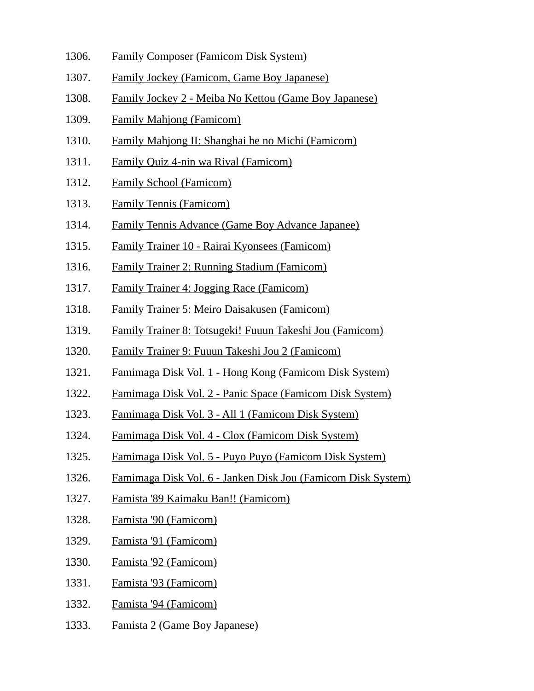- 1306. Family Composer (Famicom Disk System)
- 1307. Family Jockey (Famicom, Game Boy Japanese)
- 1308. Family Jockey 2 Meiba No Kettou (Game Boy Japanese)
- 1309. Family Mahjong (Famicom)
- 1310. Family Mahjong II: Shanghai he no Michi (Famicom)
- 1311. Family Quiz 4-nin wa Rival (Famicom)
- 1312. Family School (Famicom)
- 1313. Family Tennis (Famicom)
- 1314. Family Tennis Advance (Game Boy Advance Japanee)
- 1315. Family Trainer 10 Rairai Kyonsees (Famicom)
- 1316. Family Trainer 2: Running Stadium (Famicom)
- 1317. Family Trainer 4: Jogging Race (Famicom)
- 1318. Family Trainer 5: Meiro Daisakusen (Famicom)
- 1319. Family Trainer 8: Totsugeki! Fuuun Takeshi Jou (Famicom)
- 1320. Family Trainer 9: Fuuun Takeshi Jou 2 (Famicom)
- 1321. Famimaga Disk Vol. 1 Hong Kong (Famicom Disk System)
- 1322. Famimaga Disk Vol. 2 Panic Space (Famicom Disk System)
- 1323. Famimaga Disk Vol. 3 All 1 (Famicom Disk System)
- 1324. Famimaga Disk Vol. 4 Clox (Famicom Disk System)
- 1325. Famimaga Disk Vol. 5 Puyo Puyo (Famicom Disk System)
- 1326. Famimaga Disk Vol. 6 Janken Disk Jou (Famicom Disk System)
- 1327. Famista '89 Kaimaku Ban!! (Famicom)
- 1328. Famista '90 (Famicom)
- 1329. Famista '91 (Famicom)
- 1330. Famista '92 (Famicom)
- 1331. Famista '93 (Famicom)
- 1332. Famista '94 (Famicom)
- 1333. Famista 2 (Game Boy Japanese)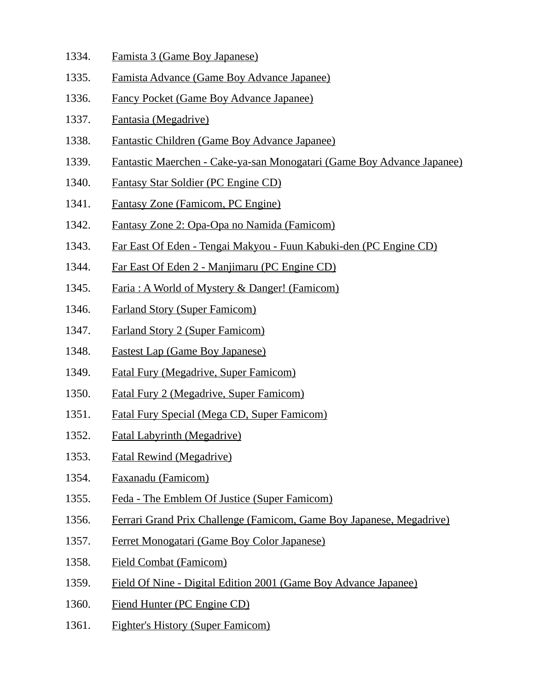- 1334. Famista 3 (Game Boy Japanese)
- 1335. Famista Advance (Game Boy Advance Japanee)
- 1336. Fancy Pocket (Game Boy Advance Japanee)
- 1337. Fantasia (Megadrive)
- 1338. Fantastic Children (Game Boy Advance Japanee)
- 1339. Fantastic Maerchen Cake-ya-san Monogatari (Game Boy Advance Japanee)
- 1340. Fantasy Star Soldier (PC Engine CD)
- 1341. Fantasy Zone (Famicom, PC Engine)
- 1342. Fantasy Zone 2: Opa-Opa no Namida (Famicom)
- 1343. Far East Of Eden Tengai Makyou Fuun Kabuki-den (PC Engine CD)
- 1344. Far East Of Eden 2 Manjimaru (PC Engine CD)
- 1345. Faria : A World of Mystery & Danger! (Famicom)
- 1346. Farland Story (Super Famicom)
- 1347. Farland Story 2 (Super Famicom)
- 1348. Fastest Lap (Game Boy Japanese)
- 1349. Fatal Fury (Megadrive, Super Famicom)
- 1350. Fatal Fury 2 (Megadrive, Super Famicom)
- 1351. Fatal Fury Special (Mega CD, Super Famicom)
- 1352. Fatal Labyrinth (Megadrive)
- 1353. Fatal Rewind (Megadrive)
- 1354. Faxanadu (Famicom)
- 1355. Feda The Emblem Of Justice (Super Famicom)
- 1356. Ferrari Grand Prix Challenge (Famicom, Game Boy Japanese, Megadrive)
- 1357. Ferret Monogatari (Game Boy Color Japanese)
- 1358. Field Combat (Famicom)
- 1359. Field Of Nine Digital Edition 2001 (Game Boy Advance Japanee)
- 1360. Fiend Hunter (PC Engine CD)
- 1361. Fighter's History (Super Famicom)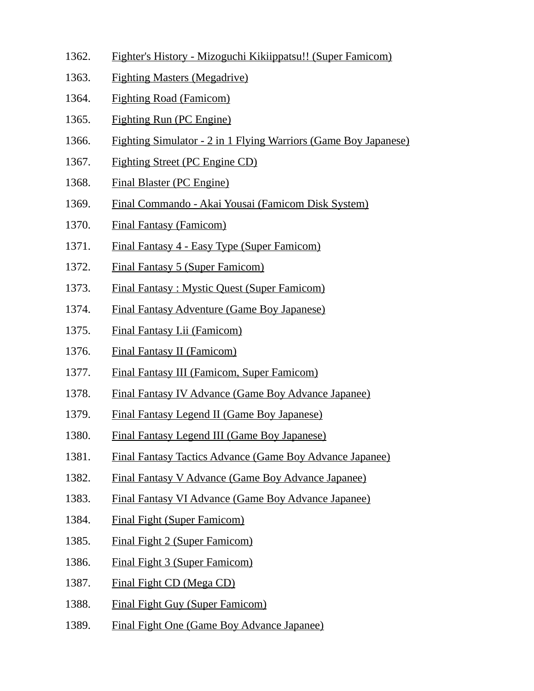- 1362. Fighter's History Mizoguchi Kikiippatsu!! (Super Famicom)
- 1363. Fighting Masters (Megadrive)
- 1364. Fighting Road (Famicom)
- 1365. Fighting Run (PC Engine)
- 1366. Fighting Simulator 2 in 1 Flying Warriors (Game Boy Japanese)
- 1367. Fighting Street (PC Engine CD)
- 1368. Final Blaster (PC Engine)
- 1369. Final Commando Akai Yousai (Famicom Disk System)
- 1370. Final Fantasy (Famicom)
- 1371. Final Fantasy 4 Easy Type (Super Famicom)
- 1372. Final Fantasy 5 (Super Famicom)
- 1373. Final Fantasy : Mystic Quest (Super Famicom)
- 1374. Final Fantasy Adventure (Game Boy Japanese)
- 1375. Final Fantasy I.ii (Famicom)
- 1376. Final Fantasy II (Famicom)
- 1377. Final Fantasy III (Famicom, Super Famicom)
- 1378. Final Fantasy IV Advance (Game Boy Advance Japanee)
- 1379. Final Fantasy Legend II (Game Boy Japanese)
- 1380. Final Fantasy Legend III (Game Boy Japanese)
- 1381. Final Fantasy Tactics Advance (Game Boy Advance Japanee)
- 1382. Final Fantasy V Advance (Game Boy Advance Japanee)
- 1383. Final Fantasy VI Advance (Game Boy Advance Japanee)
- 1384. Final Fight (Super Famicom)
- 1385. Final Fight 2 (Super Famicom)
- 1386. Final Fight 3 (Super Famicom)
- 1387. Final Fight CD (Mega CD)
- 1388. Final Fight Guy (Super Famicom)
- 1389. Final Fight One (Game Boy Advance Japanee)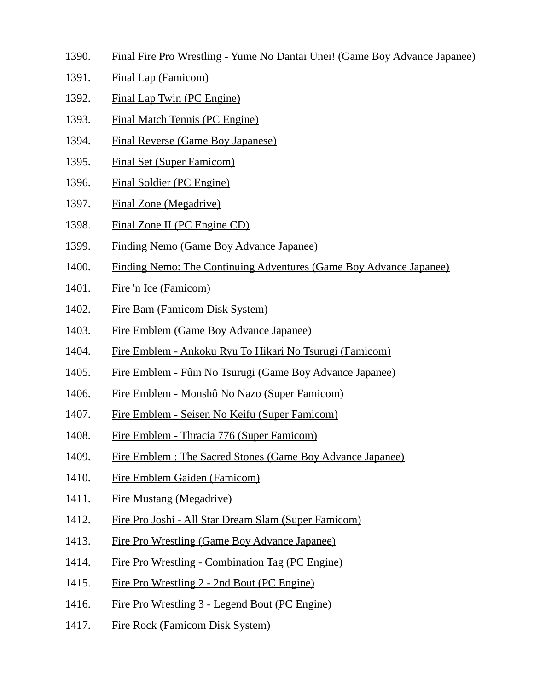- 1390. Final Fire Pro Wrestling Yume No Dantai Unei! (Game Boy Advance Japanee)
- 1391. Final Lap (Famicom)
- 1392. Final Lap Twin (PC Engine)
- 1393. Final Match Tennis (PC Engine)
- 1394. Final Reverse (Game Boy Japanese)
- 1395. Final Set (Super Famicom)
- 1396. Final Soldier (PC Engine)
- 1397. Final Zone (Megadrive)
- 1398. Final Zone II (PC Engine CD)
- 1399. Finding Nemo (Game Boy Advance Japanee)
- 1400. Finding Nemo: The Continuing Adventures (Game Boy Advance Japanee)
- 1401. Fire 'n Ice (Famicom)
- 1402. Fire Bam (Famicom Disk System)
- 1403. Fire Emblem (Game Boy Advance Japanee)
- 1404. Fire Emblem Ankoku Ryu To Hikari No Tsurugi (Famicom)
- 1405. Fire Emblem Fûin No Tsurugi (Game Boy Advance Japanee)
- 1406. Fire Emblem Monshô No Nazo (Super Famicom)
- 1407. Fire Emblem Seisen No Keifu (Super Famicom)
- 1408. Fire Emblem Thracia 776 (Super Famicom)
- 1409. Fire Emblem : The Sacred Stones (Game Boy Advance Japanee)
- 1410. Fire Emblem Gaiden (Famicom)
- 1411. Fire Mustang (Megadrive)
- 1412. Fire Pro Joshi All Star Dream Slam (Super Famicom)
- 1413. Fire Pro Wrestling (Game Boy Advance Japanee)
- 1414. Fire Pro Wrestling Combination Tag (PC Engine)
- 1415. Fire Pro Wrestling 2 2nd Bout (PC Engine)
- 1416. Fire Pro Wrestling 3 Legend Bout (PC Engine)
- 1417. Fire Rock (Famicom Disk System)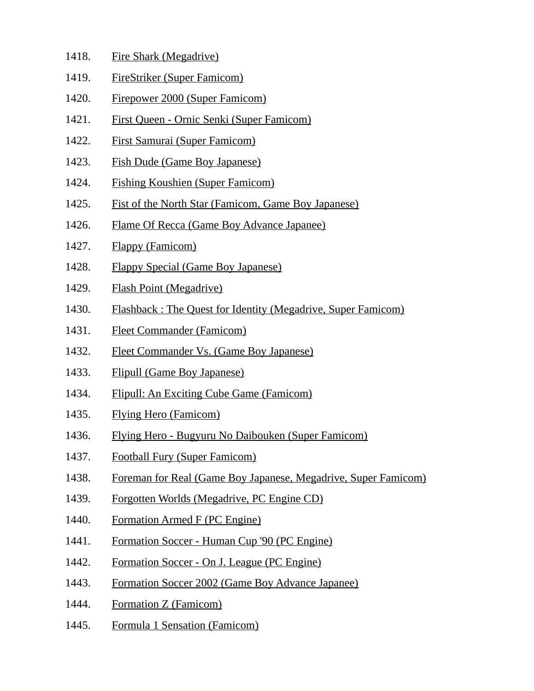- 1418. Fire Shark (Megadrive)
- 1419. FireStriker (Super Famicom)
- 1420. Firepower 2000 (Super Famicom)
- 1421. First Queen Ornic Senki (Super Famicom)
- 1422. First Samurai (Super Famicom)
- 1423. Fish Dude (Game Boy Japanese)
- 1424. Fishing Koushien (Super Famicom)
- 1425. Fist of the North Star (Famicom, Game Boy Japanese)
- 1426. Flame Of Recca (Game Boy Advance Japanee)
- 1427. Flappy (Famicom)
- 1428. Flappy Special (Game Boy Japanese)
- 1429. Flash Point (Megadrive)
- 1430. Flashback : The Quest for Identity (Megadrive, Super Famicom)
- 1431. Fleet Commander (Famicom)
- 1432. Fleet Commander Vs. (Game Boy Japanese)
- 1433. Flipull (Game Boy Japanese)
- 1434. Flipull: An Exciting Cube Game (Famicom)
- 1435. Flying Hero (Famicom)
- 1436. Flying Hero Bugyuru No Daibouken (Super Famicom)
- 1437. Football Fury (Super Famicom)
- 1438. Foreman for Real (Game Boy Japanese, Megadrive, Super Famicom)
- 1439. Forgotten Worlds (Megadrive, PC Engine CD)
- 1440. Formation Armed F (PC Engine)
- 1441. Formation Soccer Human Cup '90 (PC Engine)
- 1442. Formation Soccer On J. League (PC Engine)
- 1443. Formation Soccer 2002 (Game Boy Advance Japanee)
- 1444. Formation Z (Famicom)
- 1445. Formula 1 Sensation (Famicom)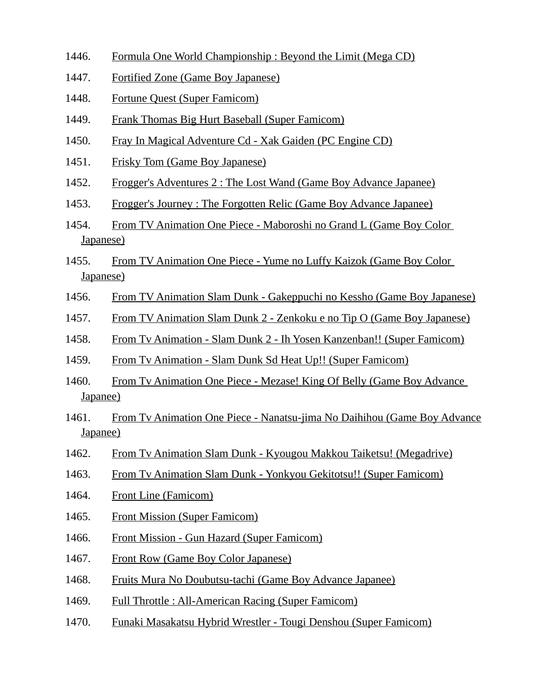- 1446. Formula One World Championship : Beyond the Limit (Mega CD)
- 1447. Fortified Zone (Game Boy Japanese)
- 1448. Fortune Quest (Super Famicom)
- 1449. Frank Thomas Big Hurt Baseball (Super Famicom)
- 1450. Fray In Magical Adventure Cd Xak Gaiden (PC Engine CD)
- 1451. Frisky Tom (Game Boy Japanese)
- 1452. Frogger's Adventures 2 : The Lost Wand (Game Boy Advance Japanee)
- 1453. Frogger's Journey : The Forgotten Relic (Game Boy Advance Japanee)
- 1454. From TV Animation One Piece Maboroshi no Grand L (Game Boy Color Japanese)
- 1455. From TV Animation One Piece Yume no Luffy Kaizok (Game Boy Color Japanese)
- 1456. From TV Animation Slam Dunk Gakeppuchi no Kessho (Game Boy Japanese)
- 1457. From TV Animation Slam Dunk 2 Zenkoku e no Tip O (Game Boy Japanese)
- 1458. From Tv Animation Slam Dunk 2 Ih Yosen Kanzenban!! (Super Famicom)
- 1459. From Tv Animation Slam Dunk Sd Heat Up!! (Super Famicom)
- 1460. From Tv Animation One Piece Mezase! King Of Belly (Game Boy Advance Japanee)
- 1461. From Tv Animation One Piece Nanatsu-jima No Daihihou (Game Boy Advance Japanee)
- 1462. From Tv Animation Slam Dunk Kyougou Makkou Taiketsu! (Megadrive)
- 1463. From Tv Animation Slam Dunk Yonkyou Gekitotsu!! (Super Famicom)
- 1464. Front Line (Famicom)
- 1465. Front Mission (Super Famicom)
- 1466. Front Mission Gun Hazard (Super Famicom)
- 1467. Front Row (Game Boy Color Japanese)
- 1468. Fruits Mura No Doubutsu-tachi (Game Boy Advance Japanee)
- 1469. Full Throttle : All-American Racing (Super Famicom)
- 1470. Funaki Masakatsu Hybrid Wrestler Tougi Denshou (Super Famicom)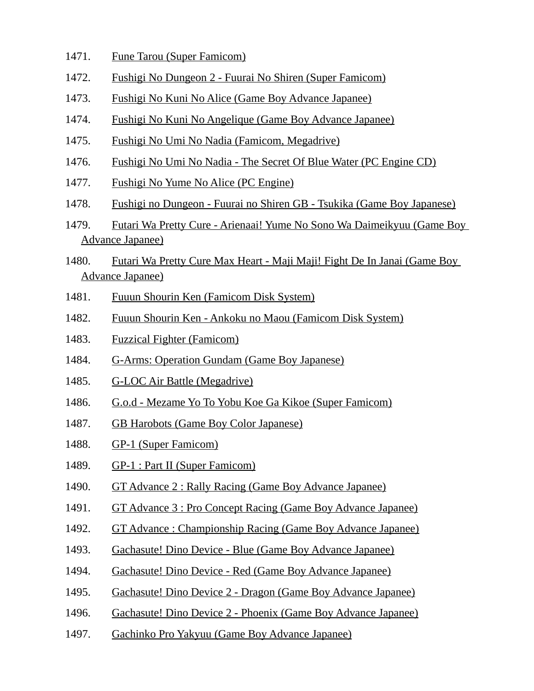- 1471. Fune Tarou (Super Famicom)
- 1472. Fushigi No Dungeon 2 Fuurai No Shiren (Super Famicom)
- 1473. Fushigi No Kuni No Alice (Game Boy Advance Japanee)
- 1474. Fushigi No Kuni No Angelique (Game Boy Advance Japanee)
- 1475. Fushigi No Umi No Nadia (Famicom, Megadrive)
- 1476. Fushigi No Umi No Nadia The Secret Of Blue Water (PC Engine CD)
- 1477. Fushigi No Yume No Alice (PC Engine)
- 1478. Fushigi no Dungeon Fuurai no Shiren GB Tsukika (Game Boy Japanese)
- 1479. Futari Wa Pretty Cure Arienaai! Yume No Sono Wa Daimeikyuu (Game Boy Advance Japanee)
- 1480. Futari Wa Pretty Cure Max Heart Maji Maji! Fight De In Janai (Game Boy Advance Japanee)
- 1481. Fuuun Shourin Ken (Famicom Disk System)
- 1482. Fuuun Shourin Ken Ankoku no Maou (Famicom Disk System)
- 1483. Fuzzical Fighter (Famicom)
- 1484. G-Arms: Operation Gundam (Game Boy Japanese)
- 1485. G-LOC Air Battle (Megadrive)
- 1486. G.o.d Mezame Yo To Yobu Koe Ga Kikoe (Super Famicom)
- 1487. GB Harobots (Game Boy Color Japanese)
- 1488. GP-1 (Super Famicom)
- 1489. GP-1 : Part II (Super Famicom)
- 1490. GT Advance 2 : Rally Racing (Game Boy Advance Japanee)
- 1491. GT Advance 3 : Pro Concept Racing (Game Boy Advance Japanee)
- 1492. GT Advance : Championship Racing (Game Boy Advance Japanee)
- 1493. Gachasute! Dino Device Blue (Game Boy Advance Japanee)
- 1494. Gachasute! Dino Device Red (Game Boy Advance Japanee)
- 1495. Gachasute! Dino Device 2 Dragon (Game Boy Advance Japanee)
- 1496. Gachasute! Dino Device 2 Phoenix (Game Boy Advance Japanee)
- 1497. Gachinko Pro Yakyuu (Game Boy Advance Japanee)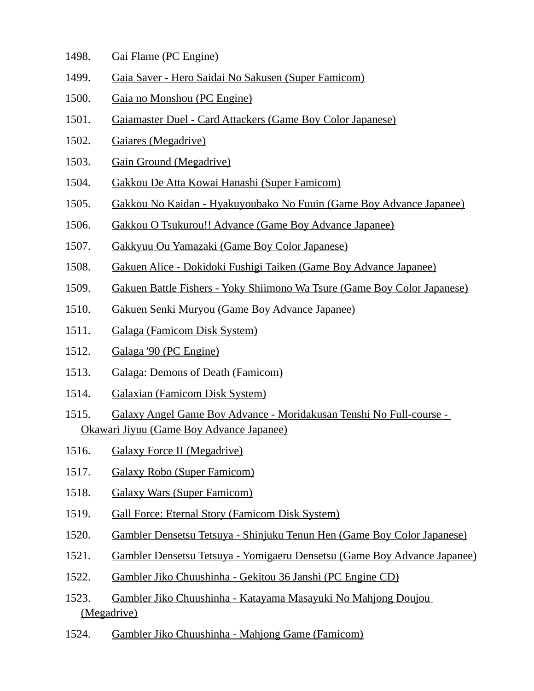| 1498. | Gai Flame (PC Engine) |
|-------|-----------------------|
|       |                       |

- 1499. Gaia Saver Hero Saidai No Sakusen (Super Famicom)
- 1500. Gaia no Monshou (PC Engine)
- 1501. Gaiamaster Duel Card Attackers (Game Boy Color Japanese)
- 1502. Gaiares (Megadrive)
- 1503. Gain Ground (Megadrive)
- 1504. Gakkou De Atta Kowai Hanashi (Super Famicom)
- 1505. Gakkou No Kaidan Hyakuyoubako No Fuuin (Game Boy Advance Japanee)
- 1506. Gakkou O Tsukurou!! Advance (Game Boy Advance Japanee)
- 1507. Gakkyuu Ou Yamazaki (Game Boy Color Japanese)
- 1508. Gakuen Alice Dokidoki Fushigi Taiken (Game Boy Advance Japanee)
- 1509. Gakuen Battle Fishers Yoky Shiimono Wa Tsure (Game Boy Color Japanese)
- 1510. Gakuen Senki Muryou (Game Boy Advance Japanee)
- 1511. Galaga (Famicom Disk System)
- 1512. Galaga '90 (PC Engine)
- 1513. Galaga: Demons of Death (Famicom)
- 1514. Galaxian (Famicom Disk System)
- 1515. Galaxy Angel Game Boy Advance Moridakusan Tenshi No Full-course Okawari Jiyuu (Game Boy Advance Japanee)
- 1516. Galaxy Force II (Megadrive)
- 1517. Galaxy Robo (Super Famicom)
- 1518. Galaxy Wars (Super Famicom)
- 1519. Gall Force: Eternal Story (Famicom Disk System)
- 1520. Gambler Densetsu Tetsuya Shinjuku Tenun Hen (Game Boy Color Japanese)
- 1521. Gambler Densetsu Tetsuya Yomigaeru Densetsu (Game Boy Advance Japanee)
- 1522. Gambler Jiko Chuushinha Gekitou 36 Janshi (PC Engine CD)
- 1523. Gambler Jiko Chuushinha Katayama Masayuki No Mahjong Doujou (Megadrive)
- 1524. Gambler Jiko Chuushinha Mahjong Game (Famicom)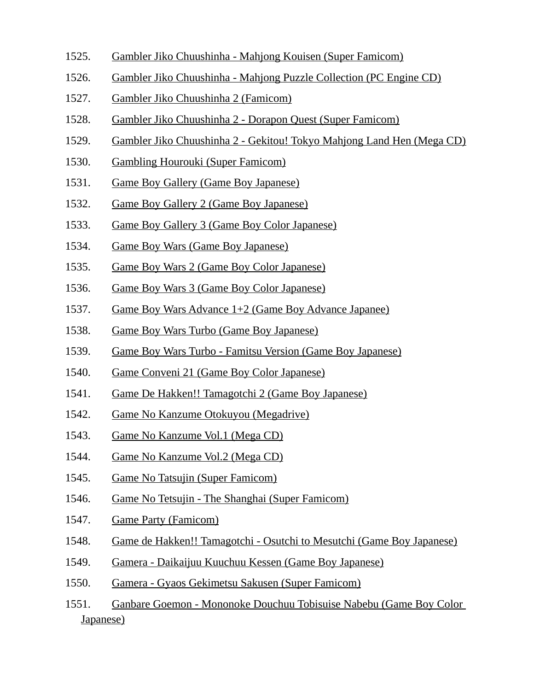- 1525. Gambler Jiko Chuushinha Mahjong Kouisen (Super Famicom)
- 1526. Gambler Jiko Chuushinha Mahjong Puzzle Collection (PC Engine CD)
- 1527. Gambler Jiko Chuushinha 2 (Famicom)
- 1528. Gambler Jiko Chuushinha 2 Dorapon Quest (Super Famicom)
- 1529. Gambler Jiko Chuushinha 2 Gekitou! Tokyo Mahjong Land Hen (Mega CD)
- 1530. Gambling Hourouki (Super Famicom)
- 1531. Game Boy Gallery (Game Boy Japanese)
- 1532. Game Boy Gallery 2 (Game Boy Japanese)
- 1533. Game Boy Gallery 3 (Game Boy Color Japanese)
- 1534. Game Boy Wars (Game Boy Japanese)
- 1535. Game Boy Wars 2 (Game Boy Color Japanese)
- 1536. Game Boy Wars 3 (Game Boy Color Japanese)
- 1537. Game Boy Wars Advance 1+2 (Game Boy Advance Japanee)
- 1538. Game Boy Wars Turbo (Game Boy Japanese)
- 1539. Game Boy Wars Turbo Famitsu Version (Game Boy Japanese)
- 1540. Game Conveni 21 (Game Boy Color Japanese)
- 1541. Game De Hakken!! Tamagotchi 2 (Game Boy Japanese)
- 1542. Game No Kanzume Otokuyou (Megadrive)
- 1543. Game No Kanzume Vol.1 (Mega CD)
- 1544. Game No Kanzume Vol.2 (Mega CD)
- 1545. Game No Tatsujin (Super Famicom)
- 1546. Game No Tetsujin The Shanghai (Super Famicom)
- 1547. Game Party (Famicom)
- 1548. Game de Hakken!! Tamagotchi Osutchi to Mesutchi (Game Boy Japanese)
- 1549. Gamera Daikaijuu Kuuchuu Kessen (Game Boy Japanese)
- 1550. Gamera Gyaos Gekimetsu Sakusen (Super Famicom)
- 1551. Ganbare Goemon Mononoke Douchuu Tobisuise Nabebu (Game Boy Color Japanese)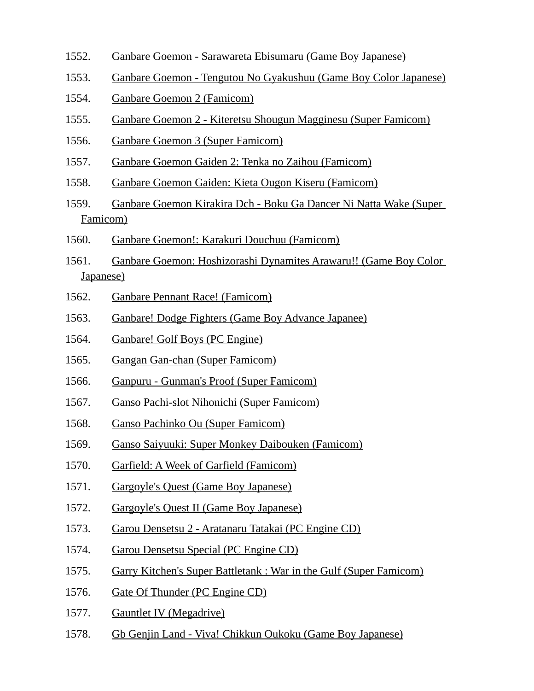- 1552. Ganbare Goemon Sarawareta Ebisumaru (Game Boy Japanese)
- 1553. Ganbare Goemon Tengutou No Gyakushuu (Game Boy Color Japanese)
- 1554. Ganbare Goemon 2 (Famicom)
- 1555. Ganbare Goemon 2 Kiteretsu Shougun Magginesu (Super Famicom)
- 1556. Ganbare Goemon 3 (Super Famicom)
- 1557. Ganbare Goemon Gaiden 2: Tenka no Zaihou (Famicom)
- 1558. Ganbare Goemon Gaiden: Kieta Ougon Kiseru (Famicom)
- 1559. Ganbare Goemon Kirakira Dch Boku Ga Dancer Ni Natta Wake (Super Famicom)
- 1560. Ganbare Goemon!: Karakuri Douchuu (Famicom)
- 1561. Ganbare Goemon: Hoshizorashi Dynamites Arawaru!! (Game Boy Color Japanese)
- 1562. Ganbare Pennant Race! (Famicom)
- 1563. Ganbare! Dodge Fighters (Game Boy Advance Japanee)
- 1564. Ganbare! Golf Boys (PC Engine)
- 1565. Gangan Gan-chan (Super Famicom)
- 1566. Ganpuru Gunman's Proof (Super Famicom)
- 1567. Ganso Pachi-slot Nihonichi (Super Famicom)
- 1568. Ganso Pachinko Ou (Super Famicom)
- 1569. Ganso Saiyuuki: Super Monkey Daibouken (Famicom)
- 1570. Garfield: A Week of Garfield (Famicom)
- 1571. Gargoyle's Quest (Game Boy Japanese)
- 1572. Gargoyle's Quest II (Game Boy Japanese)
- 1573. Garou Densetsu 2 Aratanaru Tatakai (PC Engine CD)
- 1574. Garou Densetsu Special (PC Engine CD)
- 1575. Garry Kitchen's Super Battletank : War in the Gulf (Super Famicom)
- 1576. Gate Of Thunder (PC Engine CD)
- 1577. Gauntlet IV (Megadrive)
- 1578. Gb Genjin Land Viva! Chikkun Oukoku (Game Boy Japanese)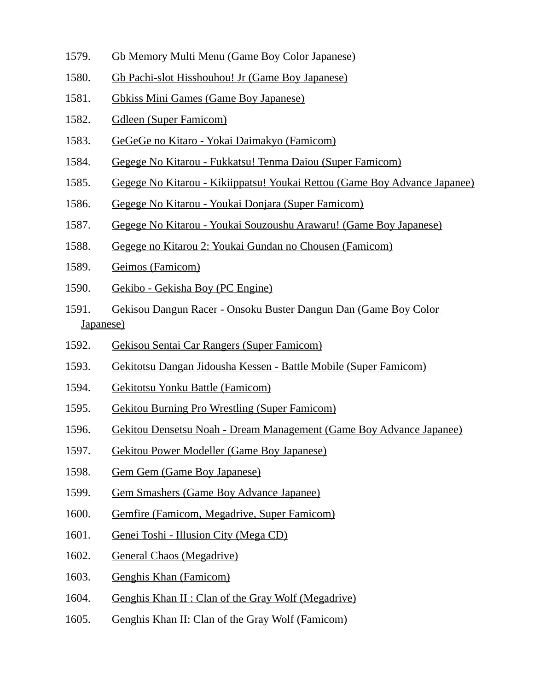- 1579. Gb Memory Multi Menu (Game Boy Color Japanese)
- 1580. Gb Pachi-slot Hisshouhou! Jr (Game Boy Japanese)
- 1581. Gbkiss Mini Games (Game Boy Japanese)
- 1582. Gdleen (Super Famicom)
- 1583. GeGeGe no Kitaro Yokai Daimakyo (Famicom)
- 1584. Gegege No Kitarou Fukkatsu! Tenma Daiou (Super Famicom)
- 1585. Gegege No Kitarou Kikiippatsu! Youkai Rettou (Game Boy Advance Japanee)
- 1586. Gegege No Kitarou Youkai Donjara (Super Famicom)
- 1587. Gegege No Kitarou Youkai Souzoushu Arawaru! (Game Boy Japanese)
- 1588. Gegege no Kitarou 2: Youkai Gundan no Chousen (Famicom)
- 1589. Geimos (Famicom)
- 1590. Gekibo Gekisha Boy (PC Engine)
- 1591. Gekisou Dangun Racer Onsoku Buster Dangun Dan (Game Boy Color Japanese)
- 1592. Gekisou Sentai Car Rangers (Super Famicom)
- 1593. Gekitotsu Dangan Jidousha Kessen Battle Mobile (Super Famicom)
- 1594. Gekitotsu Yonku Battle (Famicom)
- 1595. Gekitou Burning Pro Wrestling (Super Famicom)
- 1596. Gekitou Densetsu Noah Dream Management (Game Boy Advance Japanee)
- 1597. Gekitou Power Modeller (Game Boy Japanese)
- 1598. Gem Gem (Game Boy Japanese)
- 1599. Gem Smashers (Game Boy Advance Japanee)
- 1600. Gemfire (Famicom, Megadrive, Super Famicom)
- 1601. Genei Toshi Illusion City (Mega CD)
- 1602. General Chaos (Megadrive)
- 1603. Genghis Khan (Famicom)
- 1604. Genghis Khan II : Clan of the Gray Wolf (Megadrive)
- 1605. Genghis Khan II: Clan of the Gray Wolf (Famicom)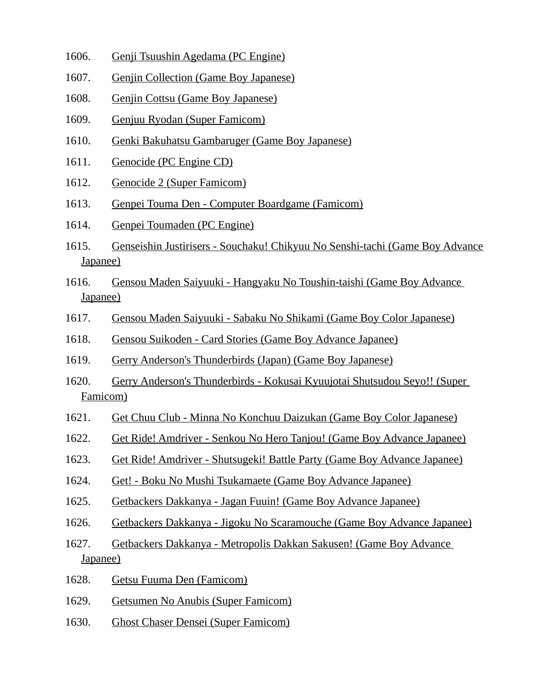- 1606. Genji Tsuushin Agedama (PC Engine)
- 1607. Genjin Collection (Game Boy Japanese)
- 1608. Genjin Cottsu (Game Boy Japanese)
- 1609. Genjuu Ryodan (Super Famicom)
- 1610. Genki Bakuhatsu Gambaruger (Game Boy Japanese)
- 1611. Genocide (PC Engine CD)
- 1612. Genocide 2 (Super Famicom)
- 1613. Genpei Touma Den Computer Boardgame (Famicom)
- 1614. Genpei Toumaden (PC Engine)
- 1615. Genseishin Justirisers Souchaku! Chikyuu No Senshi-tachi (Game Boy Advance Japanee)
- 1616. Gensou Maden Saiyuuki Hangyaku No Toushin-taishi (Game Boy Advance Japanee)
- 1617. Gensou Maden Saiyuuki Sabaku No Shikami (Game Boy Color Japanese)
- 1618. Gensou Suikoden Card Stories (Game Boy Advance Japanee)
- 1619. Gerry Anderson's Thunderbirds (Japan) (Game Boy Japanese)
- 1620. Gerry Anderson's Thunderbirds Kokusai Kyuujotai Shutsudou Seyo!! (Super Famicom)
- 1621. Get Chuu Club Minna No Konchuu Daizukan (Game Boy Color Japanese)
- 1622. Get Ride! Amdriver Senkou No Hero Tanjou! (Game Boy Advance Japanee)
- 1623. Get Ride! Amdriver Shutsugeki! Battle Party (Game Boy Advance Japanee)
- 1624. Get! Boku No Mushi Tsukamaete (Game Boy Advance Japanee)
- 1625. Getbackers Dakkanya Jagan Fuuin! (Game Boy Advance Japanee)
- 1626. Getbackers Dakkanya Jigoku No Scaramouche (Game Boy Advance Japanee)
- 1627. Getbackers Dakkanya Metropolis Dakkan Sakusen! (Game Boy Advance Japanee)
- 1628. Getsu Fuuma Den (Famicom)
- 1629. Getsumen No Anubis (Super Famicom)
- 1630. Ghost Chaser Densei (Super Famicom)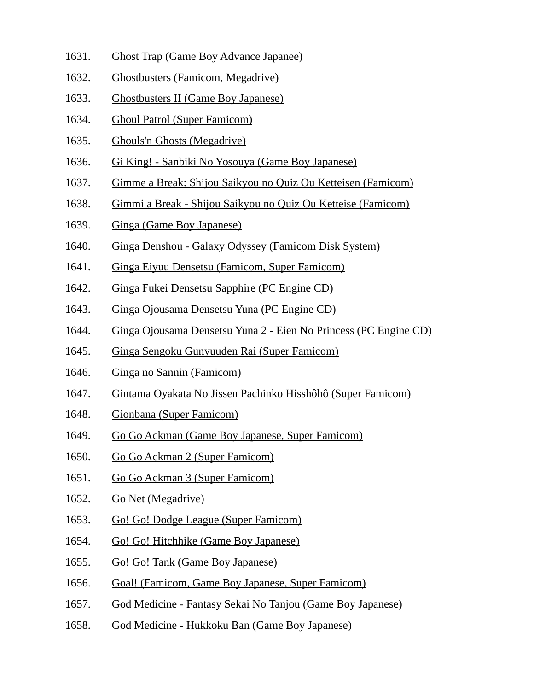- 1631. Ghost Trap (Game Boy Advance Japanee)
- 1632. Ghostbusters (Famicom, Megadrive)
- 1633. Ghostbusters II (Game Boy Japanese)
- 1634. Ghoul Patrol (Super Famicom)
- 1635. Ghouls'n Ghosts (Megadrive)
- 1636. Gi King! Sanbiki No Yosouya (Game Boy Japanese)
- 1637. Gimme a Break: Shijou Saikyou no Quiz Ou Ketteisen (Famicom)
- 1638. Gimmi a Break Shijou Saikyou no Quiz Ou Ketteise (Famicom)
- 1639. Ginga (Game Boy Japanese)
- 1640. Ginga Denshou Galaxy Odyssey (Famicom Disk System)
- 1641. Ginga Eiyuu Densetsu (Famicom, Super Famicom)
- 1642. Ginga Fukei Densetsu Sapphire (PC Engine CD)
- 1643. Ginga Ojousama Densetsu Yuna (PC Engine CD)
- 1644. Ginga Ojousama Densetsu Yuna 2 Eien No Princess (PC Engine CD)
- 1645. Ginga Sengoku Gunyuuden Rai (Super Famicom)
- 1646. Ginga no Sannin (Famicom)
- 1647. Gintama Oyakata No Jissen Pachinko Hisshôhô (Super Famicom)
- 1648. Gionbana (Super Famicom)
- 1649. Go Go Ackman (Game Boy Japanese, Super Famicom)
- 1650. Go Go Ackman 2 (Super Famicom)
- 1651. Go Go Ackman 3 (Super Famicom)
- 1652. Go Net (Megadrive)
- 1653. Go! Go! Dodge League (Super Famicom)
- 1654. Go! Go! Hitchhike (Game Boy Japanese)
- 1655. Go! Go! Tank (Game Boy Japanese)
- 1656. Goal! (Famicom, Game Boy Japanese, Super Famicom)
- 1657. God Medicine Fantasy Sekai No Tanjou (Game Boy Japanese)
- 1658. God Medicine Hukkoku Ban (Game Boy Japanese)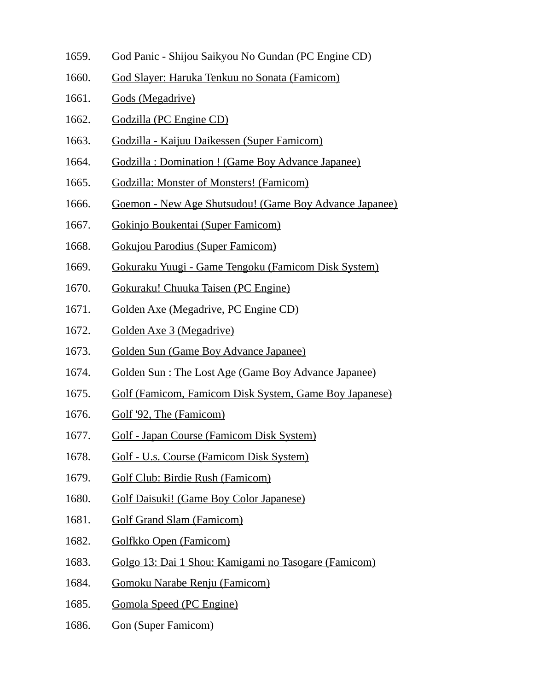- 1659. God Panic Shijou Saikyou No Gundan (PC Engine CD)
- 1660. God Slayer: Haruka Tenkuu no Sonata (Famicom)
- 1661. Gods (Megadrive)
- 1662. Godzilla (PC Engine CD)
- 1663. Godzilla Kaijuu Daikessen (Super Famicom)
- 1664. Godzilla : Domination ! (Game Boy Advance Japanee)
- 1665. Godzilla: Monster of Monsters! (Famicom)
- 1666. Goemon New Age Shutsudou! (Game Boy Advance Japanee)
- 1667. Gokinjo Boukentai (Super Famicom)
- 1668. Gokujou Parodius (Super Famicom)
- 1669. Gokuraku Yuugi Game Tengoku (Famicom Disk System)
- 1670. Gokuraku! Chuuka Taisen (PC Engine)
- 1671. Golden Axe (Megadrive, PC Engine CD)
- 1672. Golden Axe 3 (Megadrive)
- 1673. Golden Sun (Game Boy Advance Japanee)
- 1674. Golden Sun : The Lost Age (Game Boy Advance Japanee)
- 1675. Golf (Famicom, Famicom Disk System, Game Boy Japanese)
- 1676. Golf '92, The (Famicom)
- 1677. Golf Japan Course (Famicom Disk System)
- 1678. Golf U.s. Course (Famicom Disk System)
- 1679. Golf Club: Birdie Rush (Famicom)
- 1680. Golf Daisuki! (Game Boy Color Japanese)
- 1681. Golf Grand Slam (Famicom)
- 1682. Golfkko Open (Famicom)
- 1683. Golgo 13: Dai 1 Shou: Kamigami no Tasogare (Famicom)
- 1684. Gomoku Narabe Renju (Famicom)
- 1685. Gomola Speed (PC Engine)
- 1686. Gon (Super Famicom)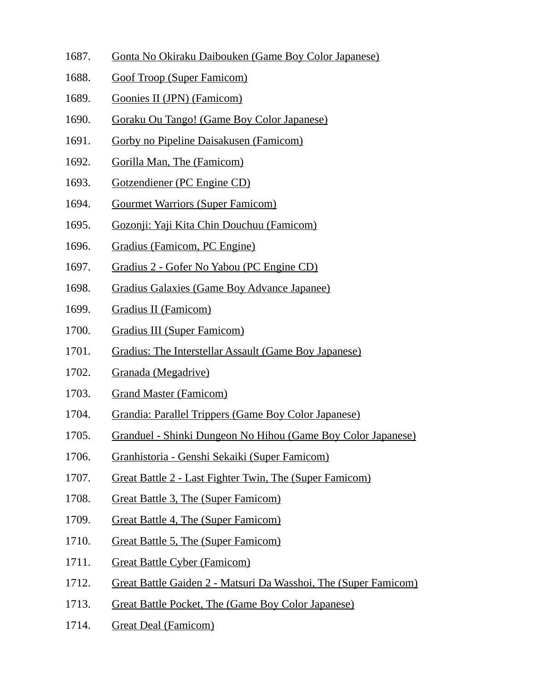- 1687. Gonta No Okiraku Daibouken (Game Boy Color Japanese)
- 1688. Goof Troop (Super Famicom)
- 1689. Goonies II (JPN) (Famicom)
- 1690. Goraku Ou Tango! (Game Boy Color Japanese)
- 1691. Gorby no Pipeline Daisakusen (Famicom)
- 1692. Gorilla Man, The (Famicom)
- 1693. Gotzendiener (PC Engine CD)
- 1694. Gourmet Warriors (Super Famicom)
- 1695. Gozonji: Yaji Kita Chin Douchuu (Famicom)
- 1696. Gradius (Famicom, PC Engine)
- 1697. Gradius 2 Gofer No Yabou (PC Engine CD)
- 1698. Gradius Galaxies (Game Boy Advance Japanee)
- 1699. Gradius II (Famicom)
- 1700. Gradius III (Super Famicom)
- 1701. Gradius: The Interstellar Assault (Game Boy Japanese)
- 1702. Granada (Megadrive)
- 1703. Grand Master (Famicom)
- 1704. Grandia: Parallel Trippers (Game Boy Color Japanese)
- 1705. Granduel Shinki Dungeon No Hihou (Game Boy Color Japanese)
- 1706. Granhistoria Genshi Sekaiki (Super Famicom)
- 1707. Great Battle 2 Last Fighter Twin, The (Super Famicom)
- 1708. Great Battle 3, The (Super Famicom)
- 1709. Great Battle 4, The (Super Famicom)
- 1710. Great Battle 5, The (Super Famicom)
- 1711. Great Battle Cyber (Famicom)
- 1712. Great Battle Gaiden 2 Matsuri Da Wasshoi, The (Super Famicom)
- 1713. Great Battle Pocket, The (Game Boy Color Japanese)
- 1714. Great Deal (Famicom)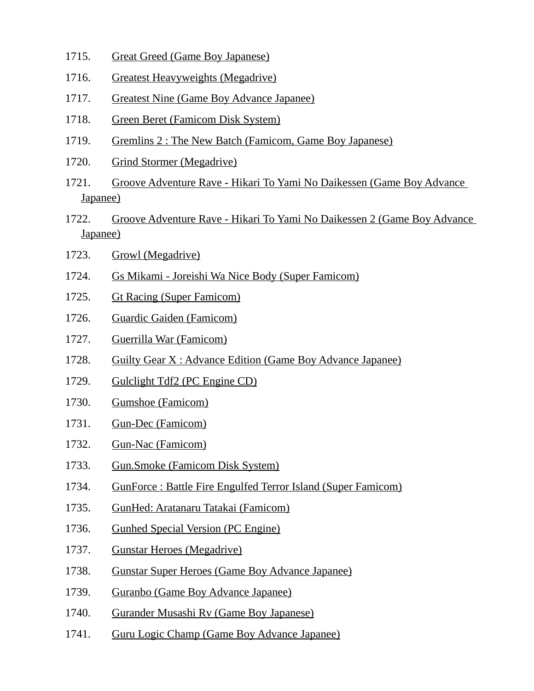- 1715. Great Greed (Game Boy Japanese)
- 1716. Greatest Heavyweights (Megadrive)
- 1717. Greatest Nine (Game Boy Advance Japanee)
- 1718. Green Beret (Famicom Disk System)
- 1719. Gremlins 2 : The New Batch (Famicom, Game Boy Japanese)
- 1720. Grind Stormer (Megadrive)
- 1721. Groove Adventure Rave Hikari To Yami No Daikessen (Game Boy Advance Japanee)
- 1722. Groove Adventure Rave Hikari To Yami No Daikessen 2 (Game Boy Advance Japanee)
- 1723. Growl (Megadrive)
- 1724. Gs Mikami Joreishi Wa Nice Body (Super Famicom)
- 1725. Gt Racing (Super Famicom)
- 1726. Guardic Gaiden (Famicom)
- 1727. Guerrilla War (Famicom)
- 1728. Guilty Gear X : Advance Edition (Game Boy Advance Japanee)
- 1729. Gulclight Tdf2 (PC Engine CD)
- 1730. Gumshoe (Famicom)
- 1731. Gun-Dec (Famicom)
- 1732. Gun-Nac (Famicom)
- 1733. Gun.Smoke (Famicom Disk System)
- 1734. GunForce : Battle Fire Engulfed Terror Island (Super Famicom)
- 1735. GunHed: Aratanaru Tatakai (Famicom)
- 1736. Gunhed Special Version (PC Engine)
- 1737. Gunstar Heroes (Megadrive)
- 1738. Gunstar Super Heroes (Game Boy Advance Japanee)
- 1739. Guranbo (Game Boy Advance Japanee)
- 1740. Gurander Musashi Rv (Game Boy Japanese)
- 1741. Guru Logic Champ (Game Boy Advance Japanee)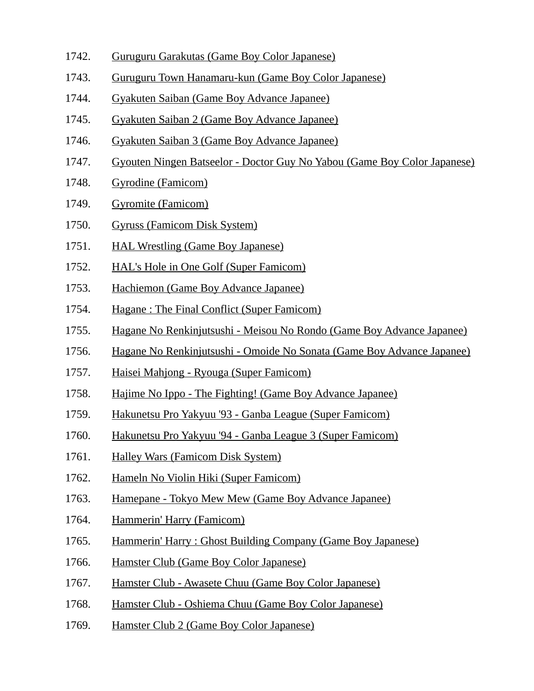- 1742. Guruguru Garakutas (Game Boy Color Japanese)
- 1743. Guruguru Town Hanamaru-kun (Game Boy Color Japanese)
- 1744. Gyakuten Saiban (Game Boy Advance Japanee)
- 1745. Gyakuten Saiban 2 (Game Boy Advance Japanee)
- 1746. Gyakuten Saiban 3 (Game Boy Advance Japanee)
- 1747. Gyouten Ningen Batseelor Doctor Guy No Yabou (Game Boy Color Japanese)
- 1748. Gyrodine (Famicom)
- 1749. Gyromite (Famicom)
- 1750. Gyruss (Famicom Disk System)
- 1751. HAL Wrestling (Game Boy Japanese)
- 1752. HAL's Hole in One Golf (Super Famicom)
- 1753. Hachiemon (Game Boy Advance Japanee)
- 1754. Hagane : The Final Conflict (Super Famicom)
- 1755. Hagane No Renkinjutsushi Meisou No Rondo (Game Boy Advance Japanee)
- 1756. Hagane No Renkinjutsushi Omoide No Sonata (Game Boy Advance Japanee)
- 1757. Haisei Mahjong Ryouga (Super Famicom)
- 1758. Hajime No Ippo The Fighting! (Game Boy Advance Japanee)
- 1759. Hakunetsu Pro Yakyuu '93 Ganba League (Super Famicom)
- 1760. Hakunetsu Pro Yakyuu '94 Ganba League 3 (Super Famicom)
- 1761. Halley Wars (Famicom Disk System)
- 1762. Hameln No Violin Hiki (Super Famicom)
- 1763. Hamepane Tokyo Mew Mew (Game Boy Advance Japanee)
- 1764. Hammerin' Harry (Famicom)
- 1765. Hammerin' Harry : Ghost Building Company (Game Boy Japanese)
- 1766. Hamster Club (Game Boy Color Japanese)
- 1767. Hamster Club Awasete Chuu (Game Boy Color Japanese)
- 1768. Hamster Club Oshiema Chuu (Game Boy Color Japanese)
- 1769. Hamster Club 2 (Game Boy Color Japanese)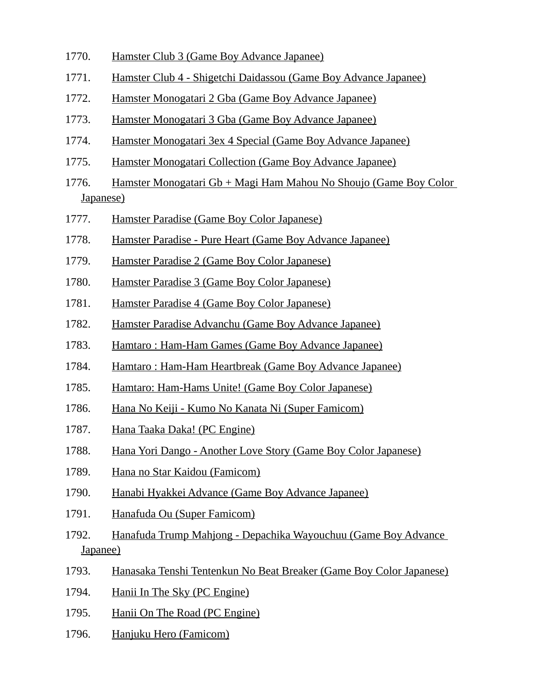- 1770. Hamster Club 3 (Game Boy Advance Japanee)
- 1771. Hamster Club 4 Shigetchi Daidassou (Game Boy Advance Japanee)
- 1772. Hamster Monogatari 2 Gba (Game Boy Advance Japanee)
- 1773. Hamster Monogatari 3 Gba (Game Boy Advance Japanee)
- 1774. Hamster Monogatari 3ex 4 Special (Game Boy Advance Japanee)
- 1775. Hamster Monogatari Collection (Game Boy Advance Japanee)
- 1776. Hamster Monogatari Gb + Magi Ham Mahou No Shoujo (Game Boy Color Japanese)
- 1777. Hamster Paradise (Game Boy Color Japanese)
- 1778. Hamster Paradise Pure Heart (Game Boy Advance Japanee)
- 1779. Hamster Paradise 2 (Game Boy Color Japanese)
- 1780. Hamster Paradise 3 (Game Boy Color Japanese)
- 1781. Hamster Paradise 4 (Game Boy Color Japanese)
- 1782. Hamster Paradise Advanchu (Game Boy Advance Japanee)
- 1783. Hamtaro : Ham-Ham Games (Game Boy Advance Japanee)
- 1784. Hamtaro : Ham-Ham Heartbreak (Game Boy Advance Japanee)
- 1785. Hamtaro: Ham-Hams Unite! (Game Boy Color Japanese)
- 1786. Hana No Keiji Kumo No Kanata Ni (Super Famicom)
- 1787. Hana Taaka Daka! (PC Engine)
- 1788. Hana Yori Dango Another Love Story (Game Boy Color Japanese)
- 1789. Hana no Star Kaidou (Famicom)
- 1790. Hanabi Hyakkei Advance (Game Boy Advance Japanee)
- 1791. Hanafuda Ou (Super Famicom)
- 1792. Hanafuda Trump Mahjong Depachika Wayouchuu (Game Boy Advance Japanee)
- 1793. Hanasaka Tenshi Tentenkun No Beat Breaker (Game Boy Color Japanese)
- 1794. Hanii In The Sky (PC Engine)
- 1795. Hanii On The Road (PC Engine)
- 1796. Hanjuku Hero (Famicom)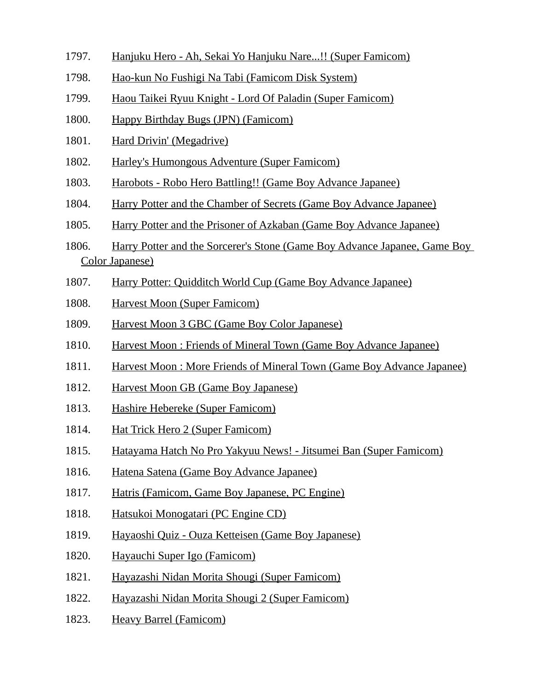- 1797. Hanjuku Hero Ah, Sekai Yo Hanjuku Nare...!! (Super Famicom)
- 1798. Hao-kun No Fushigi Na Tabi (Famicom Disk System)
- 1799. Haou Taikei Ryuu Knight Lord Of Paladin (Super Famicom)
- 1800. Happy Birthday Bugs (JPN) (Famicom)
- 1801. Hard Drivin' (Megadrive)
- 1802. Harley's Humongous Adventure (Super Famicom)
- 1803. Harobots Robo Hero Battling!! (Game Boy Advance Japanee)
- 1804. Harry Potter and the Chamber of Secrets (Game Boy Advance Japanee)
- 1805. Harry Potter and the Prisoner of Azkaban (Game Boy Advance Japanee)
- 1806. Harry Potter and the Sorcerer's Stone (Game Boy Advance Japanee, Game Boy Color Japanese)
- 1807. Harry Potter: Quidditch World Cup (Game Boy Advance Japanee)
- 1808. Harvest Moon (Super Famicom)
- 1809. Harvest Moon 3 GBC (Game Boy Color Japanese)
- 1810. Harvest Moon : Friends of Mineral Town (Game Boy Advance Japanee)
- 1811. Harvest Moon : More Friends of Mineral Town (Game Boy Advance Japanee)
- 1812. Harvest Moon GB (Game Boy Japanese)
- 1813. Hashire Hebereke (Super Famicom)
- 1814. Hat Trick Hero 2 (Super Famicom)
- 1815. Hatayama Hatch No Pro Yakyuu News! Jitsumei Ban (Super Famicom)
- 1816. Hatena Satena (Game Boy Advance Japanee)
- 1817. Hatris (Famicom, Game Boy Japanese, PC Engine)
- 1818. Hatsukoi Monogatari (PC Engine CD)
- 1819. Hayaoshi Quiz Ouza Ketteisen (Game Boy Japanese)
- 1820. Hayauchi Super Igo (Famicom)
- 1821. Hayazashi Nidan Morita Shougi (Super Famicom)
- 1822. Hayazashi Nidan Morita Shougi 2 (Super Famicom)
- 1823. Heavy Barrel (Famicom)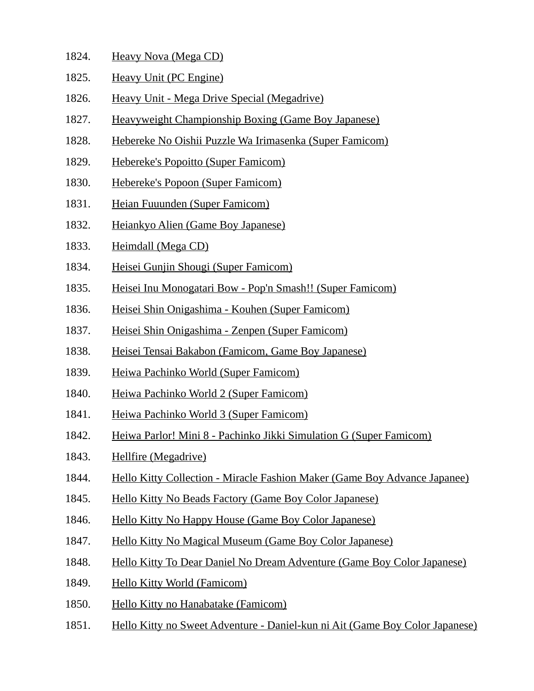- 1824. Heavy Nova (Mega CD)
- 1825. Heavy Unit (PC Engine)
- 1826. Heavy Unit Mega Drive Special (Megadrive)
- 1827. Heavyweight Championship Boxing (Game Boy Japanese)
- 1828. Hebereke No Oishii Puzzle Wa Irimasenka (Super Famicom)
- 1829. Hebereke's Popoitto (Super Famicom)
- 1830. Hebereke's Popoon (Super Famicom)
- 1831. Heian Fuuunden (Super Famicom)
- 1832. Heiankyo Alien (Game Boy Japanese)
- 1833. Heimdall (Mega CD)
- 1834. Heisei Gunjin Shougi (Super Famicom)
- 1835. Heisei Inu Monogatari Bow Pop'n Smash!! (Super Famicom)
- 1836. Heisei Shin Onigashima Kouhen (Super Famicom)
- 1837. Heisei Shin Onigashima Zenpen (Super Famicom)
- 1838. Heisei Tensai Bakabon (Famicom, Game Boy Japanese)
- 1839. Heiwa Pachinko World (Super Famicom)
- 1840. Heiwa Pachinko World 2 (Super Famicom)
- 1841. Heiwa Pachinko World 3 (Super Famicom)
- 1842. Heiwa Parlor! Mini 8 Pachinko Jikki Simulation G (Super Famicom)
- 1843. Hellfire (Megadrive)
- 1844. Hello Kitty Collection Miracle Fashion Maker (Game Boy Advance Japanee)
- 1845. Hello Kitty No Beads Factory (Game Boy Color Japanese)
- 1846. Hello Kitty No Happy House (Game Boy Color Japanese)
- 1847. Hello Kitty No Magical Museum (Game Boy Color Japanese)
- 1848. Hello Kitty To Dear Daniel No Dream Adventure (Game Boy Color Japanese)
- 1849. Hello Kitty World (Famicom)
- 1850. Hello Kitty no Hanabatake (Famicom)
- 1851. Hello Kitty no Sweet Adventure Daniel-kun ni Ait (Game Boy Color Japanese)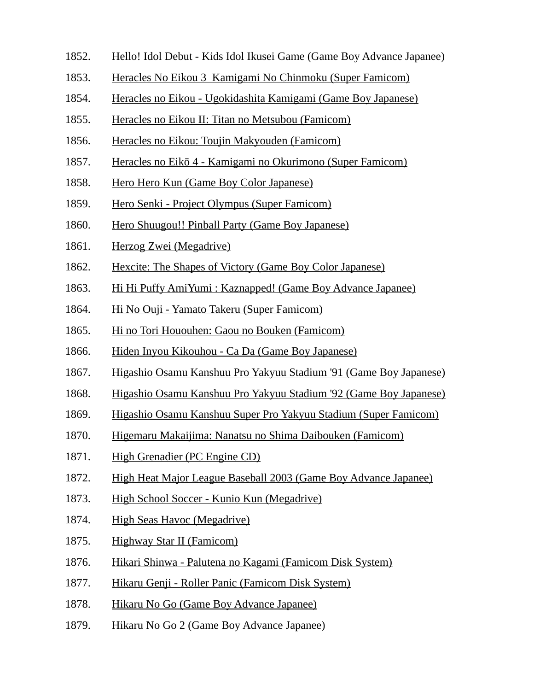- 1852. Hello! Idol Debut Kids Idol Ikusei Game (Game Boy Advance Japanee)
- 1853. Heracles No Eikou 3 Kamigami No Chinmoku (Super Famicom)
- 1854. Heracles no Eikou Ugokidashita Kamigami (Game Boy Japanese)
- 1855. Heracles no Eikou II: Titan no Metsubou (Famicom)
- 1856. Heracles no Eikou: Toujin Makyouden (Famicom)
- 1857. Heracles no Eikō 4 Kamigami no Okurimono (Super Famicom)
- 1858. Hero Hero Kun (Game Boy Color Japanese)
- 1859. Hero Senki Project Olympus (Super Famicom)
- 1860. Hero Shuugou!! Pinball Party (Game Boy Japanese)
- 1861. Herzog Zwei (Megadrive)
- 1862. Hexcite: The Shapes of Victory (Game Boy Color Japanese)
- 1863. Hi Hi Puffy AmiYumi : Kaznapped! (Game Boy Advance Japanee)
- 1864. Hi No Ouji Yamato Takeru (Super Famicom)
- 1865. Hi no Tori Hououhen: Gaou no Bouken (Famicom)
- 1866. Hiden Inyou Kikouhou Ca Da (Game Boy Japanese)
- 1867. Higashio Osamu Kanshuu Pro Yakyuu Stadium '91 (Game Boy Japanese)
- 1868. Higashio Osamu Kanshuu Pro Yakyuu Stadium '92 (Game Boy Japanese)
- 1869. Higashio Osamu Kanshuu Super Pro Yakyuu Stadium (Super Famicom)
- 1870. Higemaru Makaijima: Nanatsu no Shima Daibouken (Famicom)
- 1871. High Grenadier (PC Engine CD)
- 1872. High Heat Major League Baseball 2003 (Game Boy Advance Japanee)
- 1873. High School Soccer Kunio Kun (Megadrive)
- 1874. High Seas Havoc (Megadrive)
- 1875. Highway Star II (Famicom)
- 1876. Hikari Shinwa Palutena no Kagami (Famicom Disk System)
- 1877. Hikaru Genji Roller Panic (Famicom Disk System)
- 1878. Hikaru No Go (Game Boy Advance Japanee)
- 1879. Hikaru No Go 2 (Game Boy Advance Japanee)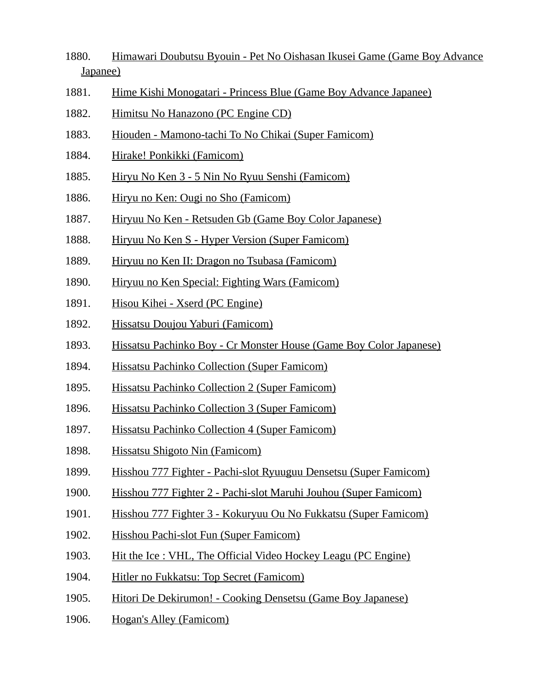- 1880. Himawari Doubutsu Byouin Pet No Oishasan Ikusei Game (Game Boy Advance Japanee)
- 1881. Hime Kishi Monogatari Princess Blue (Game Boy Advance Japanee)
- 1882. Himitsu No Hanazono (PC Engine CD)
- 1883. Hiouden Mamono-tachi To No Chikai (Super Famicom)
- 1884. Hirake! Ponkikki (Famicom)
- 1885. Hiryu No Ken 3 5 Nin No Ryuu Senshi (Famicom)
- 1886. Hiryu no Ken: Ougi no Sho (Famicom)
- 1887. Hiryuu No Ken Retsuden Gb (Game Boy Color Japanese)
- 1888. Hiryuu No Ken S Hyper Version (Super Famicom)
- 1889. Hiryuu no Ken II: Dragon no Tsubasa (Famicom)
- 1890. Hiryuu no Ken Special: Fighting Wars (Famicom)
- 1891. Hisou Kihei Xserd (PC Engine)
- 1892. Hissatsu Doujou Yaburi (Famicom)
- 1893. Hissatsu Pachinko Boy Cr Monster House (Game Boy Color Japanese)
- 1894. Hissatsu Pachinko Collection (Super Famicom)
- 1895. Hissatsu Pachinko Collection 2 (Super Famicom)
- 1896. Hissatsu Pachinko Collection 3 (Super Famicom)
- 1897. Hissatsu Pachinko Collection 4 (Super Famicom)
- 1898. Hissatsu Shigoto Nin (Famicom)
- 1899. Hisshou 777 Fighter Pachi-slot Ryuuguu Densetsu (Super Famicom)
- 1900. Hisshou 777 Fighter 2 Pachi-slot Maruhi Jouhou (Super Famicom)
- 1901. Hisshou 777 Fighter 3 Kokuryuu Ou No Fukkatsu (Super Famicom)
- 1902. Hisshou Pachi-slot Fun (Super Famicom)
- 1903. Hit the Ice : VHL, The Official Video Hockey Leagu (PC Engine)
- 1904. Hitler no Fukkatsu: Top Secret (Famicom)
- 1905. Hitori De Dekirumon! Cooking Densetsu (Game Boy Japanese)
- 1906. Hogan's Alley (Famicom)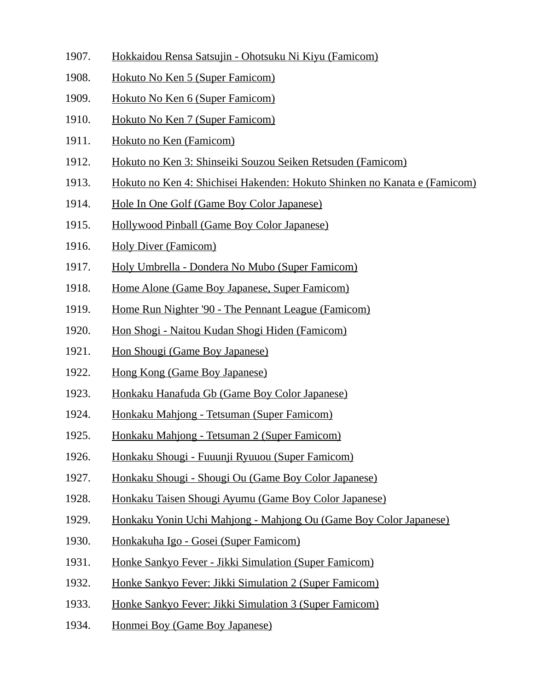- 1907. Hokkaidou Rensa Satsujin Ohotsuku Ni Kiyu (Famicom)
- 1908. Hokuto No Ken 5 (Super Famicom)
- 1909. Hokuto No Ken 6 (Super Famicom)
- 1910. Hokuto No Ken 7 (Super Famicom)
- 1911. Hokuto no Ken (Famicom)
- 1912. Hokuto no Ken 3: Shinseiki Souzou Seiken Retsuden (Famicom)
- 1913. Hokuto no Ken 4: Shichisei Hakenden: Hokuto Shinken no Kanata e (Famicom)
- 1914. Hole In One Golf (Game Boy Color Japanese)
- 1915. Hollywood Pinball (Game Boy Color Japanese)
- 1916. Holy Diver (Famicom)
- 1917. Holy Umbrella Dondera No Mubo (Super Famicom)
- 1918. Home Alone (Game Boy Japanese, Super Famicom)
- 1919. Home Run Nighter '90 The Pennant League (Famicom)
- 1920. Hon Shogi Naitou Kudan Shogi Hiden (Famicom)
- 1921. Hon Shougi (Game Boy Japanese)
- 1922. Hong Kong (Game Boy Japanese)
- 1923. Honkaku Hanafuda Gb (Game Boy Color Japanese)
- 1924. Honkaku Mahjong Tetsuman (Super Famicom)
- 1925. Honkaku Mahjong Tetsuman 2 (Super Famicom)
- 1926. Honkaku Shougi Fuuunji Ryuuou (Super Famicom)
- 1927. Honkaku Shougi Shougi Ou (Game Boy Color Japanese)
- 1928. Honkaku Taisen Shougi Ayumu (Game Boy Color Japanese)
- 1929. Honkaku Yonin Uchi Mahjong Mahjong Ou (Game Boy Color Japanese)
- 1930. Honkakuha Igo Gosei (Super Famicom)
- 1931. Honke Sankyo Fever Jikki Simulation (Super Famicom)
- 1932. Honke Sankyo Fever: Jikki Simulation 2 (Super Famicom)
- 1933. Honke Sankyo Fever: Jikki Simulation 3 (Super Famicom)
- 1934. Honmei Boy (Game Boy Japanese)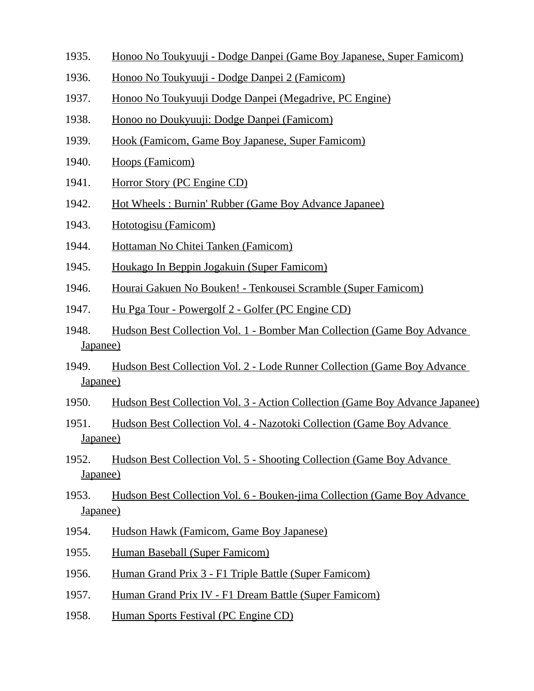- 1935. Honoo No Toukyuuji Dodge Danpei (Game Boy Japanese, Super Famicom)
- 1936. Honoo No Toukyuuji Dodge Danpei 2 (Famicom)
- 1937. Honoo No Toukyuuji Dodge Danpei (Megadrive, PC Engine)
- 1938. Honoo no Doukyuuji: Dodge Danpei (Famicom)
- 1939. Hook (Famicom, Game Boy Japanese, Super Famicom)
- 1940. Hoops (Famicom)
- 1941. Horror Story (PC Engine CD)
- 1942. Hot Wheels : Burnin' Rubber (Game Boy Advance Japanee)
- 1943. Hototogisu (Famicom)
- 1944. Hottaman No Chitei Tanken (Famicom)
- 1945. Houkago In Beppin Jogakuin (Super Famicom)
- 1946. Hourai Gakuen No Bouken! Tenkousei Scramble (Super Famicom)
- 1947. Hu Pga Tour Powergolf 2 Golfer (PC Engine CD)
- 1948. Hudson Best Collection Vol. 1 Bomber Man Collection (Game Boy Advance Japanee)
- 1949. Hudson Best Collection Vol. 2 Lode Runner Collection (Game Boy Advance Japanee)
- 1950. Hudson Best Collection Vol. 3 Action Collection (Game Boy Advance Japanee)
- 1951. Hudson Best Collection Vol. 4 Nazotoki Collection (Game Boy Advance Japanee)
- 1952. Hudson Best Collection Vol. 5 Shooting Collection (Game Boy Advance Japanee)
- 1953. Hudson Best Collection Vol. 6 Bouken-jima Collection (Game Boy Advance Japanee)
- 1954. Hudson Hawk (Famicom, Game Boy Japanese)
- 1955. Human Baseball (Super Famicom)
- 1956. Human Grand Prix 3 F1 Triple Battle (Super Famicom)
- 1957. Human Grand Prix IV F1 Dream Battle (Super Famicom)
- 1958. Human Sports Festival (PC Engine CD)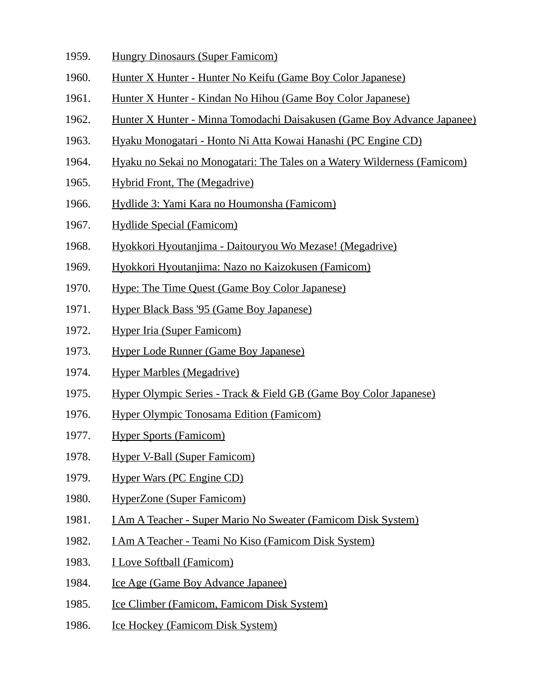- 1959. Hungry Dinosaurs (Super Famicom)
- 1960. Hunter X Hunter Hunter No Keifu (Game Boy Color Japanese)
- 1961. Hunter X Hunter Kindan No Hihou (Game Boy Color Japanese)
- 1962. Hunter X Hunter Minna Tomodachi Daisakusen (Game Boy Advance Japanee)
- 1963. Hyaku Monogatari Honto Ni Atta Kowai Hanashi (PC Engine CD)
- 1964. Hyaku no Sekai no Monogatari: The Tales on a Watery Wilderness (Famicom)
- 1965. Hybrid Front, The (Megadrive)
- 1966. Hydlide 3: Yami Kara no Houmonsha (Famicom)
- 1967. Hydlide Special (Famicom)
- 1968. Hyokkori Hyoutanjima Daitouryou Wo Mezase! (Megadrive)
- 1969. Hyokkori Hyoutanjima: Nazo no Kaizokusen (Famicom)
- 1970. Hype: The Time Quest (Game Boy Color Japanese)
- 1971. Hyper Black Bass '95 (Game Boy Japanese)
- 1972. Hyper Iria (Super Famicom)
- 1973. Hyper Lode Runner (Game Boy Japanese)
- 1974. Hyper Marbles (Megadrive)
- 1975. Hyper Olympic Series Track & Field GB (Game Boy Color Japanese)
- 1976. Hyper Olympic Tonosama Edition (Famicom)
- 1977. Hyper Sports (Famicom)
- 1978. Hyper V-Ball (Super Famicom)
- 1979. Hyper Wars (PC Engine CD)
- 1980. HyperZone (Super Famicom)
- 1981. I Am A Teacher Super Mario No Sweater (Famicom Disk System)
- 1982. I Am A Teacher Teami No Kiso (Famicom Disk System)
- 1983. I Love Softball (Famicom)
- 1984. Ice Age (Game Boy Advance Japanee)
- 1985. Ice Climber (Famicom, Famicom Disk System)
- 1986. Ice Hockey (Famicom Disk System)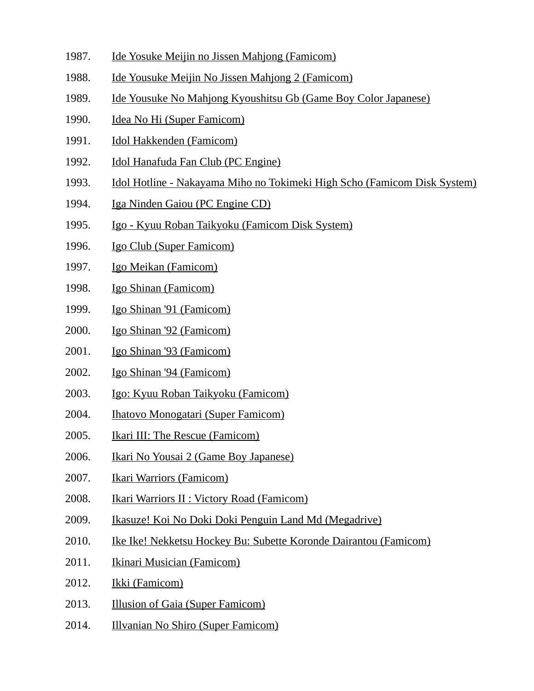- 1987. Ide Yosuke Meijin no Jissen Mahjong (Famicom)
- 1988. Ide Yousuke Meijin No Jissen Mahjong 2 (Famicom)
- 1989. Ide Yousuke No Mahjong Kyoushitsu Gb (Game Boy Color Japanese)
- 1990. Idea No Hi (Super Famicom)
- 1991. Idol Hakkenden (Famicom)
- 1992. Idol Hanafuda Fan Club (PC Engine)
- 1993. Idol Hotline Nakayama Miho no Tokimeki High Scho (Famicom Disk System)
- 1994. Iga Ninden Gaiou (PC Engine CD)
- 1995. Igo Kyuu Roban Taikyoku (Famicom Disk System)
- 1996. Igo Club (Super Famicom)
- 1997. Igo Meikan (Famicom)
- 1998. Igo Shinan (Famicom)
- 1999. Igo Shinan '91 (Famicom)
- 2000. Igo Shinan '92 (Famicom)
- 2001. Igo Shinan '93 (Famicom)
- 2002. Igo Shinan '94 (Famicom)
- 2003. Igo: Kyuu Roban Taikyoku (Famicom)
- 2004. Ihatovo Monogatari (Super Famicom)
- 2005. Ikari III: The Rescue (Famicom)
- 2006. Ikari No Yousai 2 (Game Boy Japanese)
- 2007. Ikari Warriors (Famicom)
- 2008. Ikari Warriors II : Victory Road (Famicom)
- 2009. Ikasuze! Koi No Doki Doki Penguin Land Md (Megadrive)
- 2010. Ike Ike! Nekketsu Hockey Bu: Subette Koronde Dairantou (Famicom)
- 2011. Ikinari Musician (Famicom)
- 2012. Ikki (Famicom)
- 2013. Illusion of Gaia (Super Famicom)
- 2014. Illvanian No Shiro (Super Famicom)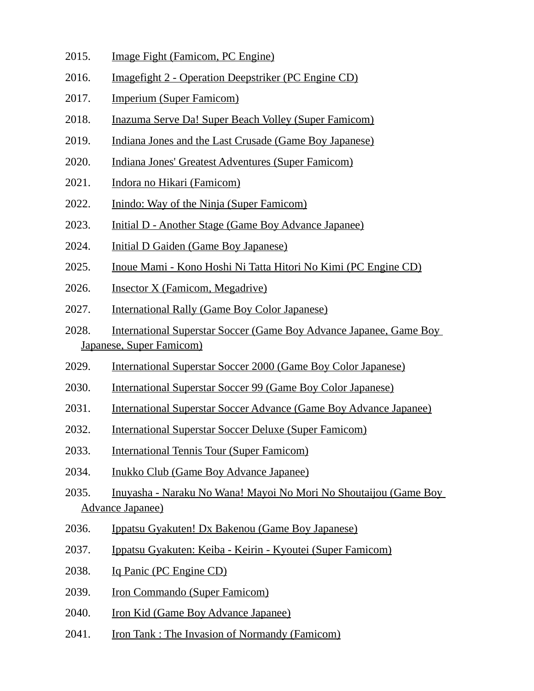- 2015. Image Fight (Famicom, PC Engine)
- 2016. Imagefight 2 Operation Deepstriker (PC Engine CD)
- 2017. Imperium (Super Famicom)
- 2018. Inazuma Serve Da! Super Beach Volley (Super Famicom)
- 2019. Indiana Jones and the Last Crusade (Game Boy Japanese)
- 2020. Indiana Jones' Greatest Adventures (Super Famicom)
- 2021. Indora no Hikari (Famicom)
- 2022. Inindo: Way of the Ninja (Super Famicom)
- 2023. Initial D Another Stage (Game Boy Advance Japanee)
- 2024. Initial D Gaiden (Game Boy Japanese)
- 2025. Inoue Mami Kono Hoshi Ni Tatta Hitori No Kimi (PC Engine CD)
- 2026. Insector X (Famicom, Megadrive)
- 2027. International Rally (Game Boy Color Japanese)
- 2028. International Superstar Soccer (Game Boy Advance Japanee, Game Boy Japanese, Super Famicom)
- 2029. International Superstar Soccer 2000 (Game Boy Color Japanese)
- 2030. International Superstar Soccer 99 (Game Boy Color Japanese)
- 2031. International Superstar Soccer Advance (Game Boy Advance Japanee)
- 2032. International Superstar Soccer Deluxe (Super Famicom)
- 2033. International Tennis Tour (Super Famicom)
- 2034. Inukko Club (Game Boy Advance Japanee)
- 2035. Inuyasha Naraku No Wana! Mayoi No Mori No Shoutaijou (Game Boy Advance Japanee)
- 2036. Ippatsu Gyakuten! Dx Bakenou (Game Boy Japanese)
- 2037. Ippatsu Gyakuten: Keiba Keirin Kyoutei (Super Famicom)
- 2038. Iq Panic (PC Engine CD)
- 2039. Iron Commando (Super Famicom)
- 2040. Iron Kid (Game Boy Advance Japanee)
- 2041. Iron Tank : The Invasion of Normandy (Famicom)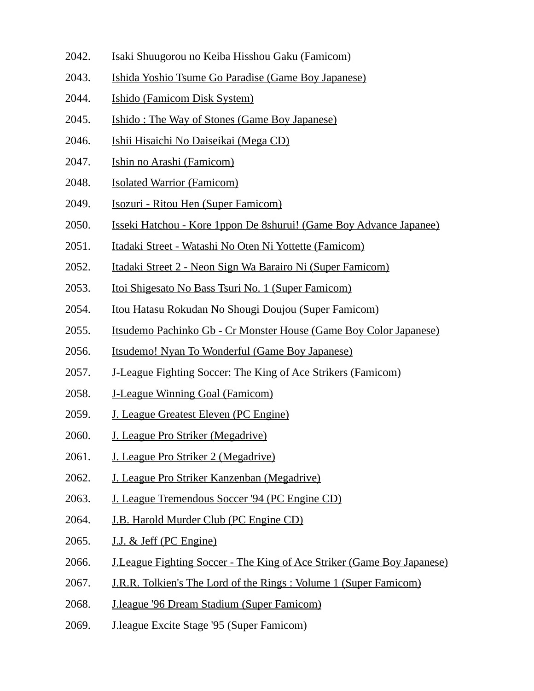- 2042. Isaki Shuugorou no Keiba Hisshou Gaku (Famicom)
- 2043. Ishida Yoshio Tsume Go Paradise (Game Boy Japanese)
- 2044. Ishido (Famicom Disk System)
- 2045. Ishido : The Way of Stones (Game Boy Japanese)
- 2046. Ishii Hisaichi No Daiseikai (Mega CD)
- 2047. Ishin no Arashi (Famicom)
- 2048. Isolated Warrior (Famicom)
- 2049. Isozuri Ritou Hen (Super Famicom)
- 2050. Isseki Hatchou Kore 1ppon De 8shurui! (Game Boy Advance Japanee)
- 2051. Itadaki Street Watashi No Oten Ni Yottette (Famicom)
- 2052. Itadaki Street 2 Neon Sign Wa Barairo Ni (Super Famicom)
- 2053. Itoi Shigesato No Bass Tsuri No. 1 (Super Famicom)
- 2054. Itou Hatasu Rokudan No Shougi Doujou (Super Famicom)
- 2055. Itsudemo Pachinko Gb Cr Monster House (Game Boy Color Japanese)
- 2056. Itsudemo! Nyan To Wonderful (Game Boy Japanese)
- 2057. J-League Fighting Soccer: The King of Ace Strikers (Famicom)
- 2058. J-League Winning Goal (Famicom)
- 2059. J. League Greatest Eleven (PC Engine)
- 2060. J. League Pro Striker (Megadrive)
- 2061. J. League Pro Striker 2 (Megadrive)
- 2062. J. League Pro Striker Kanzenban (Megadrive)
- 2063. J. League Tremendous Soccer '94 (PC Engine CD)
- 2064. J.B. Harold Murder Club (PC Engine CD)
- 2065. J.J. & Jeff (PC Engine)
- 2066. J.League Fighting Soccer The King of Ace Striker (Game Boy Japanese)
- 2067. J.R.R. Tolkien's The Lord of the Rings : Volume 1 (Super Famicom)
- 2068. J.league '96 Dream Stadium (Super Famicom)
- 2069. J.league Excite Stage '95 (Super Famicom)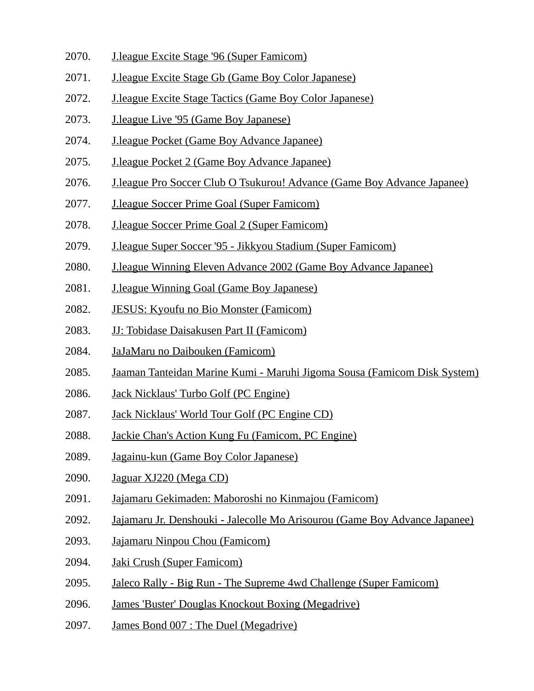- 2070. J.league Excite Stage '96 (Super Famicom)
- 2071. J.league Excite Stage Gb (Game Boy Color Japanese)
- 2072. J.league Excite Stage Tactics (Game Boy Color Japanese)
- 2073. J.league Live '95 (Game Boy Japanese)
- 2074. J.league Pocket (Game Boy Advance Japanee)
- 2075. J.league Pocket 2 (Game Boy Advance Japanee)
- 2076. J.league Pro Soccer Club O Tsukurou! Advance (Game Boy Advance Japanee)
- 2077. J.league Soccer Prime Goal (Super Famicom)
- 2078. J.league Soccer Prime Goal 2 (Super Famicom)
- 2079. J.league Super Soccer '95 Jikkyou Stadium (Super Famicom)
- 2080. J.league Winning Eleven Advance 2002 (Game Boy Advance Japanee)
- 2081. J.league Winning Goal (Game Boy Japanese)
- 2082. JESUS: Kyoufu no Bio Monster (Famicom)
- 2083. JJ: Tobidase Daisakusen Part II (Famicom)
- 2084. JaJaMaru no Daibouken (Famicom)
- 2085. Jaaman Tanteidan Marine Kumi Maruhi Jigoma Sousa (Famicom Disk System)
- 2086. Jack Nicklaus' Turbo Golf (PC Engine)
- 2087. Jack Nicklaus' World Tour Golf (PC Engine CD)
- 2088. Jackie Chan's Action Kung Fu (Famicom, PC Engine)
- 2089. Jagainu-kun (Game Boy Color Japanese)
- 2090. Jaguar XJ220 (Mega CD)
- 2091. Jajamaru Gekimaden: Maboroshi no Kinmajou (Famicom)
- 2092. Jajamaru Jr. Denshouki Jalecolle Mo Arisourou (Game Boy Advance Japanee)
- 2093. Jajamaru Ninpou Chou (Famicom)
- 2094. Jaki Crush (Super Famicom)
- 2095. Jaleco Rally Big Run The Supreme 4wd Challenge (Super Famicom)
- 2096. James 'Buster' Douglas Knockout Boxing (Megadrive)
- 2097. James Bond 007 : The Duel (Megadrive)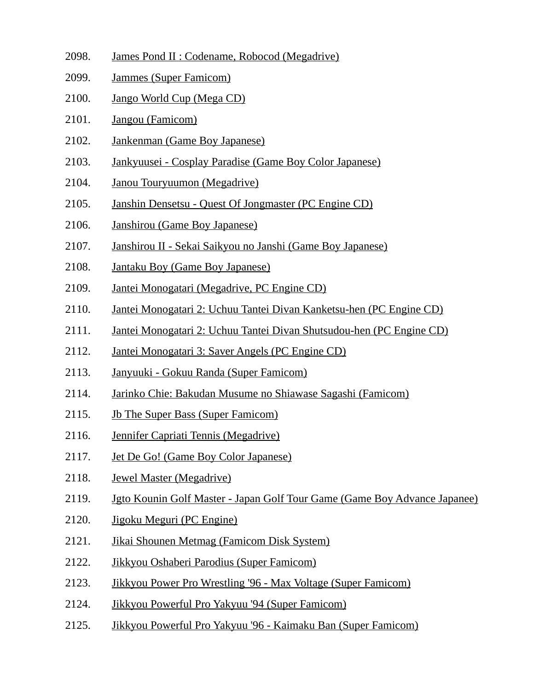- 2098. James Pond II : Codename, Robocod (Megadrive)
- 2099. Jammes (Super Famicom)
- 2100. Jango World Cup (Mega CD)
- 2101. Jangou (Famicom)
- 2102. Jankenman (Game Boy Japanese)
- 2103. Jankyuusei Cosplay Paradise (Game Boy Color Japanese)
- 2104. Janou Touryuumon (Megadrive)
- 2105. Janshin Densetsu Quest Of Jongmaster (PC Engine CD)
- 2106. Janshirou (Game Boy Japanese)
- 2107. Janshirou II Sekai Saikyou no Janshi (Game Boy Japanese)
- 2108. Jantaku Boy (Game Boy Japanese)
- 2109. Jantei Monogatari (Megadrive, PC Engine CD)
- 2110. Jantei Monogatari 2: Uchuu Tantei Divan Kanketsu-hen (PC Engine CD)
- 2111. Jantei Monogatari 2: Uchuu Tantei Divan Shutsudou-hen (PC Engine CD)
- 2112. Jantei Monogatari 3: Saver Angels (PC Engine CD)
- 2113. Janyuuki Gokuu Randa (Super Famicom)
- 2114. Jarinko Chie: Bakudan Musume no Shiawase Sagashi (Famicom)
- 2115. Jb The Super Bass (Super Famicom)
- 2116. Jennifer Capriati Tennis (Megadrive)
- 2117. Jet De Go! (Game Boy Color Japanese)
- 2118. Jewel Master (Megadrive)
- 2119. Jgto Kounin Golf Master Japan Golf Tour Game (Game Boy Advance Japanee)
- 2120. Jigoku Meguri (PC Engine)
- 2121. Jikai Shounen Metmag (Famicom Disk System)
- 2122. Jikkyou Oshaberi Parodius (Super Famicom)
- 2123. Jikkyou Power Pro Wrestling '96 Max Voltage (Super Famicom)
- 2124. Jikkyou Powerful Pro Yakyuu '94 (Super Famicom)
- 2125. Jikkyou Powerful Pro Yakyuu '96 Kaimaku Ban (Super Famicom)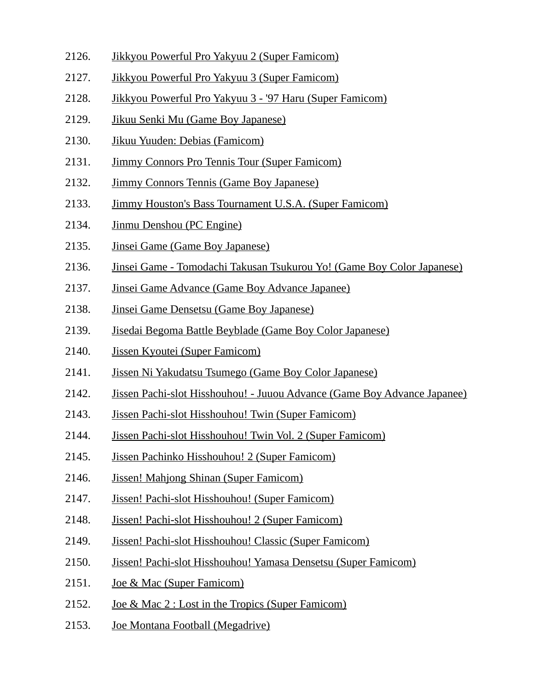- 2126. Jikkyou Powerful Pro Yakyuu 2 (Super Famicom)
- 2127. Jikkyou Powerful Pro Yakyuu 3 (Super Famicom)
- 2128. Jikkyou Powerful Pro Yakyuu 3 '97 Haru (Super Famicom)
- 2129. Jikuu Senki Mu (Game Boy Japanese)
- 2130. Jikuu Yuuden: Debias (Famicom)
- 2131. Jimmy Connors Pro Tennis Tour (Super Famicom)
- 2132. Jimmy Connors Tennis (Game Boy Japanese)
- 2133. Jimmy Houston's Bass Tournament U.S.A. (Super Famicom)
- 2134. Jinmu Denshou (PC Engine)
- 2135. Jinsei Game (Game Boy Japanese)
- 2136. Jinsei Game Tomodachi Takusan Tsukurou Yo! (Game Boy Color Japanese)
- 2137. Jinsei Game Advance (Game Boy Advance Japanee)
- 2138. Jinsei Game Densetsu (Game Boy Japanese)
- 2139. Jisedai Begoma Battle Beyblade (Game Boy Color Japanese)
- 2140. Jissen Kyoutei (Super Famicom)
- 2141. Jissen Ni Yakudatsu Tsumego (Game Boy Color Japanese)
- 2142. Jissen Pachi-slot Hisshouhou! Juuou Advance (Game Boy Advance Japanee)
- 2143. Jissen Pachi-slot Hisshouhou! Twin (Super Famicom)
- 2144. Jissen Pachi-slot Hisshouhou! Twin Vol. 2 (Super Famicom)
- 2145. Jissen Pachinko Hisshouhou! 2 (Super Famicom)
- 2146. Jissen! Mahjong Shinan (Super Famicom)
- 2147. Jissen! Pachi-slot Hisshouhou! (Super Famicom)
- 2148. Jissen! Pachi-slot Hisshouhou! 2 (Super Famicom)
- 2149. Jissen! Pachi-slot Hisshouhou! Classic (Super Famicom)
- 2150. Jissen! Pachi-slot Hisshouhou! Yamasa Densetsu (Super Famicom)
- 2151. Joe & Mac (Super Famicom)
- 2152. Joe & Mac 2 : Lost in the Tropics (Super Famicom)
- 2153. Joe Montana Football (Megadrive)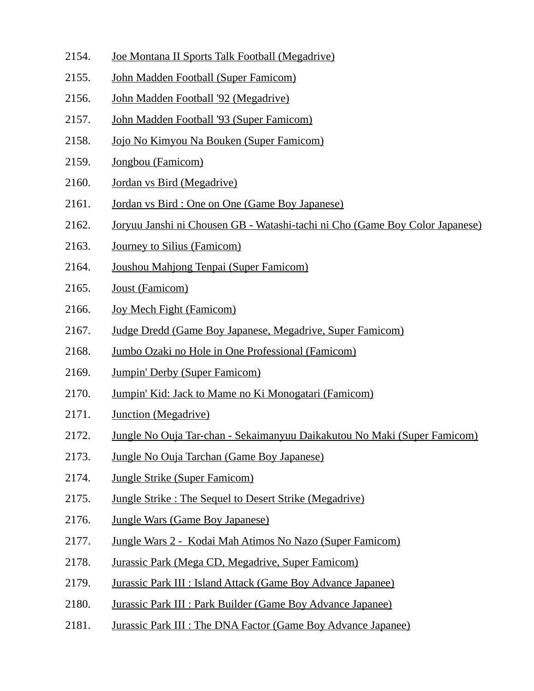- 2154. Joe Montana II Sports Talk Football (Megadrive)
- 2155. John Madden Football (Super Famicom)
- 2156. John Madden Football '92 (Megadrive)
- 2157. John Madden Football '93 (Super Famicom)
- 2158. Jojo No Kimyou Na Bouken (Super Famicom)
- 2159. Jongbou (Famicom)
- 2160. Jordan vs Bird (Megadrive)
- 2161. Jordan vs Bird : One on One (Game Boy Japanese)
- 2162. Joryuu Janshi ni Chousen GB Watashi-tachi ni Cho (Game Boy Color Japanese)
- 2163. Journey to Silius (Famicom)
- 2164. Joushou Mahjong Tenpai (Super Famicom)
- 2165. Joust (Famicom)
- 2166. Joy Mech Fight (Famicom)
- 2167. Judge Dredd (Game Boy Japanese, Megadrive, Super Famicom)
- 2168. Jumbo Ozaki no Hole in One Professional (Famicom)
- 2169. Jumpin' Derby (Super Famicom)
- 2170. Jumpin' Kid: Jack to Mame no Ki Monogatari (Famicom)
- 2171. Junction (Megadrive)
- 2172. Jungle No Ouja Tar-chan Sekaimanyuu Daikakutou No Maki (Super Famicom)
- 2173. Jungle No Ouja Tarchan (Game Boy Japanese)
- 2174. Jungle Strike (Super Famicom)
- 2175. Jungle Strike : The Sequel to Desert Strike (Megadrive)
- 2176. Jungle Wars (Game Boy Japanese)
- 2177. Jungle Wars 2 Kodai Mah Atimos No Nazo (Super Famicom)
- 2178. Jurassic Park (Mega CD, Megadrive, Super Famicom)
- 2179. Jurassic Park III : Island Attack (Game Boy Advance Japanee)
- 2180. Jurassic Park III : Park Builder (Game Boy Advance Japanee)
- 2181. Jurassic Park III : The DNA Factor (Game Boy Advance Japanee)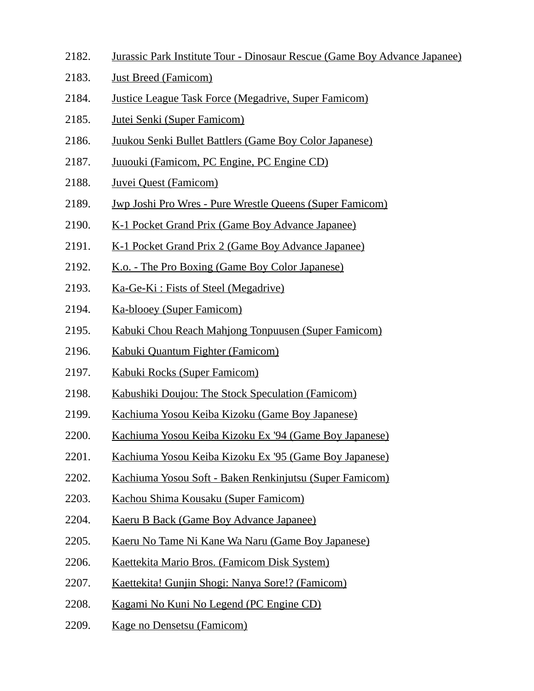- 2182. Jurassic Park Institute Tour Dinosaur Rescue (Game Boy Advance Japanee)
- 2183. Just Breed (Famicom)
- 2184. Justice League Task Force (Megadrive, Super Famicom)
- 2185. Jutei Senki (Super Famicom)
- 2186. Juukou Senki Bullet Battlers (Game Boy Color Japanese)
- 2187. Juuouki (Famicom, PC Engine, PC Engine CD)
- 2188. Juvei Quest (Famicom)
- 2189. Jwp Joshi Pro Wres Pure Wrestle Queens (Super Famicom)
- 2190. K-1 Pocket Grand Prix (Game Boy Advance Japanee)
- 2191. K-1 Pocket Grand Prix 2 (Game Boy Advance Japanee)
- 2192. K.o. The Pro Boxing (Game Boy Color Japanese)
- 2193. Ka-Ge-Ki : Fists of Steel (Megadrive)
- 2194. Ka-blooey (Super Famicom)
- 2195. Kabuki Chou Reach Mahjong Tonpuusen (Super Famicom)
- 2196. Kabuki Quantum Fighter (Famicom)
- 2197. Kabuki Rocks (Super Famicom)
- 2198. Kabushiki Doujou: The Stock Speculation (Famicom)
- 2199. Kachiuma Yosou Keiba Kizoku (Game Boy Japanese)
- 2200. Kachiuma Yosou Keiba Kizoku Ex '94 (Game Boy Japanese)
- 2201. Kachiuma Yosou Keiba Kizoku Ex '95 (Game Boy Japanese)
- 2202. Kachiuma Yosou Soft Baken Renkinjutsu (Super Famicom)
- 2203. Kachou Shima Kousaku (Super Famicom)
- 2204. Kaeru B Back (Game Boy Advance Japanee)
- 2205. Kaeru No Tame Ni Kane Wa Naru (Game Boy Japanese)
- 2206. Kaettekita Mario Bros. (Famicom Disk System)
- 2207. Kaettekita! Gunjin Shogi: Nanya Sore!? (Famicom)
- 2208. Kagami No Kuni No Legend (PC Engine CD)
- 2209. Kage no Densetsu (Famicom)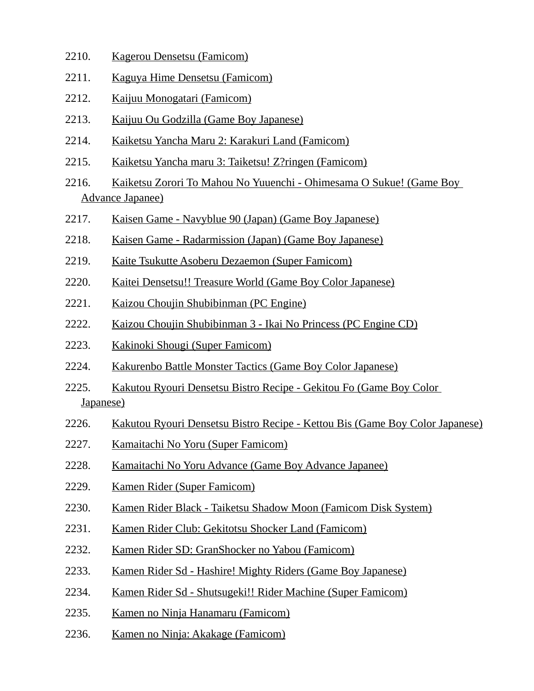- 2210. Kagerou Densetsu (Famicom)
- 2211. Kaguya Hime Densetsu (Famicom)
- 2212. Kaijuu Monogatari (Famicom)
- 2213. Kaijuu Ou Godzilla (Game Boy Japanese)
- 2214. Kaiketsu Yancha Maru 2: Karakuri Land (Famicom)
- 2215. Kaiketsu Yancha maru 3: Taiketsu! Z?ringen (Famicom)
- 2216. Kaiketsu Zorori To Mahou No Yuuenchi Ohimesama O Sukue! (Game Boy Advance Japanee)
- 2217. Kaisen Game Navyblue 90 (Japan) (Game Boy Japanese)
- 2218. Kaisen Game Radarmission (Japan) (Game Boy Japanese)
- 2219. Kaite Tsukutte Asoberu Dezaemon (Super Famicom)
- 2220. Kaitei Densetsu!! Treasure World (Game Boy Color Japanese)
- 2221. Kaizou Choujin Shubibinman (PC Engine)
- 2222. Kaizou Choujin Shubibinman 3 Ikai No Princess (PC Engine CD)
- 2223. Kakinoki Shougi (Super Famicom)
- 2224. Kakurenbo Battle Monster Tactics (Game Boy Color Japanese)
- 2225. Kakutou Ryouri Densetsu Bistro Recipe Gekitou Fo (Game Boy Color Japanese)
- 2226. Kakutou Ryouri Densetsu Bistro Recipe Kettou Bis (Game Boy Color Japanese)
- 2227. Kamaitachi No Yoru (Super Famicom)
- 2228. Kamaitachi No Yoru Advance (Game Boy Advance Japanee)
- 2229. Kamen Rider (Super Famicom)
- 2230. Kamen Rider Black Taiketsu Shadow Moon (Famicom Disk System)
- 2231. Kamen Rider Club: Gekitotsu Shocker Land (Famicom)
- 2232. Kamen Rider SD: GranShocker no Yabou (Famicom)
- 2233. Kamen Rider Sd Hashire! Mighty Riders (Game Boy Japanese)
- 2234. Kamen Rider Sd Shutsugeki!! Rider Machine (Super Famicom)
- 2235. Kamen no Ninja Hanamaru (Famicom)
- 2236. Kamen no Ninja: Akakage (Famicom)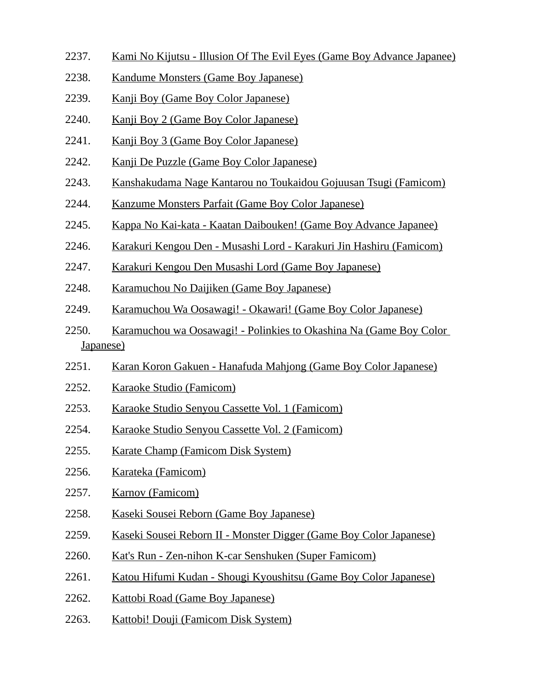- 2237. Kami No Kijutsu Illusion Of The Evil Eyes (Game Boy Advance Japanee)
- 2238. Kandume Monsters (Game Boy Japanese)
- 2239. Kanji Boy (Game Boy Color Japanese)
- 2240. Kanji Boy 2 (Game Boy Color Japanese)
- 2241. Kanji Boy 3 (Game Boy Color Japanese)
- 2242. Kanji De Puzzle (Game Boy Color Japanese)
- 2243. Kanshakudama Nage Kantarou no Toukaidou Gojuusan Tsugi (Famicom)
- 2244. Kanzume Monsters Parfait (Game Boy Color Japanese)
- 2245. Kappa No Kai-kata Kaatan Daibouken! (Game Boy Advance Japanee)
- 2246. Karakuri Kengou Den Musashi Lord Karakuri Jin Hashiru (Famicom)
- 2247. Karakuri Kengou Den Musashi Lord (Game Boy Japanese)
- 2248. Karamuchou No Daijiken (Game Boy Japanese)
- 2249. Karamuchou Wa Oosawagi! Okawari! (Game Boy Color Japanese)
- 2250. Karamuchou wa Oosawagi! Polinkies to Okashina Na (Game Boy Color Japanese)
- 2251. Karan Koron Gakuen Hanafuda Mahjong (Game Boy Color Japanese)
- 2252. Karaoke Studio (Famicom)
- 2253. Karaoke Studio Senyou Cassette Vol. 1 (Famicom)
- 2254. Karaoke Studio Senyou Cassette Vol. 2 (Famicom)
- 2255. Karate Champ (Famicom Disk System)
- 2256. Karateka (Famicom)
- 2257. Karnov (Famicom)
- 2258. Kaseki Sousei Reborn (Game Boy Japanese)
- 2259. Kaseki Sousei Reborn II Monster Digger (Game Boy Color Japanese)
- 2260. Kat's Run Zen-nihon K-car Senshuken (Super Famicom)
- 2261. Katou Hifumi Kudan Shougi Kyoushitsu (Game Boy Color Japanese)
- 2262. Kattobi Road (Game Boy Japanese)
- 2263. Kattobi! Douji (Famicom Disk System)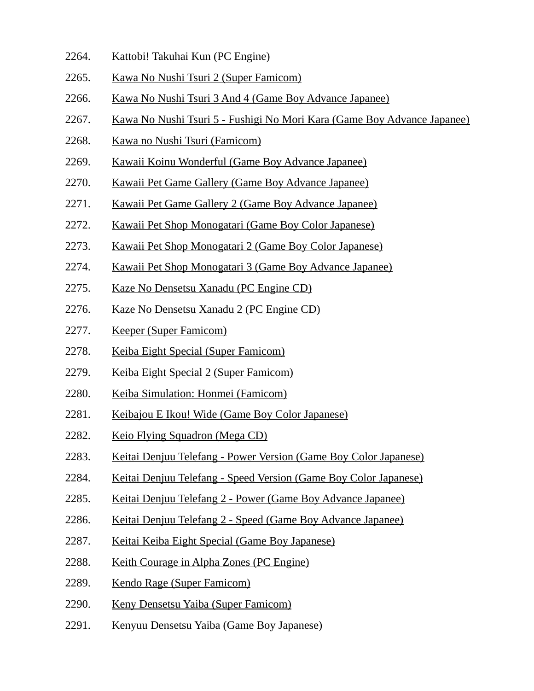- 2264. Kattobi! Takuhai Kun (PC Engine)
- 2265. Kawa No Nushi Tsuri 2 (Super Famicom)
- 2266. Kawa No Nushi Tsuri 3 And 4 (Game Boy Advance Japanee)
- 2267. Kawa No Nushi Tsuri 5 Fushigi No Mori Kara (Game Boy Advance Japanee)
- 2268. Kawa no Nushi Tsuri (Famicom)
- 2269. Kawaii Koinu Wonderful (Game Boy Advance Japanee)
- 2270. Kawaii Pet Game Gallery (Game Boy Advance Japanee)
- 2271. Kawaii Pet Game Gallery 2 (Game Boy Advance Japanee)
- 2272. Kawaii Pet Shop Monogatari (Game Boy Color Japanese)
- 2273. Kawaii Pet Shop Monogatari 2 (Game Boy Color Japanese)
- 2274. Kawaii Pet Shop Monogatari 3 (Game Boy Advance Japanee)
- 2275. Kaze No Densetsu Xanadu (PC Engine CD)
- 2276. Kaze No Densetsu Xanadu 2 (PC Engine CD)
- 2277. Keeper (Super Famicom)
- 2278. Keiba Eight Special (Super Famicom)
- 2279. Keiba Eight Special 2 (Super Famicom)
- 2280. Keiba Simulation: Honmei (Famicom)
- 2281. Keibajou E Ikou! Wide (Game Boy Color Japanese)
- 2282. Keio Flying Squadron (Mega CD)
- 2283. Keitai Denjuu Telefang Power Version (Game Boy Color Japanese)
- 2284. Keitai Denjuu Telefang Speed Version (Game Boy Color Japanese)
- 2285. Keitai Denjuu Telefang 2 Power (Game Boy Advance Japanee)
- 2286. Keitai Denjuu Telefang 2 Speed (Game Boy Advance Japanee)
- 2287. Keitai Keiba Eight Special (Game Boy Japanese)
- 2288. Keith Courage in Alpha Zones (PC Engine)
- 2289. Kendo Rage (Super Famicom)
- 2290. Keny Densetsu Yaiba (Super Famicom)
- 2291. Kenyuu Densetsu Yaiba (Game Boy Japanese)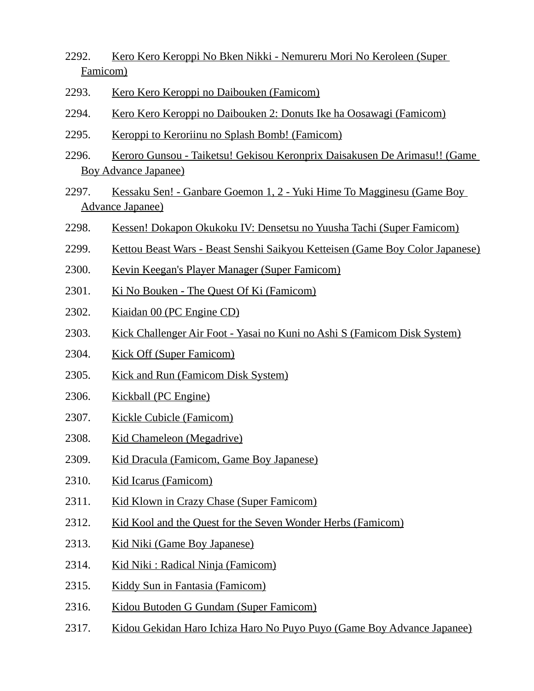- 2292. Kero Kero Keroppi No Bken Nikki Nemureru Mori No Keroleen (Super Famicom)
- 2293. Kero Kero Keroppi no Daibouken (Famicom)
- 2294. Kero Kero Keroppi no Daibouken 2: Donuts Ike ha Oosawagi (Famicom)
- 2295. Keroppi to Keroriinu no Splash Bomb! (Famicom)
- 2296. Keroro Gunsou Taiketsu! Gekisou Keronprix Daisakusen De Arimasu!! (Game Boy Advance Japanee)
- 2297. Kessaku Sen! Ganbare Goemon 1, 2 Yuki Hime To Magginesu (Game Boy Advance Japanee)
- 2298. Kessen! Dokapon Okukoku IV: Densetsu no Yuusha Tachi (Super Famicom)
- 2299. Kettou Beast Wars Beast Senshi Saikyou Ketteisen (Game Boy Color Japanese)
- 2300. Kevin Keegan's Player Manager (Super Famicom)
- 2301. Ki No Bouken The Quest Of Ki (Famicom)
- 2302. Kiaidan 00 (PC Engine CD)
- 2303. Kick Challenger Air Foot Yasai no Kuni no Ashi S (Famicom Disk System)
- 2304. Kick Off (Super Famicom)
- 2305. Kick and Run (Famicom Disk System)
- 2306. Kickball (PC Engine)
- 2307. Kickle Cubicle (Famicom)
- 2308. Kid Chameleon (Megadrive)
- 2309. Kid Dracula (Famicom, Game Boy Japanese)
- 2310. Kid Icarus (Famicom)
- 2311. Kid Klown in Crazy Chase (Super Famicom)
- 2312. Kid Kool and the Quest for the Seven Wonder Herbs (Famicom)
- 2313. Kid Niki (Game Boy Japanese)
- 2314. Kid Niki : Radical Ninja (Famicom)
- 2315. Kiddy Sun in Fantasia (Famicom)
- 2316. Kidou Butoden G Gundam (Super Famicom)
- 2317. Kidou Gekidan Haro Ichiza Haro No Puyo Puyo (Game Boy Advance Japanee)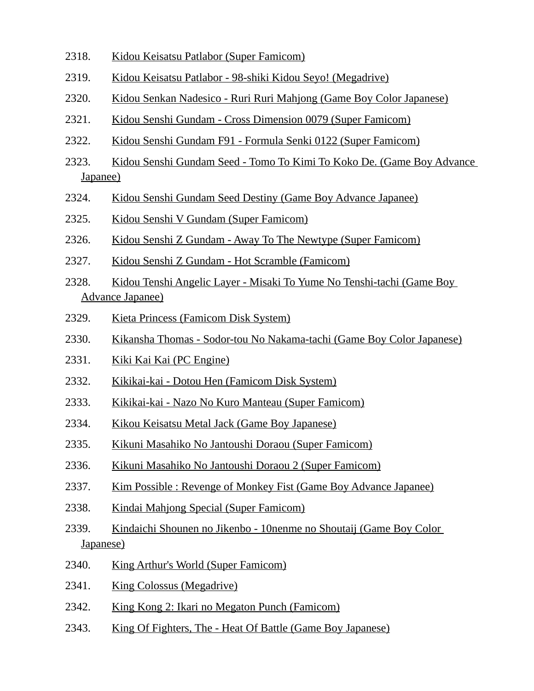- 2318. Kidou Keisatsu Patlabor (Super Famicom)
- 2319. Kidou Keisatsu Patlabor 98-shiki Kidou Seyo! (Megadrive)
- 2320. Kidou Senkan Nadesico Ruri Ruri Mahjong (Game Boy Color Japanese)
- 2321. Kidou Senshi Gundam Cross Dimension 0079 (Super Famicom)
- 2322. Kidou Senshi Gundam F91 Formula Senki 0122 (Super Famicom)
- 2323. Kidou Senshi Gundam Seed Tomo To Kimi To Koko De. (Game Boy Advance Japanee)
- 2324. Kidou Senshi Gundam Seed Destiny (Game Boy Advance Japanee)
- 2325. Kidou Senshi V Gundam (Super Famicom)
- 2326. Kidou Senshi Z Gundam Away To The Newtype (Super Famicom)
- 2327. Kidou Senshi Z Gundam Hot Scramble (Famicom)
- 2328. Kidou Tenshi Angelic Layer Misaki To Yume No Tenshi-tachi (Game Boy Advance Japanee)
- 2329. Kieta Princess (Famicom Disk System)
- 2330. Kikansha Thomas Sodor-tou No Nakama-tachi (Game Boy Color Japanese)
- 2331. Kiki Kai Kai (PC Engine)
- 2332. Kikikai-kai Dotou Hen (Famicom Disk System)
- 2333. Kikikai-kai Nazo No Kuro Manteau (Super Famicom)
- 2334. Kikou Keisatsu Metal Jack (Game Boy Japanese)
- 2335. Kikuni Masahiko No Jantoushi Doraou (Super Famicom)
- 2336. Kikuni Masahiko No Jantoushi Doraou 2 (Super Famicom)
- 2337. Kim Possible : Revenge of Monkey Fist (Game Boy Advance Japanee)
- 2338. Kindai Mahjong Special (Super Famicom)
- 2339. Kindaichi Shounen no Jikenbo 10nenme no Shoutaij (Game Boy Color Japanese)
- 2340. King Arthur's World (Super Famicom)
- 2341. King Colossus (Megadrive)
- 2342. King Kong 2: Ikari no Megaton Punch (Famicom)
- 2343. King Of Fighters, The Heat Of Battle (Game Boy Japanese)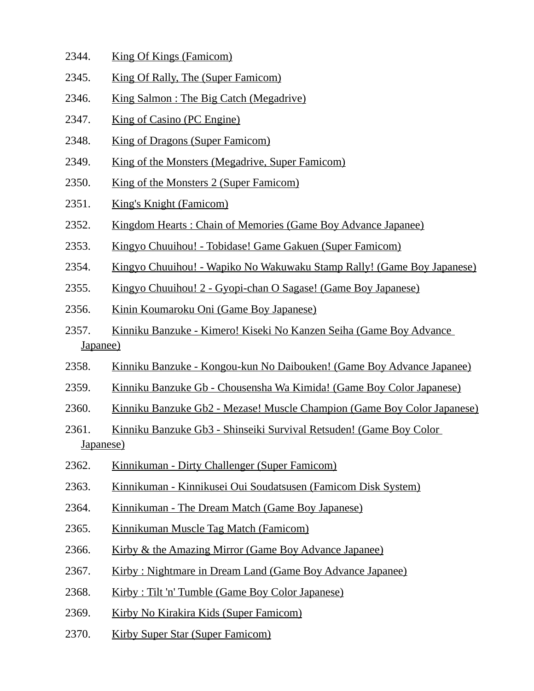- 2344. King Of Kings (Famicom)
- 2345. King Of Rally, The (Super Famicom)
- 2346. King Salmon : The Big Catch (Megadrive)
- 2347. King of Casino (PC Engine)
- 2348. King of Dragons (Super Famicom)
- 2349. King of the Monsters (Megadrive, Super Famicom)
- 2350. King of the Monsters 2 (Super Famicom)
- 2351. King's Knight (Famicom)
- 2352. Kingdom Hearts : Chain of Memories (Game Boy Advance Japanee)
- 2353. Kingyo Chuuihou! Tobidase! Game Gakuen (Super Famicom)
- 2354. Kingyo Chuuihou! Wapiko No Wakuwaku Stamp Rally! (Game Boy Japanese)
- 2355. Kingyo Chuuihou! 2 Gyopi-chan O Sagase! (Game Boy Japanese)
- 2356. Kinin Koumaroku Oni (Game Boy Japanese)
- 2357. Kinniku Banzuke Kimero! Kiseki No Kanzen Seiha (Game Boy Advance Japanee)
- 2358. Kinniku Banzuke Kongou-kun No Daibouken! (Game Boy Advance Japanee)
- 2359. Kinniku Banzuke Gb Chousensha Wa Kimida! (Game Boy Color Japanese)
- 2360. Kinniku Banzuke Gb2 Mezase! Muscle Champion (Game Boy Color Japanese)
- 2361. Kinniku Banzuke Gb3 Shinseiki Survival Retsuden! (Game Boy Color Japanese)
- 2362. Kinnikuman Dirty Challenger (Super Famicom)
- 2363. Kinnikuman Kinnikusei Oui Soudatsusen (Famicom Disk System)
- 2364. Kinnikuman The Dream Match (Game Boy Japanese)
- 2365. Kinnikuman Muscle Tag Match (Famicom)
- 2366. Kirby & the Amazing Mirror (Game Boy Advance Japanee)
- 2367. Kirby : Nightmare in Dream Land (Game Boy Advance Japanee)
- 2368. Kirby : Tilt 'n' Tumble (Game Boy Color Japanese)
- 2369. Kirby No Kirakira Kids (Super Famicom)
- 2370. Kirby Super Star (Super Famicom)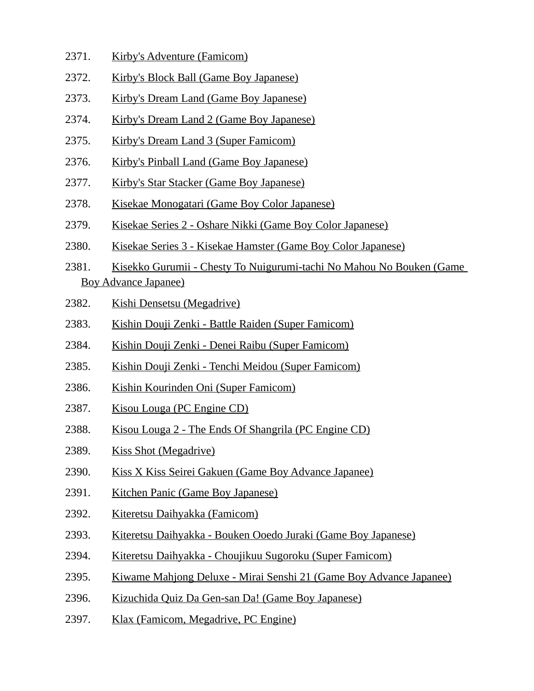- 2371. Kirby's Adventure (Famicom)
- 2372. Kirby's Block Ball (Game Boy Japanese)
- 2373. Kirby's Dream Land (Game Boy Japanese)
- 2374. Kirby's Dream Land 2 (Game Boy Japanese)
- 2375. Kirby's Dream Land 3 (Super Famicom)
- 2376. Kirby's Pinball Land (Game Boy Japanese)
- 2377. Kirby's Star Stacker (Game Boy Japanese)
- 2378. Kisekae Monogatari (Game Boy Color Japanese)
- 2379. Kisekae Series 2 Oshare Nikki (Game Boy Color Japanese)
- 2380. Kisekae Series 3 Kisekae Hamster (Game Boy Color Japanese)
- 2381. Kisekko Gurumii Chesty To Nuigurumi-tachi No Mahou No Bouken (Game Boy Advance Japanee)
- 2382. Kishi Densetsu (Megadrive)
- 2383. Kishin Douji Zenki Battle Raiden (Super Famicom)
- 2384. Kishin Douji Zenki Denei Raibu (Super Famicom)
- 2385. Kishin Douji Zenki Tenchi Meidou (Super Famicom)
- 2386. Kishin Kourinden Oni (Super Famicom)
- 2387. Kisou Louga (PC Engine CD)
- 2388. Kisou Louga 2 The Ends Of Shangrila (PC Engine CD)
- 2389. Kiss Shot (Megadrive)
- 2390. Kiss X Kiss Seirei Gakuen (Game Boy Advance Japanee)
- 2391. Kitchen Panic (Game Boy Japanese)
- 2392. Kiteretsu Daihyakka (Famicom)
- 2393. Kiteretsu Daihyakka Bouken Ooedo Juraki (Game Boy Japanese)
- 2394. Kiteretsu Daihyakka Choujikuu Sugoroku (Super Famicom)
- 2395. Kiwame Mahjong Deluxe Mirai Senshi 21 (Game Boy Advance Japanee)
- 2396. Kizuchida Quiz Da Gen-san Da! (Game Boy Japanese)
- 2397. Klax (Famicom, Megadrive, PC Engine)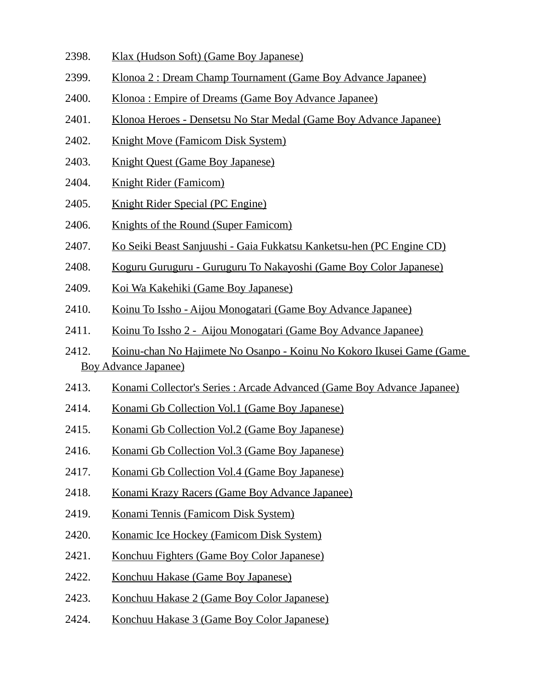- 2398. Klax (Hudson Soft) (Game Boy Japanese)
- 2399. Klonoa 2 : Dream Champ Tournament (Game Boy Advance Japanee)
- 2400. Klonoa : Empire of Dreams (Game Boy Advance Japanee)
- 2401. Klonoa Heroes Densetsu No Star Medal (Game Boy Advance Japanee)
- 2402. Knight Move (Famicom Disk System)
- 2403. Knight Quest (Game Boy Japanese)
- 2404. Knight Rider (Famicom)
- 2405. Knight Rider Special (PC Engine)
- 2406. Knights of the Round (Super Famicom)
- 2407. Ko Seiki Beast Sanjuushi Gaia Fukkatsu Kanketsu-hen (PC Engine CD)
- 2408. Koguru Guruguru Guruguru To Nakayoshi (Game Boy Color Japanese)
- 2409. Koi Wa Kakehiki (Game Boy Japanese)
- 2410. Koinu To Issho Aijou Monogatari (Game Boy Advance Japanee)
- 2411. Koinu To Issho 2 Aijou Monogatari (Game Boy Advance Japanee)
- 2412. Koinu-chan No Hajimete No Osanpo Koinu No Kokoro Ikusei Game (Game Boy Advance Japanee)
- 2413. Konami Collector's Series : Arcade Advanced (Game Boy Advance Japanee)
- 2414. Konami Gb Collection Vol.1 (Game Boy Japanese)
- 2415. Konami Gb Collection Vol.2 (Game Boy Japanese)
- 2416. Konami Gb Collection Vol.3 (Game Boy Japanese)
- 2417. Konami Gb Collection Vol.4 (Game Boy Japanese)
- 2418. Konami Krazy Racers (Game Boy Advance Japanee)
- 2419. Konami Tennis (Famicom Disk System)
- 2420. Konamic Ice Hockey (Famicom Disk System)
- 2421. Konchuu Fighters (Game Boy Color Japanese)
- 2422. Konchuu Hakase (Game Boy Japanese)
- 2423. Konchuu Hakase 2 (Game Boy Color Japanese)
- 2424. Konchuu Hakase 3 (Game Boy Color Japanese)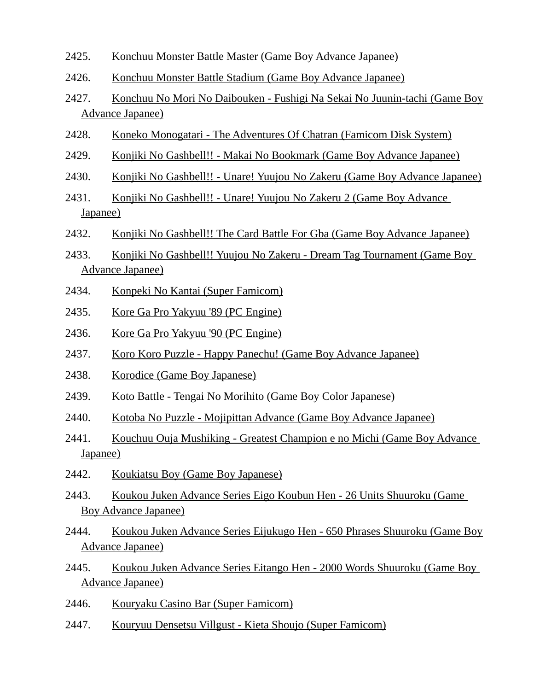- 2425. Konchuu Monster Battle Master (Game Boy Advance Japanee)
- 2426. Konchuu Monster Battle Stadium (Game Boy Advance Japanee)
- 2427. Konchuu No Mori No Daibouken Fushigi Na Sekai No Juunin-tachi (Game Boy Advance Japanee)
- 2428. Koneko Monogatari The Adventures Of Chatran (Famicom Disk System)
- 2429. Konjiki No Gashbell!! Makai No Bookmark (Game Boy Advance Japanee)
- 2430. Konjiki No Gashbell!! Unare! Yuujou No Zakeru (Game Boy Advance Japanee)
- 2431. Konjiki No Gashbell!! Unare! Yuujou No Zakeru 2 (Game Boy Advance Japanee)
- 2432. Konjiki No Gashbell!! The Card Battle For Gba (Game Boy Advance Japanee)
- 2433. Konjiki No Gashbell!! Yuujou No Zakeru Dream Tag Tournament (Game Boy Advance Japanee)
- 2434. Konpeki No Kantai (Super Famicom)
- 2435. Kore Ga Pro Yakyuu '89 (PC Engine)
- 2436. Kore Ga Pro Yakyuu '90 (PC Engine)
- 2437. Koro Koro Puzzle Happy Panechu! (Game Boy Advance Japanee)
- 2438. Korodice (Game Boy Japanese)
- 2439. Koto Battle Tengai No Morihito (Game Boy Color Japanese)
- 2440. Kotoba No Puzzle Mojipittan Advance (Game Boy Advance Japanee)
- 2441. Kouchuu Ouja Mushiking Greatest Champion e no Michi (Game Boy Advance Japanee)
- 2442. Koukiatsu Boy (Game Boy Japanese)
- 2443. Koukou Juken Advance Series Eigo Koubun Hen 26 Units Shuuroku (Game Boy Advance Japanee)
- 2444. Koukou Juken Advance Series Eijukugo Hen 650 Phrases Shuuroku (Game Boy Advance Japanee)
- 2445. Koukou Juken Advance Series Eitango Hen 2000 Words Shuuroku (Game Boy Advance Japanee)
- 2446. Kouryaku Casino Bar (Super Famicom)
- 2447. Kouryuu Densetsu Villgust Kieta Shoujo (Super Famicom)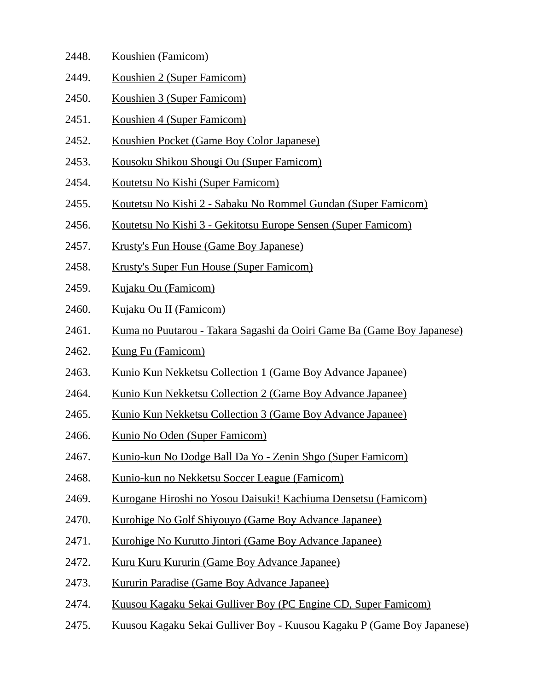| 2448. | Koushien (Famicom)         |
|-------|----------------------------|
| 2449. | Koushien 2 (Super Famicom) |

- 2450. Koushien 3 (Super Famicom)
- 2451. Koushien 4 (Super Famicom)
- 2452. Koushien Pocket (Game Boy Color Japanese)
- 2453. Kousoku Shikou Shougi Ou (Super Famicom)
- 2454. Koutetsu No Kishi (Super Famicom)
- 2455. Koutetsu No Kishi 2 Sabaku No Rommel Gundan (Super Famicom)
- 2456. Koutetsu No Kishi 3 Gekitotsu Europe Sensen (Super Famicom)
- 2457. Krusty's Fun House (Game Boy Japanese)
- 2458. Krusty's Super Fun House (Super Famicom)
- 2459. Kujaku Ou (Famicom)
- 2460. Kujaku Ou II (Famicom)
- 2461. Kuma no Puutarou Takara Sagashi da Ooiri Game Ba (Game Boy Japanese)
- 2462. Kung Fu (Famicom)
- 2463. Kunio Kun Nekketsu Collection 1 (Game Boy Advance Japanee)
- 2464. Kunio Kun Nekketsu Collection 2 (Game Boy Advance Japanee)
- 2465. Kunio Kun Nekketsu Collection 3 (Game Boy Advance Japanee)
- 2466. Kunio No Oden (Super Famicom)
- 2467. Kunio-kun No Dodge Ball Da Yo Zenin Shgo (Super Famicom)
- 2468. Kunio-kun no Nekketsu Soccer League (Famicom)
- 2469. Kurogane Hiroshi no Yosou Daisuki! Kachiuma Densetsu (Famicom)
- 2470. Kurohige No Golf Shiyouyo (Game Boy Advance Japanee)
- 2471. Kurohige No Kurutto Jintori (Game Boy Advance Japanee)
- 2472. Kuru Kuru Kururin (Game Boy Advance Japanee)
- 2473. Kururin Paradise (Game Boy Advance Japanee)
- 2474. Kuusou Kagaku Sekai Gulliver Boy (PC Engine CD, Super Famicom)
- 2475. Kuusou Kagaku Sekai Gulliver Boy Kuusou Kagaku P (Game Boy Japanese)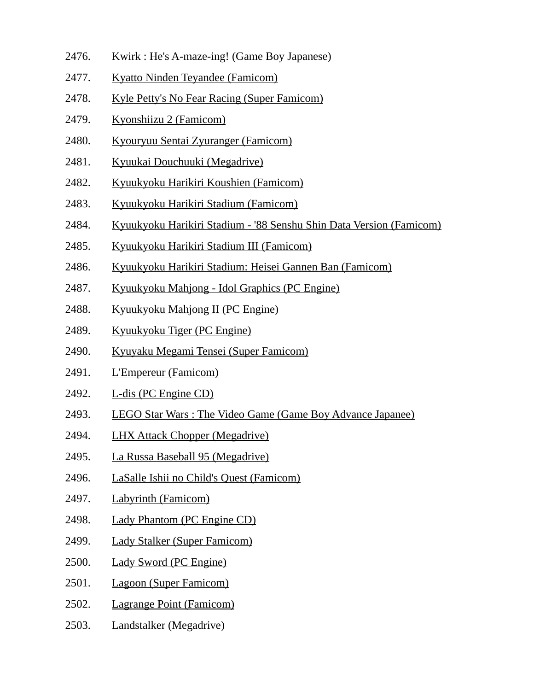- 2476. Kwirk : He's A-maze-ing! (Game Boy Japanese)
- 2477. Kyatto Ninden Teyandee (Famicom)
- 2478. Kyle Petty's No Fear Racing (Super Famicom)
- 2479. Kyonshiizu 2 (Famicom)
- 2480. Kyouryuu Sentai Zyuranger (Famicom)
- 2481. Kyuukai Douchuuki (Megadrive)
- 2482. Kyuukyoku Harikiri Koushien (Famicom)
- 2483. Kyuukyoku Harikiri Stadium (Famicom)
- 2484. Kyuukyoku Harikiri Stadium '88 Senshu Shin Data Version (Famicom)
- 2485. Kyuukyoku Harikiri Stadium III (Famicom)
- 2486. Kyuukyoku Harikiri Stadium: Heisei Gannen Ban (Famicom)
- 2487. Kyuukyoku Mahjong Idol Graphics (PC Engine)
- 2488. Kyuukyoku Mahjong II (PC Engine)
- 2489. Kyuukyoku Tiger (PC Engine)
- 2490. Kyuyaku Megami Tensei (Super Famicom)
- 2491. L'Empereur (Famicom)
- 2492. L-dis (PC Engine CD)
- 2493. LEGO Star Wars : The Video Game (Game Boy Advance Japanee)
- 2494. LHX Attack Chopper (Megadrive)
- 2495. La Russa Baseball 95 (Megadrive)
- 2496. LaSalle Ishii no Child's Quest (Famicom)
- 2497. Labyrinth (Famicom)
- 2498. Lady Phantom (PC Engine CD)
- 2499. Lady Stalker (Super Famicom)
- 2500. Lady Sword (PC Engine)
- 2501. Lagoon (Super Famicom)
- 2502. Lagrange Point (Famicom)
- 2503. Landstalker (Megadrive)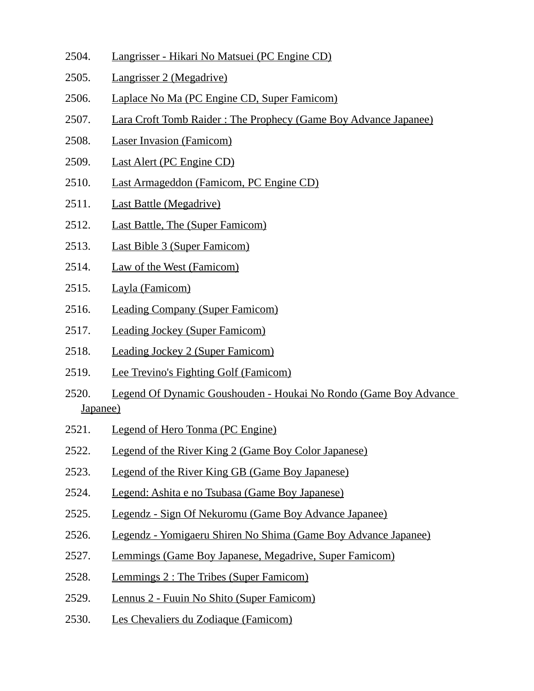- 2504. Langrisser Hikari No Matsuei (PC Engine CD)
- 2505. Langrisser 2 (Megadrive)
- 2506. Laplace No Ma (PC Engine CD, Super Famicom)
- 2507. Lara Croft Tomb Raider : The Prophecy (Game Boy Advance Japanee)
- 2508. Laser Invasion (Famicom)
- 2509. Last Alert (PC Engine CD)
- 2510. Last Armageddon (Famicom, PC Engine CD)
- 2511. Last Battle (Megadrive)
- 2512. Last Battle, The (Super Famicom)
- 2513. Last Bible 3 (Super Famicom)
- 2514. Law of the West (Famicom)
- 2515. Layla (Famicom)
- 2516. Leading Company (Super Famicom)
- 2517. Leading Jockey (Super Famicom)
- 2518. Leading Jockey 2 (Super Famicom)
- 2519. Lee Trevino's Fighting Golf (Famicom)
- 2520. Legend Of Dynamic Goushouden Houkai No Rondo (Game Boy Advance Japanee)
- 2521. Legend of Hero Tonma (PC Engine)
- 2522. Legend of the River King 2 (Game Boy Color Japanese)
- 2523. Legend of the River King GB (Game Boy Japanese)
- 2524. Legend: Ashita e no Tsubasa (Game Boy Japanese)
- 2525. Legendz Sign Of Nekuromu (Game Boy Advance Japanee)
- 2526. Legendz Yomigaeru Shiren No Shima (Game Boy Advance Japanee)
- 2527. Lemmings (Game Boy Japanese, Megadrive, Super Famicom)
- 2528. Lemmings 2 : The Tribes (Super Famicom)
- 2529. Lennus 2 Fuuin No Shito (Super Famicom)
- 2530. Les Chevaliers du Zodiaque (Famicom)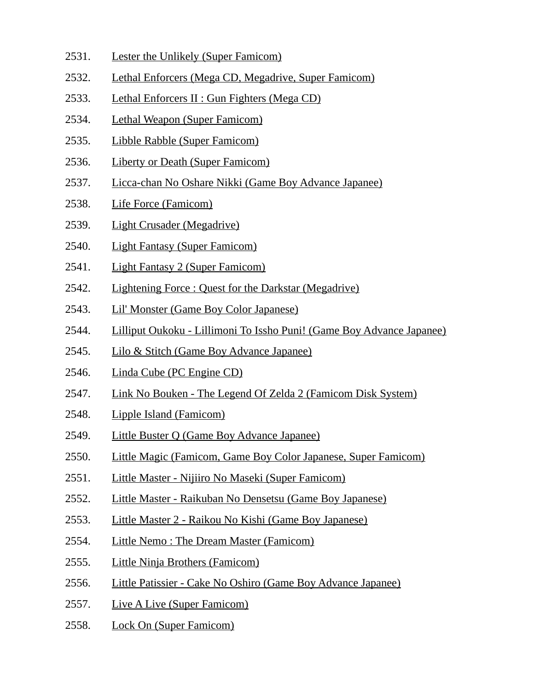- 2531. Lester the Unlikely (Super Famicom)
- 2532. Lethal Enforcers (Mega CD, Megadrive, Super Famicom)
- 2533. Lethal Enforcers II : Gun Fighters (Mega CD)
- 2534. Lethal Weapon (Super Famicom)
- 2535. Libble Rabble (Super Famicom)
- 2536. Liberty or Death (Super Famicom)
- 2537. Licca-chan No Oshare Nikki (Game Boy Advance Japanee)
- 2538. Life Force (Famicom)
- 2539. Light Crusader (Megadrive)
- 2540. Light Fantasy (Super Famicom)
- 2541. Light Fantasy 2 (Super Famicom)
- 2542. Lightening Force : Quest for the Darkstar (Megadrive)
- 2543. Lil' Monster (Game Boy Color Japanese)
- 2544. Lilliput Oukoku Lillimoni To Issho Puni! (Game Boy Advance Japanee)
- 2545. Lilo & Stitch (Game Boy Advance Japanee)
- 2546. Linda Cube (PC Engine CD)
- 2547. Link No Bouken The Legend Of Zelda 2 (Famicom Disk System)
- 2548. Lipple Island (Famicom)
- 2549. Little Buster Q (Game Boy Advance Japanee)
- 2550. Little Magic (Famicom, Game Boy Color Japanese, Super Famicom)
- 2551. Little Master Nijiiro No Maseki (Super Famicom)
- 2552. Little Master Raikuban No Densetsu (Game Boy Japanese)
- 2553. Little Master 2 Raikou No Kishi (Game Boy Japanese)
- 2554. Little Nemo : The Dream Master (Famicom)
- 2555. Little Ninja Brothers (Famicom)
- 2556. Little Patissier Cake No Oshiro (Game Boy Advance Japanee)
- 2557. Live A Live (Super Famicom)
- 2558. Lock On (Super Famicom)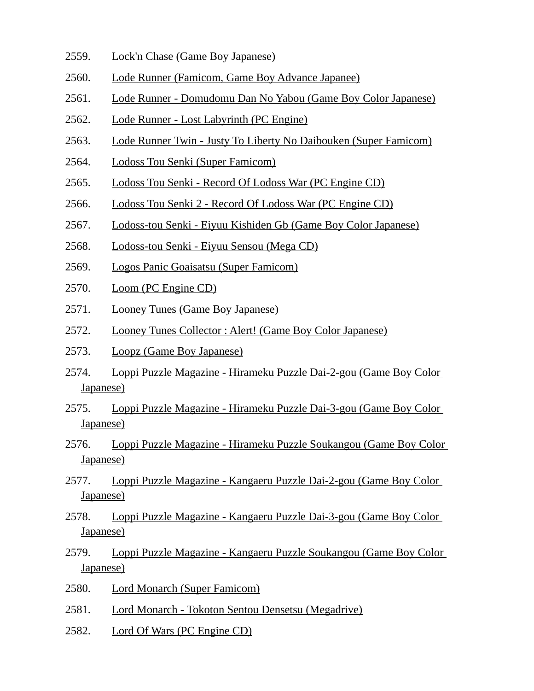- 2559. Lock'n Chase (Game Boy Japanese)
- 2560. Lode Runner (Famicom, Game Boy Advance Japanee)
- 2561. Lode Runner Domudomu Dan No Yabou (Game Boy Color Japanese)
- 2562. Lode Runner Lost Labyrinth (PC Engine)
- 2563. Lode Runner Twin Justy To Liberty No Daibouken (Super Famicom)
- 2564. Lodoss Tou Senki (Super Famicom)
- 2565. Lodoss Tou Senki Record Of Lodoss War (PC Engine CD)
- 2566. Lodoss Tou Senki 2 Record Of Lodoss War (PC Engine CD)
- 2567. Lodoss-tou Senki Eiyuu Kishiden Gb (Game Boy Color Japanese)
- 2568. Lodoss-tou Senki Eiyuu Sensou (Mega CD)
- 2569. Logos Panic Goaisatsu (Super Famicom)
- 2570. Loom (PC Engine CD)
- 2571. Looney Tunes (Game Boy Japanese)
- 2572. Looney Tunes Collector : Alert! (Game Boy Color Japanese)
- 2573. Loopz (Game Boy Japanese)
- 2574. Loppi Puzzle Magazine Hirameku Puzzle Dai-2-gou (Game Boy Color Japanese)
- 2575. Loppi Puzzle Magazine Hirameku Puzzle Dai-3-gou (Game Boy Color Japanese)
- 2576. Loppi Puzzle Magazine Hirameku Puzzle Soukangou (Game Boy Color Japanese)
- 2577. Loppi Puzzle Magazine Kangaeru Puzzle Dai-2-gou (Game Boy Color Japanese)
- 2578. Loppi Puzzle Magazine Kangaeru Puzzle Dai-3-gou (Game Boy Color Japanese)
- 2579. Loppi Puzzle Magazine Kangaeru Puzzle Soukangou (Game Boy Color Japanese)
- 2580. Lord Monarch (Super Famicom)
- 2581. Lord Monarch Tokoton Sentou Densetsu (Megadrive)
- 2582. Lord Of Wars (PC Engine CD)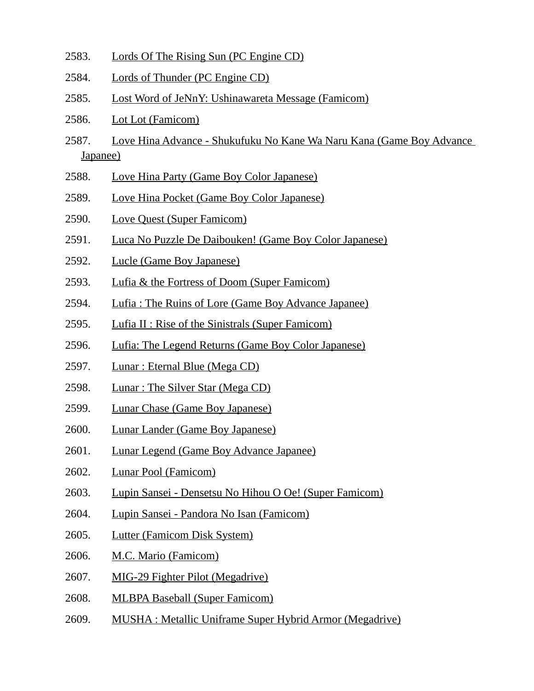- 2583. Lords Of The Rising Sun (PC Engine CD)
- 2584. Lords of Thunder (PC Engine CD)
- 2585. Lost Word of JeNnY: Ushinawareta Message (Famicom)
- 2586. Lot Lot (Famicom)
- 2587. Love Hina Advance Shukufuku No Kane Wa Naru Kana (Game Boy Advance Japanee)
- 2588. Love Hina Party (Game Boy Color Japanese)
- 2589. Love Hina Pocket (Game Boy Color Japanese)
- 2590. Love Quest (Super Famicom)
- 2591. Luca No Puzzle De Daibouken! (Game Boy Color Japanese)
- 2592. Lucle (Game Boy Japanese)
- 2593. Lufia & the Fortress of Doom (Super Famicom)
- 2594. Lufia : The Ruins of Lore (Game Boy Advance Japanee)
- 2595. Lufia II : Rise of the Sinistrals (Super Famicom)
- 2596. Lufia: The Legend Returns (Game Boy Color Japanese)
- 2597. Lunar : Eternal Blue (Mega CD)
- 2598. Lunar: The Silver Star (Mega CD)
- 2599. Lunar Chase (Game Boy Japanese)
- 2600. Lunar Lander (Game Boy Japanese)
- 2601. Lunar Legend (Game Boy Advance Japanee)
- 2602. Lunar Pool (Famicom)
- 2603. Lupin Sansei Densetsu No Hihou O Oe! (Super Famicom)
- 2604. Lupin Sansei Pandora No Isan (Famicom)
- 2605. Lutter (Famicom Disk System)
- 2606. M.C. Mario (Famicom)
- 2607. MIG-29 Fighter Pilot (Megadrive)
- 2608. MLBPA Baseball (Super Famicom)
- 2609. MUSHA : Metallic Uniframe Super Hybrid Armor (Megadrive)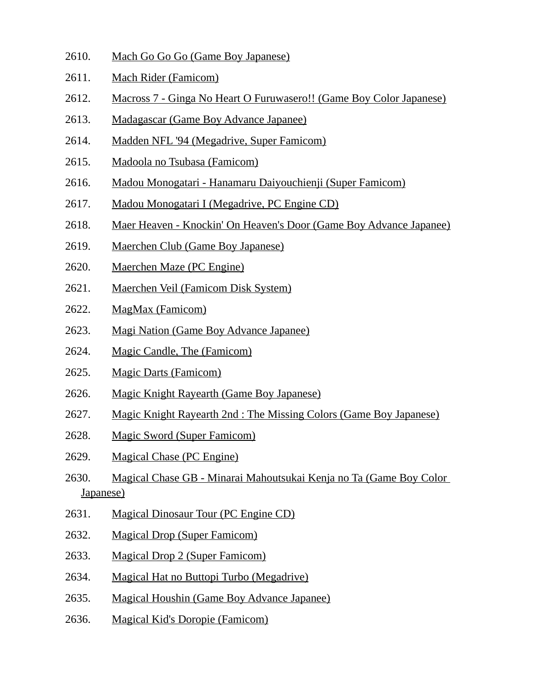- 2610. Mach Go Go Go (Game Boy Japanese)
- 2611. Mach Rider (Famicom)
- 2612. Macross 7 Ginga No Heart O Furuwasero!! (Game Boy Color Japanese)
- 2613. Madagascar (Game Boy Advance Japanee)
- 2614. Madden NFL '94 (Megadrive, Super Famicom)
- 2615. Madoola no Tsubasa (Famicom)
- 2616. Madou Monogatari Hanamaru Daiyouchienji (Super Famicom)
- 2617. Madou Monogatari I (Megadrive, PC Engine CD)
- 2618. Maer Heaven Knockin' On Heaven's Door (Game Boy Advance Japanee)
- 2619. Maerchen Club (Game Boy Japanese)
- 2620. Maerchen Maze (PC Engine)
- 2621. Maerchen Veil (Famicom Disk System)
- 2622. MagMax (Famicom)
- 2623. Magi Nation (Game Boy Advance Japanee)
- 2624. Magic Candle, The (Famicom)
- 2625. Magic Darts (Famicom)
- 2626. Magic Knight Rayearth (Game Boy Japanese)
- 2627. Magic Knight Rayearth 2nd : The Missing Colors (Game Boy Japanese)
- 2628. Magic Sword (Super Famicom)
- 2629. Magical Chase (PC Engine)
- 2630. Magical Chase GB Minarai Mahoutsukai Kenja no Ta (Game Boy Color Japanese)
- 2631. Magical Dinosaur Tour (PC Engine CD)
- 2632. Magical Drop (Super Famicom)
- 2633. Magical Drop 2 (Super Famicom)
- 2634. Magical Hat no Buttopi Turbo (Megadrive)
- 2635. Magical Houshin (Game Boy Advance Japanee)
- 2636. Magical Kid's Doropie (Famicom)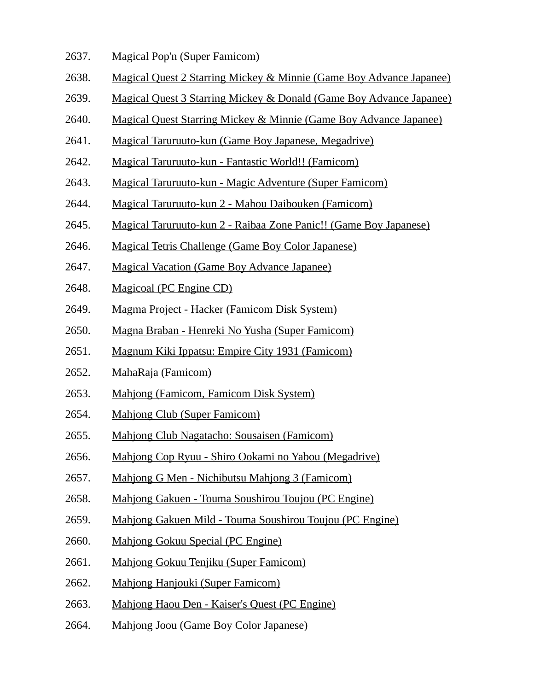- 2637. Magical Pop'n (Super Famicom)
- 2638. Magical Quest 2 Starring Mickey & Minnie (Game Boy Advance Japanee)
- 2639. Magical Quest 3 Starring Mickey & Donald (Game Boy Advance Japanee)
- 2640. Magical Quest Starring Mickey & Minnie (Game Boy Advance Japanee)
- 2641. Magical Taruruuto-kun (Game Boy Japanese, Megadrive)
- 2642. Magical Taruruuto-kun Fantastic World!! (Famicom)
- 2643. Magical Taruruuto-kun Magic Adventure (Super Famicom)
- 2644. Magical Taruruuto-kun 2 Mahou Daibouken (Famicom)
- 2645. Magical Taruruuto-kun 2 Raibaa Zone Panic!! (Game Boy Japanese)
- 2646. Magical Tetris Challenge (Game Boy Color Japanese)
- 2647. Magical Vacation (Game Boy Advance Japanee)
- 2648. Magicoal (PC Engine CD)
- 2649. Magma Project Hacker (Famicom Disk System)
- 2650. Magna Braban Henreki No Yusha (Super Famicom)
- 2651. Magnum Kiki Ippatsu: Empire City 1931 (Famicom)
- 2652. MahaRaja (Famicom)
- 2653. Mahjong (Famicom, Famicom Disk System)
- 2654. Mahjong Club (Super Famicom)
- 2655. Mahjong Club Nagatacho: Sousaisen (Famicom)
- 2656. Mahjong Cop Ryuu Shiro Ookami no Yabou (Megadrive)
- 2657. Mahjong G Men Nichibutsu Mahjong 3 (Famicom)
- 2658. Mahjong Gakuen Touma Soushirou Toujou (PC Engine)
- 2659. Mahjong Gakuen Mild Touma Soushirou Toujou (PC Engine)
- 2660. Mahjong Gokuu Special (PC Engine)
- 2661. Mahjong Gokuu Tenjiku (Super Famicom)
- 2662. Mahjong Hanjouki (Super Famicom)
- 2663. Mahjong Haou Den Kaiser's Quest (PC Engine)
- 2664. Mahjong Joou (Game Boy Color Japanese)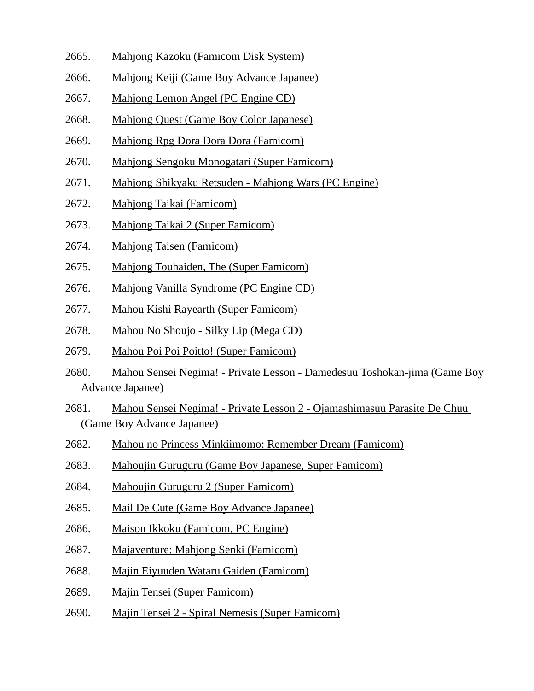- 2665. Mahjong Kazoku (Famicom Disk System)
- 2666. Mahjong Keiji (Game Boy Advance Japanee)
- 2667. Mahjong Lemon Angel (PC Engine CD)
- 2668. Mahjong Quest (Game Boy Color Japanese)
- 2669. Mahjong Rpg Dora Dora Dora (Famicom)
- 2670. Mahjong Sengoku Monogatari (Super Famicom)
- 2671. Mahjong Shikyaku Retsuden Mahjong Wars (PC Engine)
- 2672. Mahjong Taikai (Famicom)
- 2673. Mahjong Taikai 2 (Super Famicom)
- 2674. Mahjong Taisen (Famicom)
- 2675. Mahjong Touhaiden, The (Super Famicom)
- 2676. Mahjong Vanilla Syndrome (PC Engine CD)
- 2677. Mahou Kishi Rayearth (Super Famicom)
- 2678. Mahou No Shoujo Silky Lip (Mega CD)
- 2679. Mahou Poi Poi Poitto! (Super Famicom)
- 2680. Mahou Sensei Negima! Private Lesson Damedesuu Toshokan-jima (Game Boy Advance Japanee)
- 2681. Mahou Sensei Negima! Private Lesson 2 Ojamashimasuu Parasite De Chuu (Game Boy Advance Japanee)
- 2682. Mahou no Princess Minkiimomo: Remember Dream (Famicom)
- 2683. Mahoujin Guruguru (Game Boy Japanese, Super Famicom)
- 2684. Mahoujin Guruguru 2 (Super Famicom)
- 2685. Mail De Cute (Game Boy Advance Japanee)
- 2686. Maison Ikkoku (Famicom, PC Engine)
- 2687. Majaventure: Mahjong Senki (Famicom)
- 2688. Majin Eiyuuden Wataru Gaiden (Famicom)
- 2689. Majin Tensei (Super Famicom)
- 2690. Majin Tensei 2 Spiral Nemesis (Super Famicom)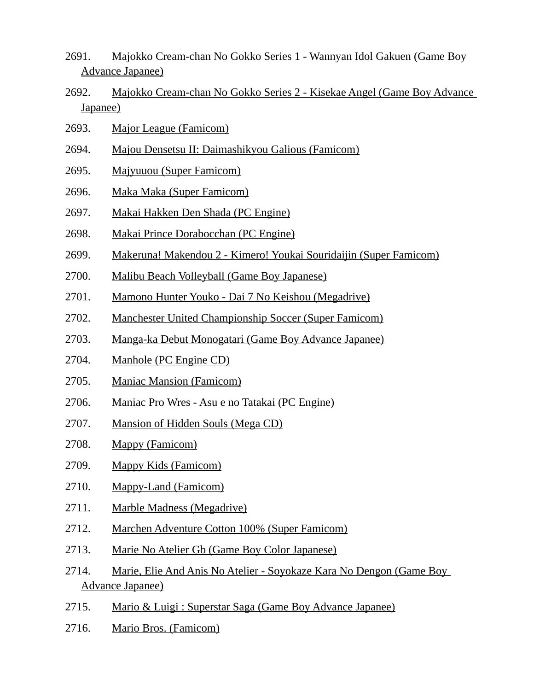- 2691. Majokko Cream-chan No Gokko Series 1 Wannyan Idol Gakuen (Game Boy Advance Japanee)
- 2692. Majokko Cream-chan No Gokko Series 2 Kisekae Angel (Game Boy Advance Japanee)
- 2693. Major League (Famicom)
- 2694. Majou Densetsu II: Daimashikyou Galious (Famicom)
- 2695. Majyuuou (Super Famicom)
- 2696. Maka Maka (Super Famicom)
- 2697. Makai Hakken Den Shada (PC Engine)
- 2698. Makai Prince Dorabocchan (PC Engine)
- 2699. Makeruna! Makendou 2 Kimero! Youkai Souridaijin (Super Famicom)
- 2700. Malibu Beach Volleyball (Game Boy Japanese)
- 2701. Mamono Hunter Youko Dai 7 No Keishou (Megadrive)
- 2702. Manchester United Championship Soccer (Super Famicom)
- 2703. Manga-ka Debut Monogatari (Game Boy Advance Japanee)
- 2704. Manhole (PC Engine CD)
- 2705. Maniac Mansion (Famicom)
- 2706. Maniac Pro Wres Asu e no Tatakai (PC Engine)
- 2707. Mansion of Hidden Souls (Mega CD)
- 2708. Mappy (Famicom)
- 2709. Mappy Kids (Famicom)
- 2710. Mappy-Land (Famicom)
- 2711. Marble Madness (Megadrive)
- 2712. Marchen Adventure Cotton 100% (Super Famicom)
- 2713. Marie No Atelier Gb (Game Boy Color Japanese)
- 2714. Marie, Elie And Anis No Atelier Soyokaze Kara No Dengon (Game Boy Advance Japanee)
- 2715. Mario & Luigi : Superstar Saga (Game Boy Advance Japanee)
- 2716. Mario Bros. (Famicom)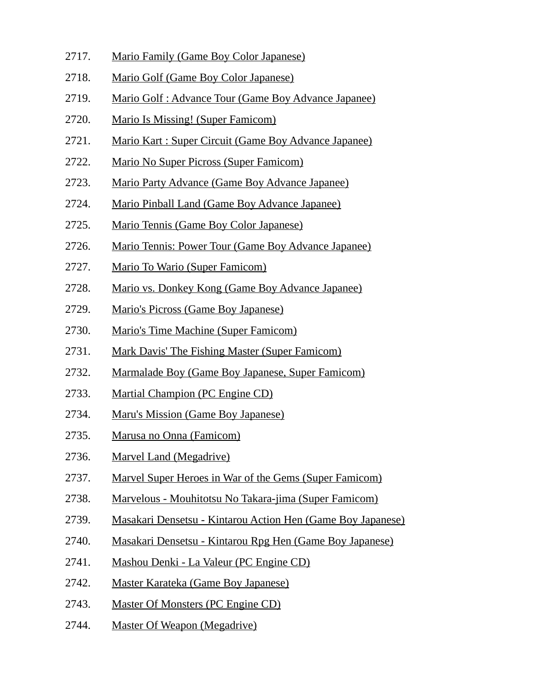- 2717. Mario Family (Game Boy Color Japanese)
- 2718. Mario Golf (Game Boy Color Japanese)
- 2719. Mario Golf : Advance Tour (Game Boy Advance Japanee)
- 2720. Mario Is Missing! (Super Famicom)
- 2721. Mario Kart : Super Circuit (Game Boy Advance Japanee)
- 2722. Mario No Super Picross (Super Famicom)
- 2723. Mario Party Advance (Game Boy Advance Japanee)
- 2724. Mario Pinball Land (Game Boy Advance Japanee)
- 2725. Mario Tennis (Game Boy Color Japanese)
- 2726. Mario Tennis: Power Tour (Game Boy Advance Japanee)
- 2727. Mario To Wario (Super Famicom)
- 2728. Mario vs. Donkey Kong (Game Boy Advance Japanee)
- 2729. Mario's Picross (Game Boy Japanese)
- 2730. Mario's Time Machine (Super Famicom)
- 2731. Mark Davis' The Fishing Master (Super Famicom)
- 2732. Marmalade Boy (Game Boy Japanese, Super Famicom)
- 2733. Martial Champion (PC Engine CD)
- 2734. Maru's Mission (Game Boy Japanese)
- 2735. Marusa no Onna (Famicom)
- 2736. Marvel Land (Megadrive)
- 2737. Marvel Super Heroes in War of the Gems (Super Famicom)
- 2738. Marvelous Mouhitotsu No Takara-jima (Super Famicom)
- 2739. Masakari Densetsu Kintarou Action Hen (Game Boy Japanese)
- 2740. Masakari Densetsu Kintarou Rpg Hen (Game Boy Japanese)
- 2741. Mashou Denki La Valeur (PC Engine CD)
- 2742. Master Karateka (Game Boy Japanese)
- 2743. Master Of Monsters (PC Engine CD)
- 2744. Master Of Weapon (Megadrive)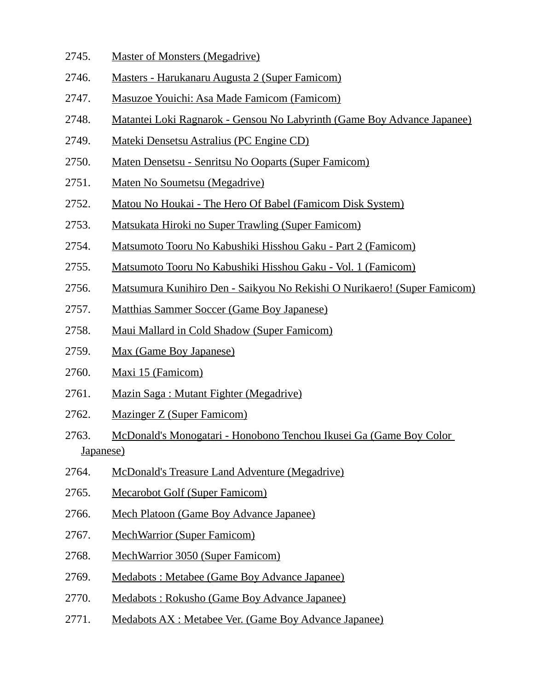- 2745. Master of Monsters (Megadrive)
- 2746. Masters Harukanaru Augusta 2 (Super Famicom)
- 2747. Masuzoe Youichi: Asa Made Famicom (Famicom)
- 2748. Matantei Loki Ragnarok Gensou No Labyrinth (Game Boy Advance Japanee)
- 2749. Mateki Densetsu Astralius (PC Engine CD)
- 2750. Maten Densetsu Senritsu No Ooparts (Super Famicom)
- 2751. Maten No Soumetsu (Megadrive)
- 2752. Matou No Houkai The Hero Of Babel (Famicom Disk System)
- 2753. Matsukata Hiroki no Super Trawling (Super Famicom)
- 2754. Matsumoto Tooru No Kabushiki Hisshou Gaku Part 2 (Famicom)
- 2755. Matsumoto Tooru No Kabushiki Hisshou Gaku Vol. 1 (Famicom)
- 2756. Matsumura Kunihiro Den Saikyou No Rekishi O Nurikaero! (Super Famicom)
- 2757. Matthias Sammer Soccer (Game Boy Japanese)
- 2758. Maui Mallard in Cold Shadow (Super Famicom)
- 2759. Max (Game Boy Japanese)
- 2760. Maxi 15 (Famicom)
- 2761. Mazin Saga : Mutant Fighter (Megadrive)
- 2762. Mazinger Z (Super Famicom)
- 2763. McDonald's Monogatari Honobono Tenchou Ikusei Ga (Game Boy Color Japanese)
- 2764. McDonald's Treasure Land Adventure (Megadrive)
- 2765. Mecarobot Golf (Super Famicom)
- 2766. Mech Platoon (Game Boy Advance Japanee)
- 2767. MechWarrior (Super Famicom)
- 2768. MechWarrior 3050 (Super Famicom)
- 2769. Medabots : Metabee (Game Boy Advance Japanee)
- 2770. Medabots : Rokusho (Game Boy Advance Japanee)
- 2771. Medabots AX : Metabee Ver. (Game Boy Advance Japanee)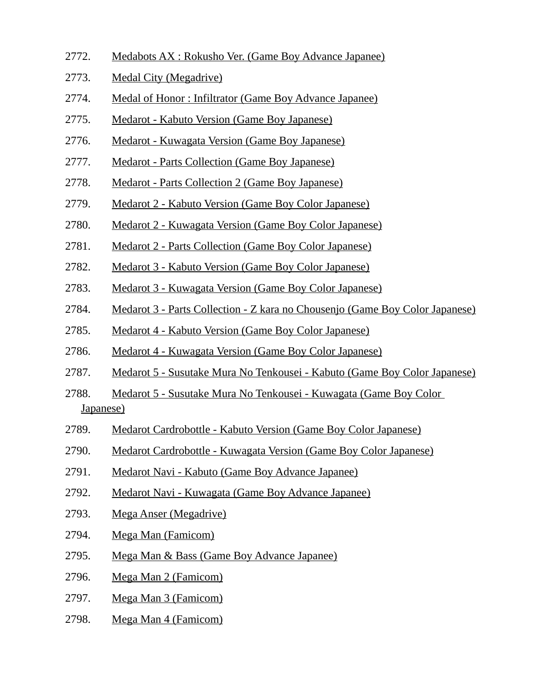- 2772. Medabots AX : Rokusho Ver. (Game Boy Advance Japanee)
- 2773. Medal City (Megadrive)
- 2774. Medal of Honor : Infiltrator (Game Boy Advance Japanee)
- 2775. Medarot Kabuto Version (Game Boy Japanese)
- 2776. Medarot Kuwagata Version (Game Boy Japanese)
- 2777. Medarot Parts Collection (Game Boy Japanese)
- 2778. Medarot Parts Collection 2 (Game Boy Japanese)
- 2779. Medarot 2 Kabuto Version (Game Boy Color Japanese)
- 2780. Medarot 2 Kuwagata Version (Game Boy Color Japanese)
- 2781. Medarot 2 Parts Collection (Game Boy Color Japanese)
- 2782. Medarot 3 Kabuto Version (Game Boy Color Japanese)
- 2783. Medarot 3 Kuwagata Version (Game Boy Color Japanese)
- 2784. Medarot 3 Parts Collection Z kara no Chousenjo (Game Boy Color Japanese)
- 2785. Medarot 4 Kabuto Version (Game Boy Color Japanese)
- 2786. Medarot 4 Kuwagata Version (Game Boy Color Japanese)
- 2787. Medarot 5 Susutake Mura No Tenkousei Kabuto (Game Boy Color Japanese)
- 2788. Medarot 5 Susutake Mura No Tenkousei Kuwagata (Game Boy Color Japanese)
- 2789. Medarot Cardrobottle Kabuto Version (Game Boy Color Japanese)
- 2790. Medarot Cardrobottle Kuwagata Version (Game Boy Color Japanese)
- 2791. Medarot Navi Kabuto (Game Boy Advance Japanee)
- 2792. Medarot Navi Kuwagata (Game Boy Advance Japanee)
- 2793. Mega Anser (Megadrive)
- 2794. Mega Man (Famicom)
- 2795. Mega Man & Bass (Game Boy Advance Japanee)
- 2796. Mega Man 2 (Famicom)
- 2797. Mega Man 3 (Famicom)
- 2798. Mega Man 4 (Famicom)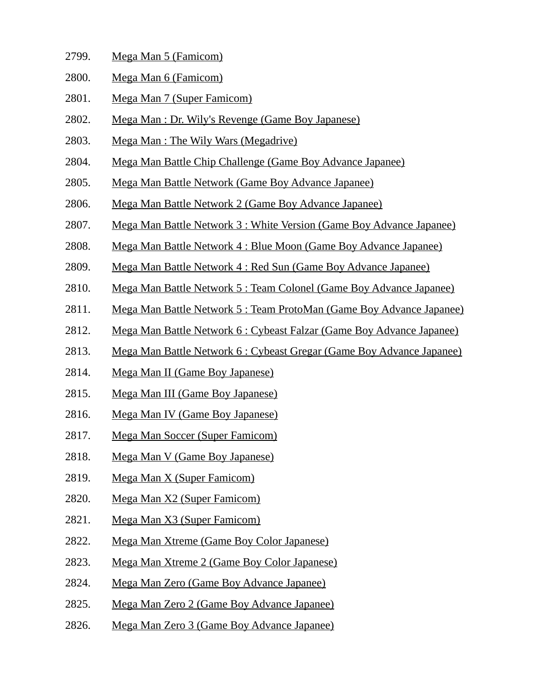- 2799. Mega Man 5 (Famicom)
- 2800. Mega Man 6 (Famicom)
- 2801. Mega Man 7 (Super Famicom)
- 2802. Mega Man : Dr. Wily's Revenge (Game Boy Japanese)
- 2803. Mega Man : The Wily Wars (Megadrive)
- 2804. Mega Man Battle Chip Challenge (Game Boy Advance Japanee)
- 2805. Mega Man Battle Network (Game Boy Advance Japanee)
- 2806. Mega Man Battle Network 2 (Game Boy Advance Japanee)
- 2807. Mega Man Battle Network 3 : White Version (Game Boy Advance Japanee)
- 2808. Mega Man Battle Network 4 : Blue Moon (Game Boy Advance Japanee)
- 2809. Mega Man Battle Network 4 : Red Sun (Game Boy Advance Japanee)
- 2810. Mega Man Battle Network 5 : Team Colonel (Game Boy Advance Japanee)
- 2811. Mega Man Battle Network 5 : Team ProtoMan (Game Boy Advance Japanee)
- 2812. Mega Man Battle Network 6 : Cybeast Falzar (Game Boy Advance Japanee)
- 2813. Mega Man Battle Network 6 : Cybeast Gregar (Game Boy Advance Japanee)
- 2814. Mega Man II (Game Boy Japanese)
- 2815. Mega Man III (Game Boy Japanese)
- 2816. Mega Man IV (Game Boy Japanese)
- 2817. Mega Man Soccer (Super Famicom)
- 2818. Mega Man V (Game Boy Japanese)
- 2819. Mega Man X (Super Famicom)
- 2820. Mega Man X2 (Super Famicom)
- 2821. Mega Man X3 (Super Famicom)
- 2822. Mega Man Xtreme (Game Boy Color Japanese)
- 2823. Mega Man Xtreme 2 (Game Boy Color Japanese)
- 2824. Mega Man Zero (Game Boy Advance Japanee)
- 2825. Mega Man Zero 2 (Game Boy Advance Japanee)
- 2826. Mega Man Zero 3 (Game Boy Advance Japanee)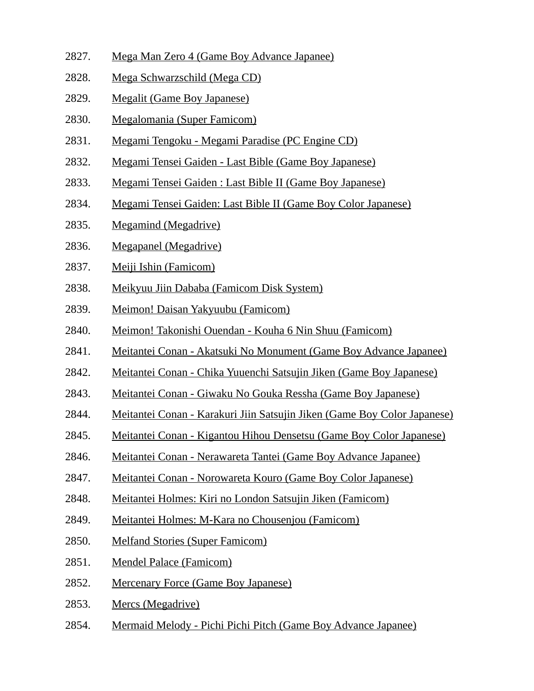- 2827. Mega Man Zero 4 (Game Boy Advance Japanee)
- 2828. Mega Schwarzschild (Mega CD)
- 2829. Megalit (Game Boy Japanese)
- 2830. Megalomania (Super Famicom)
- 2831. Megami Tengoku Megami Paradise (PC Engine CD)
- 2832. Megami Tensei Gaiden Last Bible (Game Boy Japanese)
- 2833. Megami Tensei Gaiden : Last Bible II (Game Boy Japanese)
- 2834. Megami Tensei Gaiden: Last Bible II (Game Boy Color Japanese)
- 2835. Megamind (Megadrive)
- 2836. Megapanel (Megadrive)
- 2837. Meiji Ishin (Famicom)
- 2838. Meikyuu Jiin Dababa (Famicom Disk System)
- 2839. Meimon! Daisan Yakyuubu (Famicom)
- 2840. Meimon! Takonishi Ouendan Kouha 6 Nin Shuu (Famicom)
- 2841. Meitantei Conan Akatsuki No Monument (Game Boy Advance Japanee)
- 2842. Meitantei Conan Chika Yuuenchi Satsujin Jiken (Game Boy Japanese)
- 2843. Meitantei Conan Giwaku No Gouka Ressha (Game Boy Japanese)
- 2844. Meitantei Conan Karakuri Jiin Satsujin Jiken (Game Boy Color Japanese)
- 2845. Meitantei Conan Kigantou Hihou Densetsu (Game Boy Color Japanese)
- 2846. Meitantei Conan Nerawareta Tantei (Game Boy Advance Japanee)
- 2847. Meitantei Conan Norowareta Kouro (Game Boy Color Japanese)
- 2848. Meitantei Holmes: Kiri no London Satsujin Jiken (Famicom)
- 2849. Meitantei Holmes: M-Kara no Chousenjou (Famicom)
- 2850. Melfand Stories (Super Famicom)
- 2851. Mendel Palace (Famicom)
- 2852. Mercenary Force (Game Boy Japanese)
- 2853. Mercs (Megadrive)
- 2854. Mermaid Melody Pichi Pichi Pitch (Game Boy Advance Japanee)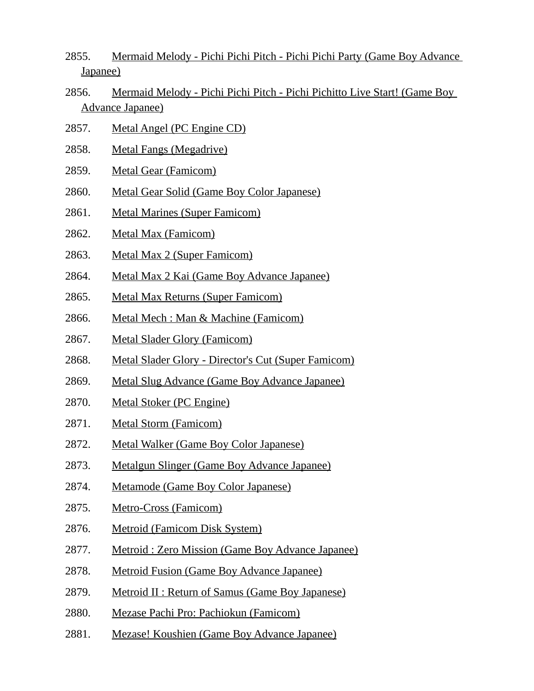- 2855. Mermaid Melody Pichi Pichi Pitch Pichi Pichi Party (Game Boy Advance Japanee)
- 2856. Mermaid Melody Pichi Pichi Pitch Pichi Pichitto Live Start! (Game Boy Advance Japanee)
- 2857. Metal Angel (PC Engine CD)
- 2858. Metal Fangs (Megadrive)
- 2859. Metal Gear (Famicom)
- 2860. Metal Gear Solid (Game Boy Color Japanese)
- 2861. Metal Marines (Super Famicom)
- 2862. Metal Max (Famicom)
- 2863. Metal Max 2 (Super Famicom)
- 2864. Metal Max 2 Kai (Game Boy Advance Japanee)
- 2865. Metal Max Returns (Super Famicom)
- 2866. Metal Mech : Man & Machine (Famicom)
- 2867. Metal Slader Glory (Famicom)
- 2868. Metal Slader Glory Director's Cut (Super Famicom)
- 2869. Metal Slug Advance (Game Boy Advance Japanee)
- 2870. Metal Stoker (PC Engine)
- 2871. Metal Storm (Famicom)
- 2872. Metal Walker (Game Boy Color Japanese)
- 2873. Metalgun Slinger (Game Boy Advance Japanee)
- 2874. Metamode (Game Boy Color Japanese)
- 2875. Metro-Cross (Famicom)
- 2876. Metroid (Famicom Disk System)
- 2877. Metroid : Zero Mission (Game Boy Advance Japanee)
- 2878. Metroid Fusion (Game Boy Advance Japanee)
- 2879. Metroid II : Return of Samus (Game Boy Japanese)
- 2880. Mezase Pachi Pro: Pachiokun (Famicom)
- 2881. Mezase! Koushien (Game Boy Advance Japanee)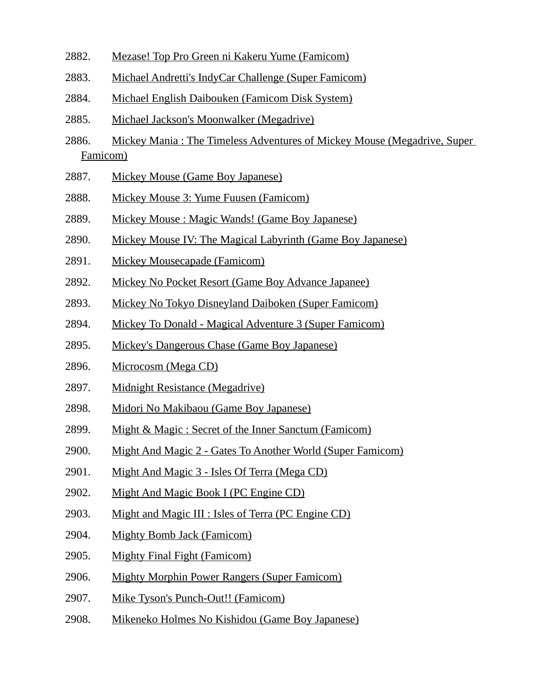- 2882. Mezase! Top Pro Green ni Kakeru Yume (Famicom)
- 2883. Michael Andretti's IndyCar Challenge (Super Famicom)
- 2884. Michael English Daibouken (Famicom Disk System)
- 2885. Michael Jackson's Moonwalker (Megadrive)
- 2886. Mickey Mania : The Timeless Adventures of Mickey Mouse (Megadrive, Super Famicom)
- 2887. Mickey Mouse (Game Boy Japanese)
- 2888. Mickey Mouse 3: Yume Fuusen (Famicom)
- 2889. Mickey Mouse : Magic Wands! (Game Boy Japanese)
- 2890. Mickey Mouse IV: The Magical Labyrinth (Game Boy Japanese)
- 2891. Mickey Mousecapade (Famicom)
- 2892. Mickey No Pocket Resort (Game Boy Advance Japanee)
- 2893. Mickey No Tokyo Disneyland Daiboken (Super Famicom)
- 2894. Mickey To Donald Magical Adventure 3 (Super Famicom)
- 2895. Mickey's Dangerous Chase (Game Boy Japanese)
- 2896. Microcosm (Mega CD)
- 2897. Midnight Resistance (Megadrive)
- 2898. Midori No Makibaou (Game Boy Japanese)
- 2899. Might & Magic : Secret of the Inner Sanctum (Famicom)
- 2900. Might And Magic 2 Gates To Another World (Super Famicom)
- 2901. Might And Magic 3 Isles Of Terra (Mega CD)
- 2902. Might And Magic Book I (PC Engine CD)
- 2903. Might and Magic III : Isles of Terra (PC Engine CD)
- 2904. Mighty Bomb Jack (Famicom)
- 2905. Mighty Final Fight (Famicom)
- 2906. Mighty Morphin Power Rangers (Super Famicom)
- 2907. Mike Tyson's Punch-Out!! (Famicom)
- 2908. Mikeneko Holmes No Kishidou (Game Boy Japanese)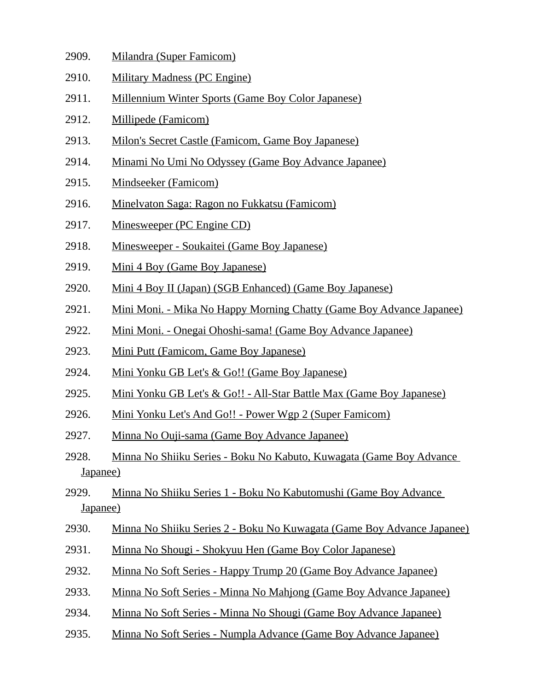- 2909. Milandra (Super Famicom)
- 2910. Military Madness (PC Engine)
- 2911. Millennium Winter Sports (Game Boy Color Japanese)
- 2912. Millipede (Famicom)
- 2913. Milon's Secret Castle (Famicom, Game Boy Japanese)
- 2914. Minami No Umi No Odyssey (Game Boy Advance Japanee)
- 2915. Mindseeker (Famicom)
- 2916. Minelvaton Saga: Ragon no Fukkatsu (Famicom)
- 2917. Minesweeper (PC Engine CD)
- 2918. Minesweeper Soukaitei (Game Boy Japanese)
- 2919. Mini 4 Boy (Game Boy Japanese)
- 2920. Mini 4 Boy II (Japan) (SGB Enhanced) (Game Boy Japanese)
- 2921. Mini Moni. Mika No Happy Morning Chatty (Game Boy Advance Japanee)
- 2922. Mini Moni. Onegai Ohoshi-sama! (Game Boy Advance Japanee)
- 2923. Mini Putt (Famicom, Game Boy Japanese)
- 2924. Mini Yonku GB Let's & Go!! (Game Boy Japanese)
- 2925. Mini Yonku GB Let's & Go!! All-Star Battle Max (Game Boy Japanese)
- 2926. Mini Yonku Let's And Go!! Power Wgp 2 (Super Famicom)
- 2927. Minna No Ouji-sama (Game Boy Advance Japanee)
- 2928. Minna No Shiiku Series Boku No Kabuto, Kuwagata (Game Boy Advance Japanee)
- 2929. Minna No Shiiku Series 1 Boku No Kabutomushi (Game Boy Advance Japanee)
- 2930. Minna No Shiiku Series 2 Boku No Kuwagata (Game Boy Advance Japanee)
- 2931. Minna No Shougi Shokyuu Hen (Game Boy Color Japanese)
- 2932. Minna No Soft Series Happy Trump 20 (Game Boy Advance Japanee)
- 2933. Minna No Soft Series Minna No Mahjong (Game Boy Advance Japanee)
- 2934. Minna No Soft Series Minna No Shougi (Game Boy Advance Japanee)
- 2935. Minna No Soft Series Numpla Advance (Game Boy Advance Japanee)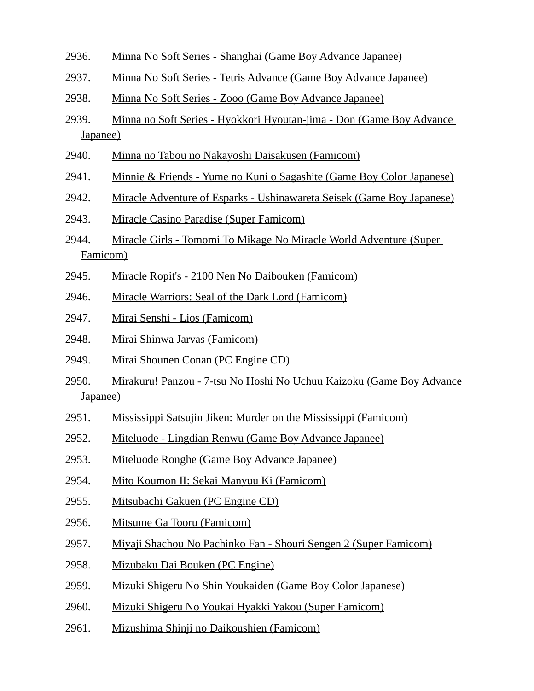- 2936. Minna No Soft Series Shanghai (Game Boy Advance Japanee)
- 2937. Minna No Soft Series Tetris Advance (Game Boy Advance Japanee)
- 2938. Minna No Soft Series Zooo (Game Boy Advance Japanee)
- 2939. Minna no Soft Series Hyokkori Hyoutan-jima Don (Game Boy Advance Japanee)
- 2940. Minna no Tabou no Nakayoshi Daisakusen (Famicom)
- 2941. Minnie & Friends Yume no Kuni o Sagashite (Game Boy Color Japanese)
- 2942. Miracle Adventure of Esparks Ushinawareta Seisek (Game Boy Japanese)
- 2943. Miracle Casino Paradise (Super Famicom)
- 2944. Miracle Girls Tomomi To Mikage No Miracle World Adventure (Super Famicom)
- 2945. Miracle Ropit's 2100 Nen No Daibouken (Famicom)
- 2946. Miracle Warriors: Seal of the Dark Lord (Famicom)
- 2947. Mirai Senshi Lios (Famicom)
- 2948. Mirai Shinwa Jarvas (Famicom)
- 2949. Mirai Shounen Conan (PC Engine CD)
- 2950. Mirakuru! Panzou 7-tsu No Hoshi No Uchuu Kaizoku (Game Boy Advance Japanee)
- 2951. Mississippi Satsujin Jiken: Murder on the Mississippi (Famicom)
- 2952. Miteluode Lingdian Renwu (Game Boy Advance Japanee)
- 2953. Miteluode Ronghe (Game Boy Advance Japanee)
- 2954. Mito Koumon II: Sekai Manyuu Ki (Famicom)
- 2955. Mitsubachi Gakuen (PC Engine CD)
- 2956. Mitsume Ga Tooru (Famicom)
- 2957. Miyaji Shachou No Pachinko Fan Shouri Sengen 2 (Super Famicom)
- 2958. Mizubaku Dai Bouken (PC Engine)
- 2959. Mizuki Shigeru No Shin Youkaiden (Game Boy Color Japanese)
- 2960. Mizuki Shigeru No Youkai Hyakki Yakou (Super Famicom)
- 2961. Mizushima Shinji no Daikoushien (Famicom)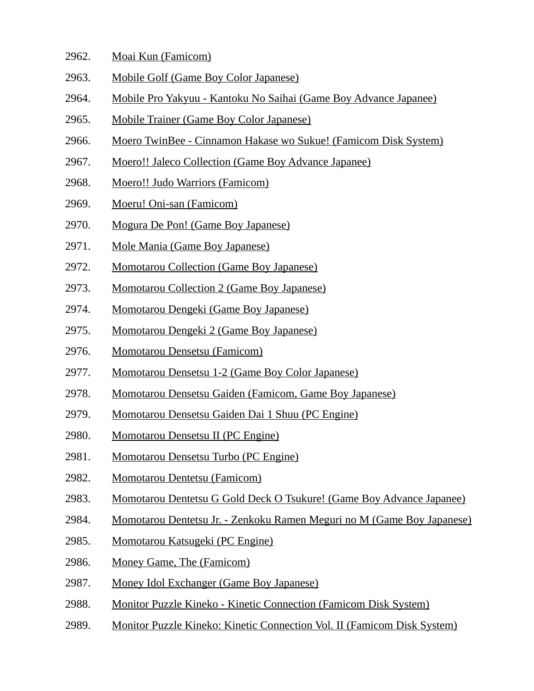- 2962. Moai Kun (Famicom)
- 2963. Mobile Golf (Game Boy Color Japanese)
- 2964. Mobile Pro Yakyuu Kantoku No Saihai (Game Boy Advance Japanee)
- 2965. Mobile Trainer (Game Boy Color Japanese)
- 2966. Moero TwinBee Cinnamon Hakase wo Sukue! (Famicom Disk System)
- 2967. Moero!! Jaleco Collection (Game Boy Advance Japanee)
- 2968. Moero!! Judo Warriors (Famicom)
- 2969. Moeru! Oni-san (Famicom)
- 2970. Mogura De Pon! (Game Boy Japanese)
- 2971. Mole Mania (Game Boy Japanese)
- 2972. Momotarou Collection (Game Boy Japanese)
- 2973. Momotarou Collection 2 (Game Boy Japanese)
- 2974. Momotarou Dengeki (Game Boy Japanese)
- 2975. Momotarou Dengeki 2 (Game Boy Japanese)
- 2976. Momotarou Densetsu (Famicom)
- 2977. Momotarou Densetsu 1-2 (Game Boy Color Japanese)
- 2978. Momotarou Densetsu Gaiden (Famicom, Game Boy Japanese)
- 2979. Momotarou Densetsu Gaiden Dai 1 Shuu (PC Engine)
- 2980. Momotarou Densetsu II (PC Engine)
- 2981. Momotarou Densetsu Turbo (PC Engine)
- 2982. Momotarou Dentetsu (Famicom)
- 2983. Momotarou Dentetsu G Gold Deck O Tsukure! (Game Boy Advance Japanee)
- 2984. Momotarou Dentetsu Jr. Zenkoku Ramen Meguri no M (Game Boy Japanese)
- 2985. Momotarou Katsugeki (PC Engine)
- 2986. Money Game, The (Famicom)
- 2987. Money Idol Exchanger (Game Boy Japanese)
- 2988. Monitor Puzzle Kineko Kinetic Connection (Famicom Disk System)
- 2989. Monitor Puzzle Kineko: Kinetic Connection Vol. II (Famicom Disk System)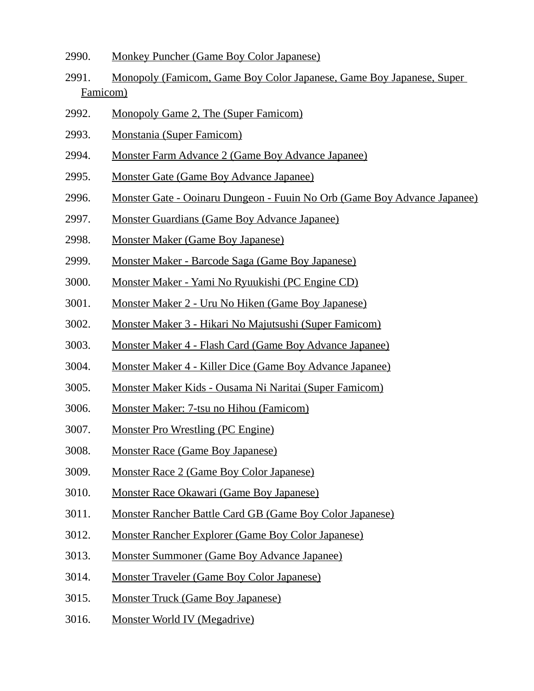- 2990. Monkey Puncher (Game Boy Color Japanese)
- 2991. Monopoly (Famicom, Game Boy Color Japanese, Game Boy Japanese, Super Famicom)
- 2992. Monopoly Game 2, The (Super Famicom)
- 2993. Monstania (Super Famicom)
- 2994. Monster Farm Advance 2 (Game Boy Advance Japanee)
- 2995. Monster Gate (Game Boy Advance Japanee)
- 2996. Monster Gate Ooinaru Dungeon Fuuin No Orb (Game Boy Advance Japanee)
- 2997. Monster Guardians (Game Boy Advance Japanee)
- 2998. Monster Maker (Game Boy Japanese)
- 2999. Monster Maker Barcode Saga (Game Boy Japanese)
- 3000. Monster Maker Yami No Ryuukishi (PC Engine CD)
- 3001. Monster Maker 2 Uru No Hiken (Game Boy Japanese)
- 3002. Monster Maker 3 Hikari No Majutsushi (Super Famicom)
- 3003. Monster Maker 4 Flash Card (Game Boy Advance Japanee)
- 3004. Monster Maker 4 Killer Dice (Game Boy Advance Japanee)
- 3005. Monster Maker Kids Ousama Ni Naritai (Super Famicom)
- 3006. Monster Maker: 7-tsu no Hihou (Famicom)
- 3007. Monster Pro Wrestling (PC Engine)
- 3008. Monster Race (Game Boy Japanese)
- 3009. Monster Race 2 (Game Boy Color Japanese)
- 3010. Monster Race Okawari (Game Boy Japanese)
- 3011. Monster Rancher Battle Card GB (Game Boy Color Japanese)
- 3012. Monster Rancher Explorer (Game Boy Color Japanese)
- 3013. Monster Summoner (Game Boy Advance Japanee)
- 3014. Monster Traveler (Game Boy Color Japanese)
- 3015. Monster Truck (Game Boy Japanese)
- 3016. Monster World IV (Megadrive)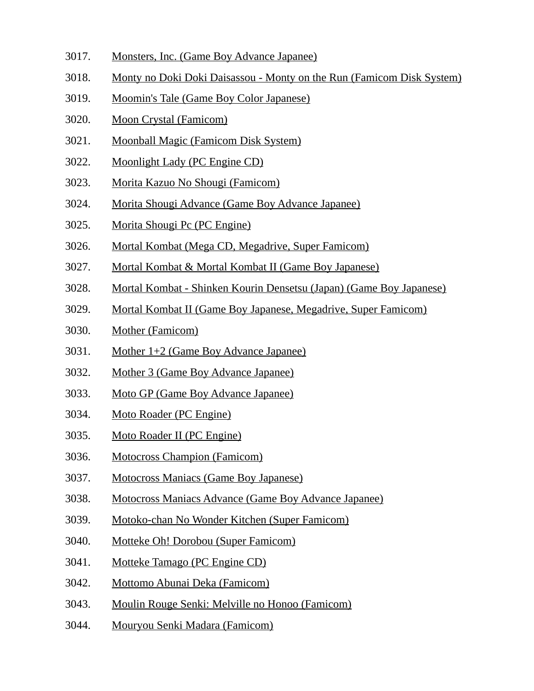- 3017. Monsters, Inc. (Game Boy Advance Japanee)
- 3018. Monty no Doki Doki Daisassou Monty on the Run (Famicom Disk System)
- 3019. Moomin's Tale (Game Boy Color Japanese)
- 3020. Moon Crystal (Famicom)
- 3021. Moonball Magic (Famicom Disk System)
- 3022. Moonlight Lady (PC Engine CD)
- 3023. Morita Kazuo No Shougi (Famicom)
- 3024. Morita Shougi Advance (Game Boy Advance Japanee)
- 3025. Morita Shougi Pc (PC Engine)
- 3026. Mortal Kombat (Mega CD, Megadrive, Super Famicom)
- 3027. Mortal Kombat & Mortal Kombat II (Game Boy Japanese)
- 3028. Mortal Kombat Shinken Kourin Densetsu (Japan) (Game Boy Japanese)
- 3029. Mortal Kombat II (Game Boy Japanese, Megadrive, Super Famicom)
- 3030. Mother (Famicom)
- 3031. Mother 1+2 (Game Boy Advance Japanee)
- 3032. Mother 3 (Game Boy Advance Japanee)
- 3033. Moto GP (Game Boy Advance Japanee)
- 3034. Moto Roader (PC Engine)
- 3035. Moto Roader II (PC Engine)
- 3036. Motocross Champion (Famicom)
- 3037. Motocross Maniacs (Game Boy Japanese)
- 3038. Motocross Maniacs Advance (Game Boy Advance Japanee)
- 3039. Motoko-chan No Wonder Kitchen (Super Famicom)
- 3040. Motteke Oh! Dorobou (Super Famicom)
- 3041. Motteke Tamago (PC Engine CD)
- 3042. Mottomo Abunai Deka (Famicom)
- 3043. Moulin Rouge Senki: Melville no Honoo (Famicom)
- 3044. Mouryou Senki Madara (Famicom)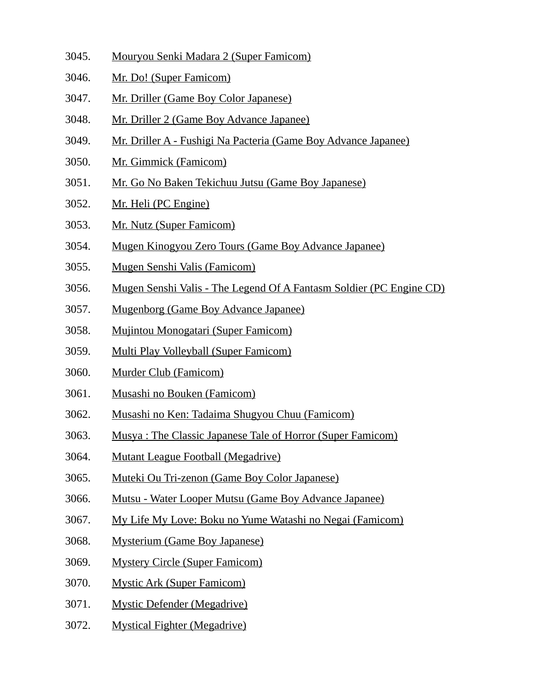- 3045. Mouryou Senki Madara 2 (Super Famicom)
- 3046. Mr. Do! (Super Famicom)
- 3047. Mr. Driller (Game Boy Color Japanese)
- 3048. Mr. Driller 2 (Game Boy Advance Japanee)
- 3049. Mr. Driller A Fushigi Na Pacteria (Game Boy Advance Japanee)
- 3050. Mr. Gimmick (Famicom)
- 3051. Mr. Go No Baken Tekichuu Jutsu (Game Boy Japanese)
- 3052. Mr. Heli (PC Engine)
- 3053. Mr. Nutz (Super Famicom)
- 3054. Mugen Kinogyou Zero Tours (Game Boy Advance Japanee)
- 3055. Mugen Senshi Valis (Famicom)
- 3056. Mugen Senshi Valis The Legend Of A Fantasm Soldier (PC Engine CD)
- 3057. Mugenborg (Game Boy Advance Japanee)
- 3058. Mujintou Monogatari (Super Famicom)
- 3059. Multi Play Volleyball (Super Famicom)
- 3060. Murder Club (Famicom)
- 3061. Musashi no Bouken (Famicom)
- 3062. Musashi no Ken: Tadaima Shugyou Chuu (Famicom)
- 3063. Musya : The Classic Japanese Tale of Horror (Super Famicom)
- 3064. Mutant League Football (Megadrive)
- 3065. Muteki Ou Tri-zenon (Game Boy Color Japanese)
- 3066. Mutsu Water Looper Mutsu (Game Boy Advance Japanee)
- 3067. My Life My Love: Boku no Yume Watashi no Negai (Famicom)
- 3068. Mysterium (Game Boy Japanese)
- 3069. Mystery Circle (Super Famicom)
- 3070. Mystic Ark (Super Famicom)
- 3071. Mystic Defender (Megadrive)
- 3072. Mystical Fighter (Megadrive)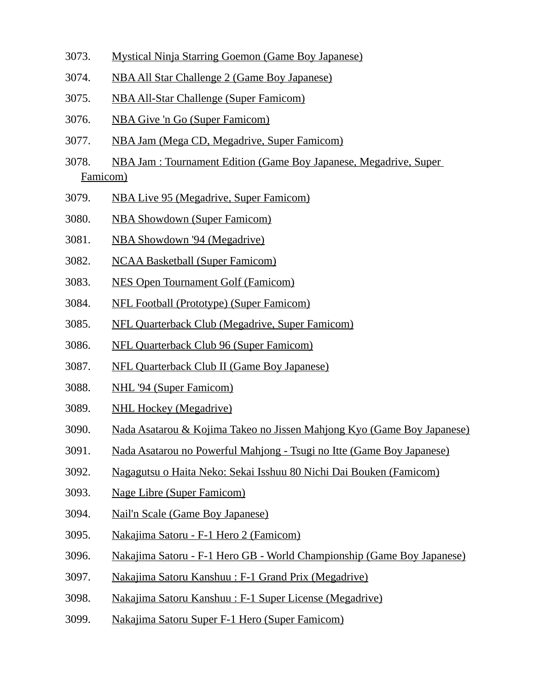- 3073. Mystical Ninja Starring Goemon (Game Boy Japanese)
- 3074. NBA All Star Challenge 2 (Game Boy Japanese)
- 3075. NBA All-Star Challenge (Super Famicom)
- 3076. NBA Give 'n Go (Super Famicom)
- 3077. NBA Jam (Mega CD, Megadrive, Super Famicom)
- 3078. NBA Jam : Tournament Edition (Game Boy Japanese, Megadrive, Super Famicom)
- 3079. NBA Live 95 (Megadrive, Super Famicom)
- 3080. NBA Showdown (Super Famicom)
- 3081. NBA Showdown '94 (Megadrive)
- 3082. NCAA Basketball (Super Famicom)
- 3083. NES Open Tournament Golf (Famicom)
- 3084. NFL Football (Prototype) (Super Famicom)
- 3085. NFL Quarterback Club (Megadrive, Super Famicom)
- 3086. NFL Quarterback Club 96 (Super Famicom)
- 3087. NFL Quarterback Club II (Game Boy Japanese)
- 3088. NHL '94 (Super Famicom)
- 3089. NHL Hockey (Megadrive)
- 3090. Nada Asatarou & Kojima Takeo no Jissen Mahjong Kyo (Game Boy Japanese)
- 3091. Nada Asatarou no Powerful Mahjong Tsugi no Itte (Game Boy Japanese)
- 3092. Nagagutsu o Haita Neko: Sekai Isshuu 80 Nichi Dai Bouken (Famicom)
- 3093. Nage Libre (Super Famicom)
- 3094. Nail'n Scale (Game Boy Japanese)
- 3095. Nakajima Satoru F-1 Hero 2 (Famicom)
- 3096. Nakajima Satoru F-1 Hero GB World Championship (Game Boy Japanese)
- 3097. Nakajima Satoru Kanshuu : F-1 Grand Prix (Megadrive)
- 3098. Nakajima Satoru Kanshuu : F-1 Super License (Megadrive)
- 3099. Nakajima Satoru Super F-1 Hero (Super Famicom)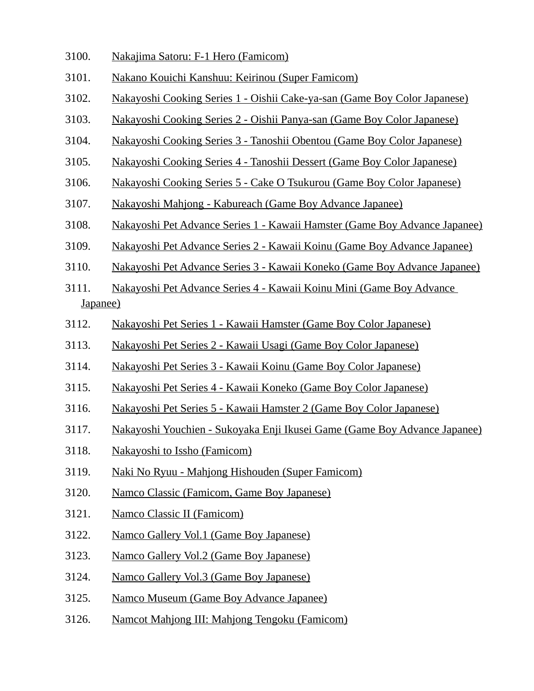- 3100. Nakajima Satoru: F-1 Hero (Famicom)
- 3101. Nakano Kouichi Kanshuu: Keirinou (Super Famicom)
- 3102. Nakayoshi Cooking Series 1 Oishii Cake-ya-san (Game Boy Color Japanese)
- 3103. Nakayoshi Cooking Series 2 Oishii Panya-san (Game Boy Color Japanese)
- 3104. Nakayoshi Cooking Series 3 Tanoshii Obentou (Game Boy Color Japanese)
- 3105. Nakayoshi Cooking Series 4 Tanoshii Dessert (Game Boy Color Japanese)
- 3106. Nakayoshi Cooking Series 5 Cake O Tsukurou (Game Boy Color Japanese)
- 3107. Nakayoshi Mahjong Kabureach (Game Boy Advance Japanee)
- 3108. Nakayoshi Pet Advance Series 1 Kawaii Hamster (Game Boy Advance Japanee)
- 3109. Nakayoshi Pet Advance Series 2 Kawaii Koinu (Game Boy Advance Japanee)
- 3110. Nakayoshi Pet Advance Series 3 Kawaii Koneko (Game Boy Advance Japanee)
- 3111. Nakayoshi Pet Advance Series 4 Kawaii Koinu Mini (Game Boy Advance Japanee)
- 3112. Nakayoshi Pet Series 1 Kawaii Hamster (Game Boy Color Japanese)
- 3113. Nakayoshi Pet Series 2 Kawaii Usagi (Game Boy Color Japanese)
- 3114. Nakayoshi Pet Series 3 Kawaii Koinu (Game Boy Color Japanese)
- 3115. Nakayoshi Pet Series 4 Kawaii Koneko (Game Boy Color Japanese)
- 3116. Nakayoshi Pet Series 5 Kawaii Hamster 2 (Game Boy Color Japanese)
- 3117. Nakayoshi Youchien Sukoyaka Enji Ikusei Game (Game Boy Advance Japanee)
- 3118. Nakayoshi to Issho (Famicom)
- 3119. Naki No Ryuu Mahjong Hishouden (Super Famicom)
- 3120. Namco Classic (Famicom, Game Boy Japanese)
- 3121. Namco Classic II (Famicom)
- 3122. Namco Gallery Vol.1 (Game Boy Japanese)
- 3123. Namco Gallery Vol.2 (Game Boy Japanese)
- 3124. Namco Gallery Vol.3 (Game Boy Japanese)
- 3125. Namco Museum (Game Boy Advance Japanee)
- 3126. Namcot Mahjong III: Mahjong Tengoku (Famicom)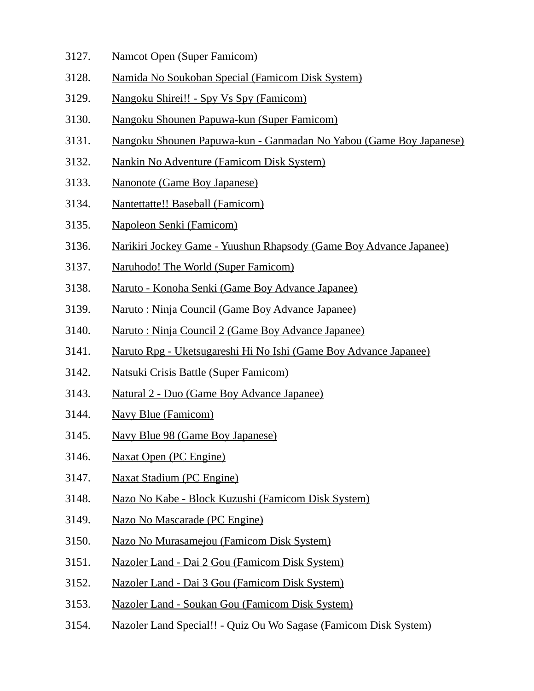- 3127. Namcot Open (Super Famicom)
- 3128. Namida No Soukoban Special (Famicom Disk System)
- 3129. Nangoku Shirei!! Spy Vs Spy (Famicom)
- 3130. Nangoku Shounen Papuwa-kun (Super Famicom)
- 3131. Nangoku Shounen Papuwa-kun Ganmadan No Yabou (Game Boy Japanese)
- 3132. Nankin No Adventure (Famicom Disk System)
- 3133. Nanonote (Game Boy Japanese)
- 3134. Nantettatte!! Baseball (Famicom)
- 3135. Napoleon Senki (Famicom)
- 3136. Narikiri Jockey Game Yuushun Rhapsody (Game Boy Advance Japanee)
- 3137. Naruhodo! The World (Super Famicom)
- 3138. Naruto Konoha Senki (Game Boy Advance Japanee)
- 3139. Naruto : Ninja Council (Game Boy Advance Japanee)
- 3140. Naruto : Ninja Council 2 (Game Boy Advance Japanee)
- 3141. Naruto Rpg Uketsugareshi Hi No Ishi (Game Boy Advance Japanee)
- 3142. Natsuki Crisis Battle (Super Famicom)
- 3143. Natural 2 Duo (Game Boy Advance Japanee)
- 3144. Navy Blue (Famicom)
- 3145. Navy Blue 98 (Game Boy Japanese)
- 3146. Naxat Open (PC Engine)
- 3147. Naxat Stadium (PC Engine)
- 3148. Nazo No Kabe Block Kuzushi (Famicom Disk System)
- 3149. Nazo No Mascarade (PC Engine)
- 3150. Nazo No Murasamejou (Famicom Disk System)
- 3151. Nazoler Land Dai 2 Gou (Famicom Disk System)
- 3152. Nazoler Land Dai 3 Gou (Famicom Disk System)
- 3153. Nazoler Land Soukan Gou (Famicom Disk System)
- 3154. Nazoler Land Special!! Quiz Ou Wo Sagase (Famicom Disk System)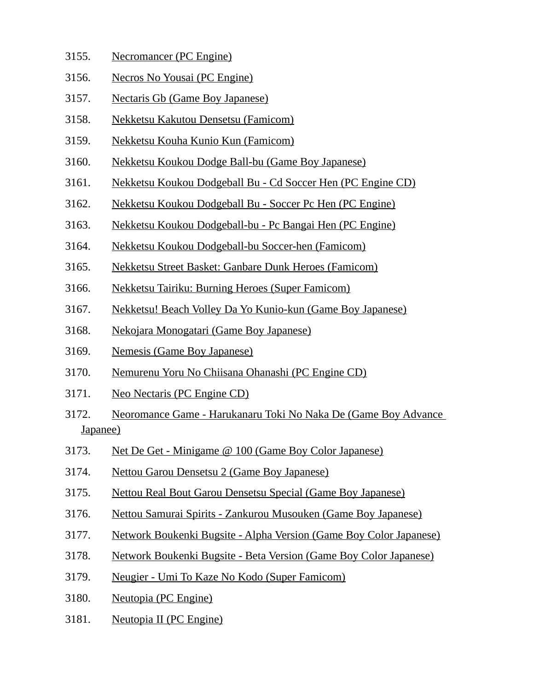- 3155. Necromancer (PC Engine)
- 3156. Necros No Yousai (PC Engine)
- 3157. Nectaris Gb (Game Boy Japanese)
- 3158. Nekketsu Kakutou Densetsu (Famicom)
- 3159. Nekketsu Kouha Kunio Kun (Famicom)
- 3160. Nekketsu Koukou Dodge Ball-bu (Game Boy Japanese)
- 3161. Nekketsu Koukou Dodgeball Bu Cd Soccer Hen (PC Engine CD)
- 3162. Nekketsu Koukou Dodgeball Bu Soccer Pc Hen (PC Engine)
- 3163. Nekketsu Koukou Dodgeball-bu Pc Bangai Hen (PC Engine)
- 3164. Nekketsu Koukou Dodgeball-bu Soccer-hen (Famicom)
- 3165. Nekketsu Street Basket: Ganbare Dunk Heroes (Famicom)
- 3166. Nekketsu Tairiku: Burning Heroes (Super Famicom)
- 3167. Nekketsu! Beach Volley Da Yo Kunio-kun (Game Boy Japanese)
- 3168. Nekojara Monogatari (Game Boy Japanese)
- 3169. Nemesis (Game Boy Japanese)
- 3170. Nemurenu Yoru No Chiisana Ohanashi (PC Engine CD)
- 3171. Neo Nectaris (PC Engine CD)
- 3172. Neoromance Game Harukanaru Toki No Naka De (Game Boy Advance Japanee)
- 3173. Net De Get Minigame @ 100 (Game Boy Color Japanese)
- 3174. Nettou Garou Densetsu 2 (Game Boy Japanese)
- 3175. Nettou Real Bout Garou Densetsu Special (Game Boy Japanese)
- 3176. Nettou Samurai Spirits Zankurou Musouken (Game Boy Japanese)
- 3177. Network Boukenki Bugsite Alpha Version (Game Boy Color Japanese)
- 3178. Network Boukenki Bugsite Beta Version (Game Boy Color Japanese)
- 3179. Neugier Umi To Kaze No Kodo (Super Famicom)
- 3180. Neutopia (PC Engine)
- 3181. Neutopia II (PC Engine)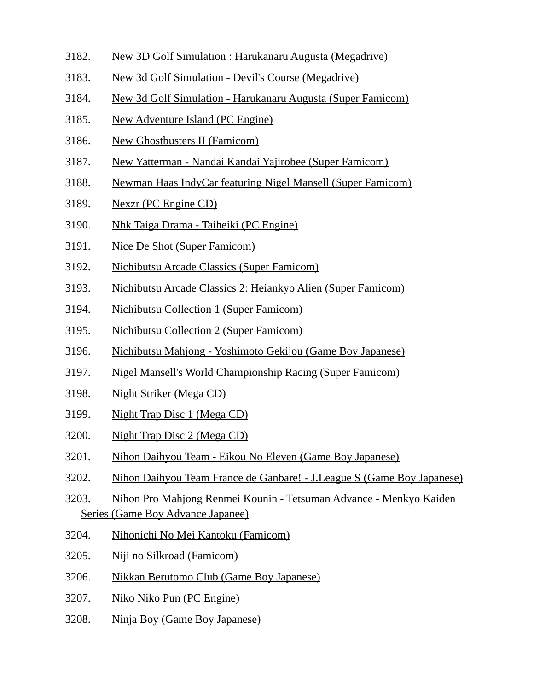- 3182. New 3D Golf Simulation : Harukanaru Augusta (Megadrive)
- 3183. New 3d Golf Simulation Devil's Course (Megadrive)
- 3184. New 3d Golf Simulation Harukanaru Augusta (Super Famicom)
- 3185. New Adventure Island (PC Engine)
- 3186. New Ghostbusters II (Famicom)
- 3187. New Yatterman Nandai Kandai Yajirobee (Super Famicom)
- 3188. Newman Haas IndyCar featuring Nigel Mansell (Super Famicom)
- 3189. Nexzr (PC Engine CD)
- 3190. Nhk Taiga Drama Taiheiki (PC Engine)
- 3191. Nice De Shot (Super Famicom)
- 3192. Nichibutsu Arcade Classics (Super Famicom)
- 3193. Nichibutsu Arcade Classics 2: Heiankyo Alien (Super Famicom)
- 3194. Nichibutsu Collection 1 (Super Famicom)
- 3195. Nichibutsu Collection 2 (Super Famicom)
- 3196. Nichibutsu Mahjong Yoshimoto Gekijou (Game Boy Japanese)
- 3197. Nigel Mansell's World Championship Racing (Super Famicom)
- 3198. Night Striker (Mega CD)
- 3199. Night Trap Disc 1 (Mega CD)
- 3200. Night Trap Disc 2 (Mega CD)
- 3201. Nihon Daihyou Team Eikou No Eleven (Game Boy Japanese)
- 3202. Nihon Daihyou Team France de Ganbare! J.League S (Game Boy Japanese)
- 3203. Nihon Pro Mahjong Renmei Kounin Tetsuman Advance Menkyo Kaiden Series (Game Boy Advance Japanee)
- 3204. Nihonichi No Mei Kantoku (Famicom)
- 3205. Niji no Silkroad (Famicom)
- 3206. Nikkan Berutomo Club (Game Boy Japanese)
- 3207. Niko Niko Pun (PC Engine)
- 3208. Ninja Boy (Game Boy Japanese)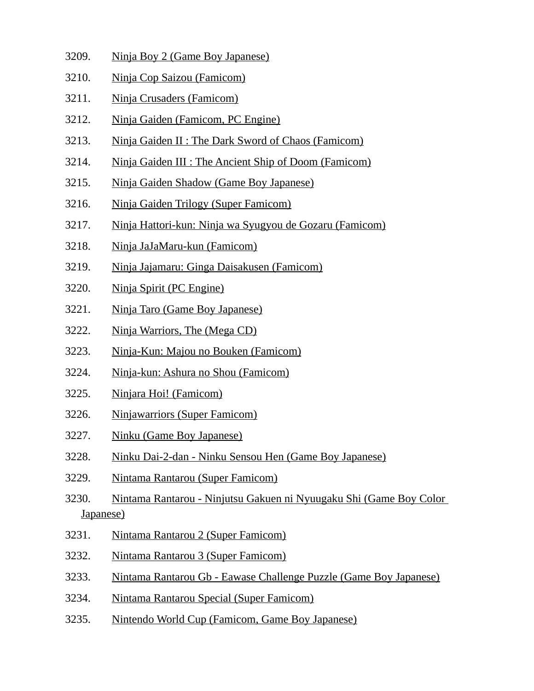- 3209. Ninja Boy 2 (Game Boy Japanese)
- 3210. Ninja Cop Saizou (Famicom)
- 3211. Ninja Crusaders (Famicom)
- 3212. Ninja Gaiden (Famicom, PC Engine)
- 3213. Ninja Gaiden II : The Dark Sword of Chaos (Famicom)
- 3214. Ninja Gaiden III : The Ancient Ship of Doom (Famicom)
- 3215. Ninja Gaiden Shadow (Game Boy Japanese)
- 3216. Ninja Gaiden Trilogy (Super Famicom)
- 3217. Ninja Hattori-kun: Ninja wa Syugyou de Gozaru (Famicom)
- 3218. Ninja JaJaMaru-kun (Famicom)
- 3219. Ninja Jajamaru: Ginga Daisakusen (Famicom)
- 3220. Ninja Spirit (PC Engine)
- 3221. Ninja Taro (Game Boy Japanese)
- 3222. Ninja Warriors, The (Mega CD)
- 3223. Ninja-Kun: Majou no Bouken (Famicom)
- 3224. Ninja-kun: Ashura no Shou (Famicom)
- 3225. Ninjara Hoi! (Famicom)
- 3226. Ninjawarriors (Super Famicom)
- 3227. Ninku (Game Boy Japanese)
- 3228. Ninku Dai-2-dan Ninku Sensou Hen (Game Boy Japanese)
- 3229. Nintama Rantarou (Super Famicom)
- 3230. Nintama Rantarou Ninjutsu Gakuen ni Nyuugaku Shi (Game Boy Color Japanese)
- 3231. Nintama Rantarou 2 (Super Famicom)
- 3232. Nintama Rantarou 3 (Super Famicom)
- 3233. Nintama Rantarou Gb Eawase Challenge Puzzle (Game Boy Japanese)
- 3234. Nintama Rantarou Special (Super Famicom)
- 3235. Nintendo World Cup (Famicom, Game Boy Japanese)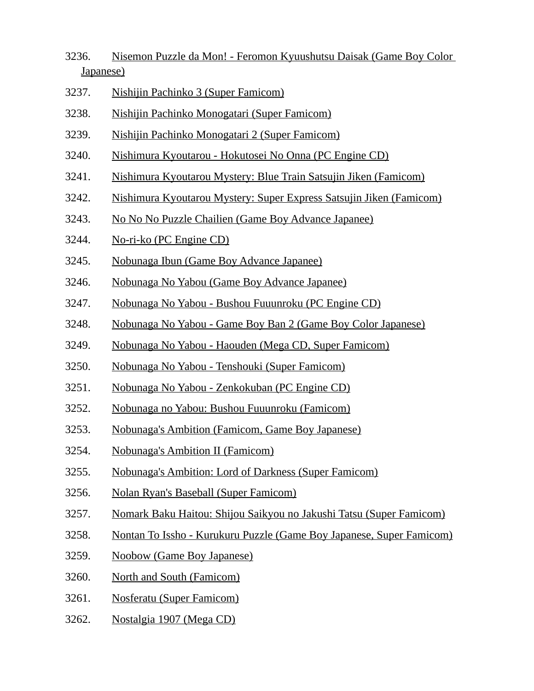- 3236. Nisemon Puzzle da Mon! Feromon Kyuushutsu Daisak (Game Boy Color Japanese)
- 3237. Nishijin Pachinko 3 (Super Famicom)
- 3238. Nishijin Pachinko Monogatari (Super Famicom)
- 3239. Nishijin Pachinko Monogatari 2 (Super Famicom)
- 3240. Nishimura Kyoutarou Hokutosei No Onna (PC Engine CD)
- 3241. Nishimura Kyoutarou Mystery: Blue Train Satsujin Jiken (Famicom)
- 3242. Nishimura Kyoutarou Mystery: Super Express Satsujin Jiken (Famicom)
- 3243. No No No Puzzle Chailien (Game Boy Advance Japanee)
- 3244. No-ri-ko (PC Engine CD)
- 3245. Nobunaga Ibun (Game Boy Advance Japanee)
- 3246. Nobunaga No Yabou (Game Boy Advance Japanee)
- 3247. Nobunaga No Yabou Bushou Fuuunroku (PC Engine CD)
- 3248. Nobunaga No Yabou Game Boy Ban 2 (Game Boy Color Japanese)
- 3249. Nobunaga No Yabou Haouden (Mega CD, Super Famicom)
- 3250. Nobunaga No Yabou Tenshouki (Super Famicom)
- 3251. Nobunaga No Yabou Zenkokuban (PC Engine CD)
- 3252. Nobunaga no Yabou: Bushou Fuuunroku (Famicom)
- 3253. Nobunaga's Ambition (Famicom, Game Boy Japanese)
- 3254. Nobunaga's Ambition II (Famicom)
- 3255. Nobunaga's Ambition: Lord of Darkness (Super Famicom)
- 3256. Nolan Ryan's Baseball (Super Famicom)
- 3257. Nomark Baku Haitou: Shijou Saikyou no Jakushi Tatsu (Super Famicom)
- 3258. Nontan To Issho Kurukuru Puzzle (Game Boy Japanese, Super Famicom)
- 3259. Noobow (Game Boy Japanese)
- 3260. North and South (Famicom)
- 3261. Nosferatu (Super Famicom)
- 3262. Nostalgia 1907 (Mega CD)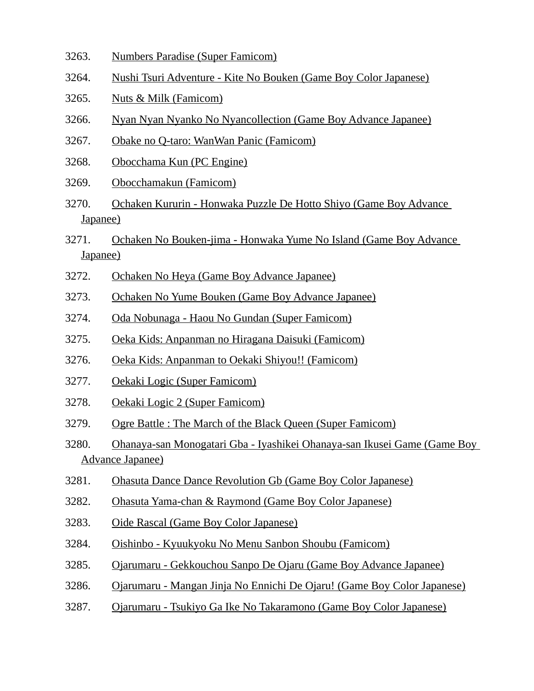- 3263. Numbers Paradise (Super Famicom)
- 3264. Nushi Tsuri Adventure Kite No Bouken (Game Boy Color Japanese)
- 3265. Nuts & Milk (Famicom)
- 3266. Nyan Nyan Nyanko No Nyancollection (Game Boy Advance Japanee)
- 3267. Obake no Q-taro: WanWan Panic (Famicom)
- 3268. Obocchama Kun (PC Engine)
- 3269. Obocchamakun (Famicom)
- 3270. Ochaken Kururin Honwaka Puzzle De Hotto Shiyo (Game Boy Advance Japanee)
- 3271. Ochaken No Bouken-jima Honwaka Yume No Island (Game Boy Advance Japanee)
- 3272. Ochaken No Heya (Game Boy Advance Japanee)
- 3273. Ochaken No Yume Bouken (Game Boy Advance Japanee)
- 3274. Oda Nobunaga Haou No Gundan (Super Famicom)
- 3275. Oeka Kids: Anpanman no Hiragana Daisuki (Famicom)
- 3276. Oeka Kids: Anpanman to Oekaki Shiyou!! (Famicom)
- 3277. Oekaki Logic (Super Famicom)
- 3278. Oekaki Logic 2 (Super Famicom)
- 3279. Ogre Battle : The March of the Black Queen (Super Famicom)
- 3280. Ohanaya-san Monogatari Gba Iyashikei Ohanaya-san Ikusei Game (Game Boy Advance Japanee)
- 3281. Ohasuta Dance Dance Revolution Gb (Game Boy Color Japanese)
- 3282. Ohasuta Yama-chan & Raymond (Game Boy Color Japanese)
- 3283. Oide Rascal (Game Boy Color Japanese)
- 3284. Oishinbo Kyuukyoku No Menu Sanbon Shoubu (Famicom)
- 3285. Ojarumaru Gekkouchou Sanpo De Ojaru (Game Boy Advance Japanee)
- 3286. Ojarumaru Mangan Jinja No Ennichi De Ojaru! (Game Boy Color Japanese)
- 3287. Ojarumaru Tsukiyo Ga Ike No Takaramono (Game Boy Color Japanese)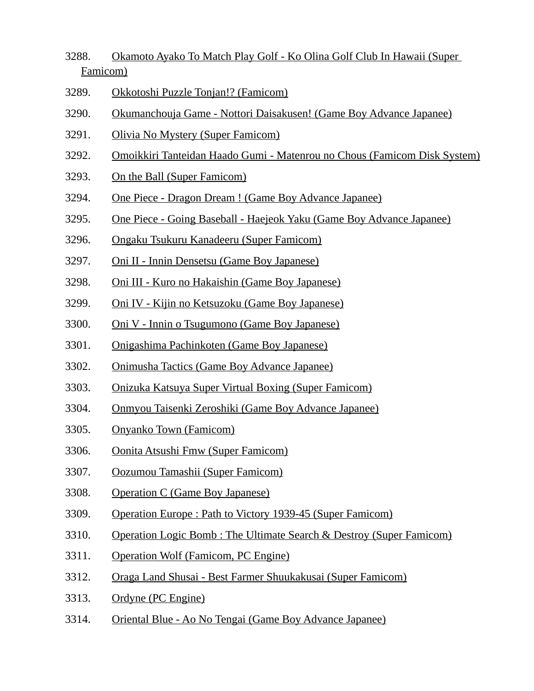- 3288. Okamoto Ayako To Match Play Golf Ko Olina Golf Club In Hawaii (Super Famicom)
- 3289. Okkotoshi Puzzle Tonjan!? (Famicom)
- 3290. Okumanchouja Game Nottori Daisakusen! (Game Boy Advance Japanee)
- 3291. Olivia No Mystery (Super Famicom)
- 3292. Omoikkiri Tanteidan Haado Gumi Matenrou no Chous (Famicom Disk System)
- 3293. On the Ball (Super Famicom)
- 3294. One Piece Dragon Dream ! (Game Boy Advance Japanee)
- 3295. One Piece Going Baseball Haejeok Yaku (Game Boy Advance Japanee)
- 3296. Ongaku Tsukuru Kanadeeru (Super Famicom)
- 3297. Oni II Innin Densetsu (Game Boy Japanese)
- 3298. Oni III Kuro no Hakaishin (Game Boy Japanese)
- 3299. Oni IV Kijin no Ketsuzoku (Game Boy Japanese)
- 3300. Oni V Innin o Tsugumono (Game Boy Japanese)
- 3301. Onigashima Pachinkoten (Game Boy Japanese)
- 3302. Onimusha Tactics (Game Boy Advance Japanee)
- 3303. Onizuka Katsuya Super Virtual Boxing (Super Famicom)
- 3304. Onmyou Taisenki Zeroshiki (Game Boy Advance Japanee)
- 3305. Onyanko Town (Famicom)
- 3306. Oonita Atsushi Fmw (Super Famicom)
- 3307. Oozumou Tamashii (Super Famicom)
- 3308. Operation C (Game Boy Japanese)
- 3309. Operation Europe : Path to Victory 1939-45 (Super Famicom)
- 3310. Operation Logic Bomb : The Ultimate Search & Destroy (Super Famicom)
- 3311. Operation Wolf (Famicom, PC Engine)
- 3312. Oraga Land Shusai Best Farmer Shuukakusai (Super Famicom)
- 3313. Ordyne (PC Engine)
- 3314. Oriental Blue Ao No Tengai (Game Boy Advance Japanee)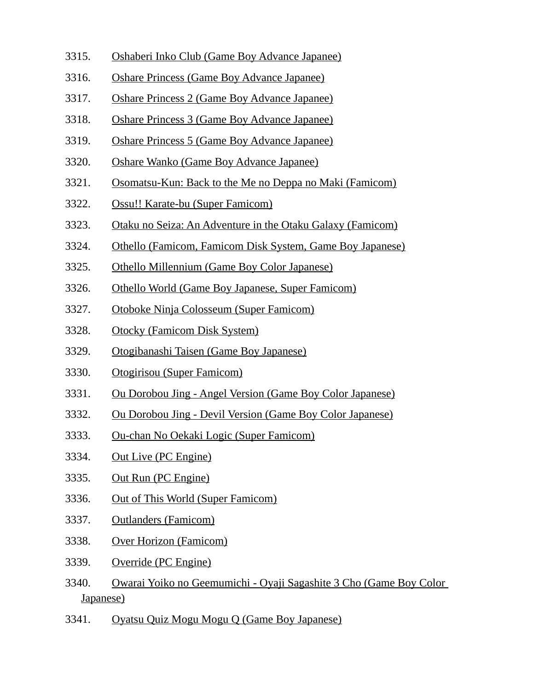- 3315. Oshaberi Inko Club (Game Boy Advance Japanee)
- 3316. Oshare Princess (Game Boy Advance Japanee)
- 3317. Oshare Princess 2 (Game Boy Advance Japanee)
- 3318. Oshare Princess 3 (Game Boy Advance Japanee)
- 3319. Oshare Princess 5 (Game Boy Advance Japanee)
- 3320. Oshare Wanko (Game Boy Advance Japanee)
- 3321. Osomatsu-Kun: Back to the Me no Deppa no Maki (Famicom)
- 3322. Ossu!! Karate-bu (Super Famicom)
- 3323. Otaku no Seiza: An Adventure in the Otaku Galaxy (Famicom)
- 3324. Othello (Famicom, Famicom Disk System, Game Boy Japanese)
- 3325. Othello Millennium (Game Boy Color Japanese)
- 3326. Othello World (Game Boy Japanese, Super Famicom)
- 3327. Otoboke Ninja Colosseum (Super Famicom)
- 3328. Otocky (Famicom Disk System)
- 3329. Otogibanashi Taisen (Game Boy Japanese)
- 3330. Otogirisou (Super Famicom)
- 3331. Ou Dorobou Jing Angel Version (Game Boy Color Japanese)
- 3332. Ou Dorobou Jing Devil Version (Game Boy Color Japanese)
- 3333. Ou-chan No Oekaki Logic (Super Famicom)
- 3334. Out Live (PC Engine)
- 3335. Out Run (PC Engine)
- 3336. Out of This World (Super Famicom)
- 3337. Outlanders (Famicom)
- 3338. Over Horizon (Famicom)
- 3339. Override (PC Engine)
- 3340. Owarai Yoiko no Geemumichi Oyaji Sagashite 3 Cho (Game Boy Color Japanese)
- 3341. Oyatsu Quiz Mogu Mogu Q (Game Boy Japanese)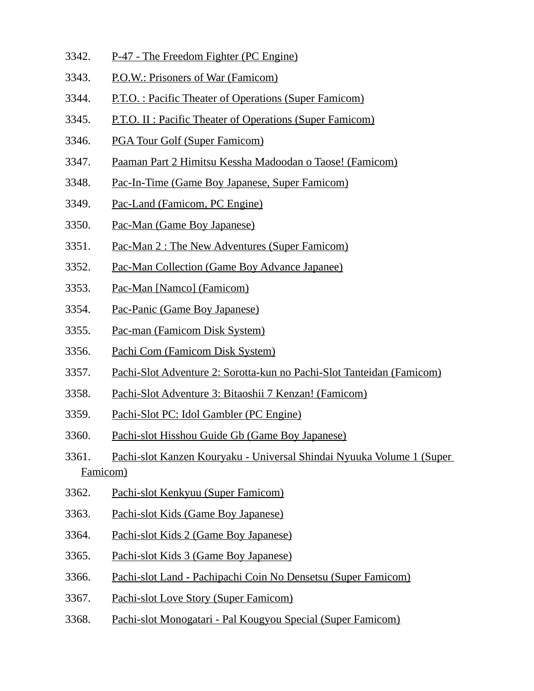- 3342. P-47 The Freedom Fighter (PC Engine)
- 3343. P.O.W.: Prisoners of War (Famicom)
- 3344. P.T.O. : Pacific Theater of Operations (Super Famicom)
- 3345. P.T.O. II : Pacific Theater of Operations (Super Famicom)
- 3346. PGA Tour Golf (Super Famicom)
- 3347. Paaman Part 2 Himitsu Kessha Madoodan o Taose! (Famicom)
- 3348. Pac-In-Time (Game Boy Japanese, Super Famicom)
- 3349. Pac-Land (Famicom, PC Engine)
- 3350. Pac-Man (Game Boy Japanese)
- 3351. Pac-Man 2 : The New Adventures (Super Famicom)
- 3352. Pac-Man Collection (Game Boy Advance Japanee)
- 3353. Pac-Man [Namco] (Famicom)
- 3354. Pac-Panic (Game Boy Japanese)
- 3355. Pac-man (Famicom Disk System)
- 3356. Pachi Com (Famicom Disk System)
- 3357. Pachi-Slot Adventure 2: Sorotta-kun no Pachi-Slot Tanteidan (Famicom)
- 3358. Pachi-Slot Adventure 3: Bitaoshii 7 Kenzan! (Famicom)
- 3359. Pachi-Slot PC: Idol Gambler (PC Engine)
- 3360. Pachi-slot Hisshou Guide Gb (Game Boy Japanese)
- 3361. Pachi-slot Kanzen Kouryaku Universal Shindai Nyuuka Volume 1 (Super Famicom)
- 3362. Pachi-slot Kenkyuu (Super Famicom)
- 3363. Pachi-slot Kids (Game Boy Japanese)
- 3364. Pachi-slot Kids 2 (Game Boy Japanese)
- 3365. Pachi-slot Kids 3 (Game Boy Japanese)
- 3366. Pachi-slot Land Pachipachi Coin No Densetsu (Super Famicom)
- 3367. Pachi-slot Love Story (Super Famicom)
- 3368. Pachi-slot Monogatari Pal Kougyou Special (Super Famicom)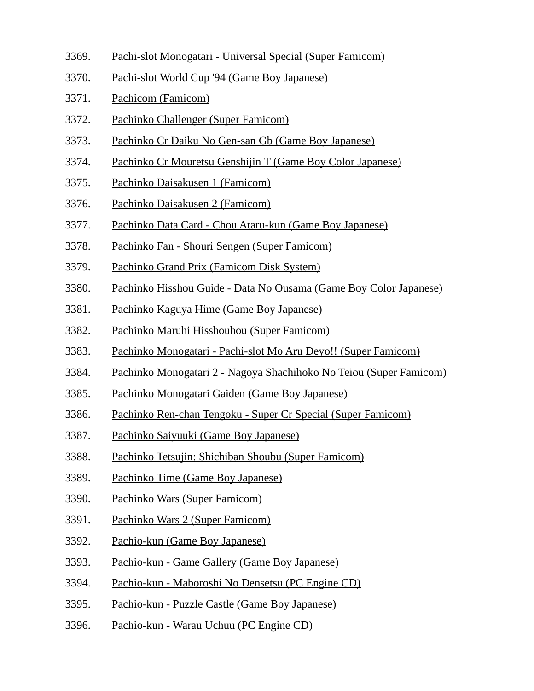- 3369. Pachi-slot Monogatari Universal Special (Super Famicom)
- 3370. Pachi-slot World Cup '94 (Game Boy Japanese)
- 3371. Pachicom (Famicom)
- 3372. Pachinko Challenger (Super Famicom)
- 3373. Pachinko Cr Daiku No Gen-san Gb (Game Boy Japanese)
- 3374. Pachinko Cr Mouretsu Genshijin T (Game Boy Color Japanese)
- 3375. Pachinko Daisakusen 1 (Famicom)
- 3376. Pachinko Daisakusen 2 (Famicom)
- 3377. Pachinko Data Card Chou Ataru-kun (Game Boy Japanese)
- 3378. Pachinko Fan Shouri Sengen (Super Famicom)
- 3379. Pachinko Grand Prix (Famicom Disk System)
- 3380. Pachinko Hisshou Guide Data No Ousama (Game Boy Color Japanese)
- 3381. Pachinko Kaguya Hime (Game Boy Japanese)
- 3382. Pachinko Maruhi Hisshouhou (Super Famicom)
- 3383. Pachinko Monogatari Pachi-slot Mo Aru Deyo!! (Super Famicom)
- 3384. Pachinko Monogatari 2 Nagoya Shachihoko No Teiou (Super Famicom)
- 3385. Pachinko Monogatari Gaiden (Game Boy Japanese)
- 3386. Pachinko Ren-chan Tengoku Super Cr Special (Super Famicom)
- 3387. Pachinko Saiyuuki (Game Boy Japanese)
- 3388. Pachinko Tetsujin: Shichiban Shoubu (Super Famicom)
- 3389. Pachinko Time (Game Boy Japanese)
- 3390. Pachinko Wars (Super Famicom)
- 3391. Pachinko Wars 2 (Super Famicom)
- 3392. Pachio-kun (Game Boy Japanese)
- 3393. Pachio-kun Game Gallery (Game Boy Japanese)
- 3394. Pachio-kun Maboroshi No Densetsu (PC Engine CD)
- 3395. Pachio-kun Puzzle Castle (Game Boy Japanese)
- 3396. Pachio-kun Warau Uchuu (PC Engine CD)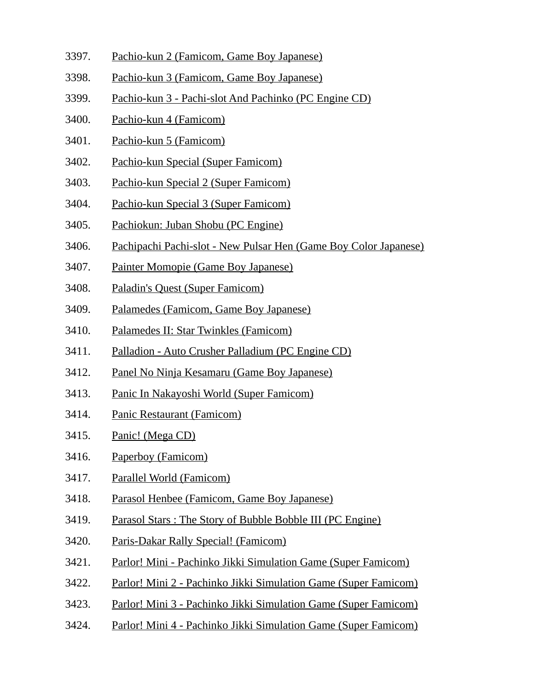- 3397. Pachio-kun 2 (Famicom, Game Boy Japanese)
- 3398. Pachio-kun 3 (Famicom, Game Boy Japanese)
- 3399. Pachio-kun 3 Pachi-slot And Pachinko (PC Engine CD)
- 3400. Pachio-kun 4 (Famicom)
- 3401. Pachio-kun 5 (Famicom)
- 3402. Pachio-kun Special (Super Famicom)
- 3403. Pachio-kun Special 2 (Super Famicom)
- 3404. Pachio-kun Special 3 (Super Famicom)
- 3405. Pachiokun: Juban Shobu (PC Engine)
- 3406. Pachipachi Pachi-slot New Pulsar Hen (Game Boy Color Japanese)
- 3407. Painter Momopie (Game Boy Japanese)
- 3408. Paladin's Quest (Super Famicom)
- 3409. Palamedes (Famicom, Game Boy Japanese)
- 3410. Palamedes II: Star Twinkles (Famicom)
- 3411. Palladion Auto Crusher Palladium (PC Engine CD)
- 3412. Panel No Ninja Kesamaru (Game Boy Japanese)
- 3413. Panic In Nakayoshi World (Super Famicom)
- 3414. Panic Restaurant (Famicom)
- 3415. Panic! (Mega CD)
- 3416. Paperboy (Famicom)
- 3417. Parallel World (Famicom)
- 3418. Parasol Henbee (Famicom, Game Boy Japanese)
- 3419. Parasol Stars : The Story of Bubble Bobble III (PC Engine)
- 3420. Paris-Dakar Rally Special! (Famicom)
- 3421. Parlor! Mini Pachinko Jikki Simulation Game (Super Famicom)
- 3422. Parlor! Mini 2 Pachinko Jikki Simulation Game (Super Famicom)
- 3423. Parlor! Mini 3 Pachinko Jikki Simulation Game (Super Famicom)
- 3424. Parlor! Mini 4 Pachinko Jikki Simulation Game (Super Famicom)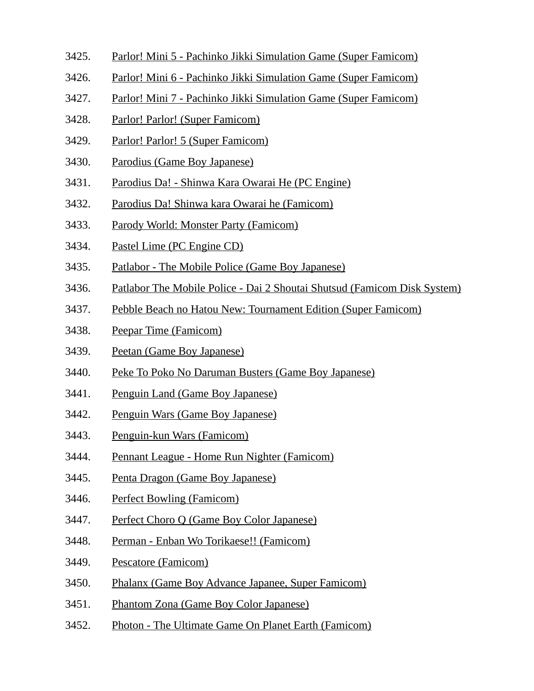- 3425. Parlor! Mini 5 Pachinko Jikki Simulation Game (Super Famicom)
- 3426. Parlor! Mini 6 Pachinko Jikki Simulation Game (Super Famicom)
- 3427. Parlor! Mini 7 Pachinko Jikki Simulation Game (Super Famicom)
- 3428. Parlor! Parlor! (Super Famicom)
- 3429. Parlor! Parlor! 5 (Super Famicom)
- 3430. Parodius (Game Boy Japanese)
- 3431. Parodius Da! Shinwa Kara Owarai He (PC Engine)
- 3432. Parodius Da! Shinwa kara Owarai he (Famicom)
- 3433. Parody World: Monster Party (Famicom)
- 3434. Pastel Lime (PC Engine CD)
- 3435. Patlabor The Mobile Police (Game Boy Japanese)
- 3436. Patlabor The Mobile Police Dai 2 Shoutai Shutsud (Famicom Disk System)
- 3437. Pebble Beach no Hatou New: Tournament Edition (Super Famicom)
- 3438. Peepar Time (Famicom)
- 3439. Peetan (Game Boy Japanese)
- 3440. Peke To Poko No Daruman Busters (Game Boy Japanese)
- 3441. Penguin Land (Game Boy Japanese)
- 3442. Penguin Wars (Game Boy Japanese)
- 3443. Penguin-kun Wars (Famicom)
- 3444. Pennant League Home Run Nighter (Famicom)
- 3445. Penta Dragon (Game Boy Japanese)
- 3446. Perfect Bowling (Famicom)
- 3447. Perfect Choro Q (Game Boy Color Japanese)
- 3448. Perman Enban Wo Torikaese!! (Famicom)
- 3449. Pescatore (Famicom)
- 3450. Phalanx (Game Boy Advance Japanee, Super Famicom)
- 3451. Phantom Zona (Game Boy Color Japanese)
- 3452. Photon The Ultimate Game On Planet Earth (Famicom)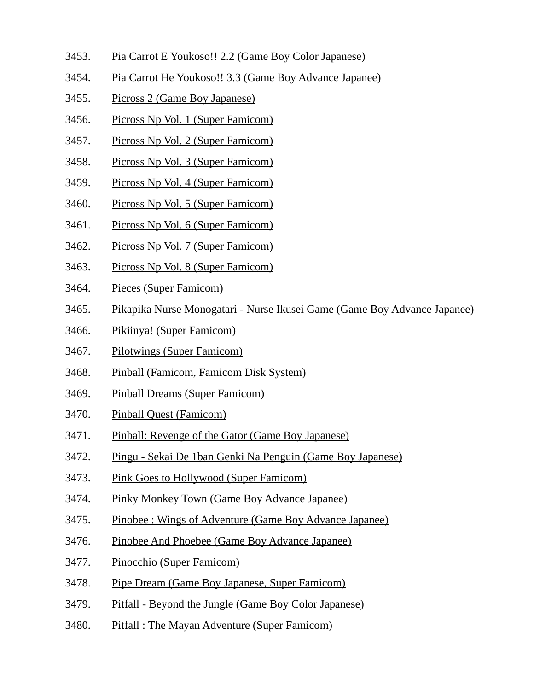- 3453. Pia Carrot E Youkoso!! 2.2 (Game Boy Color Japanese)
- 3454. Pia Carrot He Youkoso!! 3.3 (Game Boy Advance Japanee)
- 3455. Picross 2 (Game Boy Japanese)
- 3456. Picross Np Vol. 1 (Super Famicom)
- 3457. Picross Np Vol. 2 (Super Famicom)
- 3458. Picross Np Vol. 3 (Super Famicom)
- 3459. Picross Np Vol. 4 (Super Famicom)
- 3460. Picross Np Vol. 5 (Super Famicom)
- 3461. Picross Np Vol. 6 (Super Famicom)
- 3462. Picross Np Vol. 7 (Super Famicom)
- 3463. Picross Np Vol. 8 (Super Famicom)
- 3464. Pieces (Super Famicom)
- 3465. Pikapika Nurse Monogatari Nurse Ikusei Game (Game Boy Advance Japanee)
- 3466. Pikiinya! (Super Famicom)
- 3467. Pilotwings (Super Famicom)
- 3468. Pinball (Famicom, Famicom Disk System)
- 3469. Pinball Dreams (Super Famicom)
- 3470. Pinball Quest (Famicom)
- 3471. Pinball: Revenge of the Gator (Game Boy Japanese)
- 3472. Pingu Sekai De 1ban Genki Na Penguin (Game Boy Japanese)
- 3473. Pink Goes to Hollywood (Super Famicom)
- 3474. Pinky Monkey Town (Game Boy Advance Japanee)
- 3475. Pinobee : Wings of Adventure (Game Boy Advance Japanee)
- 3476. Pinobee And Phoebee (Game Boy Advance Japanee)
- 3477. Pinocchio (Super Famicom)
- 3478. Pipe Dream (Game Boy Japanese, Super Famicom)
- 3479. Pitfall Beyond the Jungle (Game Boy Color Japanese)
- 3480. Pitfall : The Mayan Adventure (Super Famicom)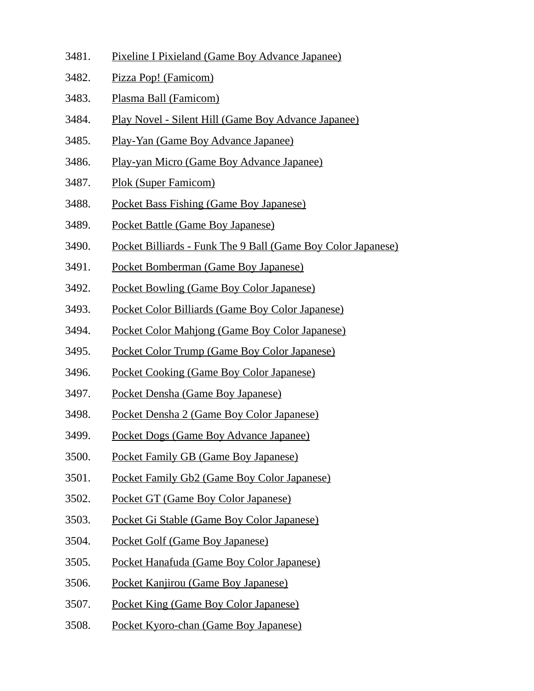- 3481. Pixeline I Pixieland (Game Boy Advance Japanee)
- 3482. Pizza Pop! (Famicom)
- 3483. Plasma Ball (Famicom)
- 3484. Play Novel Silent Hill (Game Boy Advance Japanee)
- 3485. Play-Yan (Game Boy Advance Japanee)
- 3486. Play-yan Micro (Game Boy Advance Japanee)
- 3487. Plok (Super Famicom)
- 3488. Pocket Bass Fishing (Game Boy Japanese)
- 3489. Pocket Battle (Game Boy Japanese)
- 3490. Pocket Billiards Funk The 9 Ball (Game Boy Color Japanese)
- 3491. Pocket Bomberman (Game Boy Japanese)
- 3492. Pocket Bowling (Game Boy Color Japanese)
- 3493. Pocket Color Billiards (Game Boy Color Japanese)
- 3494. Pocket Color Mahjong (Game Boy Color Japanese)
- 3495. Pocket Color Trump (Game Boy Color Japanese)
- 3496. Pocket Cooking (Game Boy Color Japanese)
- 3497. Pocket Densha (Game Boy Japanese)
- 3498. Pocket Densha 2 (Game Boy Color Japanese)
- 3499. Pocket Dogs (Game Boy Advance Japanee)
- 3500. Pocket Family GB (Game Boy Japanese)
- 3501. Pocket Family Gb2 (Game Boy Color Japanese)
- 3502. Pocket GT (Game Boy Color Japanese)
- 3503. Pocket Gi Stable (Game Boy Color Japanese)
- 3504. Pocket Golf (Game Boy Japanese)
- 3505. Pocket Hanafuda (Game Boy Color Japanese)
- 3506. Pocket Kanjirou (Game Boy Japanese)
- 3507. Pocket King (Game Boy Color Japanese)
- 3508. Pocket Kyoro-chan (Game Boy Japanese)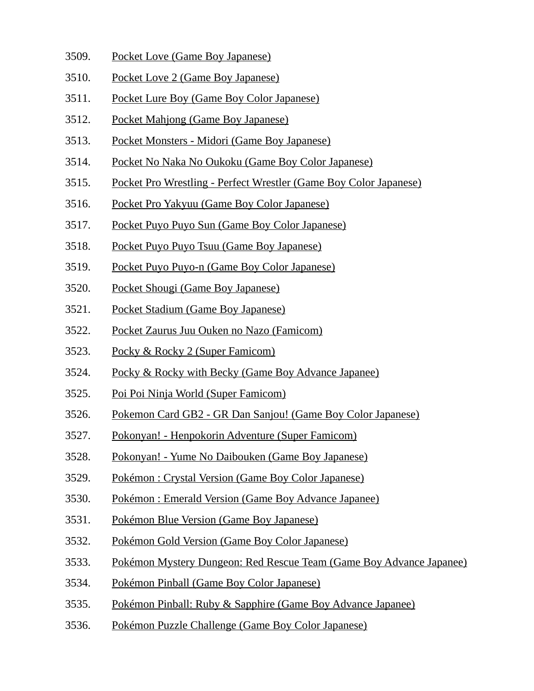- 3509. Pocket Love (Game Boy Japanese)
- 3510. Pocket Love 2 (Game Boy Japanese)
- 3511. Pocket Lure Boy (Game Boy Color Japanese)
- 3512. Pocket Mahjong (Game Boy Japanese)
- 3513. Pocket Monsters Midori (Game Boy Japanese)
- 3514. Pocket No Naka No Oukoku (Game Boy Color Japanese)
- 3515. Pocket Pro Wrestling Perfect Wrestler (Game Boy Color Japanese)
- 3516. Pocket Pro Yakyuu (Game Boy Color Japanese)
- 3517. Pocket Puyo Puyo Sun (Game Boy Color Japanese)
- 3518. Pocket Puyo Puyo Tsuu (Game Boy Japanese)
- 3519. Pocket Puyo Puyo-n (Game Boy Color Japanese)
- 3520. Pocket Shougi (Game Boy Japanese)
- 3521. Pocket Stadium (Game Boy Japanese)
- 3522. Pocket Zaurus Juu Ouken no Nazo (Famicom)
- 3523. Pocky & Rocky 2 (Super Famicom)
- 3524. Pocky & Rocky with Becky (Game Boy Advance Japanee)
- 3525. Poi Poi Ninja World (Super Famicom)
- 3526. Pokemon Card GB2 GR Dan Sanjou! (Game Boy Color Japanese)
- 3527. Pokonyan! Henpokorin Adventure (Super Famicom)
- 3528. Pokonyan! Yume No Daibouken (Game Boy Japanese)
- 3529. Pokémon : Crystal Version (Game Boy Color Japanese)
- 3530. Pokémon : Emerald Version (Game Boy Advance Japanee)
- 3531. Pokémon Blue Version (Game Boy Japanese)
- 3532. Pokémon Gold Version (Game Boy Color Japanese)
- 3533. Pokémon Mystery Dungeon: Red Rescue Team (Game Boy Advance Japanee)
- 3534. Pokémon Pinball (Game Boy Color Japanese)
- 3535. Pokémon Pinball: Ruby & Sapphire (Game Boy Advance Japanee)
- 3536. Pokémon Puzzle Challenge (Game Boy Color Japanese)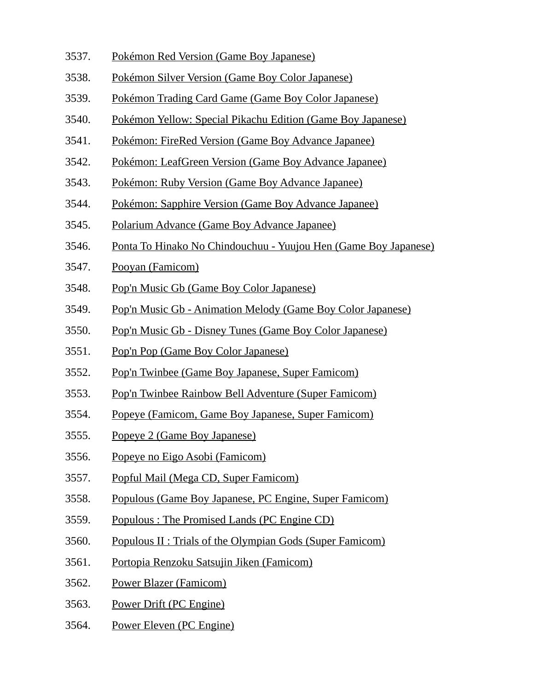- 3537. Pokémon Red Version (Game Boy Japanese)
- 3538. Pokémon Silver Version (Game Boy Color Japanese)
- 3539. Pokémon Trading Card Game (Game Boy Color Japanese)
- 3540. Pokémon Yellow: Special Pikachu Edition (Game Boy Japanese)
- 3541. Pokémon: FireRed Version (Game Boy Advance Japanee)
- 3542. Pokémon: LeafGreen Version (Game Boy Advance Japanee)
- 3543. Pokémon: Ruby Version (Game Boy Advance Japanee)
- 3544. Pokémon: Sapphire Version (Game Boy Advance Japanee)
- 3545. Polarium Advance (Game Boy Advance Japanee)
- 3546. Ponta To Hinako No Chindouchuu Yuujou Hen (Game Boy Japanese)
- 3547. Pooyan (Famicom)
- 3548. Pop'n Music Gb (Game Boy Color Japanese)
- 3549. Pop'n Music Gb Animation Melody (Game Boy Color Japanese)
- 3550. Pop'n Music Gb Disney Tunes (Game Boy Color Japanese)
- 3551. Pop'n Pop (Game Boy Color Japanese)
- 3552. Pop'n Twinbee (Game Boy Japanese, Super Famicom)
- 3553. Pop'n Twinbee Rainbow Bell Adventure (Super Famicom)
- 3554. Popeye (Famicom, Game Boy Japanese, Super Famicom)
- 3555. Popeye 2 (Game Boy Japanese)
- 3556. Popeye no Eigo Asobi (Famicom)
- 3557. Popful Mail (Mega CD, Super Famicom)
- 3558. Populous (Game Boy Japanese, PC Engine, Super Famicom)
- 3559. Populous : The Promised Lands (PC Engine CD)
- 3560. Populous II : Trials of the Olympian Gods (Super Famicom)
- 3561. Portopia Renzoku Satsujin Jiken (Famicom)
- 3562. Power Blazer (Famicom)
- 3563. Power Drift (PC Engine)
- 3564. Power Eleven (PC Engine)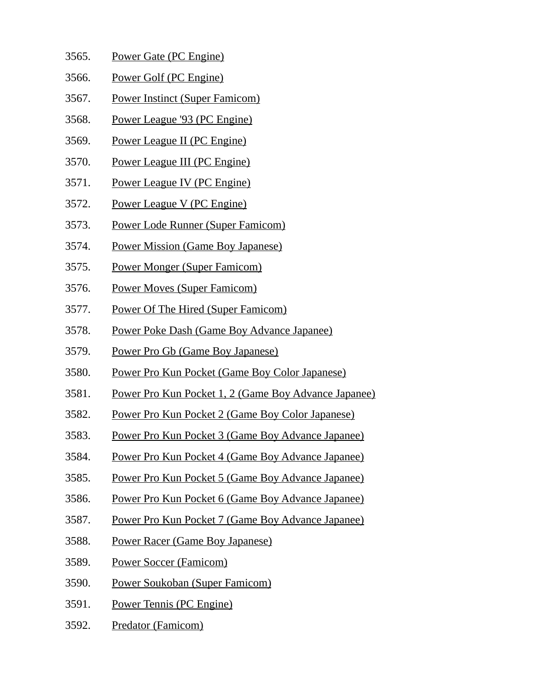| 3565. | Power Gate (PC Engine) |  |
|-------|------------------------|--|
|       |                        |  |

- 3566. Power Golf (PC Engine)
- 3567. Power Instinct (Super Famicom)
- 3568. Power League '93 (PC Engine)
- 3569. Power League II (PC Engine)
- 3570. Power League III (PC Engine)
- 3571. Power League IV (PC Engine)
- 3572. Power League V (PC Engine)
- 3573. Power Lode Runner (Super Famicom)
- 3574. Power Mission (Game Boy Japanese)
- 3575. Power Monger (Super Famicom)
- 3576. Power Moves (Super Famicom)
- 3577. Power Of The Hired (Super Famicom)
- 3578. Power Poke Dash (Game Boy Advance Japanee)
- 3579. Power Pro Gb (Game Boy Japanese)
- 3580. Power Pro Kun Pocket (Game Boy Color Japanese)
- 3581. Power Pro Kun Pocket 1, 2 (Game Boy Advance Japanee)
- 3582. Power Pro Kun Pocket 2 (Game Boy Color Japanese)
- 3583. Power Pro Kun Pocket 3 (Game Boy Advance Japanee)
- 3584. Power Pro Kun Pocket 4 (Game Boy Advance Japanee)
- 3585. Power Pro Kun Pocket 5 (Game Boy Advance Japanee)
- 3586. Power Pro Kun Pocket 6 (Game Boy Advance Japanee)
- 3587. Power Pro Kun Pocket 7 (Game Boy Advance Japanee)
- 3588. Power Racer (Game Boy Japanese)
- 3589. Power Soccer (Famicom)
- 3590. Power Soukoban (Super Famicom)
- 3591. Power Tennis (PC Engine)
- 3592. Predator (Famicom)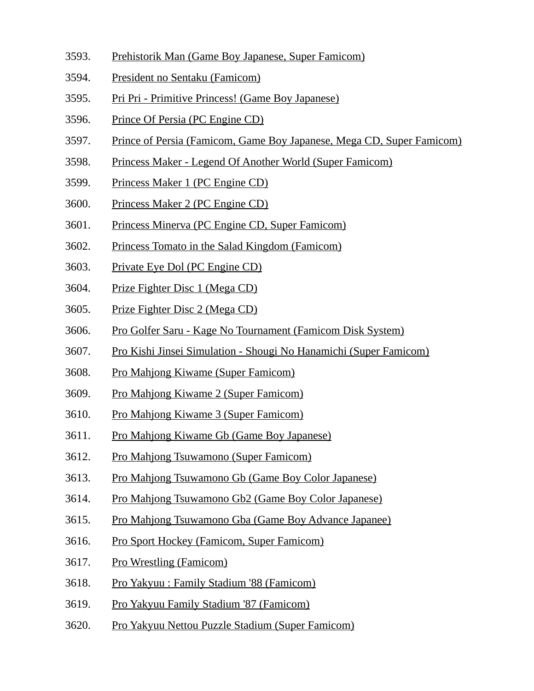- 3593. Prehistorik Man (Game Boy Japanese, Super Famicom)
- 3594. President no Sentaku (Famicom)
- 3595. Pri Pri Primitive Princess! (Game Boy Japanese)
- 3596. Prince Of Persia (PC Engine CD)
- 3597. Prince of Persia (Famicom, Game Boy Japanese, Mega CD, Super Famicom)
- 3598. Princess Maker Legend Of Another World (Super Famicom)
- 3599. Princess Maker 1 (PC Engine CD)
- 3600. Princess Maker 2 (PC Engine CD)
- 3601. Princess Minerva (PC Engine CD, Super Famicom)
- 3602. Princess Tomato in the Salad Kingdom (Famicom)
- 3603. Private Eye Dol (PC Engine CD)
- 3604. Prize Fighter Disc 1 (Mega CD)
- 3605. Prize Fighter Disc 2 (Mega CD)
- 3606. Pro Golfer Saru Kage No Tournament (Famicom Disk System)
- 3607. Pro Kishi Jinsei Simulation Shougi No Hanamichi (Super Famicom)
- 3608. Pro Mahjong Kiwame (Super Famicom)
- 3609. Pro Mahjong Kiwame 2 (Super Famicom)
- 3610. Pro Mahjong Kiwame 3 (Super Famicom)
- 3611. Pro Mahjong Kiwame Gb (Game Boy Japanese)
- 3612. Pro Mahjong Tsuwamono (Super Famicom)
- 3613. Pro Mahjong Tsuwamono Gb (Game Boy Color Japanese)
- 3614. Pro Mahjong Tsuwamono Gb2 (Game Boy Color Japanese)
- 3615. Pro Mahjong Tsuwamono Gba (Game Boy Advance Japanee)
- 3616. Pro Sport Hockey (Famicom, Super Famicom)
- 3617. Pro Wrestling (Famicom)
- 3618. Pro Yakyuu : Family Stadium '88 (Famicom)
- 3619. Pro Yakyuu Family Stadium '87 (Famicom)
- 3620. Pro Yakyuu Nettou Puzzle Stadium (Super Famicom)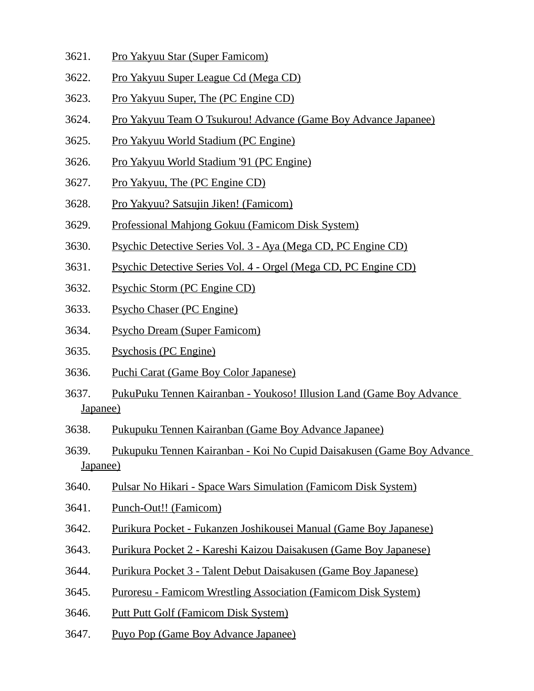- 3621. Pro Yakyuu Star (Super Famicom)
- 3622. Pro Yakyuu Super League Cd (Mega CD)
- 3623. Pro Yakyuu Super, The (PC Engine CD)
- 3624. Pro Yakyuu Team O Tsukurou! Advance (Game Boy Advance Japanee)
- 3625. Pro Yakyuu World Stadium (PC Engine)
- 3626. Pro Yakyuu World Stadium '91 (PC Engine)
- 3627. Pro Yakyuu, The (PC Engine CD)
- 3628. Pro Yakyuu? Satsujin Jiken! (Famicom)
- 3629. Professional Mahjong Gokuu (Famicom Disk System)
- 3630. Psychic Detective Series Vol. 3 Aya (Mega CD, PC Engine CD)
- 3631. Psychic Detective Series Vol. 4 Orgel (Mega CD, PC Engine CD)
- 3632. Psychic Storm (PC Engine CD)
- 3633. Psycho Chaser (PC Engine)
- 3634. Psycho Dream (Super Famicom)
- 3635. Psychosis (PC Engine)
- 3636. Puchi Carat (Game Boy Color Japanese)
- 3637. PukuPuku Tennen Kairanban Youkoso! Illusion Land (Game Boy Advance Japanee)
- 3638. Pukupuku Tennen Kairanban (Game Boy Advance Japanee)
- 3639. Pukupuku Tennen Kairanban Koi No Cupid Daisakusen (Game Boy Advance Japanee)
- 3640. Pulsar No Hikari Space Wars Simulation (Famicom Disk System)
- 3641. Punch-Out!! (Famicom)
- 3642. Purikura Pocket Fukanzen Joshikousei Manual (Game Boy Japanese)
- 3643. Purikura Pocket 2 Kareshi Kaizou Daisakusen (Game Boy Japanese)
- 3644. Purikura Pocket 3 Talent Debut Daisakusen (Game Boy Japanese)
- 3645. Puroresu Famicom Wrestling Association (Famicom Disk System)
- 3646. Putt Putt Golf (Famicom Disk System)
- 3647. Puyo Pop (Game Boy Advance Japanee)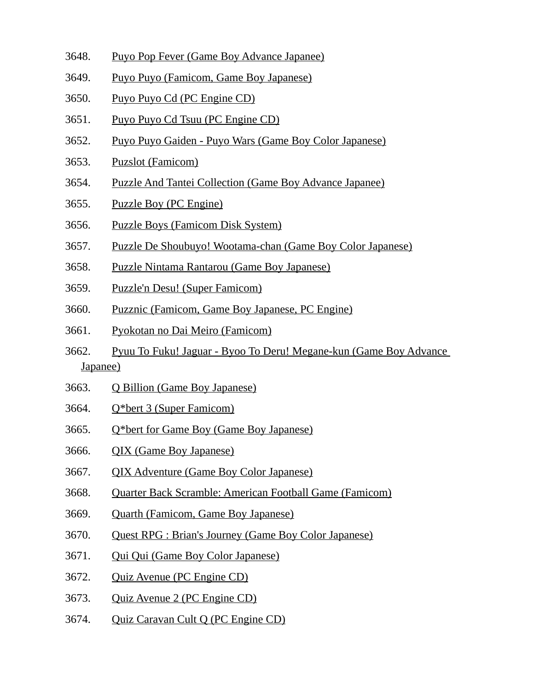- 3648. Puyo Pop Fever (Game Boy Advance Japanee)
- 3649. Puyo Puyo (Famicom, Game Boy Japanese)
- 3650. Puyo Puyo Cd (PC Engine CD)
- 3651. Puyo Puyo Cd Tsuu (PC Engine CD)
- 3652. Puyo Puyo Gaiden Puyo Wars (Game Boy Color Japanese)
- 3653. Puzslot (Famicom)
- 3654. Puzzle And Tantei Collection (Game Boy Advance Japanee)
- 3655. Puzzle Boy (PC Engine)
- 3656. Puzzle Boys (Famicom Disk System)
- 3657. Puzzle De Shoubuyo! Wootama-chan (Game Boy Color Japanese)
- 3658. Puzzle Nintama Rantarou (Game Boy Japanese)
- 3659. Puzzle'n Desu! (Super Famicom)
- 3660. Puzznic (Famicom, Game Boy Japanese, PC Engine)
- 3661. Pyokotan no Dai Meiro (Famicom)
- 3662. Pyuu To Fuku! Jaguar Byoo To Deru! Megane-kun (Game Boy Advance Japanee)
- 3663. Q Billion (Game Boy Japanese)
- 3664. Q\*bert 3 (Super Famicom)
- 3665. Q\*bert for Game Boy (Game Boy Japanese)
- 3666. QIX (Game Boy Japanese)
- 3667. QIX Adventure (Game Boy Color Japanese)
- 3668. Quarter Back Scramble: American Football Game (Famicom)
- 3669. Quarth (Famicom, Game Boy Japanese)
- 3670. Quest RPG : Brian's Journey (Game Boy Color Japanese)
- 3671. Qui Qui (Game Boy Color Japanese)
- 3672. Quiz Avenue (PC Engine CD)
- 3673. Quiz Avenue 2 (PC Engine CD)
- 3674. Quiz Caravan Cult Q (PC Engine CD)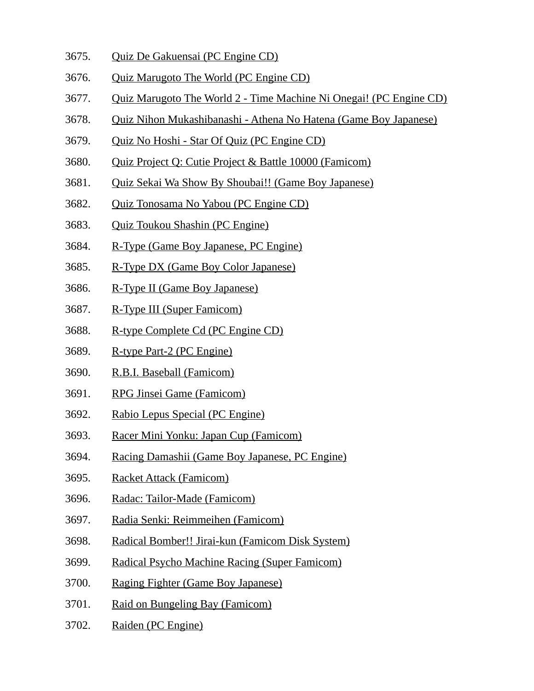- 3675. Quiz De Gakuensai (PC Engine CD)
- 3676. Quiz Marugoto The World (PC Engine CD)
- 3677. Quiz Marugoto The World 2 Time Machine Ni Onegai! (PC Engine CD)
- 3678. Quiz Nihon Mukashibanashi Athena No Hatena (Game Boy Japanese)
- 3679. Quiz No Hoshi Star Of Quiz (PC Engine CD)
- 3680. Quiz Project Q: Cutie Project & Battle 10000 (Famicom)
- 3681. Quiz Sekai Wa Show By Shoubai!! (Game Boy Japanese)
- 3682. Quiz Tonosama No Yabou (PC Engine CD)
- 3683. Quiz Toukou Shashin (PC Engine)
- 3684. R-Type (Game Boy Japanese, PC Engine)
- 3685. R-Type DX (Game Boy Color Japanese)
- 3686. R-Type II (Game Boy Japanese)
- 3687. R-Type III (Super Famicom)
- 3688. R-type Complete Cd (PC Engine CD)
- 3689. R-type Part-2 (PC Engine)
- 3690. R.B.I. Baseball (Famicom)
- 3691. RPG Jinsei Game (Famicom)
- 3692. Rabio Lepus Special (PC Engine)
- 3693. Racer Mini Yonku: Japan Cup (Famicom)
- 3694. Racing Damashii (Game Boy Japanese, PC Engine)
- 3695. Racket Attack (Famicom)
- 3696. Radac: Tailor-Made (Famicom)
- 3697. Radia Senki: Reimmeihen (Famicom)
- 3698. Radical Bomber!! Jirai-kun (Famicom Disk System)
- 3699. Radical Psycho Machine Racing (Super Famicom)
- 3700. Raging Fighter (Game Boy Japanese)
- 3701. Raid on Bungeling Bay (Famicom)
- 3702. Raiden (PC Engine)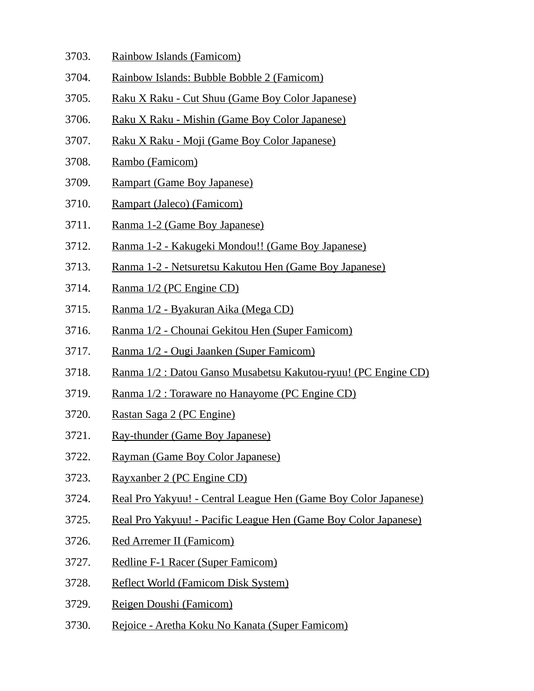- 3703. Rainbow Islands (Famicom)
- 3704. Rainbow Islands: Bubble Bobble 2 (Famicom)
- 3705. Raku X Raku Cut Shuu (Game Boy Color Japanese)
- 3706. Raku X Raku Mishin (Game Boy Color Japanese)
- 3707. Raku X Raku Moji (Game Boy Color Japanese)
- 3708. Rambo (Famicom)
- 3709. Rampart (Game Boy Japanese)
- 3710. Rampart (Jaleco) (Famicom)
- 3711. Ranma 1-2 (Game Boy Japanese)
- 3712. Ranma 1-2 Kakugeki Mondou!! (Game Boy Japanese)
- 3713. Ranma 1-2 Netsuretsu Kakutou Hen (Game Boy Japanese)
- 3714. Ranma 1/2 (PC Engine CD)
- 3715. Ranma 1/2 Byakuran Aika (Mega CD)
- 3716. Ranma 1/2 Chounai Gekitou Hen (Super Famicom)
- 3717. Ranma 1/2 Ougi Jaanken (Super Famicom)
- 3718. Ranma 1/2 : Datou Ganso Musabetsu Kakutou-ryuu! (PC Engine CD)
- 3719. Ranma 1/2 : Toraware no Hanayome (PC Engine CD)
- 3720. Rastan Saga 2 (PC Engine)
- 3721. Ray-thunder (Game Boy Japanese)
- 3722. Rayman (Game Boy Color Japanese)
- 3723. Rayxanber 2 (PC Engine CD)
- 3724. Real Pro Yakyuu! Central League Hen (Game Boy Color Japanese)
- 3725. Real Pro Yakyuu! Pacific League Hen (Game Boy Color Japanese)
- 3726. Red Arremer II (Famicom)
- 3727. Redline F-1 Racer (Super Famicom)
- 3728. Reflect World (Famicom Disk System)
- 3729. Reigen Doushi (Famicom)
- 3730. Rejoice Aretha Koku No Kanata (Super Famicom)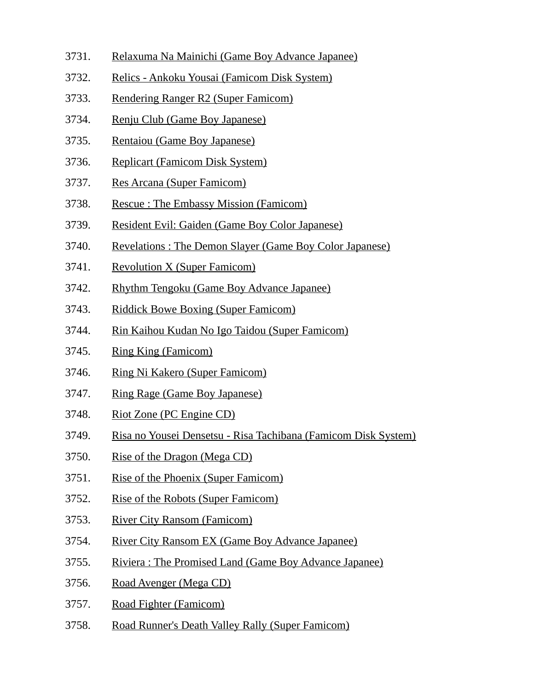- 3731. Relaxuma Na Mainichi (Game Boy Advance Japanee)
- 3732. Relics Ankoku Yousai (Famicom Disk System)
- 3733. Rendering Ranger R2 (Super Famicom)
- 3734. Renju Club (Game Boy Japanese)
- 3735. Rentaiou (Game Boy Japanese)
- 3736. Replicart (Famicom Disk System)
- 3737. Res Arcana (Super Famicom)
- 3738. Rescue : The Embassy Mission (Famicom)
- 3739. Resident Evil: Gaiden (Game Boy Color Japanese)
- 3740. Revelations : The Demon Slayer (Game Boy Color Japanese)
- 3741. Revolution X (Super Famicom)
- 3742. Rhythm Tengoku (Game Boy Advance Japanee)
- 3743. Riddick Bowe Boxing (Super Famicom)
- 3744. Rin Kaihou Kudan No Igo Taidou (Super Famicom)
- 3745. Ring King (Famicom)
- 3746. Ring Ni Kakero (Super Famicom)
- 3747. Ring Rage (Game Boy Japanese)
- 3748. Riot Zone (PC Engine CD)
- 3749. Risa no Yousei Densetsu Risa Tachibana (Famicom Disk System)
- 3750. Rise of the Dragon (Mega CD)
- 3751. Rise of the Phoenix (Super Famicom)
- 3752. Rise of the Robots (Super Famicom)
- 3753. River City Ransom (Famicom)
- 3754. River City Ransom EX (Game Boy Advance Japanee)
- 3755. Riviera : The Promised Land (Game Boy Advance Japanee)
- 3756. Road Avenger (Mega CD)
- 3757. Road Fighter (Famicom)
- 3758. Road Runner's Death Valley Rally (Super Famicom)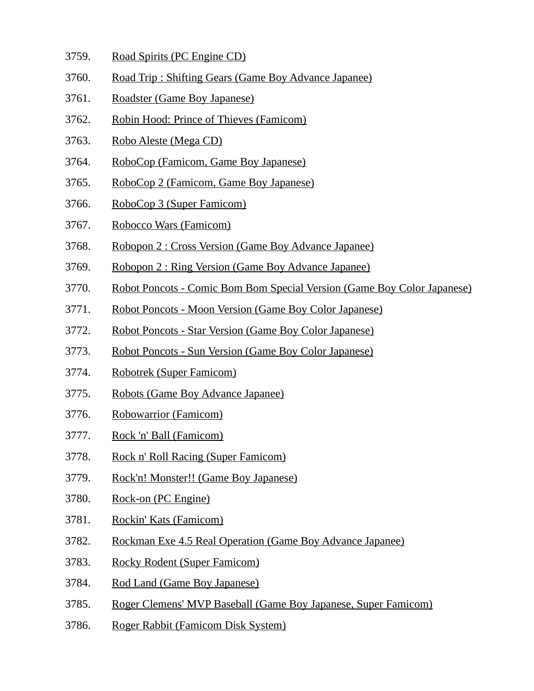- 3759. Road Spirits (PC Engine CD)
- 3760. Road Trip : Shifting Gears (Game Boy Advance Japanee)
- 3761. Roadster (Game Boy Japanese)
- 3762. Robin Hood: Prince of Thieves (Famicom)
- 3763. Robo Aleste (Mega CD)
- 3764. RoboCop (Famicom, Game Boy Japanese)
- 3765. RoboCop 2 (Famicom, Game Boy Japanese)
- 3766. RoboCop 3 (Super Famicom)
- 3767. Robocco Wars (Famicom)
- 3768. Robopon 2 : Cross Version (Game Boy Advance Japanee)
- 3769. Robopon 2 : Ring Version (Game Boy Advance Japanee)
- 3770. Robot Poncots Comic Bom Bom Special Version (Game Boy Color Japanese)
- 3771. Robot Poncots Moon Version (Game Boy Color Japanese)
- 3772. Robot Poncots Star Version (Game Boy Color Japanese)
- 3773. Robot Poncots Sun Version (Game Boy Color Japanese)
- 3774. Robotrek (Super Famicom)
- 3775. Robots (Game Boy Advance Japanee)
- 3776. Robowarrior (Famicom)
- 3777. Rock 'n' Ball (Famicom)
- 3778. Rock n' Roll Racing (Super Famicom)
- 3779. Rock'n! Monster!! (Game Boy Japanese)
- 3780. Rock-on (PC Engine)
- 3781. Rockin' Kats (Famicom)
- 3782. Rockman Exe 4.5 Real Operation (Game Boy Advance Japanee)
- 3783. Rocky Rodent (Super Famicom)
- 3784. Rod Land (Game Boy Japanese)
- 3785. Roger Clemens' MVP Baseball (Game Boy Japanese, Super Famicom)
- 3786. Roger Rabbit (Famicom Disk System)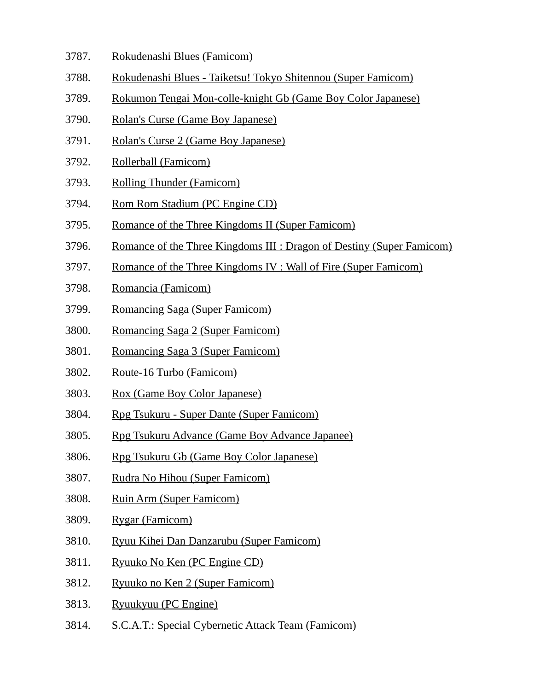- 3787. Rokudenashi Blues (Famicom)
- 3788. Rokudenashi Blues Taiketsu! Tokyo Shitennou (Super Famicom)
- 3789. Rokumon Tengai Mon-colle-knight Gb (Game Boy Color Japanese)
- 3790. Rolan's Curse (Game Boy Japanese)
- 3791. Rolan's Curse 2 (Game Boy Japanese)
- 3792. Rollerball (Famicom)
- 3793. Rolling Thunder (Famicom)
- 3794. Rom Rom Stadium (PC Engine CD)
- 3795. Romance of the Three Kingdoms II (Super Famicom)
- 3796. Romance of the Three Kingdoms III : Dragon of Destiny (Super Famicom)
- 3797. Romance of the Three Kingdoms IV : Wall of Fire (Super Famicom)
- 3798. Romancia (Famicom)
- 3799. Romancing Saga (Super Famicom)
- 3800. Romancing Saga 2 (Super Famicom)
- 3801. Romancing Saga 3 (Super Famicom)
- 3802. Route-16 Turbo (Famicom)
- 3803. Rox (Game Boy Color Japanese)
- 3804. Rpg Tsukuru Super Dante (Super Famicom)
- 3805. Rpg Tsukuru Advance (Game Boy Advance Japanee)
- 3806. Rpg Tsukuru Gb (Game Boy Color Japanese)
- 3807. Rudra No Hihou (Super Famicom)
- 3808. Ruin Arm (Super Famicom)
- 3809. Rygar (Famicom)
- 3810. Ryuu Kihei Dan Danzarubu (Super Famicom)
- 3811. Ryuuko No Ken (PC Engine CD)
- 3812. Ryuuko no Ken 2 (Super Famicom)
- 3813. Ryuukyuu (PC Engine)
- 3814. S.C.A.T.: Special Cybernetic Attack Team (Famicom)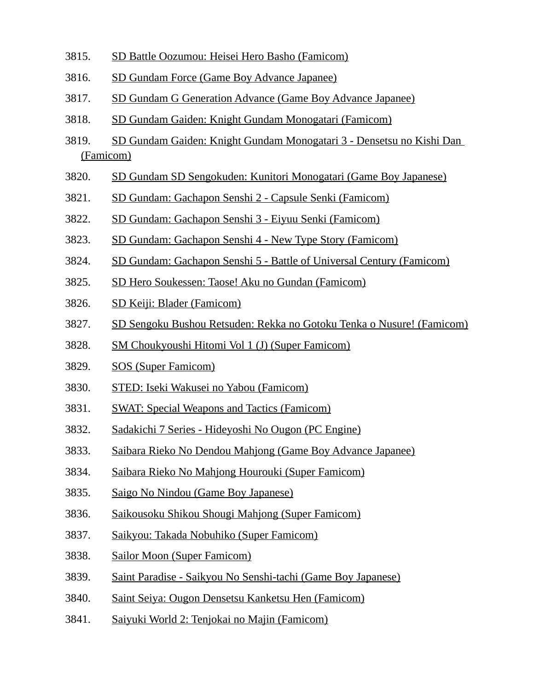- 3815. SD Battle Oozumou: Heisei Hero Basho (Famicom)
- 3816. SD Gundam Force (Game Boy Advance Japanee)
- 3817. SD Gundam G Generation Advance (Game Boy Advance Japanee)
- 3818. SD Gundam Gaiden: Knight Gundam Monogatari (Famicom)
- 3819. SD Gundam Gaiden: Knight Gundam Monogatari 3 Densetsu no Kishi Dan (Famicom)
- 3820. SD Gundam SD Sengokuden: Kunitori Monogatari (Game Boy Japanese)
- 3821. SD Gundam: Gachapon Senshi 2 Capsule Senki (Famicom)
- 3822. SD Gundam: Gachapon Senshi 3 Eiyuu Senki (Famicom)
- 3823. SD Gundam: Gachapon Senshi 4 New Type Story (Famicom)
- 3824. SD Gundam: Gachapon Senshi 5 Battle of Universal Century (Famicom)
- 3825. SD Hero Soukessen: Taose! Aku no Gundan (Famicom)
- 3826. SD Keiji: Blader (Famicom)
- 3827. SD Sengoku Bushou Retsuden: Rekka no Gotoku Tenka o Nusure! (Famicom)
- 3828. SM Choukyoushi Hitomi Vol 1 (J) (Super Famicom)
- 3829. SOS (Super Famicom)
- 3830. STED: Iseki Wakusei no Yabou (Famicom)
- 3831. SWAT: Special Weapons and Tactics (Famicom)
- 3832. Sadakichi 7 Series Hideyoshi No Ougon (PC Engine)
- 3833. Saibara Rieko No Dendou Mahjong (Game Boy Advance Japanee)
- 3834. Saibara Rieko No Mahjong Hourouki (Super Famicom)
- 3835. Saigo No Nindou (Game Boy Japanese)
- 3836. Saikousoku Shikou Shougi Mahjong (Super Famicom)
- 3837. Saikyou: Takada Nobuhiko (Super Famicom)
- 3838. Sailor Moon (Super Famicom)
- 3839. Saint Paradise Saikyou No Senshi-tachi (Game Boy Japanese)
- 3840. Saint Seiya: Ougon Densetsu Kanketsu Hen (Famicom)
- 3841. Saiyuki World 2: Tenjokai no Majin (Famicom)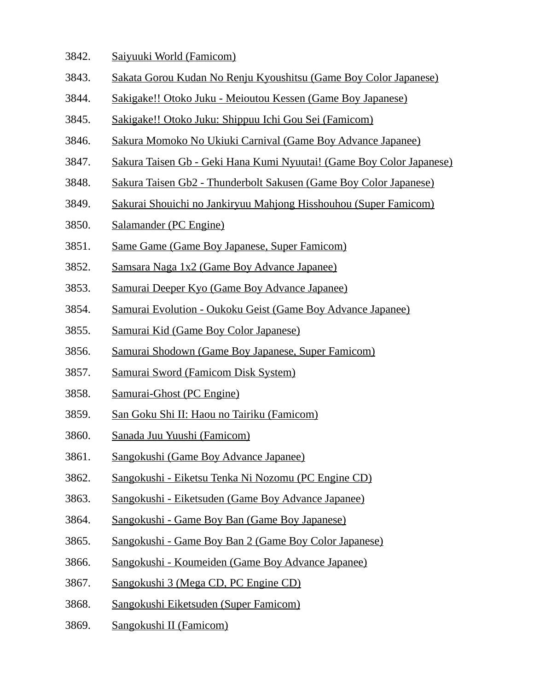- 3842. Saiyuuki World (Famicom)
- 3843. Sakata Gorou Kudan No Renju Kyoushitsu (Game Boy Color Japanese)
- 3844. Sakigake!! Otoko Juku Meioutou Kessen (Game Boy Japanese)
- 3845. Sakigake!! Otoko Juku: Shippuu Ichi Gou Sei (Famicom)
- 3846. Sakura Momoko No Ukiuki Carnival (Game Boy Advance Japanee)
- 3847. Sakura Taisen Gb Geki Hana Kumi Nyuutai! (Game Boy Color Japanese)
- 3848. Sakura Taisen Gb2 Thunderbolt Sakusen (Game Boy Color Japanese)
- 3849. Sakurai Shouichi no Jankiryuu Mahjong Hisshouhou (Super Famicom)
- 3850. Salamander (PC Engine)
- 3851. Same Game (Game Boy Japanese, Super Famicom)
- 3852. Samsara Naga 1x2 (Game Boy Advance Japanee)
- 3853. Samurai Deeper Kyo (Game Boy Advance Japanee)
- 3854. Samurai Evolution Oukoku Geist (Game Boy Advance Japanee)
- 3855. Samurai Kid (Game Boy Color Japanese)
- 3856. Samurai Shodown (Game Boy Japanese, Super Famicom)
- 3857. Samurai Sword (Famicom Disk System)
- 3858. Samurai-Ghost (PC Engine)
- 3859. San Goku Shi II: Haou no Tairiku (Famicom)
- 3860. Sanada Juu Yuushi (Famicom)
- 3861. Sangokushi (Game Boy Advance Japanee)
- 3862. Sangokushi Eiketsu Tenka Ni Nozomu (PC Engine CD)
- 3863. Sangokushi Eiketsuden (Game Boy Advance Japanee)
- 3864. Sangokushi Game Boy Ban (Game Boy Japanese)
- 3865. Sangokushi Game Boy Ban 2 (Game Boy Color Japanese)
- 3866. Sangokushi Koumeiden (Game Boy Advance Japanee)
- 3867. Sangokushi 3 (Mega CD, PC Engine CD)
- 3868. Sangokushi Eiketsuden (Super Famicom)
- 3869. Sangokushi II (Famicom)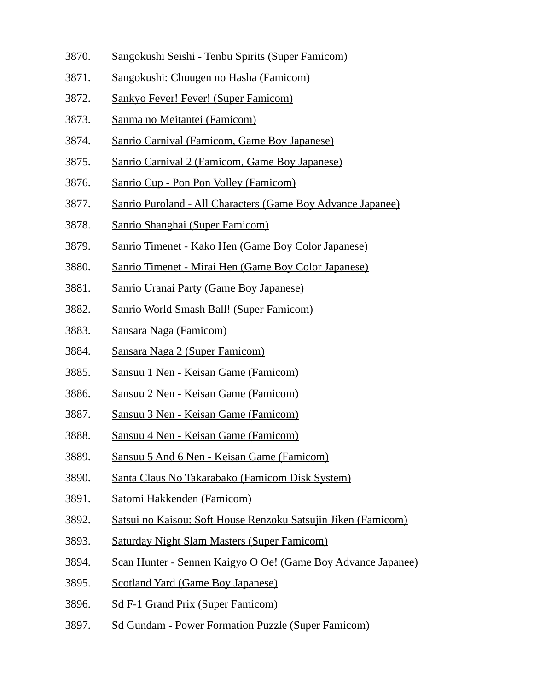- 3870. Sangokushi Seishi Tenbu Spirits (Super Famicom)
- 3871. Sangokushi: Chuugen no Hasha (Famicom)
- 3872. Sankyo Fever! Fever! (Super Famicom)
- 3873. Sanma no Meitantei (Famicom)
- 3874. Sanrio Carnival (Famicom, Game Boy Japanese)
- 3875. Sanrio Carnival 2 (Famicom, Game Boy Japanese)
- 3876. Sanrio Cup Pon Pon Volley (Famicom)
- 3877. Sanrio Puroland All Characters (Game Boy Advance Japanee)
- 3878. Sanrio Shanghai (Super Famicom)
- 3879. Sanrio Timenet Kako Hen (Game Boy Color Japanese)
- 3880. Sanrio Timenet Mirai Hen (Game Boy Color Japanese)
- 3881. Sanrio Uranai Party (Game Boy Japanese)
- 3882. Sanrio World Smash Ball! (Super Famicom)
- 3883. Sansara Naga (Famicom)
- 3884. Sansara Naga 2 (Super Famicom)
- 3885. Sansuu 1 Nen Keisan Game (Famicom)
- 3886. Sansuu 2 Nen Keisan Game (Famicom)
- 3887. Sansuu 3 Nen Keisan Game (Famicom)
- 3888. Sansuu 4 Nen Keisan Game (Famicom)
- 3889. Sansuu 5 And 6 Nen Keisan Game (Famicom)
- 3890. Santa Claus No Takarabako (Famicom Disk System)
- 3891. Satomi Hakkenden (Famicom)
- 3892. Satsui no Kaisou: Soft House Renzoku Satsujin Jiken (Famicom)
- 3893. Saturday Night Slam Masters (Super Famicom)
- 3894. Scan Hunter Sennen Kaigyo O Oe! (Game Boy Advance Japanee)
- 3895. Scotland Yard (Game Boy Japanese)
- 3896. Sd F-1 Grand Prix (Super Famicom)
- 3897. Sd Gundam Power Formation Puzzle (Super Famicom)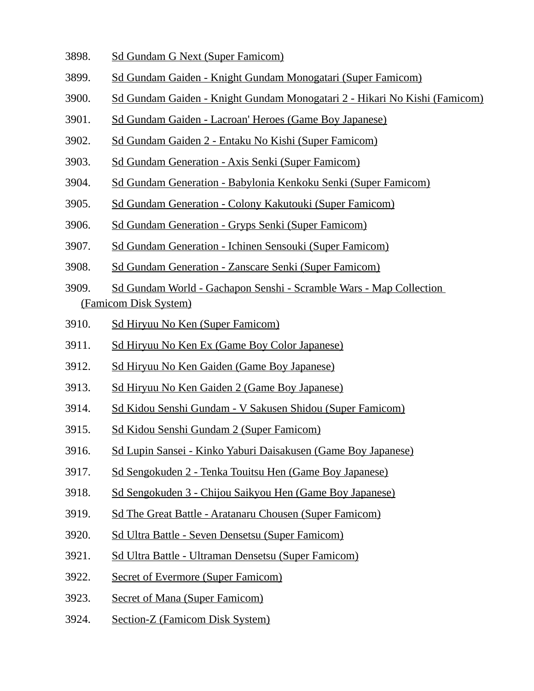- 3898. Sd Gundam G Next (Super Famicom)
- 3899. Sd Gundam Gaiden Knight Gundam Monogatari (Super Famicom)
- 3900. Sd Gundam Gaiden Knight Gundam Monogatari 2 Hikari No Kishi (Famicom)
- 3901. Sd Gundam Gaiden Lacroan' Heroes (Game Boy Japanese)
- 3902. Sd Gundam Gaiden 2 Entaku No Kishi (Super Famicom)
- 3903. Sd Gundam Generation Axis Senki (Super Famicom)
- 3904. Sd Gundam Generation Babylonia Kenkoku Senki (Super Famicom)
- 3905. Sd Gundam Generation Colony Kakutouki (Super Famicom)
- 3906. Sd Gundam Generation Gryps Senki (Super Famicom)
- 3907. Sd Gundam Generation Ichinen Sensouki (Super Famicom)
- 3908. Sd Gundam Generation Zanscare Senki (Super Famicom)
- 3909. Sd Gundam World Gachapon Senshi Scramble Wars Map Collection (Famicom Disk System)
- 3910. Sd Hiryuu No Ken (Super Famicom)
- 3911. Sd Hiryuu No Ken Ex (Game Boy Color Japanese)
- 3912. Sd Hiryuu No Ken Gaiden (Game Boy Japanese)
- 3913. Sd Hiryuu No Ken Gaiden 2 (Game Boy Japanese)
- 3914. Sd Kidou Senshi Gundam V Sakusen Shidou (Super Famicom)
- 3915. Sd Kidou Senshi Gundam 2 (Super Famicom)
- 3916. Sd Lupin Sansei Kinko Yaburi Daisakusen (Game Boy Japanese)
- 3917. Sd Sengokuden 2 Tenka Touitsu Hen (Game Boy Japanese)
- 3918. Sd Sengokuden 3 Chijou Saikyou Hen (Game Boy Japanese)
- 3919. Sd The Great Battle Aratanaru Chousen (Super Famicom)
- 3920. Sd Ultra Battle Seven Densetsu (Super Famicom)
- 3921. Sd Ultra Battle Ultraman Densetsu (Super Famicom)
- 3922. Secret of Evermore (Super Famicom)
- 3923. Secret of Mana (Super Famicom)
- 3924. Section-Z (Famicom Disk System)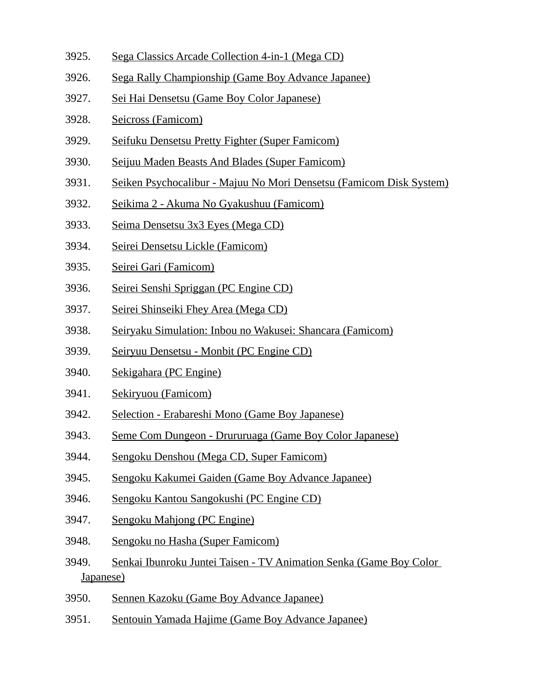- 3925. Sega Classics Arcade Collection 4-in-1 (Mega CD)
- 3926. Sega Rally Championship (Game Boy Advance Japanee)
- 3927. Sei Hai Densetsu (Game Boy Color Japanese)
- 3928. Seicross (Famicom)
- 3929. Seifuku Densetsu Pretty Fighter (Super Famicom)
- 3930. Seijuu Maden Beasts And Blades (Super Famicom)
- 3931. Seiken Psychocalibur Majuu No Mori Densetsu (Famicom Disk System)
- 3932. Seikima 2 Akuma No Gyakushuu (Famicom)
- 3933. Seima Densetsu 3x3 Eyes (Mega CD)
- 3934. Seirei Densetsu Lickle (Famicom)
- 3935. Seirei Gari (Famicom)
- 3936. Seirei Senshi Spriggan (PC Engine CD)
- 3937. Seirei Shinseiki Fhey Area (Mega CD)
- 3938. Seiryaku Simulation: Inbou no Wakusei: Shancara (Famicom)
- 3939. Seiryuu Densetsu Monbit (PC Engine CD)
- 3940. Sekigahara (PC Engine)
- 3941. Sekiryuou (Famicom)
- 3942. Selection Erabareshi Mono (Game Boy Japanese)
- 3943. Seme Com Dungeon Drururuaga (Game Boy Color Japanese)
- 3944. Sengoku Denshou (Mega CD, Super Famicom)
- 3945. Sengoku Kakumei Gaiden (Game Boy Advance Japanee)
- 3946. Sengoku Kantou Sangokushi (PC Engine CD)
- 3947. Sengoku Mahjong (PC Engine)
- 3948. Sengoku no Hasha (Super Famicom)
- 3949. Senkai Ibunroku Juntei Taisen TV Animation Senka (Game Boy Color Japanese)
- 3950. Sennen Kazoku (Game Boy Advance Japanee)
- 3951. Sentouin Yamada Hajime (Game Boy Advance Japanee)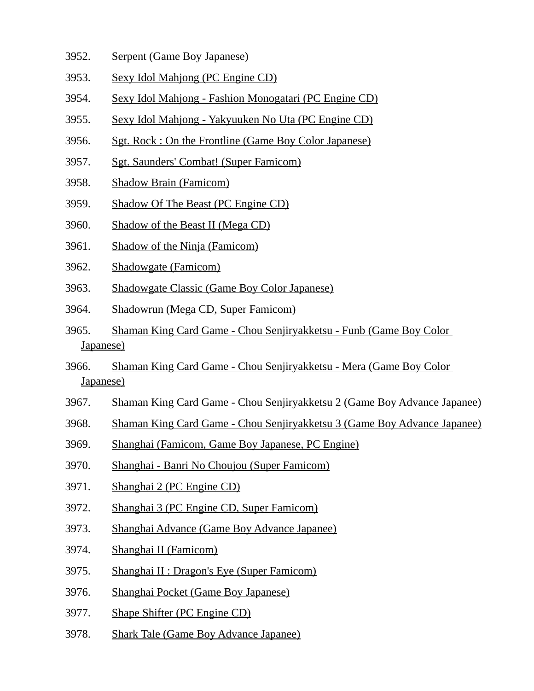- 3952. Serpent (Game Boy Japanese)
- 3953. Sexy Idol Mahjong (PC Engine CD)
- 3954. Sexy Idol Mahjong Fashion Monogatari (PC Engine CD)
- 3955. Sexy Idol Mahjong Yakyuuken No Uta (PC Engine CD)
- 3956. Sgt. Rock : On the Frontline (Game Boy Color Japanese)
- 3957. Sgt. Saunders' Combat! (Super Famicom)
- 3958. Shadow Brain (Famicom)
- 3959. Shadow Of The Beast (PC Engine CD)
- 3960. Shadow of the Beast II (Mega CD)
- 3961. Shadow of the Ninja (Famicom)
- 3962. Shadowgate (Famicom)
- 3963. Shadowgate Classic (Game Boy Color Japanese)
- 3964. Shadowrun (Mega CD, Super Famicom)
- 3965. Shaman King Card Game Chou Senjiryakketsu Funb (Game Boy Color Japanese)
- 3966. Shaman King Card Game Chou Senjiryakketsu Mera (Game Boy Color Japanese)
- 3967. Shaman King Card Game Chou Senjiryakketsu 2 (Game Boy Advance Japanee)
- 3968. Shaman King Card Game Chou Senjiryakketsu 3 (Game Boy Advance Japanee)
- 3969. Shanghai (Famicom, Game Boy Japanese, PC Engine)
- 3970. Shanghai Banri No Choujou (Super Famicom)
- 3971. Shanghai 2 (PC Engine CD)
- 3972. Shanghai 3 (PC Engine CD, Super Famicom)
- 3973. Shanghai Advance (Game Boy Advance Japanee)
- 3974. Shanghai II (Famicom)
- 3975. Shanghai II : Dragon's Eye (Super Famicom)
- 3976. Shanghai Pocket (Game Boy Japanese)
- 3977. Shape Shifter (PC Engine CD)
- 3978. Shark Tale (Game Boy Advance Japanee)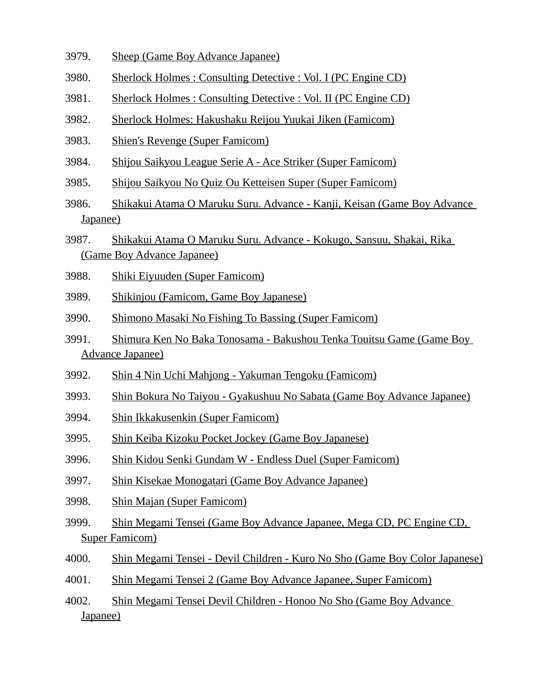- 3979. Sheep (Game Boy Advance Japanee)
- 3980. Sherlock Holmes : Consulting Detective : Vol. I (PC Engine CD)
- 3981. Sherlock Holmes : Consulting Detective : Vol. II (PC Engine CD)
- 3982. Sherlock Holmes: Hakushaku Reijou Yuukai Jiken (Famicom)
- 3983. Shien's Revenge (Super Famicom)
- 3984. Shijou Saikyou League Serie A Ace Striker (Super Famicom)
- 3985. Shijou Saikyou No Quiz Ou Ketteisen Super (Super Famicom)
- 3986. Shikakui Atama O Maruku Suru. Advance Kanji, Keisan (Game Boy Advance Japanee)
- 3987. Shikakui Atama O Maruku Suru. Advance Kokugo, Sansuu, Shakai, Rika (Game Boy Advance Japanee)
- 3988. Shiki Eiyuuden (Super Famicom)
- 3989. Shikinjou (Famicom, Game Boy Japanese)
- 3990. Shimono Masaki No Fishing To Bassing (Super Famicom)
- 3991. Shimura Ken No Baka Tonosama Bakushou Tenka Touitsu Game (Game Boy Advance Japanee)
- 3992. Shin 4 Nin Uchi Mahjong Yakuman Tengoku (Famicom)
- 3993. Shin Bokura No Taiyou Gyakushuu No Sabata (Game Boy Advance Japanee)
- 3994. Shin Ikkakusenkin (Super Famicom)
- 3995. Shin Keiba Kizoku Pocket Jockey (Game Boy Japanese)
- 3996. Shin Kidou Senki Gundam W Endless Duel (Super Famicom)
- 3997. Shin Kisekae Monogatari (Game Boy Advance Japanee)
- 3998. Shin Majan (Super Famicom)
- 3999. Shin Megami Tensei (Game Boy Advance Japanee, Mega CD, PC Engine CD, Super Famicom)
- 4000. Shin Megami Tensei Devil Children Kuro No Sho (Game Boy Color Japanese)
- 4001. Shin Megami Tensei 2 (Game Boy Advance Japanee, Super Famicom)
- 4002. Shin Megami Tensei Devil Children Honoo No Sho (Game Boy Advance Japanee)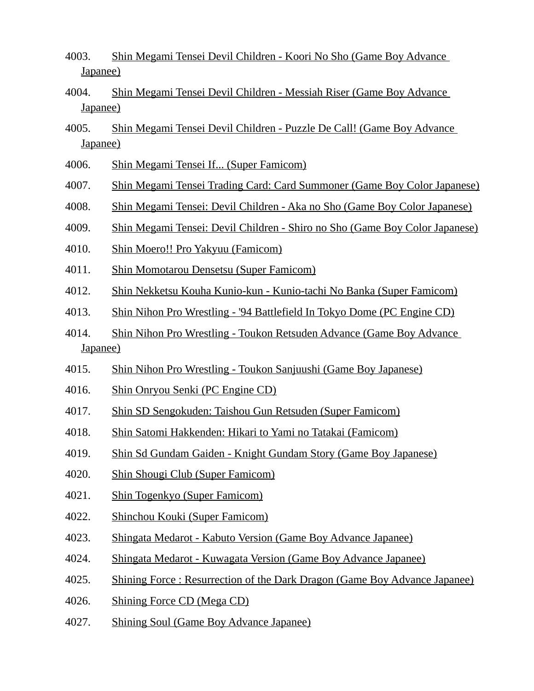- 4003. Shin Megami Tensei Devil Children Koori No Sho (Game Boy Advance Japanee)
- 4004. Shin Megami Tensei Devil Children Messiah Riser (Game Boy Advance Japanee)
- 4005. Shin Megami Tensei Devil Children Puzzle De Call! (Game Boy Advance Japanee)
- 4006. Shin Megami Tensei If... (Super Famicom)
- 4007. Shin Megami Tensei Trading Card: Card Summoner (Game Boy Color Japanese)
- 4008. Shin Megami Tensei: Devil Children Aka no Sho (Game Boy Color Japanese)
- 4009. Shin Megami Tensei: Devil Children Shiro no Sho (Game Boy Color Japanese)
- 4010. Shin Moero!! Pro Yakyuu (Famicom)
- 4011. Shin Momotarou Densetsu (Super Famicom)
- 4012. Shin Nekketsu Kouha Kunio-kun Kunio-tachi No Banka (Super Famicom)
- 4013. Shin Nihon Pro Wrestling '94 Battlefield In Tokyo Dome (PC Engine CD)
- 4014. Shin Nihon Pro Wrestling Toukon Retsuden Advance (Game Boy Advance Japanee)
- 4015. Shin Nihon Pro Wrestling Toukon Sanjuushi (Game Boy Japanese)
- 4016. Shin Onryou Senki (PC Engine CD)
- 4017. Shin SD Sengokuden: Taishou Gun Retsuden (Super Famicom)
- 4018. Shin Satomi Hakkenden: Hikari to Yami no Tatakai (Famicom)
- 4019. Shin Sd Gundam Gaiden Knight Gundam Story (Game Boy Japanese)
- 4020. Shin Shougi Club (Super Famicom)
- 4021. Shin Togenkyo (Super Famicom)
- 4022. Shinchou Kouki (Super Famicom)
- 4023. Shingata Medarot Kabuto Version (Game Boy Advance Japanee)
- 4024. Shingata Medarot Kuwagata Version (Game Boy Advance Japanee)
- 4025. Shining Force : Resurrection of the Dark Dragon (Game Boy Advance Japanee)
- 4026. Shining Force CD (Mega CD)
- 4027. Shining Soul (Game Boy Advance Japanee)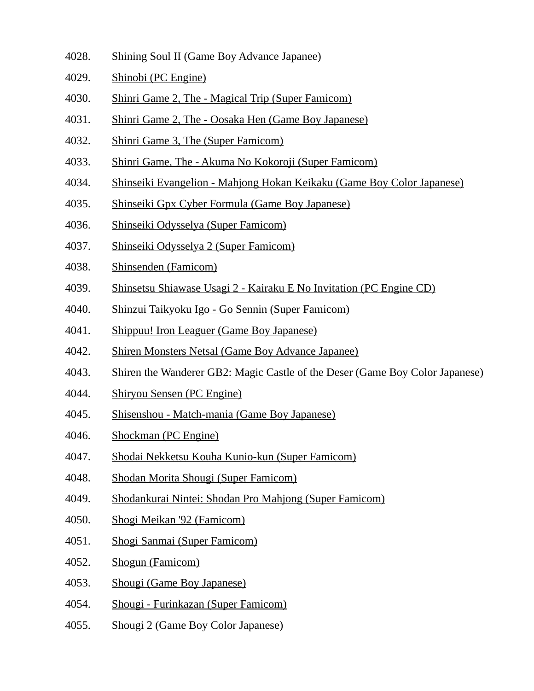- 4028. Shining Soul II (Game Boy Advance Japanee)
- 4029. Shinobi (PC Engine)
- 4030. Shinri Game 2, The Magical Trip (Super Famicom)
- 4031. Shinri Game 2, The Oosaka Hen (Game Boy Japanese)
- 4032. Shinri Game 3, The (Super Famicom)
- 4033. Shinri Game, The Akuma No Kokoroji (Super Famicom)
- 4034. Shinseiki Evangelion Mahjong Hokan Keikaku (Game Boy Color Japanese)
- 4035. Shinseiki Gpx Cyber Formula (Game Boy Japanese)
- 4036. Shinseiki Odysselya (Super Famicom)
- 4037. Shinseiki Odysselya 2 (Super Famicom)
- 4038. Shinsenden (Famicom)
- 4039. Shinsetsu Shiawase Usagi 2 Kairaku E No Invitation (PC Engine CD)
- 4040. Shinzui Taikyoku Igo Go Sennin (Super Famicom)
- 4041. Shippuu! Iron Leaguer (Game Boy Japanese)
- 4042. Shiren Monsters Netsal (Game Boy Advance Japanee)
- 4043. Shiren the Wanderer GB2: Magic Castle of the Deser (Game Boy Color Japanese)
- 4044. Shiryou Sensen (PC Engine)
- 4045. Shisenshou Match-mania (Game Boy Japanese)
- 4046. Shockman (PC Engine)
- 4047. Shodai Nekketsu Kouha Kunio-kun (Super Famicom)
- 4048. Shodan Morita Shougi (Super Famicom)
- 4049. Shodankurai Nintei: Shodan Pro Mahjong (Super Famicom)
- 4050. Shogi Meikan '92 (Famicom)
- 4051. Shogi Sanmai (Super Famicom)
- 4052. Shogun (Famicom)
- 4053. Shougi (Game Boy Japanese)
- 4054. Shougi Furinkazan (Super Famicom)
- 4055. Shougi 2 (Game Boy Color Japanese)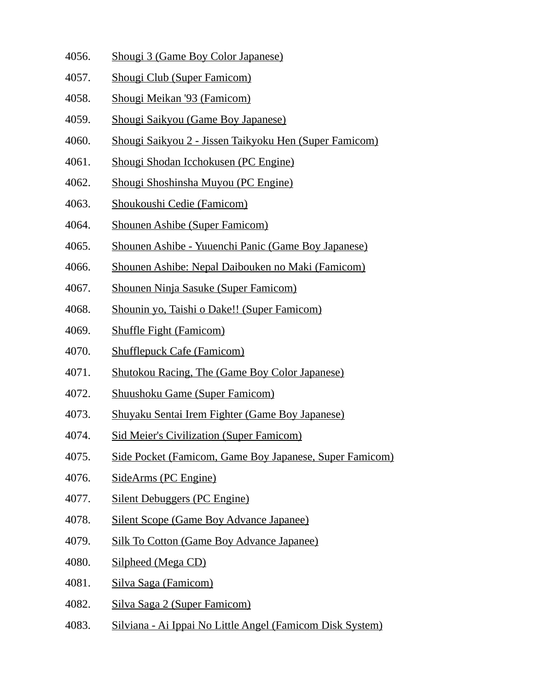- 4056. Shougi 3 (Game Boy Color Japanese)
- 4057. Shougi Club (Super Famicom)
- 4058. Shougi Meikan '93 (Famicom)
- 4059. Shougi Saikyou (Game Boy Japanese)
- 4060. Shougi Saikyou 2 Jissen Taikyoku Hen (Super Famicom)
- 4061. Shougi Shodan Icchokusen (PC Engine)
- 4062. Shougi Shoshinsha Muyou (PC Engine)
- 4063. Shoukoushi Cedie (Famicom)
- 4064. Shounen Ashibe (Super Famicom)
- 4065. Shounen Ashibe Yuuenchi Panic (Game Boy Japanese)
- 4066. Shounen Ashibe: Nepal Daibouken no Maki (Famicom)
- 4067. Shounen Ninja Sasuke (Super Famicom)
- 4068. Shounin yo, Taishi o Dake!! (Super Famicom)
- 4069. Shuffle Fight (Famicom)
- 4070. Shufflepuck Cafe (Famicom)
- 4071. Shutokou Racing, The (Game Boy Color Japanese)
- 4072. Shuushoku Game (Super Famicom)
- 4073. Shuyaku Sentai Irem Fighter (Game Boy Japanese)
- 4074. Sid Meier's Civilization (Super Famicom)
- 4075. Side Pocket (Famicom, Game Boy Japanese, Super Famicom)
- 4076. SideArms (PC Engine)
- 4077. Silent Debuggers (PC Engine)
- 4078. Silent Scope (Game Boy Advance Japanee)
- 4079. Silk To Cotton (Game Boy Advance Japanee)
- 4080. Silpheed (Mega CD)
- 4081. Silva Saga (Famicom)
- 4082. Silva Saga 2 (Super Famicom)
- 4083. Silviana Ai Ippai No Little Angel (Famicom Disk System)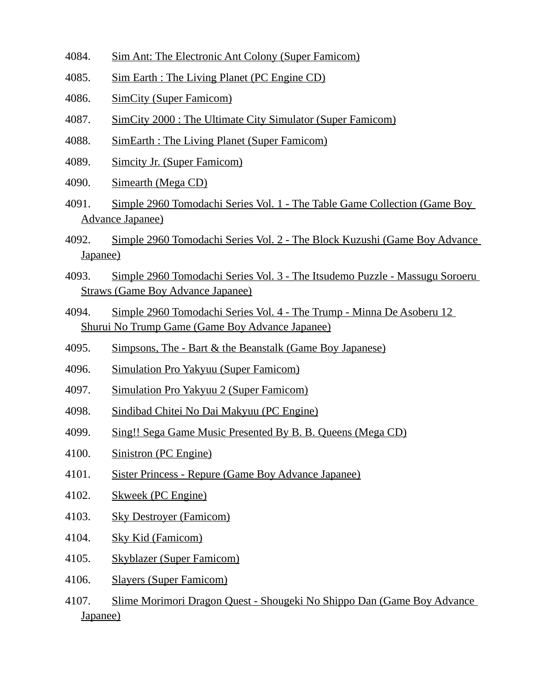- 4084. Sim Ant: The Electronic Ant Colony (Super Famicom)
- 4085. Sim Earth : The Living Planet (PC Engine CD)
- 4086. SimCity (Super Famicom)
- 4087. SimCity 2000 : The Ultimate City Simulator (Super Famicom)
- 4088. SimEarth : The Living Planet (Super Famicom)
- 4089. Simcity Jr. (Super Famicom)
- 4090. Simearth (Mega CD)
- 4091. Simple 2960 Tomodachi Series Vol. 1 The Table Game Collection (Game Boy Advance Japanee)
- 4092. Simple 2960 Tomodachi Series Vol. 2 The Block Kuzushi (Game Boy Advance Japanee)
- 4093. Simple 2960 Tomodachi Series Vol. 3 The Itsudemo Puzzle Massugu Soroeru Straws (Game Boy Advance Japanee)
- 4094. Simple 2960 Tomodachi Series Vol. 4 The Trump Minna De Asoberu 12 Shurui No Trump Game (Game Boy Advance Japanee)
- 4095. Simpsons, The Bart & the Beanstalk (Game Boy Japanese)
- 4096. Simulation Pro Yakyuu (Super Famicom)
- 4097. Simulation Pro Yakyuu 2 (Super Famicom)
- 4098. Sindibad Chitei No Dai Makyuu (PC Engine)
- 4099. Sing!! Sega Game Music Presented By B. B. Queens (Mega CD)
- 4100. Sinistron (PC Engine)
- 4101. Sister Princess Repure (Game Boy Advance Japanee)
- 4102. Skweek (PC Engine)
- 4103. Sky Destroyer (Famicom)
- 4104. Sky Kid (Famicom)
- 4105. Skyblazer (Super Famicom)
- 4106. Slayers (Super Famicom)
- 4107. Slime Morimori Dragon Quest Shougeki No Shippo Dan (Game Boy Advance Japanee)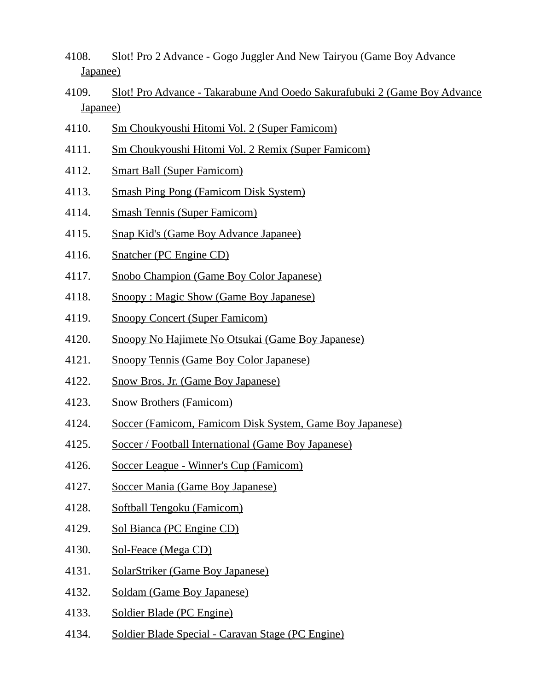- 4108. Slot! Pro 2 Advance Gogo Juggler And New Tairyou (Game Boy Advance Japanee)
- 4109. Slot! Pro Advance Takarabune And Ooedo Sakurafubuki 2 (Game Boy Advance Japanee)
- 4110. Sm Choukyoushi Hitomi Vol. 2 (Super Famicom)
- 4111. Sm Choukyoushi Hitomi Vol. 2 Remix (Super Famicom)
- 4112. Smart Ball (Super Famicom)
- 4113. Smash Ping Pong (Famicom Disk System)
- 4114. Smash Tennis (Super Famicom)
- 4115. Snap Kid's (Game Boy Advance Japanee)
- 4116. Snatcher (PC Engine CD)
- 4117. Snobo Champion (Game Boy Color Japanese)
- 4118. Snoopy : Magic Show (Game Boy Japanese)
- 4119. Snoopy Concert (Super Famicom)
- 4120. Snoopy No Hajimete No Otsukai (Game Boy Japanese)
- 4121. Snoopy Tennis (Game Boy Color Japanese)
- 4122. Snow Bros. Jr. (Game Boy Japanese)
- 4123. Snow Brothers (Famicom)
- 4124. Soccer (Famicom, Famicom Disk System, Game Boy Japanese)
- 4125. Soccer / Football International (Game Boy Japanese)
- 4126. Soccer League Winner's Cup (Famicom)
- 4127. Soccer Mania (Game Boy Japanese)
- 4128. Softball Tengoku (Famicom)
- 4129. Sol Bianca (PC Engine CD)
- 4130. Sol-Feace (Mega CD)
- 4131. SolarStriker (Game Boy Japanese)
- 4132. Soldam (Game Boy Japanese)
- 4133. Soldier Blade (PC Engine)
- 4134. Soldier Blade Special Caravan Stage (PC Engine)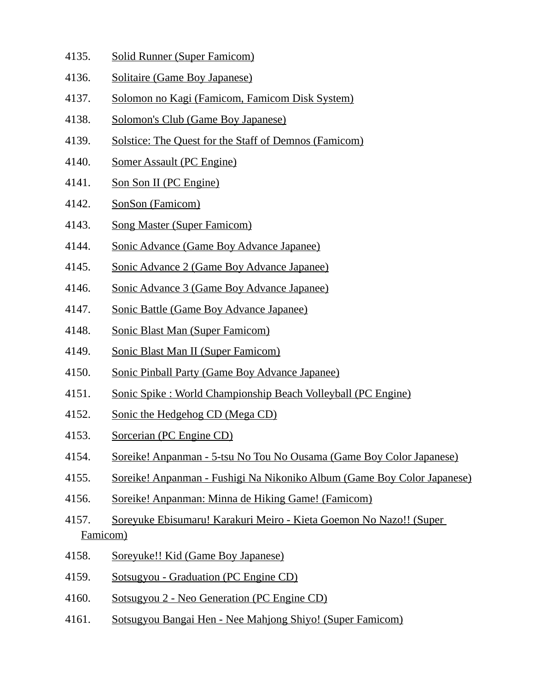- 4135. Solid Runner (Super Famicom)
- 4136. Solitaire (Game Boy Japanese)
- 4137. Solomon no Kagi (Famicom, Famicom Disk System)
- 4138. Solomon's Club (Game Boy Japanese)
- 4139. Solstice: The Quest for the Staff of Demnos (Famicom)
- 4140. Somer Assault (PC Engine)
- 4141. Son Son II (PC Engine)
- 4142. SonSon (Famicom)
- 4143. Song Master (Super Famicom)
- 4144. Sonic Advance (Game Boy Advance Japanee)
- 4145. Sonic Advance 2 (Game Boy Advance Japanee)
- 4146. Sonic Advance 3 (Game Boy Advance Japanee)
- 4147. Sonic Battle (Game Boy Advance Japanee)
- 4148. Sonic Blast Man (Super Famicom)
- 4149. Sonic Blast Man II (Super Famicom)
- 4150. Sonic Pinball Party (Game Boy Advance Japanee)
- 4151. Sonic Spike : World Championship Beach Volleyball (PC Engine)
- 4152. Sonic the Hedgehog CD (Mega CD)
- 4153. Sorcerian (PC Engine CD)
- 4154. Soreike! Anpanman 5-tsu No Tou No Ousama (Game Boy Color Japanese)
- 4155. Soreike! Anpanman Fushigi Na Nikoniko Album (Game Boy Color Japanese)
- 4156. Soreike! Anpanman: Minna de Hiking Game! (Famicom)
- 4157. Soreyuke Ebisumaru! Karakuri Meiro Kieta Goemon No Nazo!! (Super Famicom)
- 4158. Soreyuke!! Kid (Game Boy Japanese)
- 4159. Sotsugyou Graduation (PC Engine CD)
- 4160. Sotsugyou 2 Neo Generation (PC Engine CD)
- 4161. Sotsugyou Bangai Hen Nee Mahjong Shiyo! (Super Famicom)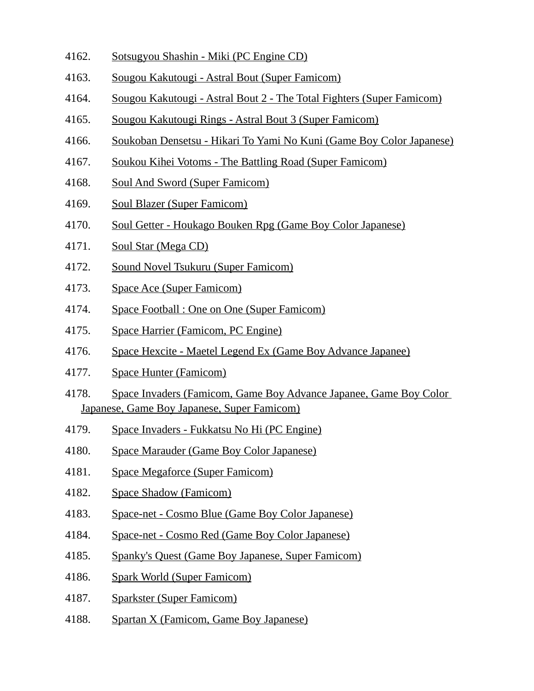- 4162. Sotsugyou Shashin Miki (PC Engine CD)
- 4163. Sougou Kakutougi Astral Bout (Super Famicom)
- 4164. Sougou Kakutougi Astral Bout 2 The Total Fighters (Super Famicom)
- 4165. Sougou Kakutougi Rings Astral Bout 3 (Super Famicom)
- 4166. Soukoban Densetsu Hikari To Yami No Kuni (Game Boy Color Japanese)
- 4167. Soukou Kihei Votoms The Battling Road (Super Famicom)
- 4168. Soul And Sword (Super Famicom)
- 4169. Soul Blazer (Super Famicom)
- 4170. Soul Getter Houkago Bouken Rpg (Game Boy Color Japanese)
- 4171. Soul Star (Mega CD)
- 4172. Sound Novel Tsukuru (Super Famicom)
- 4173. Space Ace (Super Famicom)
- 4174. Space Football : One on One (Super Famicom)
- 4175. Space Harrier (Famicom, PC Engine)
- 4176. Space Hexcite Maetel Legend Ex (Game Boy Advance Japanee)
- 4177. Space Hunter (Famicom)
- 4178. Space Invaders (Famicom, Game Boy Advance Japanee, Game Boy Color Japanese, Game Boy Japanese, Super Famicom)
- 4179. Space Invaders Fukkatsu No Hi (PC Engine)
- 4180. Space Marauder (Game Boy Color Japanese)
- 4181. Space Megaforce (Super Famicom)
- 4182. Space Shadow (Famicom)
- 4183. Space-net Cosmo Blue (Game Boy Color Japanese)
- 4184. Space-net Cosmo Red (Game Boy Color Japanese)
- 4185. Spanky's Quest (Game Boy Japanese, Super Famicom)
- 4186. Spark World (Super Famicom)
- 4187. Sparkster (Super Famicom)
- 4188. Spartan X (Famicom, Game Boy Japanese)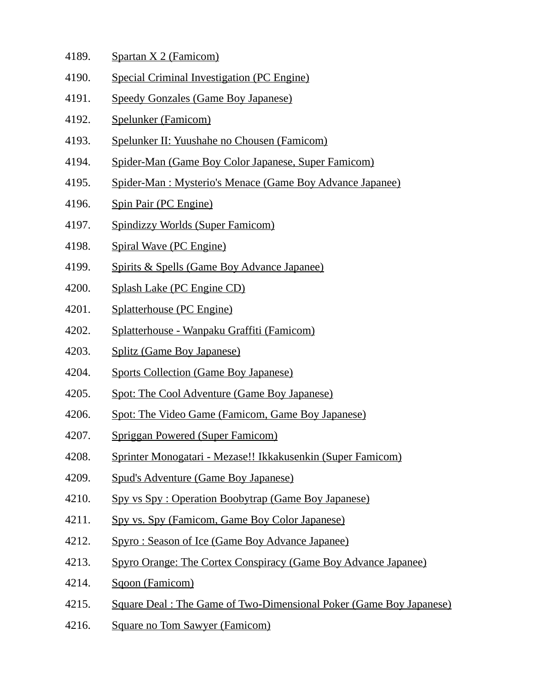- 4189. Spartan X 2 (Famicom)
- 4190. Special Criminal Investigation (PC Engine)
- 4191. Speedy Gonzales (Game Boy Japanese)
- 4192. Spelunker (Famicom)
- 4193. Spelunker II: Yuushahe no Chousen (Famicom)
- 4194. Spider-Man (Game Boy Color Japanese, Super Famicom)
- 4195. Spider-Man : Mysterio's Menace (Game Boy Advance Japanee)
- 4196. Spin Pair (PC Engine)
- 4197. Spindizzy Worlds (Super Famicom)
- 4198. Spiral Wave (PC Engine)
- 4199. Spirits & Spells (Game Boy Advance Japanee)
- 4200. Splash Lake (PC Engine CD)
- 4201. Splatterhouse (PC Engine)
- 4202. Splatterhouse Wanpaku Graffiti (Famicom)
- 4203. Splitz (Game Boy Japanese)
- 4204. Sports Collection (Game Boy Japanese)
- 4205. Spot: The Cool Adventure (Game Boy Japanese)
- 4206. Spot: The Video Game (Famicom, Game Boy Japanese)
- 4207. Spriggan Powered (Super Famicom)
- 4208. Sprinter Monogatari Mezase!! Ikkakusenkin (Super Famicom)
- 4209. Spud's Adventure (Game Boy Japanese)
- 4210. Spy vs Spy : Operation Boobytrap (Game Boy Japanese)
- 4211. Spy vs. Spy (Famicom, Game Boy Color Japanese)
- 4212. Spyro : Season of Ice (Game Boy Advance Japanee)
- 4213. Spyro Orange: The Cortex Conspiracy (Game Boy Advance Japanee)
- 4214. Sqoon (Famicom)
- 4215. Square Deal : The Game of Two-Dimensional Poker (Game Boy Japanese)
- 4216. Square no Tom Sawyer (Famicom)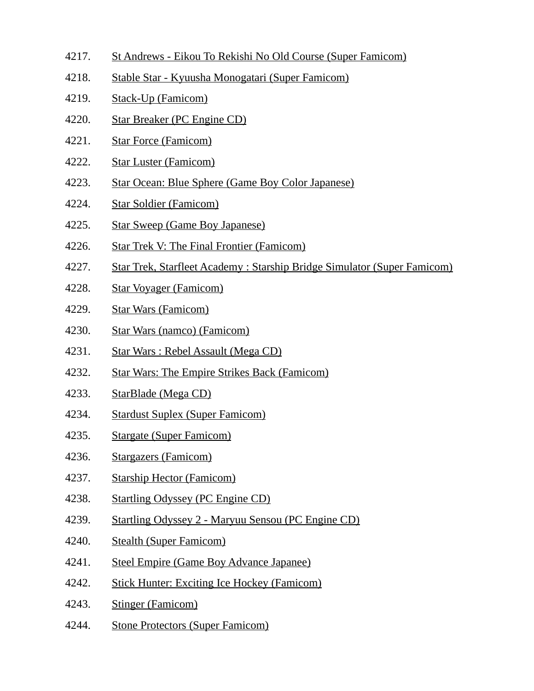- 4217. St Andrews Eikou To Rekishi No Old Course (Super Famicom)
- 4218. Stable Star Kyuusha Monogatari (Super Famicom)
- 4219. Stack-Up (Famicom)
- 4220. Star Breaker (PC Engine CD)
- 4221. Star Force (Famicom)
- 4222. Star Luster (Famicom)
- 4223. Star Ocean: Blue Sphere (Game Boy Color Japanese)
- 4224. Star Soldier (Famicom)
- 4225. Star Sweep (Game Boy Japanese)
- 4226. Star Trek V: The Final Frontier (Famicom)
- 4227. Star Trek, Starfleet Academy : Starship Bridge Simulator (Super Famicom)
- 4228. Star Voyager (Famicom)
- 4229. Star Wars (Famicom)
- 4230. Star Wars (namco) (Famicom)
- 4231. Star Wars : Rebel Assault (Mega CD)
- 4232. Star Wars: The Empire Strikes Back (Famicom)
- 4233. StarBlade (Mega CD)
- 4234. Stardust Suplex (Super Famicom)
- 4235. Stargate (Super Famicom)
- 4236. Stargazers (Famicom)
- 4237. Starship Hector (Famicom)
- 4238. Startling Odyssey (PC Engine CD)
- 4239. Startling Odyssey 2 Maryuu Sensou (PC Engine CD)
- 4240. Stealth (Super Famicom)
- 4241. Steel Empire (Game Boy Advance Japanee)
- 4242. Stick Hunter: Exciting Ice Hockey (Famicom)
- 4243. Stinger (Famicom)
- 4244. Stone Protectors (Super Famicom)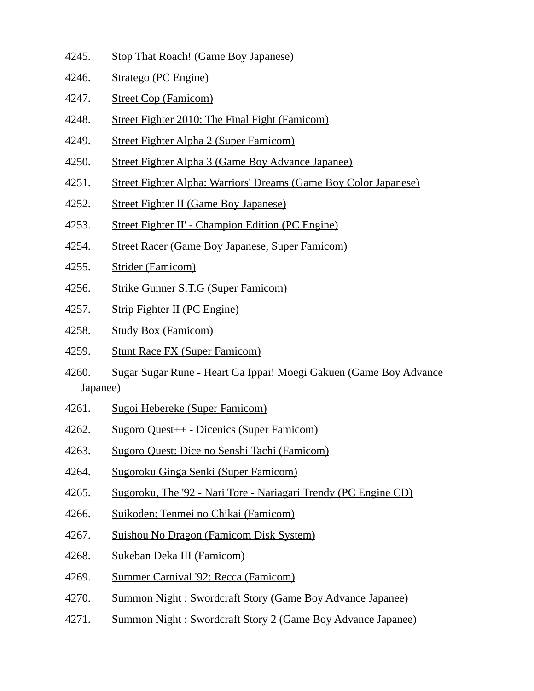- 4245. Stop That Roach! (Game Boy Japanese)
- 4246. Stratego (PC Engine)
- 4247. Street Cop (Famicom)
- 4248. Street Fighter 2010: The Final Fight (Famicom)
- 4249. Street Fighter Alpha 2 (Super Famicom)
- 4250. Street Fighter Alpha 3 (Game Boy Advance Japanee)
- 4251. Street Fighter Alpha: Warriors' Dreams (Game Boy Color Japanese)
- 4252. Street Fighter II (Game Boy Japanese)
- 4253. Street Fighter II' Champion Edition (PC Engine)
- 4254. Street Racer (Game Boy Japanese, Super Famicom)
- 4255. Strider (Famicom)
- 4256. Strike Gunner S.T.G (Super Famicom)
- 4257. Strip Fighter II (PC Engine)
- 4258. Study Box (Famicom)
- 4259. Stunt Race FX (Super Famicom)
- 4260. Sugar Sugar Rune Heart Ga Ippai! Moegi Gakuen (Game Boy Advance Japanee)
- 4261. Sugoi Hebereke (Super Famicom)
- 4262. Sugoro Quest++ Dicenics (Super Famicom)
- 4263. Sugoro Quest: Dice no Senshi Tachi (Famicom)
- 4264. Sugoroku Ginga Senki (Super Famicom)
- 4265. Sugoroku, The '92 Nari Tore Nariagari Trendy (PC Engine CD)
- 4266. Suikoden: Tenmei no Chikai (Famicom)
- 4267. Suishou No Dragon (Famicom Disk System)
- 4268. Sukeban Deka III (Famicom)
- 4269. Summer Carnival '92: Recca (Famicom)
- 4270. Summon Night : Swordcraft Story (Game Boy Advance Japanee)
- 4271. Summon Night : Swordcraft Story 2 (Game Boy Advance Japanee)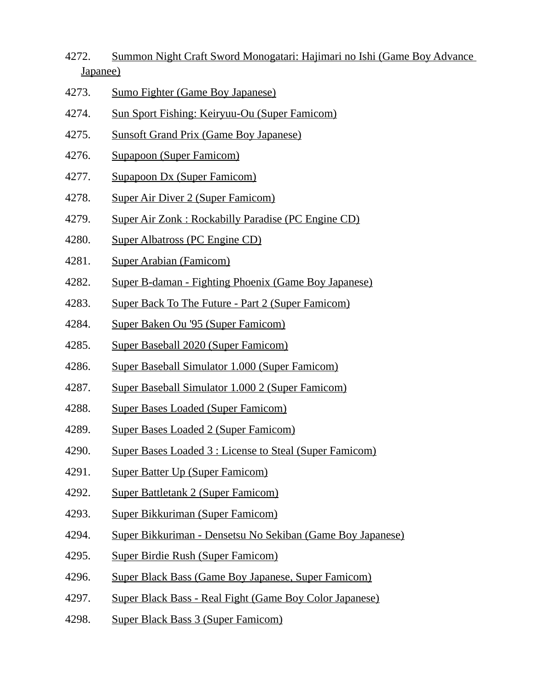- 4272. Summon Night Craft Sword Monogatari: Hajimari no Ishi (Game Boy Advance Japanee)
- 4273. Sumo Fighter (Game Boy Japanese)
- 4274. Sun Sport Fishing: Keiryuu-Ou (Super Famicom)
- 4275. Sunsoft Grand Prix (Game Boy Japanese)
- 4276. Supapoon (Super Famicom)
- 4277. Supapoon Dx (Super Famicom)
- 4278. Super Air Diver 2 (Super Famicom)
- 4279. Super Air Zonk : Rockabilly Paradise (PC Engine CD)
- 4280. Super Albatross (PC Engine CD)
- 4281. Super Arabian (Famicom)
- 4282. Super B-daman Fighting Phoenix (Game Boy Japanese)
- 4283. Super Back To The Future Part 2 (Super Famicom)
- 4284. Super Baken Ou '95 (Super Famicom)
- 4285. Super Baseball 2020 (Super Famicom)
- 4286. Super Baseball Simulator 1.000 (Super Famicom)
- 4287. Super Baseball Simulator 1.000 2 (Super Famicom)
- 4288. Super Bases Loaded (Super Famicom)
- 4289. Super Bases Loaded 2 (Super Famicom)
- 4290. Super Bases Loaded 3 : License to Steal (Super Famicom)
- 4291. Super Batter Up (Super Famicom)
- 4292. Super Battletank 2 (Super Famicom)
- 4293. Super Bikkuriman (Super Famicom)
- 4294. Super Bikkuriman Densetsu No Sekiban (Game Boy Japanese)
- 4295. Super Birdie Rush (Super Famicom)
- 4296. Super Black Bass (Game Boy Japanese, Super Famicom)
- 4297. Super Black Bass Real Fight (Game Boy Color Japanese)
- 4298. Super Black Bass 3 (Super Famicom)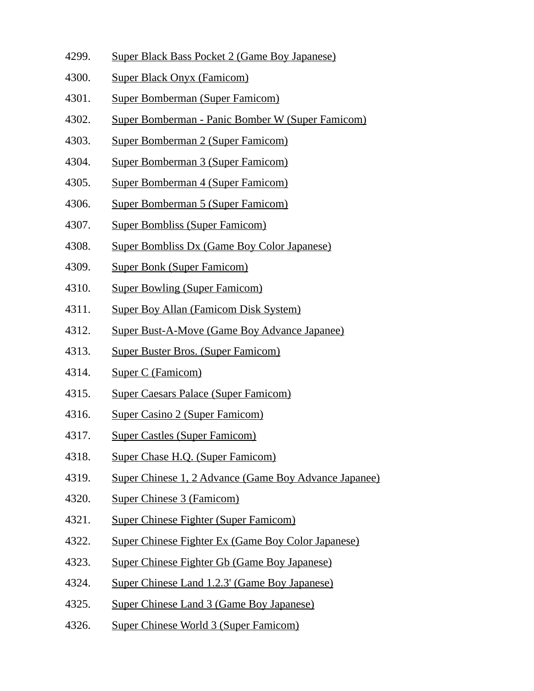- 4299. Super Black Bass Pocket 2 (Game Boy Japanese)
- 4300. Super Black Onyx (Famicom)
- 4301. Super Bomberman (Super Famicom)
- 4302. Super Bomberman Panic Bomber W (Super Famicom)
- 4303. Super Bomberman 2 (Super Famicom)
- 4304. Super Bomberman 3 (Super Famicom)
- 4305. Super Bomberman 4 (Super Famicom)
- 4306. Super Bomberman 5 (Super Famicom)
- 4307. Super Bombliss (Super Famicom)
- 4308. Super Bombliss Dx (Game Boy Color Japanese)
- 4309. Super Bonk (Super Famicom)
- 4310. Super Bowling (Super Famicom)
- 4311. Super Boy Allan (Famicom Disk System)
- 4312. Super Bust-A-Move (Game Boy Advance Japanee)
- 4313. Super Buster Bros. (Super Famicom)
- 4314. Super C (Famicom)
- 4315. Super Caesars Palace (Super Famicom)
- 4316. Super Casino 2 (Super Famicom)
- 4317. Super Castles (Super Famicom)
- 4318. Super Chase H.Q. (Super Famicom)
- 4319. Super Chinese 1, 2 Advance (Game Boy Advance Japanee)
- 4320. Super Chinese 3 (Famicom)
- 4321. Super Chinese Fighter (Super Famicom)
- 4322. Super Chinese Fighter Ex (Game Boy Color Japanese)
- 4323. Super Chinese Fighter Gb (Game Boy Japanese)
- 4324. Super Chinese Land 1.2.3' (Game Boy Japanese)
- 4325. Super Chinese Land 3 (Game Boy Japanese)
- 4326. Super Chinese World 3 (Super Famicom)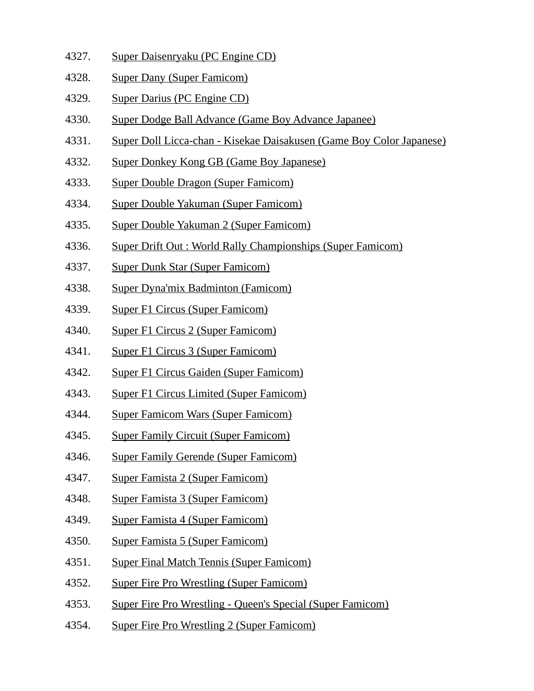- 4327. Super Daisenryaku (PC Engine CD)
- 4328. Super Dany (Super Famicom)
- 4329. Super Darius (PC Engine CD)
- 4330. Super Dodge Ball Advance (Game Boy Advance Japanee)
- 4331. Super Doll Licca-chan Kisekae Daisakusen (Game Boy Color Japanese)
- 4332. Super Donkey Kong GB (Game Boy Japanese)
- 4333. Super Double Dragon (Super Famicom)
- 4334. Super Double Yakuman (Super Famicom)
- 4335. Super Double Yakuman 2 (Super Famicom)
- 4336. Super Drift Out : World Rally Championships (Super Famicom)
- 4337. Super Dunk Star (Super Famicom)
- 4338. Super Dyna'mix Badminton (Famicom)
- 4339. Super F1 Circus (Super Famicom)
- 4340. Super F1 Circus 2 (Super Famicom)
- 4341. Super F1 Circus 3 (Super Famicom)
- 4342. Super F1 Circus Gaiden (Super Famicom)
- 4343. Super F1 Circus Limited (Super Famicom)
- 4344. Super Famicom Wars (Super Famicom)
- 4345. Super Family Circuit (Super Famicom)
- 4346. Super Family Gerende (Super Famicom)
- 4347. Super Famista 2 (Super Famicom)
- 4348. Super Famista 3 (Super Famicom)
- 4349. Super Famista 4 (Super Famicom)
- 4350. Super Famista 5 (Super Famicom)
- 4351. Super Final Match Tennis (Super Famicom)
- 4352. Super Fire Pro Wrestling (Super Famicom)
- 4353. Super Fire Pro Wrestling Queen's Special (Super Famicom)
- 4354. Super Fire Pro Wrestling 2 (Super Famicom)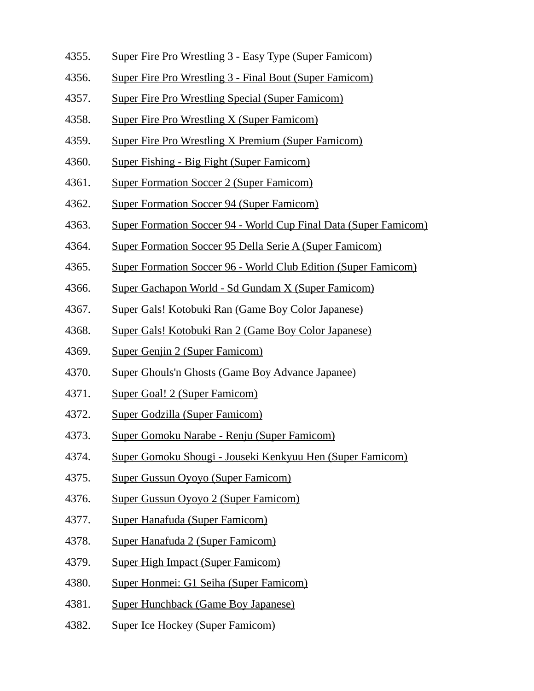- 4355. Super Fire Pro Wrestling 3 Easy Type (Super Famicom)
- 4356. Super Fire Pro Wrestling 3 Final Bout (Super Famicom)
- 4357. Super Fire Pro Wrestling Special (Super Famicom)
- 4358. Super Fire Pro Wrestling X (Super Famicom)
- 4359. Super Fire Pro Wrestling X Premium (Super Famicom)
- 4360. Super Fishing Big Fight (Super Famicom)
- 4361. Super Formation Soccer 2 (Super Famicom)
- 4362. Super Formation Soccer 94 (Super Famicom)
- 4363. Super Formation Soccer 94 World Cup Final Data (Super Famicom)
- 4364. Super Formation Soccer 95 Della Serie A (Super Famicom)
- 4365. Super Formation Soccer 96 World Club Edition (Super Famicom)
- 4366. Super Gachapon World Sd Gundam X (Super Famicom)
- 4367. Super Gals! Kotobuki Ran (Game Boy Color Japanese)
- 4368. Super Gals! Kotobuki Ran 2 (Game Boy Color Japanese)
- 4369. Super Genjin 2 (Super Famicom)
- 4370. Super Ghouls'n Ghosts (Game Boy Advance Japanee)
- 4371. Super Goal! 2 (Super Famicom)
- 4372. Super Godzilla (Super Famicom)
- 4373. Super Gomoku Narabe Renju (Super Famicom)
- 4374. Super Gomoku Shougi Jouseki Kenkyuu Hen (Super Famicom)
- 4375. Super Gussun Oyoyo (Super Famicom)
- 4376. Super Gussun Oyoyo 2 (Super Famicom)
- 4377. Super Hanafuda (Super Famicom)
- 4378. Super Hanafuda 2 (Super Famicom)
- 4379. Super High Impact (Super Famicom)
- 4380. Super Honmei: G1 Seiha (Super Famicom)
- 4381. Super Hunchback (Game Boy Japanese)
- 4382. Super Ice Hockey (Super Famicom)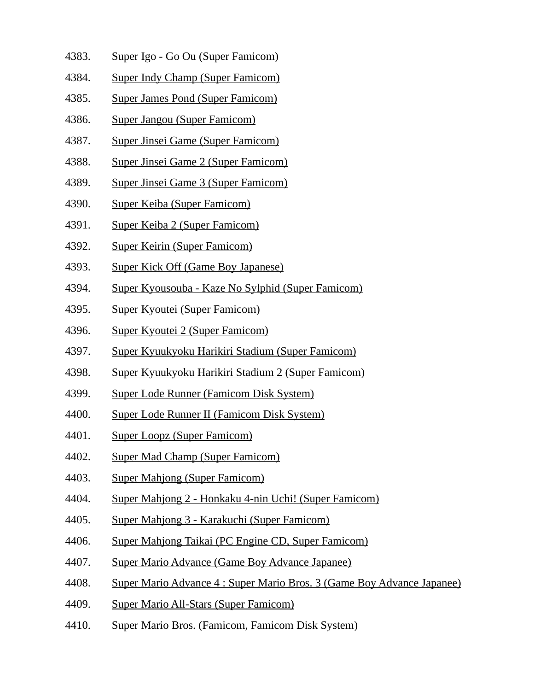- 4383. Super Igo Go Ou (Super Famicom)
- 4384. Super Indy Champ (Super Famicom)
- 4385. Super James Pond (Super Famicom)
- 4386. Super Jangou (Super Famicom)
- 4387. Super Jinsei Game (Super Famicom)
- 4388. Super Jinsei Game 2 (Super Famicom)
- 4389. Super Jinsei Game 3 (Super Famicom)
- 4390. Super Keiba (Super Famicom)
- 4391. Super Keiba 2 (Super Famicom)
- 4392. Super Keirin (Super Famicom)
- 4393. Super Kick Off (Game Boy Japanese)
- 4394. Super Kyousouba Kaze No Sylphid (Super Famicom)
- 4395. Super Kyoutei (Super Famicom)
- 4396. Super Kyoutei 2 (Super Famicom)
- 4397. Super Kyuukyoku Harikiri Stadium (Super Famicom)
- 4398. Super Kyuukyoku Harikiri Stadium 2 (Super Famicom)
- 4399. Super Lode Runner (Famicom Disk System)
- 4400. Super Lode Runner II (Famicom Disk System)
- 4401. Super Loopz (Super Famicom)
- 4402. Super Mad Champ (Super Famicom)
- 4403. Super Mahjong (Super Famicom)
- 4404. Super Mahjong 2 Honkaku 4-nin Uchi! (Super Famicom)
- 4405. Super Mahjong 3 Karakuchi (Super Famicom)
- 4406. Super Mahjong Taikai (PC Engine CD, Super Famicom)
- 4407. Super Mario Advance (Game Boy Advance Japanee)
- 4408. Super Mario Advance 4 : Super Mario Bros. 3 (Game Boy Advance Japanee)
- 4409. Super Mario All-Stars (Super Famicom)
- 4410. Super Mario Bros. (Famicom, Famicom Disk System)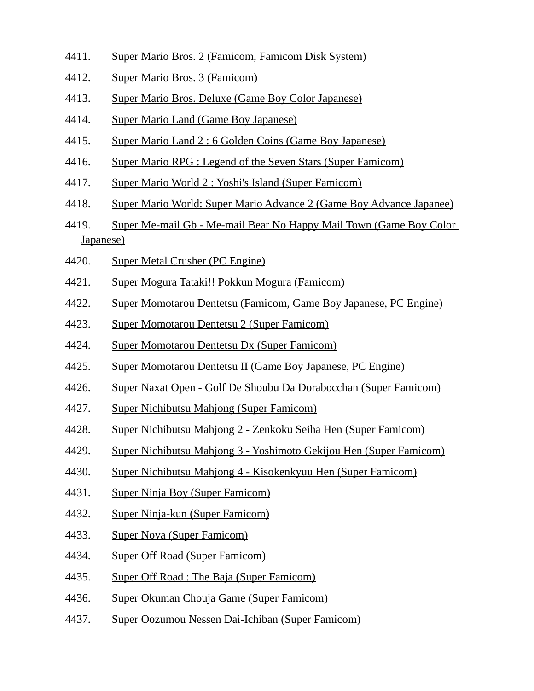- 4411. Super Mario Bros. 2 (Famicom, Famicom Disk System)
- 4412. Super Mario Bros. 3 (Famicom)
- 4413. Super Mario Bros. Deluxe (Game Boy Color Japanese)
- 4414. Super Mario Land (Game Boy Japanese)
- 4415. Super Mario Land 2 : 6 Golden Coins (Game Boy Japanese)
- 4416. Super Mario RPG : Legend of the Seven Stars (Super Famicom)
- 4417. Super Mario World 2 : Yoshi's Island (Super Famicom)
- 4418. Super Mario World: Super Mario Advance 2 (Game Boy Advance Japanee)
- 4419. Super Me-mail Gb Me-mail Bear No Happy Mail Town (Game Boy Color Japanese)
- 4420. Super Metal Crusher (PC Engine)
- 4421. Super Mogura Tataki!! Pokkun Mogura (Famicom)
- 4422. Super Momotarou Dentetsu (Famicom, Game Boy Japanese, PC Engine)
- 4423. Super Momotarou Dentetsu 2 (Super Famicom)
- 4424. Super Momotarou Dentetsu Dx (Super Famicom)
- 4425. Super Momotarou Dentetsu II (Game Boy Japanese, PC Engine)
- 4426. Super Naxat Open Golf De Shoubu Da Dorabocchan (Super Famicom)
- 4427. Super Nichibutsu Mahjong (Super Famicom)
- 4428. Super Nichibutsu Mahjong 2 Zenkoku Seiha Hen (Super Famicom)
- 4429. Super Nichibutsu Mahjong 3 Yoshimoto Gekijou Hen (Super Famicom)
- 4430. Super Nichibutsu Mahjong 4 Kisokenkyuu Hen (Super Famicom)
- 4431. Super Ninja Boy (Super Famicom)
- 4432. Super Ninja-kun (Super Famicom)
- 4433. Super Nova (Super Famicom)
- 4434. Super Off Road (Super Famicom)
- 4435. Super Off Road : The Baja (Super Famicom)
- 4436. Super Okuman Chouja Game (Super Famicom)
- 4437. Super Oozumou Nessen Dai-Ichiban (Super Famicom)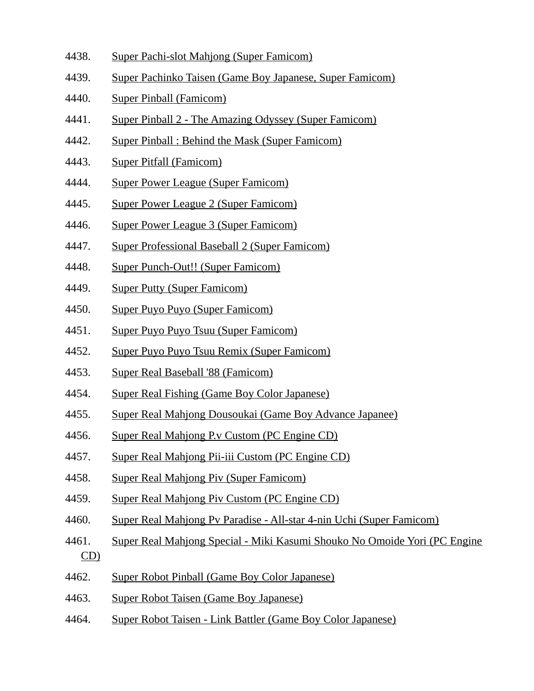- 4438. Super Pachi-slot Mahjong (Super Famicom)
- 4439. Super Pachinko Taisen (Game Boy Japanese, Super Famicom)
- 4440. Super Pinball (Famicom)
- 4441. Super Pinball 2 The Amazing Odyssey (Super Famicom)
- 4442. Super Pinball : Behind the Mask (Super Famicom)
- 4443. Super Pitfall (Famicom)
- 4444. Super Power League (Super Famicom)
- 4445. Super Power League 2 (Super Famicom)
- 4446. Super Power League 3 (Super Famicom)
- 4447. Super Professional Baseball 2 (Super Famicom)
- 4448. Super Punch-Out!! (Super Famicom)
- 4449. Super Putty (Super Famicom)
- 4450. Super Puyo Puyo (Super Famicom)
- 4451. Super Puyo Puyo Tsuu (Super Famicom)
- 4452. Super Puyo Puyo Tsuu Remix (Super Famicom)
- 4453. Super Real Baseball '88 (Famicom)
- 4454. Super Real Fishing (Game Boy Color Japanese)
- 4455. Super Real Mahjong Dousoukai (Game Boy Advance Japanee)
- 4456. Super Real Mahjong P.v Custom (PC Engine CD)
- 4457. Super Real Mahjong Pii-iii Custom (PC Engine CD)
- 4458. Super Real Mahjong Piv (Super Famicom)
- 4459. Super Real Mahjong Piv Custom (PC Engine CD)
- 4460. Super Real Mahjong Pv Paradise All-star 4-nin Uchi (Super Famicom)
- 4461. Super Real Mahjong Special Miki Kasumi Shouko No Omoide Yori (PC Engine CD)
- 4462. Super Robot Pinball (Game Boy Color Japanese)
- 4463. Super Robot Taisen (Game Boy Japanese)
- 4464. Super Robot Taisen Link Battler (Game Boy Color Japanese)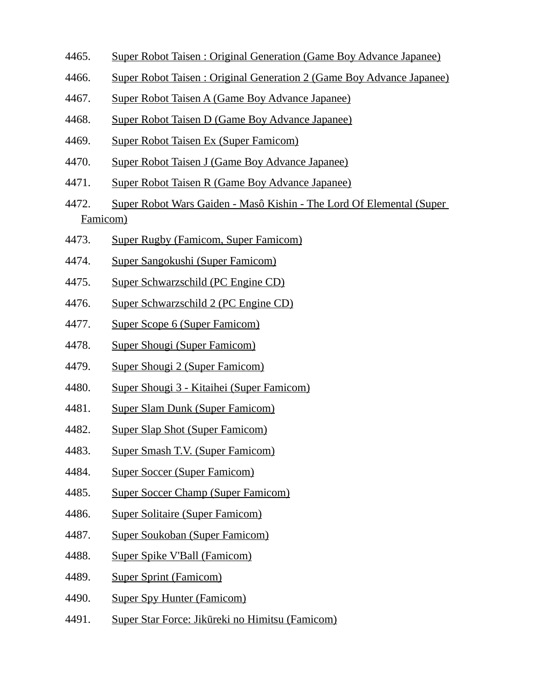- 4465. Super Robot Taisen : Original Generation (Game Boy Advance Japanee)
- 4466. Super Robot Taisen : Original Generation 2 (Game Boy Advance Japanee)
- 4467. Super Robot Taisen A (Game Boy Advance Japanee)
- 4468. Super Robot Taisen D (Game Boy Advance Japanee)
- 4469. Super Robot Taisen Ex (Super Famicom)
- 4470. Super Robot Taisen J (Game Boy Advance Japanee)
- 4471. Super Robot Taisen R (Game Boy Advance Japanee)
- 4472. Super Robot Wars Gaiden Masô Kishin The Lord Of Elemental (Super Famicom)
- 4473. Super Rugby (Famicom, Super Famicom)
- 4474. Super Sangokushi (Super Famicom)
- 4475. Super Schwarzschild (PC Engine CD)
- 4476. Super Schwarzschild 2 (PC Engine CD)
- 4477. Super Scope 6 (Super Famicom)
- 4478. Super Shougi (Super Famicom)
- 4479. Super Shougi 2 (Super Famicom)
- 4480. Super Shougi 3 Kitaihei (Super Famicom)
- 4481. Super Slam Dunk (Super Famicom)
- 4482. Super Slap Shot (Super Famicom)
- 4483. Super Smash T.V. (Super Famicom)
- 4484. Super Soccer (Super Famicom)
- 4485. Super Soccer Champ (Super Famicom)
- 4486. Super Solitaire (Super Famicom)
- 4487. Super Soukoban (Super Famicom)
- 4488. Super Spike V'Ball (Famicom)
- 4489. Super Sprint (Famicom)
- 4490. Super Spy Hunter (Famicom)
- 4491. Super Star Force: Jikūreki no Himitsu (Famicom)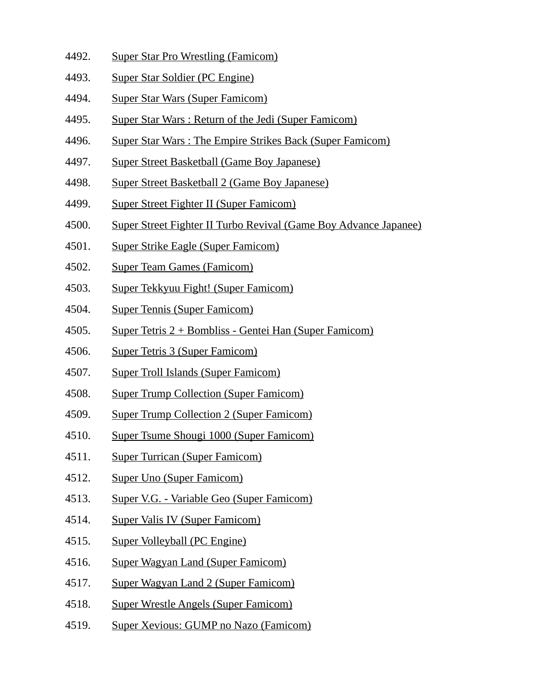- 4492. Super Star Pro Wrestling (Famicom)
- 4493. Super Star Soldier (PC Engine)
- 4494. Super Star Wars (Super Famicom)
- 4495. Super Star Wars : Return of the Jedi (Super Famicom)
- 4496. Super Star Wars : The Empire Strikes Back (Super Famicom)
- 4497. Super Street Basketball (Game Boy Japanese)
- 4498. Super Street Basketball 2 (Game Boy Japanese)
- 4499. Super Street Fighter II (Super Famicom)
- 4500. Super Street Fighter II Turbo Revival (Game Boy Advance Japanee)
- 4501. Super Strike Eagle (Super Famicom)
- 4502. Super Team Games (Famicom)
- 4503. Super Tekkyuu Fight! (Super Famicom)
- 4504. Super Tennis (Super Famicom)
- 4505. Super Tetris 2 + Bombliss Gentei Han (Super Famicom)
- 4506. Super Tetris 3 (Super Famicom)
- 4507. Super Troll Islands (Super Famicom)
- 4508. Super Trump Collection (Super Famicom)
- 4509. Super Trump Collection 2 (Super Famicom)
- 4510. Super Tsume Shougi 1000 (Super Famicom)
- 4511. Super Turrican (Super Famicom)
- 4512. Super Uno (Super Famicom)
- 4513. Super V.G. Variable Geo (Super Famicom)
- 4514. Super Valis IV (Super Famicom)
- 4515. Super Volleyball (PC Engine)
- 4516. Super Wagyan Land (Super Famicom)
- 4517. Super Wagyan Land 2 (Super Famicom)
- 4518. Super Wrestle Angels (Super Famicom)
- 4519. Super Xevious: GUMP no Nazo (Famicom)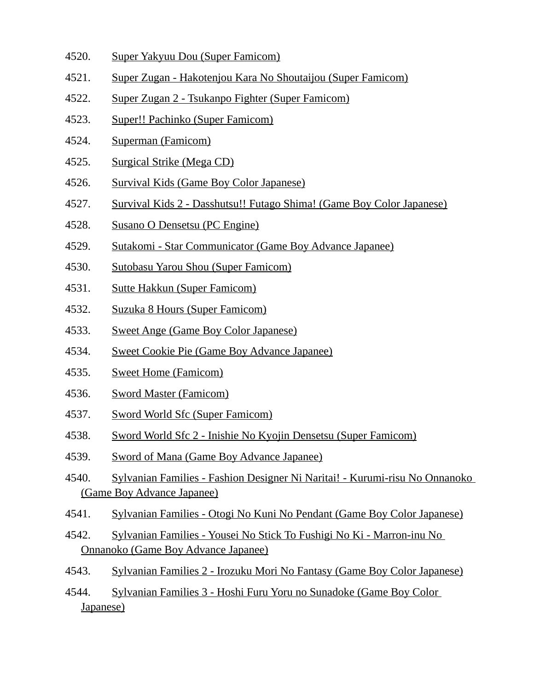- 4520. Super Yakyuu Dou (Super Famicom)
- 4521. Super Zugan Hakotenjou Kara No Shoutaijou (Super Famicom)
- 4522. Super Zugan 2 Tsukanpo Fighter (Super Famicom)
- 4523. Super!! Pachinko (Super Famicom)
- 4524. Superman (Famicom)
- 4525. Surgical Strike (Mega CD)
- 4526. Survival Kids (Game Boy Color Japanese)
- 4527. Survival Kids 2 Dasshutsu!! Futago Shima! (Game Boy Color Japanese)
- 4528. Susano O Densetsu (PC Engine)
- 4529. Sutakomi Star Communicator (Game Boy Advance Japanee)
- 4530. Sutobasu Yarou Shou (Super Famicom)
- 4531. Sutte Hakkun (Super Famicom)
- 4532. Suzuka 8 Hours (Super Famicom)
- 4533. Sweet Ange (Game Boy Color Japanese)
- 4534. Sweet Cookie Pie (Game Boy Advance Japanee)
- 4535. Sweet Home (Famicom)
- 4536. Sword Master (Famicom)
- 4537. Sword World Sfc (Super Famicom)
- 4538. Sword World Sfc 2 Inishie No Kyojin Densetsu (Super Famicom)
- 4539. Sword of Mana (Game Boy Advance Japanee)
- 4540. Sylvanian Families Fashion Designer Ni Naritai! Kurumi-risu No Onnanoko (Game Boy Advance Japanee)
- 4541. Sylvanian Families Otogi No Kuni No Pendant (Game Boy Color Japanese)
- 4542. Sylvanian Families Yousei No Stick To Fushigi No Ki Marron-inu No Onnanoko (Game Boy Advance Japanee)
- 4543. Sylvanian Families 2 Irozuku Mori No Fantasy (Game Boy Color Japanese)

4544. Sylvanian Families 3 - Hoshi Furu Yoru no Sunadoke (Game Boy Color Japanese)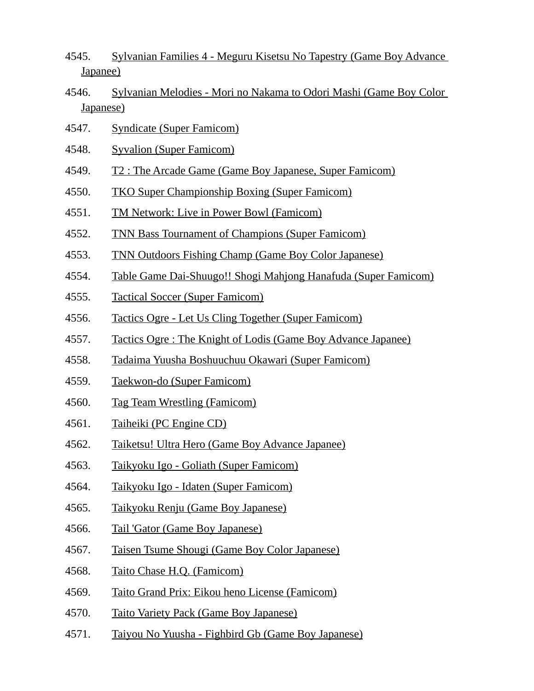- 4545. Sylvanian Families 4 Meguru Kisetsu No Tapestry (Game Boy Advance Japanee)
- 4546. Sylvanian Melodies Mori no Nakama to Odori Mashi (Game Boy Color Japanese)
- 4547. Syndicate (Super Famicom)
- 4548. Syvalion (Super Famicom)
- 4549. T2 : The Arcade Game (Game Boy Japanese, Super Famicom)
- 4550. TKO Super Championship Boxing (Super Famicom)
- 4551. TM Network: Live in Power Bowl (Famicom)
- 4552. TNN Bass Tournament of Champions (Super Famicom)
- 4553. TNN Outdoors Fishing Champ (Game Boy Color Japanese)
- 4554. Table Game Dai-Shuugo!! Shogi Mahjong Hanafuda (Super Famicom)
- 4555. Tactical Soccer (Super Famicom)
- 4556. Tactics Ogre Let Us Cling Together (Super Famicom)
- 4557. Tactics Ogre : The Knight of Lodis (Game Boy Advance Japanee)
- 4558. Tadaima Yuusha Boshuuchuu Okawari (Super Famicom)
- 4559. Taekwon-do (Super Famicom)
- 4560. Tag Team Wrestling (Famicom)
- 4561. Taiheiki (PC Engine CD)
- 4562. Taiketsu! Ultra Hero (Game Boy Advance Japanee)
- 4563. Taikyoku Igo Goliath (Super Famicom)
- 4564. Taikyoku Igo Idaten (Super Famicom)
- 4565. Taikyoku Renju (Game Boy Japanese)
- 4566. Tail 'Gator (Game Boy Japanese)
- 4567. Taisen Tsume Shougi (Game Boy Color Japanese)
- 4568. Taito Chase H.Q. (Famicom)
- 4569. Taito Grand Prix: Eikou heno License (Famicom)
- 4570. Taito Variety Pack (Game Boy Japanese)
- 4571. Taiyou No Yuusha Fighbird Gb (Game Boy Japanese)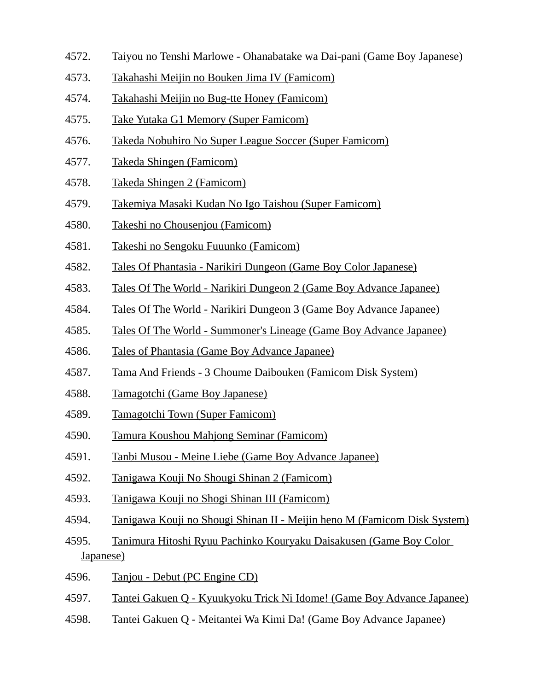- 4572. Taiyou no Tenshi Marlowe Ohanabatake wa Dai-pani (Game Boy Japanese)
- 4573. Takahashi Meijin no Bouken Jima IV (Famicom)
- 4574. Takahashi Meijin no Bug-tte Honey (Famicom)
- 4575. Take Yutaka G1 Memory (Super Famicom)
- 4576. Takeda Nobuhiro No Super League Soccer (Super Famicom)
- 4577. Takeda Shingen (Famicom)
- 4578. Takeda Shingen 2 (Famicom)
- 4579. Takemiya Masaki Kudan No Igo Taishou (Super Famicom)
- 4580. Takeshi no Chousenjou (Famicom)
- 4581. Takeshi no Sengoku Fuuunko (Famicom)
- 4582. Tales Of Phantasia Narikiri Dungeon (Game Boy Color Japanese)
- 4583. Tales Of The World Narikiri Dungeon 2 (Game Boy Advance Japanee)
- 4584. Tales Of The World Narikiri Dungeon 3 (Game Boy Advance Japanee)
- 4585. Tales Of The World Summoner's Lineage (Game Boy Advance Japanee)
- 4586. Tales of Phantasia (Game Boy Advance Japanee)
- 4587. Tama And Friends 3 Choume Daibouken (Famicom Disk System)
- 4588. Tamagotchi (Game Boy Japanese)
- 4589. Tamagotchi Town (Super Famicom)
- 4590. Tamura Koushou Mahjong Seminar (Famicom)
- 4591. Tanbi Musou Meine Liebe (Game Boy Advance Japanee)
- 4592. Tanigawa Kouji No Shougi Shinan 2 (Famicom)
- 4593. Tanigawa Kouji no Shogi Shinan III (Famicom)
- 4594. Tanigawa Kouji no Shougi Shinan II Meijin heno M (Famicom Disk System)
- 4595. Tanimura Hitoshi Ryuu Pachinko Kouryaku Daisakusen (Game Boy Color Japanese)
- 4596. Tanjou Debut (PC Engine CD)
- 4597. Tantei Gakuen Q Kyuukyoku Trick Ni Idome! (Game Boy Advance Japanee)
- 4598. Tantei Gakuen Q Meitantei Wa Kimi Da! (Game Boy Advance Japanee)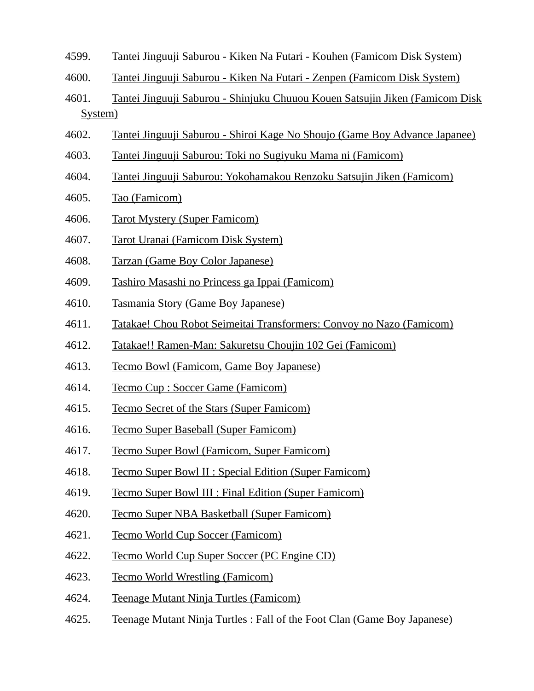- 4599. Tantei Jinguuji Saburou Kiken Na Futari Kouhen (Famicom Disk System)
- 4600. Tantei Jinguuji Saburou Kiken Na Futari Zenpen (Famicom Disk System)
- 4601. Tantei Jinguuji Saburou Shinjuku Chuuou Kouen Satsujin Jiken (Famicom Disk System)
- 4602. Tantei Jinguuji Saburou Shiroi Kage No Shoujo (Game Boy Advance Japanee)
- 4603. Tantei Jinguuji Saburou: Toki no Sugiyuku Mama ni (Famicom)
- 4604. Tantei Jinguuji Saburou: Yokohamakou Renzoku Satsujin Jiken (Famicom)
- 4605. Tao (Famicom)
- 4606. Tarot Mystery (Super Famicom)
- 4607. Tarot Uranai (Famicom Disk System)
- 4608. Tarzan (Game Boy Color Japanese)
- 4609. Tashiro Masashi no Princess ga Ippai (Famicom)
- 4610. Tasmania Story (Game Boy Japanese)
- 4611. Tatakae! Chou Robot Seimeitai Transformers: Convoy no Nazo (Famicom)
- 4612. Tatakae!! Ramen-Man: Sakuretsu Choujin 102 Gei (Famicom)
- 4613. Tecmo Bowl (Famicom, Game Boy Japanese)
- 4614. Tecmo Cup : Soccer Game (Famicom)
- 4615. Tecmo Secret of the Stars (Super Famicom)
- 4616. Tecmo Super Baseball (Super Famicom)
- 4617. Tecmo Super Bowl (Famicom, Super Famicom)
- 4618. Tecmo Super Bowl II : Special Edition (Super Famicom)
- 4619. Tecmo Super Bowl III : Final Edition (Super Famicom)
- 4620. Tecmo Super NBA Basketball (Super Famicom)
- 4621. Tecmo World Cup Soccer (Famicom)
- 4622. Tecmo World Cup Super Soccer (PC Engine CD)
- 4623. Tecmo World Wrestling (Famicom)
- 4624. Teenage Mutant Ninja Turtles (Famicom)
- 4625. Teenage Mutant Ninja Turtles : Fall of the Foot Clan (Game Boy Japanese)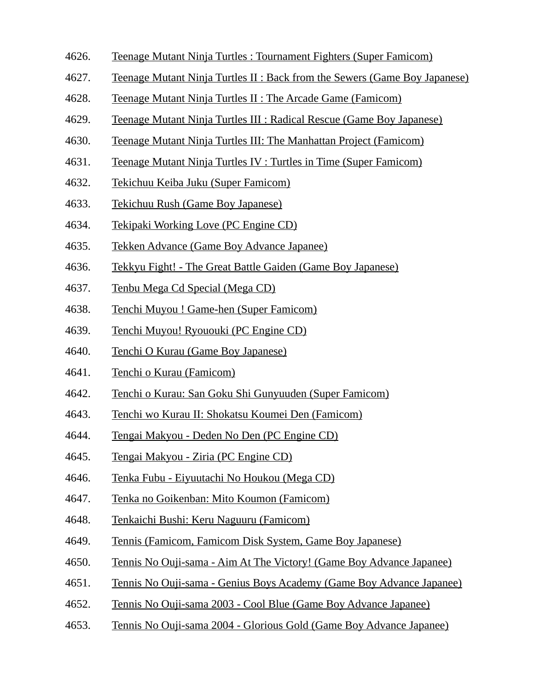- 4626. Teenage Mutant Ninja Turtles : Tournament Fighters (Super Famicom)
- 4627. Teenage Mutant Ninja Turtles II : Back from the Sewers (Game Boy Japanese)
- 4628. Teenage Mutant Ninja Turtles II : The Arcade Game (Famicom)
- 4629. Teenage Mutant Ninja Turtles III : Radical Rescue (Game Boy Japanese)
- 4630. Teenage Mutant Ninja Turtles III: The Manhattan Project (Famicom)
- 4631. Teenage Mutant Ninja Turtles IV : Turtles in Time (Super Famicom)
- 4632. Tekichuu Keiba Juku (Super Famicom)
- 4633. Tekichuu Rush (Game Boy Japanese)
- 4634. Tekipaki Working Love (PC Engine CD)
- 4635. Tekken Advance (Game Boy Advance Japanee)
- 4636. Tekkyu Fight! The Great Battle Gaiden (Game Boy Japanese)
- 4637. Tenbu Mega Cd Special (Mega CD)
- 4638. Tenchi Muyou ! Game-hen (Super Famicom)
- 4639. Tenchi Muyou! Ryououki (PC Engine CD)
- 4640. Tenchi O Kurau (Game Boy Japanese)
- 4641. Tenchi o Kurau (Famicom)
- 4642. Tenchi o Kurau: San Goku Shi Gunyuuden (Super Famicom)
- 4643. Tenchi wo Kurau II: Shokatsu Koumei Den (Famicom)
- 4644. Tengai Makyou Deden No Den (PC Engine CD)
- 4645. Tengai Makyou Ziria (PC Engine CD)
- 4646. Tenka Fubu Eiyuutachi No Houkou (Mega CD)
- 4647. Tenka no Goikenban: Mito Koumon (Famicom)
- 4648. Tenkaichi Bushi: Keru Naguuru (Famicom)
- 4649. Tennis (Famicom, Famicom Disk System, Game Boy Japanese)
- 4650. Tennis No Ouji-sama Aim At The Victory! (Game Boy Advance Japanee)
- 4651. Tennis No Ouji-sama Genius Boys Academy (Game Boy Advance Japanee)
- 4652. Tennis No Ouji-sama 2003 Cool Blue (Game Boy Advance Japanee)
- 4653. Tennis No Ouji-sama 2004 Glorious Gold (Game Boy Advance Japanee)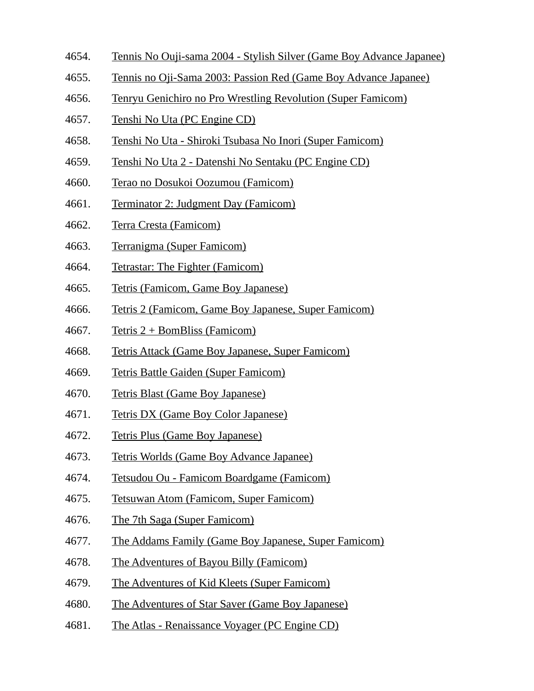- 4654. Tennis No Ouji-sama 2004 Stylish Silver (Game Boy Advance Japanee)
- 4655. Tennis no Oji-Sama 2003: Passion Red (Game Boy Advance Japanee)
- 4656. Tenryu Genichiro no Pro Wrestling Revolution (Super Famicom)
- 4657. Tenshi No Uta (PC Engine CD)
- 4658. Tenshi No Uta Shiroki Tsubasa No Inori (Super Famicom)
- 4659. Tenshi No Uta 2 Datenshi No Sentaku (PC Engine CD)
- 4660. Terao no Dosukoi Oozumou (Famicom)
- 4661. Terminator 2: Judgment Day (Famicom)
- 4662. Terra Cresta (Famicom)
- 4663. Terranigma (Super Famicom)
- 4664. Tetrastar: The Fighter (Famicom)
- 4665. Tetris (Famicom, Game Boy Japanese)
- 4666. Tetris 2 (Famicom, Game Boy Japanese, Super Famicom)
- 4667. Tetris  $2 +$  BomBliss (Famicom)
- 4668. Tetris Attack (Game Boy Japanese, Super Famicom)
- 4669. Tetris Battle Gaiden (Super Famicom)
- 4670. Tetris Blast (Game Boy Japanese)
- 4671. Tetris DX (Game Boy Color Japanese)
- 4672. Tetris Plus (Game Boy Japanese)
- 4673. Tetris Worlds (Game Boy Advance Japanee)
- 4674. Tetsudou Ou Famicom Boardgame (Famicom)
- 4675. Tetsuwan Atom (Famicom, Super Famicom)
- 4676. The 7th Saga (Super Famicom)
- 4677. The Addams Family (Game Boy Japanese, Super Famicom)
- 4678. The Adventures of Bayou Billy (Famicom)
- 4679. The Adventures of Kid Kleets (Super Famicom)
- 4680. The Adventures of Star Saver (Game Boy Japanese)
- 4681. The Atlas Renaissance Voyager (PC Engine CD)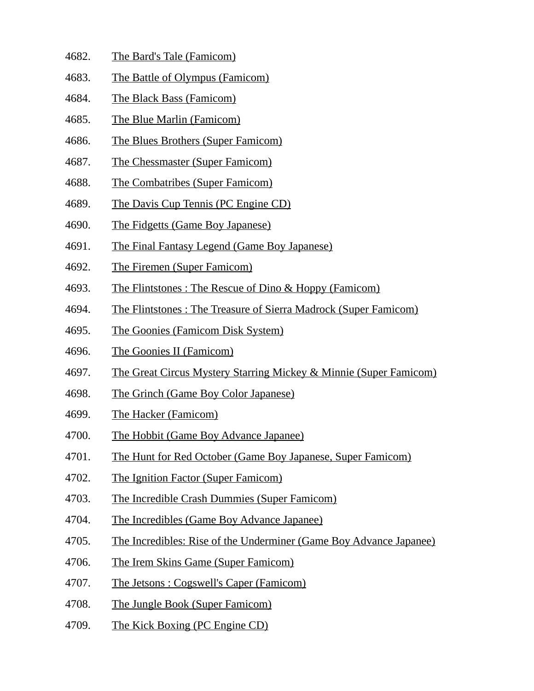- 4682. The Bard's Tale (Famicom)
- 4683. The Battle of Olympus (Famicom)
- 4684. The Black Bass (Famicom)
- 4685. The Blue Marlin (Famicom)
- 4686. The Blues Brothers (Super Famicom)
- 4687. The Chessmaster (Super Famicom)
- 4688. The Combatribes (Super Famicom)
- 4689. The Davis Cup Tennis (PC Engine CD)
- 4690. The Fidgetts (Game Boy Japanese)
- 4691. The Final Fantasy Legend (Game Boy Japanese)
- 4692. The Firemen (Super Famicom)
- 4693. The Flintstones : The Rescue of Dino & Hoppy (Famicom)
- 4694. The Flintstones : The Treasure of Sierra Madrock (Super Famicom)
- 4695. The Goonies (Famicom Disk System)
- 4696. The Goonies II (Famicom)
- 4697. The Great Circus Mystery Starring Mickey & Minnie (Super Famicom)
- 4698. The Grinch (Game Boy Color Japanese)
- 4699. The Hacker (Famicom)
- 4700. The Hobbit (Game Boy Advance Japanee)
- 4701. The Hunt for Red October (Game Boy Japanese, Super Famicom)
- 4702. The Ignition Factor (Super Famicom)
- 4703. The Incredible Crash Dummies (Super Famicom)
- 4704. The Incredibles (Game Boy Advance Japanee)
- 4705. The Incredibles: Rise of the Underminer (Game Boy Advance Japanee)
- 4706. The Irem Skins Game (Super Famicom)
- 4707. The Jetsons : Cogswell's Caper (Famicom)
- 4708. The Jungle Book (Super Famicom)
- 4709. The Kick Boxing (PC Engine CD)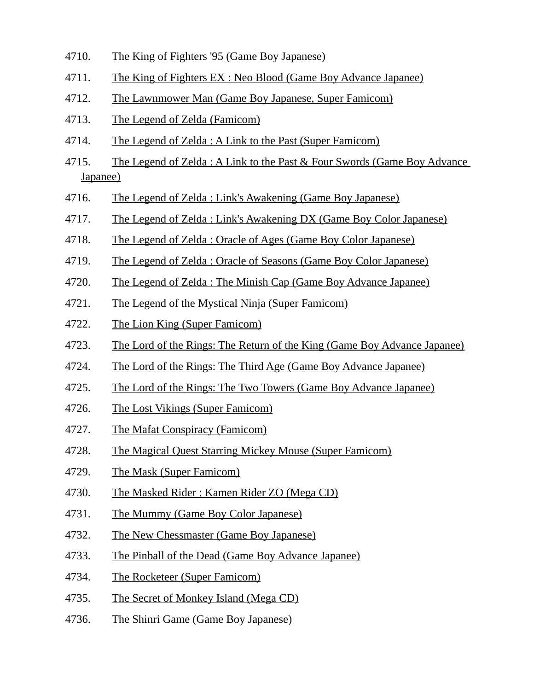- 4710. The King of Fighters '95 (Game Boy Japanese)
- 4711. The King of Fighters EX : Neo Blood (Game Boy Advance Japanee)
- 4712. The Lawnmower Man (Game Boy Japanese, Super Famicom)
- 4713. The Legend of Zelda (Famicom)
- 4714. The Legend of Zelda : A Link to the Past (Super Famicom)
- 4715. The Legend of Zelda : A Link to the Past & Four Swords (Game Boy Advance Japanee)
- 4716. The Legend of Zelda : Link's Awakening (Game Boy Japanese)
- 4717. The Legend of Zelda : Link's Awakening DX (Game Boy Color Japanese)
- 4718. The Legend of Zelda : Oracle of Ages (Game Boy Color Japanese)
- 4719. The Legend of Zelda : Oracle of Seasons (Game Boy Color Japanese)
- 4720. The Legend of Zelda : The Minish Cap (Game Boy Advance Japanee)
- 4721. The Legend of the Mystical Ninja (Super Famicom)
- 4722. The Lion King (Super Famicom)
- 4723. The Lord of the Rings: The Return of the King (Game Boy Advance Japanee)
- 4724. The Lord of the Rings: The Third Age (Game Boy Advance Japanee)
- 4725. The Lord of the Rings: The Two Towers (Game Boy Advance Japanee)
- 4726. The Lost Vikings (Super Famicom)
- 4727. The Mafat Conspiracy (Famicom)
- 4728. The Magical Quest Starring Mickey Mouse (Super Famicom)
- 4729. The Mask (Super Famicom)
- 4730. The Masked Rider : Kamen Rider ZO (Mega CD)
- 4731. The Mummy (Game Boy Color Japanese)
- 4732. The New Chessmaster (Game Boy Japanese)
- 4733. The Pinball of the Dead (Game Boy Advance Japanee)
- 4734. The Rocketeer (Super Famicom)
- 4735. The Secret of Monkey Island (Mega CD)
- 4736. The Shinri Game (Game Boy Japanese)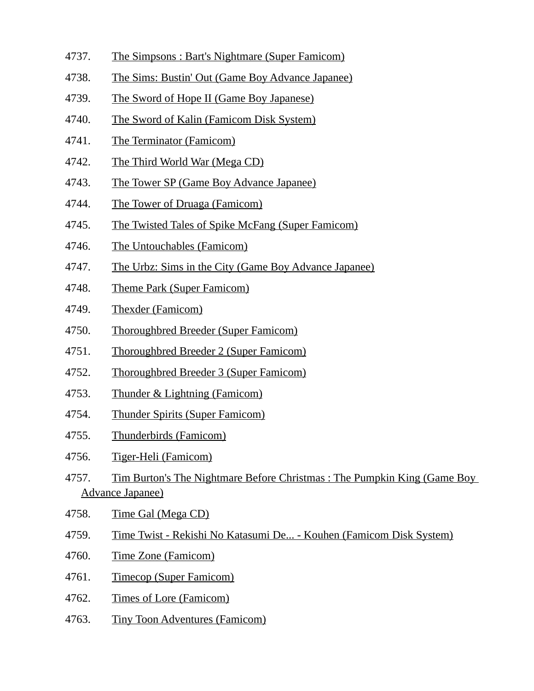- 4737. The Simpsons : Bart's Nightmare (Super Famicom)
- 4738. The Sims: Bustin' Out (Game Boy Advance Japanee)
- 4739. The Sword of Hope II (Game Boy Japanese)
- 4740. The Sword of Kalin (Famicom Disk System)
- 4741. The Terminator (Famicom)
- 4742. The Third World War (Mega CD)
- 4743. The Tower SP (Game Boy Advance Japanee)
- 4744. The Tower of Druaga (Famicom)
- 4745. The Twisted Tales of Spike McFang (Super Famicom)
- 4746. The Untouchables (Famicom)
- 4747. The Urbz: Sims in the City (Game Boy Advance Japanee)
- 4748. Theme Park (Super Famicom)
- 4749. Thexder (Famicom)
- 4750. Thoroughbred Breeder (Super Famicom)
- 4751. Thoroughbred Breeder 2 (Super Famicom)
- 4752. Thoroughbred Breeder 3 (Super Famicom)
- 4753. Thunder & Lightning (Famicom)
- 4754. Thunder Spirits (Super Famicom)
- 4755. Thunderbirds (Famicom)
- 4756. Tiger-Heli (Famicom)
- 4757. Tim Burton's The Nightmare Before Christmas : The Pumpkin King (Game Boy Advance Japanee)
- 4758. Time Gal (Mega CD)
- 4759. Time Twist Rekishi No Katasumi De... Kouhen (Famicom Disk System)
- 4760. Time Zone (Famicom)
- 4761. Timecop (Super Famicom)
- 4762. Times of Lore (Famicom)
- 4763. Tiny Toon Adventures (Famicom)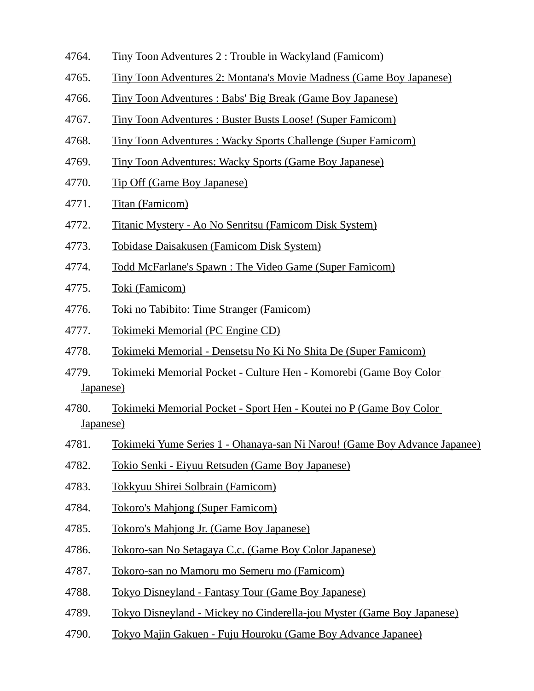- 4764. Tiny Toon Adventures 2 : Trouble in Wackyland (Famicom)
- 4765. Tiny Toon Adventures 2: Montana's Movie Madness (Game Boy Japanese)
- 4766. Tiny Toon Adventures : Babs' Big Break (Game Boy Japanese)
- 4767. Tiny Toon Adventures : Buster Busts Loose! (Super Famicom)
- 4768. Tiny Toon Adventures : Wacky Sports Challenge (Super Famicom)
- 4769. Tiny Toon Adventures: Wacky Sports (Game Boy Japanese)
- 4770. Tip Off (Game Boy Japanese)
- 4771. Titan (Famicom)
- 4772. Titanic Mystery Ao No Senritsu (Famicom Disk System)
- 4773. Tobidase Daisakusen (Famicom Disk System)
- 4774. Todd McFarlane's Spawn : The Video Game (Super Famicom)
- 4775. Toki (Famicom)
- 4776. Toki no Tabibito: Time Stranger (Famicom)
- 4777. Tokimeki Memorial (PC Engine CD)
- 4778. Tokimeki Memorial Densetsu No Ki No Shita De (Super Famicom)
- 4779. Tokimeki Memorial Pocket Culture Hen Komorebi (Game Boy Color Japanese)
- 4780. Tokimeki Memorial Pocket Sport Hen Koutei no P (Game Boy Color Japanese)
- 4781. Tokimeki Yume Series 1 Ohanaya-san Ni Narou! (Game Boy Advance Japanee)
- 4782. Tokio Senki Eiyuu Retsuden (Game Boy Japanese)
- 4783. Tokkyuu Shirei Solbrain (Famicom)
- 4784. Tokoro's Mahjong (Super Famicom)
- 4785. Tokoro's Mahjong Jr. (Game Boy Japanese)
- 4786. Tokoro-san No Setagaya C.c. (Game Boy Color Japanese)
- 4787. Tokoro-san no Mamoru mo Semeru mo (Famicom)
- 4788. Tokyo Disneyland Fantasy Tour (Game Boy Japanese)
- 4789. Tokyo Disneyland Mickey no Cinderella-jou Myster (Game Boy Japanese)
- 4790. Tokyo Majin Gakuen Fuju Houroku (Game Boy Advance Japanee)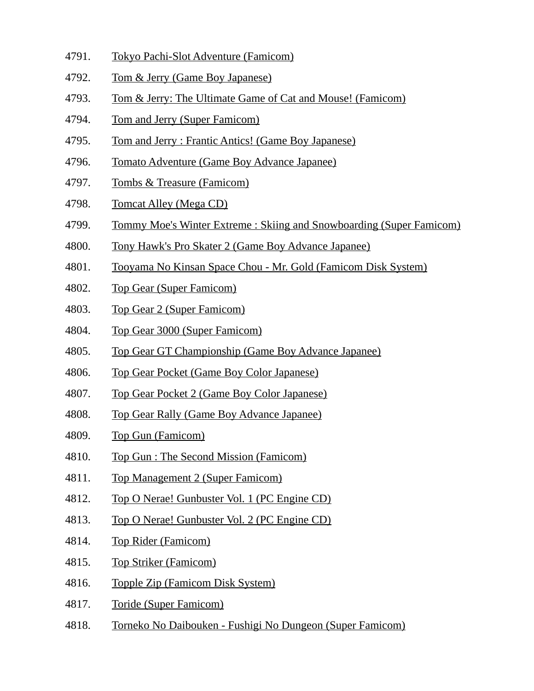- 4791. Tokyo Pachi-Slot Adventure (Famicom)
- 4792. Tom & Jerry (Game Boy Japanese)
- 4793. Tom & Jerry: The Ultimate Game of Cat and Mouse! (Famicom)
- 4794. Tom and Jerry (Super Famicom)
- 4795. Tom and Jerry : Frantic Antics! (Game Boy Japanese)
- 4796. Tomato Adventure (Game Boy Advance Japanee)
- 4797. Tombs & Treasure (Famicom)
- 4798. Tomcat Alley (Mega CD)
- 4799. Tommy Moe's Winter Extreme : Skiing and Snowboarding (Super Famicom)
- 4800. Tony Hawk's Pro Skater 2 (Game Boy Advance Japanee)
- 4801. Tooyama No Kinsan Space Chou Mr. Gold (Famicom Disk System)
- 4802. Top Gear (Super Famicom)
- 4803. Top Gear 2 (Super Famicom)
- 4804. Top Gear 3000 (Super Famicom)
- 4805. Top Gear GT Championship (Game Boy Advance Japanee)
- 4806. Top Gear Pocket (Game Boy Color Japanese)
- 4807. Top Gear Pocket 2 (Game Boy Color Japanese)
- 4808. Top Gear Rally (Game Boy Advance Japanee)
- 4809. Top Gun (Famicom)
- 4810. Top Gun : The Second Mission (Famicom)
- 4811. Top Management 2 (Super Famicom)
- 4812. Top O Nerae! Gunbuster Vol. 1 (PC Engine CD)
- 4813. Top O Nerae! Gunbuster Vol. 2 (PC Engine CD)
- 4814. Top Rider (Famicom)
- 4815. Top Striker (Famicom)
- 4816. Topple Zip (Famicom Disk System)
- 4817. Toride (Super Famicom)
- 4818. Torneko No Daibouken Fushigi No Dungeon (Super Famicom)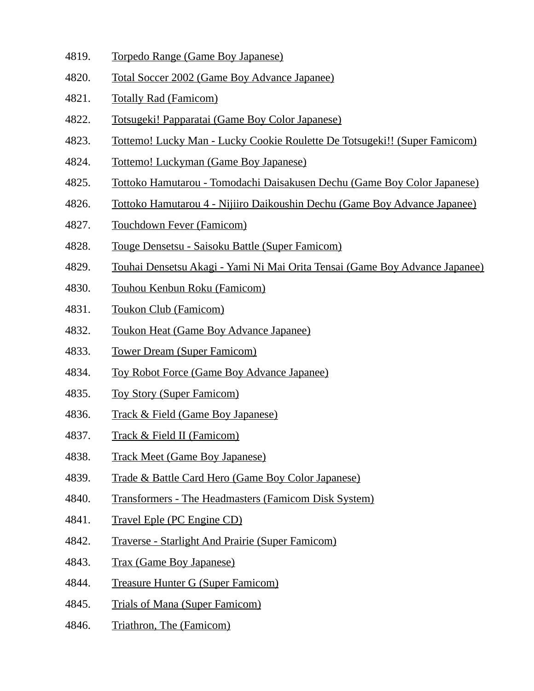- 4819. Torpedo Range (Game Boy Japanese)
- 4820. Total Soccer 2002 (Game Boy Advance Japanee)
- 4821. Totally Rad (Famicom)
- 4822. Totsugeki! Papparatai (Game Boy Color Japanese)
- 4823. Tottemo! Lucky Man Lucky Cookie Roulette De Totsugeki!! (Super Famicom)
- 4824. Tottemo! Luckyman (Game Boy Japanese)
- 4825. Tottoko Hamutarou Tomodachi Daisakusen Dechu (Game Boy Color Japanese)
- 4826. Tottoko Hamutarou 4 Nijiiro Daikoushin Dechu (Game Boy Advance Japanee)
- 4827. Touchdown Fever (Famicom)
- 4828. Touge Densetsu Saisoku Battle (Super Famicom)
- 4829. Touhai Densetsu Akagi Yami Ni Mai Orita Tensai (Game Boy Advance Japanee)
- 4830. Touhou Kenbun Roku (Famicom)
- 4831. Toukon Club (Famicom)
- 4832. Toukon Heat (Game Boy Advance Japanee)
- 4833. Tower Dream (Super Famicom)
- 4834. Toy Robot Force (Game Boy Advance Japanee)
- 4835. Toy Story (Super Famicom)
- 4836. Track & Field (Game Boy Japanese)
- 4837. Track & Field II (Famicom)
- 4838. Track Meet (Game Boy Japanese)
- 4839. Trade & Battle Card Hero (Game Boy Color Japanese)
- 4840. Transformers The Headmasters (Famicom Disk System)
- 4841. Travel Eple (PC Engine CD)
- 4842. Traverse Starlight And Prairie (Super Famicom)
- 4843. Trax (Game Boy Japanese)
- 4844. Treasure Hunter G (Super Famicom)
- 4845. Trials of Mana (Super Famicom)
- 4846. Triathron, The (Famicom)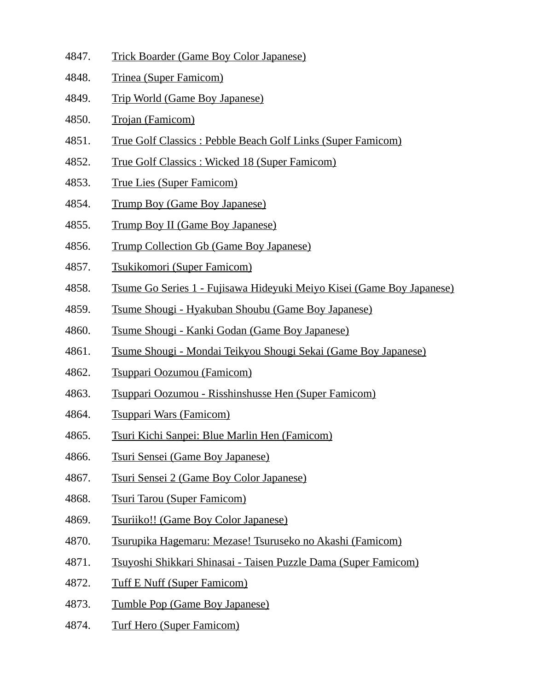- 4847. Trick Boarder (Game Boy Color Japanese)
- 4848. Trinea (Super Famicom)
- 4849. Trip World (Game Boy Japanese)
- 4850. Trojan (Famicom)
- 4851. True Golf Classics : Pebble Beach Golf Links (Super Famicom)
- 4852. True Golf Classics : Wicked 18 (Super Famicom)
- 4853. True Lies (Super Famicom)
- 4854. Trump Boy (Game Boy Japanese)
- 4855. Trump Boy II (Game Boy Japanese)
- 4856. Trump Collection Gb (Game Boy Japanese)
- 4857. Tsukikomori (Super Famicom)
- 4858. Tsume Go Series 1 Fujisawa Hideyuki Meiyo Kisei (Game Boy Japanese)
- 4859. Tsume Shougi Hyakuban Shoubu (Game Boy Japanese)
- 4860. Tsume Shougi Kanki Godan (Game Boy Japanese)
- 4861. Tsume Shougi Mondai Teikyou Shougi Sekai (Game Boy Japanese)
- 4862. Tsuppari Oozumou (Famicom)
- 4863. Tsuppari Oozumou Risshinshusse Hen (Super Famicom)
- 4864. Tsuppari Wars (Famicom)
- 4865. Tsuri Kichi Sanpei: Blue Marlin Hen (Famicom)
- 4866. Tsuri Sensei (Game Boy Japanese)
- 4867. Tsuri Sensei 2 (Game Boy Color Japanese)
- 4868. Tsuri Tarou (Super Famicom)
- 4869. Tsuriiko!! (Game Boy Color Japanese)
- 4870. Tsurupika Hagemaru: Mezase! Tsuruseko no Akashi (Famicom)
- 4871. Tsuyoshi Shikkari Shinasai Taisen Puzzle Dama (Super Famicom)
- 4872. Tuff E Nuff (Super Famicom)
- 4873. Tumble Pop (Game Boy Japanese)
- 4874. Turf Hero (Super Famicom)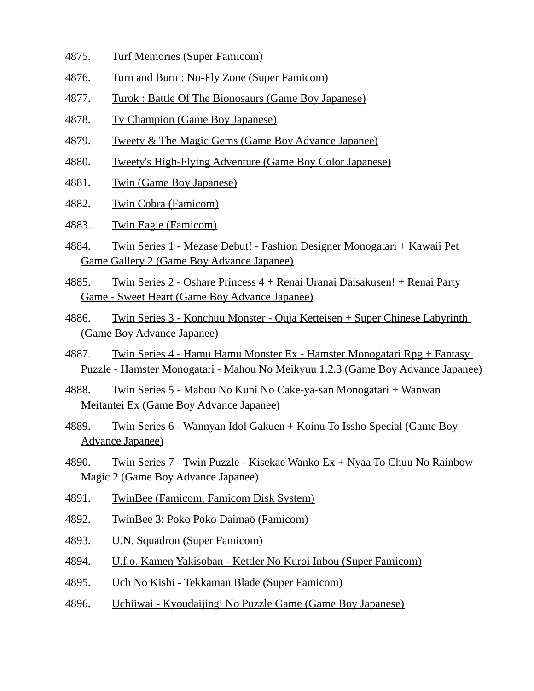- 4875. Turf Memories (Super Famicom)
- 4876. Turn and Burn : No-Fly Zone (Super Famicom)
- 4877. Turok : Battle Of The Bionosaurs (Game Boy Japanese)
- 4878. Tv Champion (Game Boy Japanese)
- 4879. Tweety & The Magic Gems (Game Boy Advance Japanee)
- 4880. Tweety's High-Flying Adventure (Game Boy Color Japanese)
- 4881. Twin (Game Boy Japanese)
- 4882. Twin Cobra (Famicom)
- 4883. Twin Eagle (Famicom)
- 4884. Twin Series 1 Mezase Debut! Fashion Designer Monogatari + Kawaii Pet Game Gallery 2 (Game Boy Advance Japanee)
- 4885. Twin Series 2 Oshare Princess 4 + Renai Uranai Daisakusen! + Renai Party Game - Sweet Heart (Game Boy Advance Japanee)
- 4886. Twin Series 3 Konchuu Monster Ouja Ketteisen + Super Chinese Labyrinth (Game Boy Advance Japanee)
- 4887. Twin Series 4 Hamu Hamu Monster Ex Hamster Monogatari Rpg + Fantasy Puzzle - Hamster Monogatari - Mahou No Meikyuu 1.2.3 (Game Boy Advance Japanee)
- 4888. Twin Series 5 Mahou No Kuni No Cake-ya-san Monogatari + Wanwan Meitantei Ex (Game Boy Advance Japanee)
- 4889. Twin Series 6 Wannyan Idol Gakuen + Koinu To Issho Special (Game Boy Advance Japanee)
- 4890. Twin Series 7 Twin Puzzle Kisekae Wanko Ex + Nyaa To Chuu No Rainbow Magic 2 (Game Boy Advance Japanee)
- 4891. TwinBee (Famicom, Famicom Disk System)
- 4892. TwinBee 3: Poko Poko Daimaō (Famicom)
- 4893. U.N. Squadron (Super Famicom)
- 4894. U.f.o. Kamen Yakisoban Kettler No Kuroi Inbou (Super Famicom)
- 4895. Uch No Kishi Tekkaman Blade (Super Famicom)
- 4896. Uchiiwai Kyoudaijingi No Puzzle Game (Game Boy Japanese)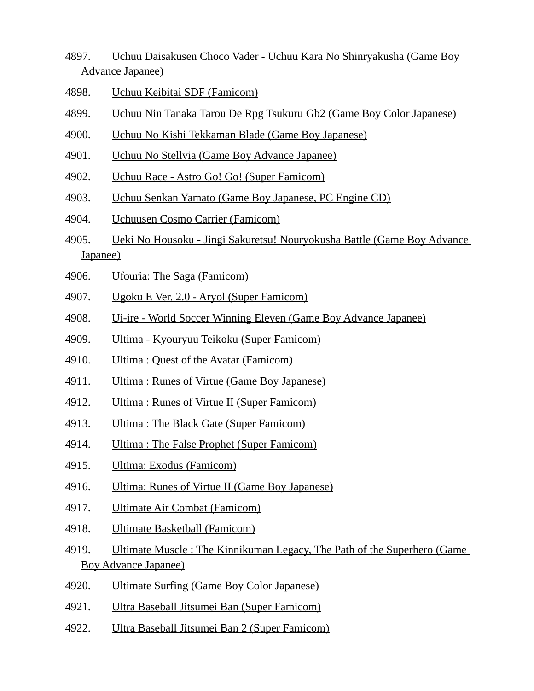- 4897. Uchuu Daisakusen Choco Vader Uchuu Kara No Shinryakusha (Game Boy Advance Japanee)
- 4898. Uchuu Keibitai SDF (Famicom)
- 4899. Uchuu Nin Tanaka Tarou De Rpg Tsukuru Gb2 (Game Boy Color Japanese)
- 4900. Uchuu No Kishi Tekkaman Blade (Game Boy Japanese)
- 4901. Uchuu No Stellvia (Game Boy Advance Japanee)
- 4902. Uchuu Race Astro Go! Go! (Super Famicom)
- 4903. Uchuu Senkan Yamato (Game Boy Japanese, PC Engine CD)
- 4904. Uchuusen Cosmo Carrier (Famicom)
- 4905. Ueki No Housoku Jingi Sakuretsu! Nouryokusha Battle (Game Boy Advance Japanee)
- 4906. Ufouria: The Saga (Famicom)
- 4907. Ugoku E Ver. 2.0 Aryol (Super Famicom)
- 4908. Ui-ire World Soccer Winning Eleven (Game Boy Advance Japanee)
- 4909. Ultima Kyouryuu Teikoku (Super Famicom)
- 4910. Ultima : Quest of the Avatar (Famicom)
- 4911. Ultima : Runes of Virtue (Game Boy Japanese)
- 4912. Ultima : Runes of Virtue II (Super Famicom)
- 4913. Ultima : The Black Gate (Super Famicom)
- 4914. Ultima : The False Prophet (Super Famicom)
- 4915. Ultima: Exodus (Famicom)
- 4916. Ultima: Runes of Virtue II (Game Boy Japanese)
- 4917. Ultimate Air Combat (Famicom)
- 4918. Ultimate Basketball (Famicom)
- 4919. Ultimate Muscle : The Kinnikuman Legacy, The Path of the Superhero (Game Boy Advance Japanee)
- 4920. Ultimate Surfing (Game Boy Color Japanese)
- 4921. Ultra Baseball Jitsumei Ban (Super Famicom)
- 4922. Ultra Baseball Jitsumei Ban 2 (Super Famicom)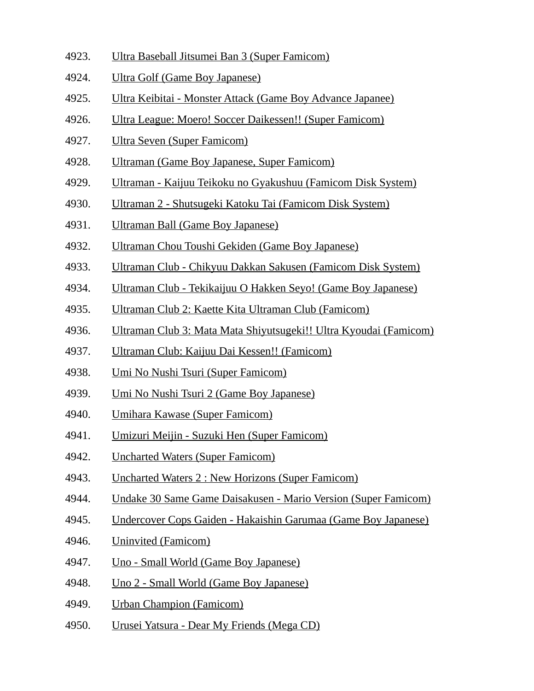- 4923. Ultra Baseball Jitsumei Ban 3 (Super Famicom)
- 4924. Ultra Golf (Game Boy Japanese)
- 4925. Ultra Keibitai Monster Attack (Game Boy Advance Japanee)
- 4926. Ultra League: Moero! Soccer Daikessen!! (Super Famicom)
- 4927. Ultra Seven (Super Famicom)
- 4928. Ultraman (Game Boy Japanese, Super Famicom)
- 4929. Ultraman Kaijuu Teikoku no Gyakushuu (Famicom Disk System)
- 4930. Ultraman 2 Shutsugeki Katoku Tai (Famicom Disk System)
- 4931. Ultraman Ball (Game Boy Japanese)
- 4932. Ultraman Chou Toushi Gekiden (Game Boy Japanese)
- 4933. Ultraman Club Chikyuu Dakkan Sakusen (Famicom Disk System)
- 4934. Ultraman Club Tekikaijuu O Hakken Seyo! (Game Boy Japanese)
- 4935. Ultraman Club 2: Kaette Kita Ultraman Club (Famicom)
- 4936. Ultraman Club 3: Mata Mata Shiyutsugeki!! Ultra Kyoudai (Famicom)
- 4937. Ultraman Club: Kaijuu Dai Kessen!! (Famicom)
- 4938. Umi No Nushi Tsuri (Super Famicom)
- 4939. Umi No Nushi Tsuri 2 (Game Boy Japanese)
- 4940. Umihara Kawase (Super Famicom)
- 4941. Umizuri Meijin Suzuki Hen (Super Famicom)
- 4942. Uncharted Waters (Super Famicom)
- 4943. Uncharted Waters 2 : New Horizons (Super Famicom)
- 4944. Undake 30 Same Game Daisakusen Mario Version (Super Famicom)
- 4945. Undercover Cops Gaiden Hakaishin Garumaa (Game Boy Japanese)
- 4946. Uninvited (Famicom)
- 4947. Uno Small World (Game Boy Japanese)
- 4948. Uno 2 Small World (Game Boy Japanese)
- 4949. Urban Champion (Famicom)
- 4950. Urusei Yatsura Dear My Friends (Mega CD)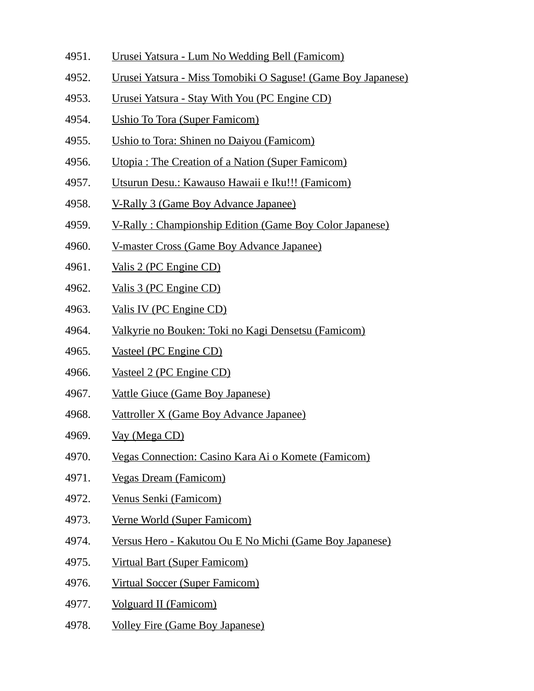- 4951. Urusei Yatsura Lum No Wedding Bell (Famicom)
- 4952. Urusei Yatsura Miss Tomobiki O Saguse! (Game Boy Japanese)
- 4953. Urusei Yatsura Stay With You (PC Engine CD)
- 4954. Ushio To Tora (Super Famicom)
- 4955. Ushio to Tora: Shinen no Daiyou (Famicom)
- 4956. Utopia : The Creation of a Nation (Super Famicom)
- 4957. Utsurun Desu.: Kawauso Hawaii e Iku!!! (Famicom)
- 4958. V-Rally 3 (Game Boy Advance Japanee)
- 4959. V-Rally : Championship Edition (Game Boy Color Japanese)
- 4960. V-master Cross (Game Boy Advance Japanee)
- 4961. Valis 2 (PC Engine CD)
- 4962. Valis 3 (PC Engine CD)
- 4963. Valis IV (PC Engine CD)
- 4964. Valkyrie no Bouken: Toki no Kagi Densetsu (Famicom)
- 4965. Vasteel (PC Engine CD)
- 4966. Vasteel 2 (PC Engine CD)
- 4967. Vattle Giuce (Game Boy Japanese)
- 4968. Vattroller X (Game Boy Advance Japanee)
- 4969. Vay (Mega CD)
- 4970. Vegas Connection: Casino Kara Ai o Komete (Famicom)
- 4971. Vegas Dream (Famicom)
- 4972. Venus Senki (Famicom)
- 4973. Verne World (Super Famicom)
- 4974. Versus Hero Kakutou Ou E No Michi (Game Boy Japanese)
- 4975. Virtual Bart (Super Famicom)
- 4976. Virtual Soccer (Super Famicom)
- 4977. Volguard II (Famicom)
- 4978. Volley Fire (Game Boy Japanese)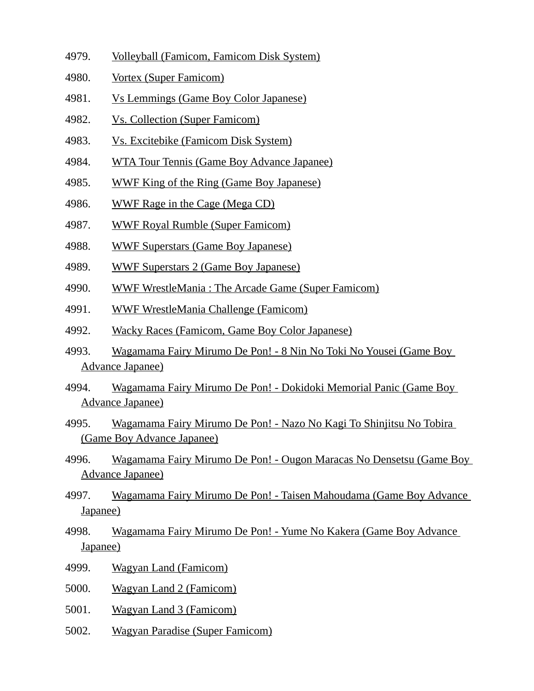- 4979. Volleyball (Famicom, Famicom Disk System)
- 4980. Vortex (Super Famicom)
- 4981. Vs Lemmings (Game Boy Color Japanese)
- 4982. Vs. Collection (Super Famicom)
- 4983. Vs. Excitebike (Famicom Disk System)
- 4984. WTA Tour Tennis (Game Boy Advance Japanee)
- 4985. WWF King of the Ring (Game Boy Japanese)
- 4986. WWF Rage in the Cage (Mega CD)
- 4987. WWF Royal Rumble (Super Famicom)
- 4988. WWF Superstars (Game Boy Japanese)
- 4989. WWF Superstars 2 (Game Boy Japanese)
- 4990. WWF WrestleMania : The Arcade Game (Super Famicom)
- 4991. WWF WrestleMania Challenge (Famicom)
- 4992. Wacky Races (Famicom, Game Boy Color Japanese)
- 4993. Wagamama Fairy Mirumo De Pon! 8 Nin No Toki No Yousei (Game Boy Advance Japanee)
- 4994. Wagamama Fairy Mirumo De Pon! Dokidoki Memorial Panic (Game Boy Advance Japanee)
- 4995. Wagamama Fairy Mirumo De Pon! Nazo No Kagi To Shinjitsu No Tobira (Game Boy Advance Japanee)
- 4996. Wagamama Fairy Mirumo De Pon! Ougon Maracas No Densetsu (Game Boy Advance Japanee)
- 4997. Wagamama Fairy Mirumo De Pon! Taisen Mahoudama (Game Boy Advance Japanee)
- 4998. Wagamama Fairy Mirumo De Pon! Yume No Kakera (Game Boy Advance Japanee)
- 4999. Wagyan Land (Famicom)
- 5000. Wagyan Land 2 (Famicom)
- 5001. Wagyan Land 3 (Famicom)
- 5002. Wagyan Paradise (Super Famicom)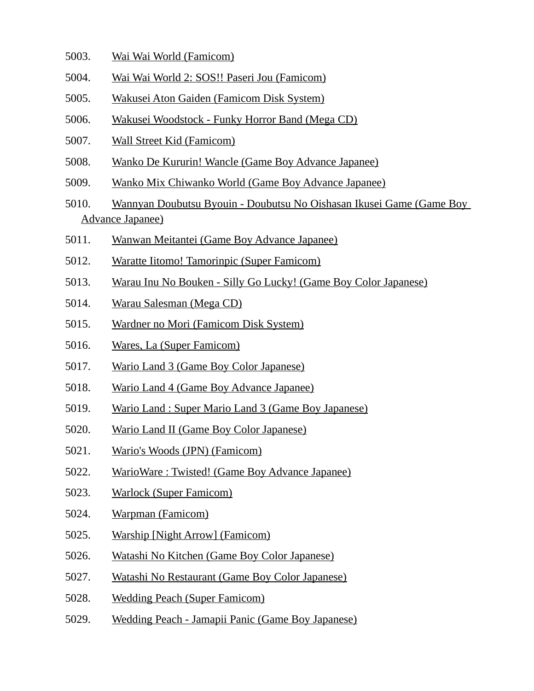- 5003. Wai Wai World (Famicom)
- 5004. Wai Wai World 2: SOS!! Paseri Jou (Famicom)
- 5005. Wakusei Aton Gaiden (Famicom Disk System)
- 5006. Wakusei Woodstock Funky Horror Band (Mega CD)
- 5007. Wall Street Kid (Famicom)
- 5008. Wanko De Kururin! Wancle (Game Boy Advance Japanee)
- 5009. Wanko Mix Chiwanko World (Game Boy Advance Japanee)
- 5010. Wannyan Doubutsu Byouin Doubutsu No Oishasan Ikusei Game (Game Boy Advance Japanee)
- 5011. Wanwan Meitantei (Game Boy Advance Japanee)
- 5012. Waratte Iitomo! Tamorinpic (Super Famicom)
- 5013. Warau Inu No Bouken Silly Go Lucky! (Game Boy Color Japanese)
- 5014. Warau Salesman (Mega CD)
- 5015. Wardner no Mori (Famicom Disk System)
- 5016. Wares, La (Super Famicom)
- 5017. Wario Land 3 (Game Boy Color Japanese)
- 5018. Wario Land 4 (Game Boy Advance Japanee)
- 5019. Wario Land : Super Mario Land 3 (Game Boy Japanese)
- 5020. Wario Land II (Game Boy Color Japanese)
- 5021. Wario's Woods (JPN) (Famicom)
- 5022. WarioWare : Twisted! (Game Boy Advance Japanee)
- 5023. Warlock (Super Famicom)
- 5024. Warpman (Famicom)
- 5025. Warship [Night Arrow] (Famicom)
- 5026. Watashi No Kitchen (Game Boy Color Japanese)
- 5027. Watashi No Restaurant (Game Boy Color Japanese)
- 5028. Wedding Peach (Super Famicom)
- 5029. Wedding Peach Jamapii Panic (Game Boy Japanese)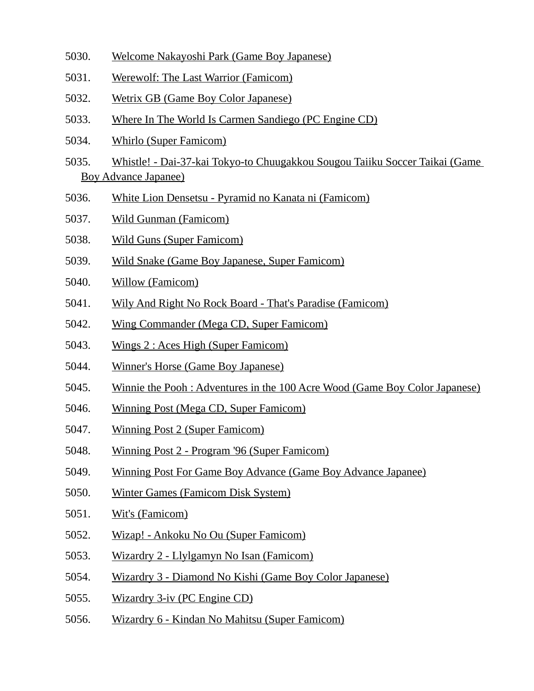- 5030. Welcome Nakayoshi Park (Game Boy Japanese)
- 5031. Werewolf: The Last Warrior (Famicom)
- 5032. Wetrix GB (Game Boy Color Japanese)
- 5033. Where In The World Is Carmen Sandiego (PC Engine CD)
- 5034. Whirlo (Super Famicom)
- 5035. Whistle! Dai-37-kai Tokyo-to Chuugakkou Sougou Taiiku Soccer Taikai (Game Boy Advance Japanee)
- 5036. White Lion Densetsu Pyramid no Kanata ni (Famicom)
- 5037. Wild Gunman (Famicom)
- 5038. Wild Guns (Super Famicom)
- 5039. Wild Snake (Game Boy Japanese, Super Famicom)
- 5040. Willow (Famicom)
- 5041. Wily And Right No Rock Board That's Paradise (Famicom)
- 5042. Wing Commander (Mega CD, Super Famicom)
- 5043. Wings 2 : Aces High (Super Famicom)
- 5044. Winner's Horse (Game Boy Japanese)
- 5045. Winnie the Pooh : Adventures in the 100 Acre Wood (Game Boy Color Japanese)
- 5046. Winning Post (Mega CD, Super Famicom)
- 5047. Winning Post 2 (Super Famicom)
- 5048. Winning Post 2 Program '96 (Super Famicom)
- 5049. Winning Post For Game Boy Advance (Game Boy Advance Japanee)
- 5050. Winter Games (Famicom Disk System)
- 5051. Wit's (Famicom)
- 5052. Wizap! Ankoku No Ou (Super Famicom)
- 5053. Wizardry 2 Llylgamyn No Isan (Famicom)
- 5054. Wizardry 3 Diamond No Kishi (Game Boy Color Japanese)
- 5055. Wizardry 3-iv (PC Engine CD)
- 5056. Wizardry 6 Kindan No Mahitsu (Super Famicom)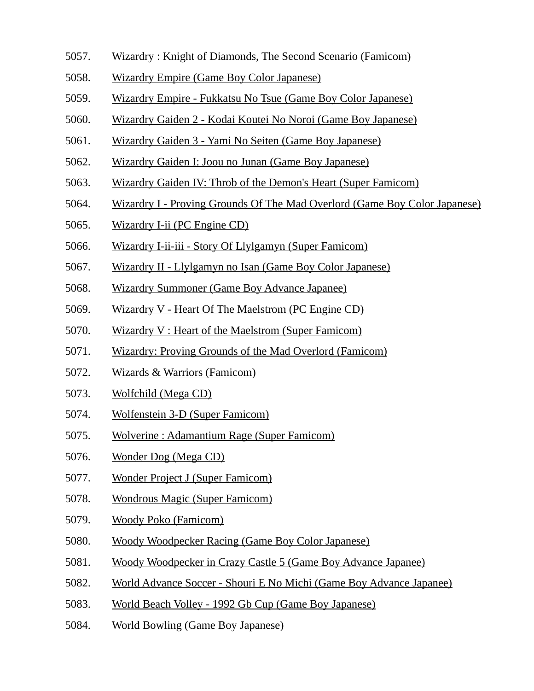- 5057. Wizardry : Knight of Diamonds, The Second Scenario (Famicom)
- 5058. Wizardry Empire (Game Boy Color Japanese)
- 5059. Wizardry Empire Fukkatsu No Tsue (Game Boy Color Japanese)
- 5060. Wizardry Gaiden 2 Kodai Koutei No Noroi (Game Boy Japanese)
- 5061. Wizardry Gaiden 3 Yami No Seiten (Game Boy Japanese)
- 5062. Wizardry Gaiden I: Joou no Junan (Game Boy Japanese)
- 5063. Wizardry Gaiden IV: Throb of the Demon's Heart (Super Famicom)
- 5064. Wizardry I Proving Grounds Of The Mad Overlord (Game Boy Color Japanese)
- 5065. Wizardry I-ii (PC Engine CD)
- 5066. Wizardry I-ii-iii Story Of Llylgamyn (Super Famicom)
- 5067. Wizardry II Llylgamyn no Isan (Game Boy Color Japanese)
- 5068. Wizardry Summoner (Game Boy Advance Japanee)
- 5069. Wizardry V Heart Of The Maelstrom (PC Engine CD)
- 5070. Wizardry V : Heart of the Maelstrom (Super Famicom)
- 5071. Wizardry: Proving Grounds of the Mad Overlord (Famicom)
- 5072. Wizards & Warriors (Famicom)
- 5073. Wolfchild (Mega CD)
- 5074. Wolfenstein 3-D (Super Famicom)
- 5075. Wolverine : Adamantium Rage (Super Famicom)
- 5076. Wonder Dog (Mega CD)
- 5077. Wonder Project J (Super Famicom)
- 5078. Wondrous Magic (Super Famicom)
- 5079. Woody Poko (Famicom)
- 5080. Woody Woodpecker Racing (Game Boy Color Japanese)
- 5081. Woody Woodpecker in Crazy Castle 5 (Game Boy Advance Japanee)
- 5082. World Advance Soccer Shouri E No Michi (Game Boy Advance Japanee)
- 5083. World Beach Volley 1992 Gb Cup (Game Boy Japanese)
- 5084. World Bowling (Game Boy Japanese)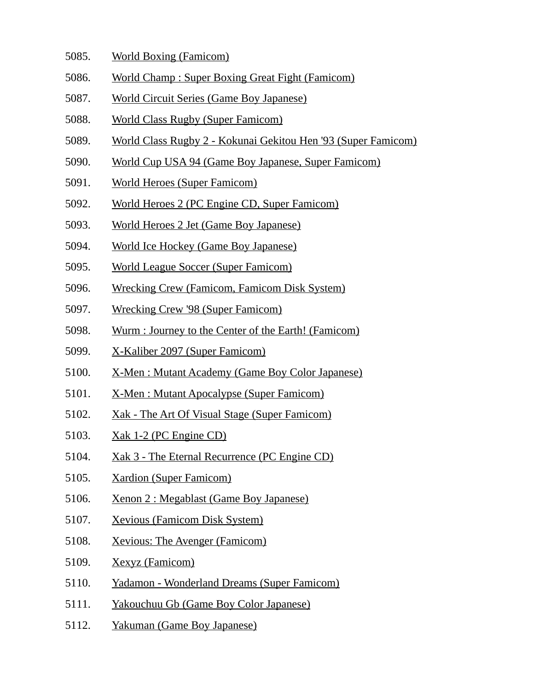- 5085. World Boxing (Famicom)
- 5086. World Champ : Super Boxing Great Fight (Famicom)
- 5087. World Circuit Series (Game Boy Japanese)
- 5088. World Class Rugby (Super Famicom)
- 5089. World Class Rugby 2 Kokunai Gekitou Hen '93 (Super Famicom)
- 5090. World Cup USA 94 (Game Boy Japanese, Super Famicom)
- 5091. World Heroes (Super Famicom)
- 5092. World Heroes 2 (PC Engine CD, Super Famicom)
- 5093. World Heroes 2 Jet (Game Boy Japanese)
- 5094. World Ice Hockey (Game Boy Japanese)
- 5095. World League Soccer (Super Famicom)
- 5096. Wrecking Crew (Famicom, Famicom Disk System)
- 5097. Wrecking Crew '98 (Super Famicom)
- 5098. Wurm : Journey to the Center of the Earth! (Famicom)
- 5099. X-Kaliber 2097 (Super Famicom)
- 5100. X-Men : Mutant Academy (Game Boy Color Japanese)
- 5101. X-Men : Mutant Apocalypse (Super Famicom)
- 5102. Xak The Art Of Visual Stage (Super Famicom)
- 5103. Xak 1-2 (PC Engine CD)
- 5104. Xak 3 The Eternal Recurrence (PC Engine CD)
- 5105. Xardion (Super Famicom)
- 5106. Xenon 2 : Megablast (Game Boy Japanese)
- 5107. Xevious (Famicom Disk System)
- 5108. Xevious: The Avenger (Famicom)
- 5109. Xexyz (Famicom)
- 5110. Yadamon Wonderland Dreams (Super Famicom)
- 5111. Yakouchuu Gb (Game Boy Color Japanese)
- 5112. Yakuman (Game Boy Japanese)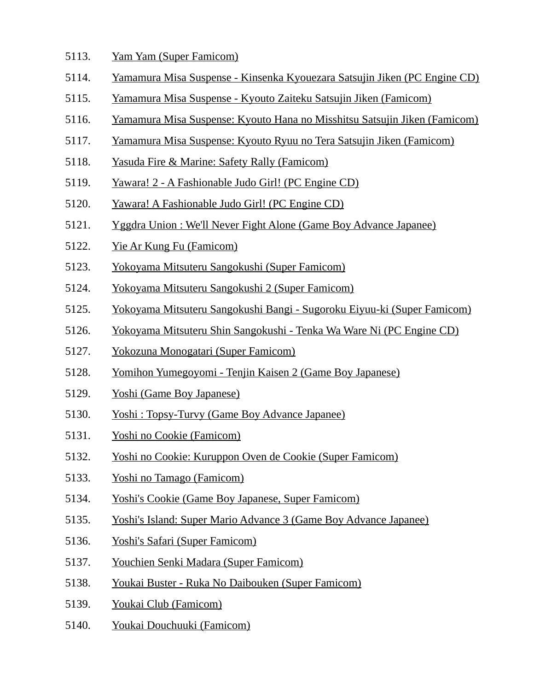- 5113. Yam Yam (Super Famicom)
- 5114. Yamamura Misa Suspense Kinsenka Kyouezara Satsujin Jiken (PC Engine CD)
- 5115. Yamamura Misa Suspense Kyouto Zaiteku Satsujin Jiken (Famicom)
- 5116. Yamamura Misa Suspense: Kyouto Hana no Misshitsu Satsujin Jiken (Famicom)
- 5117. Yamamura Misa Suspense: Kyouto Ryuu no Tera Satsujin Jiken (Famicom)
- 5118. Yasuda Fire & Marine: Safety Rally (Famicom)
- 5119. Yawara! 2 A Fashionable Judo Girl! (PC Engine CD)
- 5120. Yawara! A Fashionable Judo Girl! (PC Engine CD)
- 5121. Yggdra Union : We'll Never Fight Alone (Game Boy Advance Japanee)
- 5122. Yie Ar Kung Fu (Famicom)
- 5123. Yokoyama Mitsuteru Sangokushi (Super Famicom)
- 5124. Yokoyama Mitsuteru Sangokushi 2 (Super Famicom)
- 5125. Yokoyama Mitsuteru Sangokushi Bangi Sugoroku Eiyuu-ki (Super Famicom)
- 5126. Yokoyama Mitsuteru Shin Sangokushi Tenka Wa Ware Ni (PC Engine CD)
- 5127. Yokozuna Monogatari (Super Famicom)
- 5128. Yomihon Yumegoyomi Tenjin Kaisen 2 (Game Boy Japanese)
- 5129. Yoshi (Game Boy Japanese)
- 5130. Yoshi : Topsy-Turvy (Game Boy Advance Japanee)
- 5131. Yoshi no Cookie (Famicom)
- 5132. Yoshi no Cookie: Kuruppon Oven de Cookie (Super Famicom)
- 5133. Yoshi no Tamago (Famicom)
- 5134. Yoshi's Cookie (Game Boy Japanese, Super Famicom)
- 5135. Yoshi's Island: Super Mario Advance 3 (Game Boy Advance Japanee)
- 5136. Yoshi's Safari (Super Famicom)
- 5137. Youchien Senki Madara (Super Famicom)
- 5138. Youkai Buster Ruka No Daibouken (Super Famicom)
- 5139. Youkai Club (Famicom)
- 5140. Youkai Douchuuki (Famicom)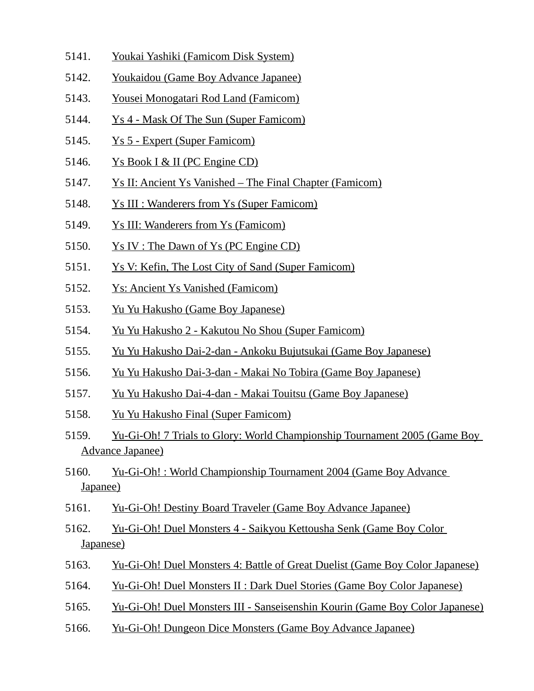- 5141. Youkai Yashiki (Famicom Disk System)
- 5142. Youkaidou (Game Boy Advance Japanee)
- 5143. Yousei Monogatari Rod Land (Famicom)
- 5144. Ys 4 Mask Of The Sun (Super Famicom)
- 5145. Ys 5 Expert (Super Famicom)
- 5146. Ys Book I & II (PC Engine CD)
- 5147. Ys II: Ancient Ys Vanished The Final Chapter (Famicom)
- 5148. Ys III : Wanderers from Ys (Super Famicom)
- 5149. Ys III: Wanderers from Ys (Famicom)
- 5150. Ys IV : The Dawn of Ys (PC Engine CD)
- 5151. Ys V: Kefin, The Lost City of Sand (Super Famicom)
- 5152. Ys: Ancient Ys Vanished (Famicom)
- 5153. Yu Yu Hakusho (Game Boy Japanese)
- 5154. Yu Yu Hakusho 2 Kakutou No Shou (Super Famicom)
- 5155. Yu Yu Hakusho Dai-2-dan Ankoku Bujutsukai (Game Boy Japanese)
- 5156. Yu Yu Hakusho Dai-3-dan Makai No Tobira (Game Boy Japanese)
- 5157. Yu Yu Hakusho Dai-4-dan Makai Touitsu (Game Boy Japanese)
- 5158. Yu Yu Hakusho Final (Super Famicom)
- 5159. Yu-Gi-Oh! 7 Trials to Glory: World Championship Tournament 2005 (Game Boy Advance Japanee)
- 5160. Yu-Gi-Oh! : World Championship Tournament 2004 (Game Boy Advance Japanee)
- 5161. Yu-Gi-Oh! Destiny Board Traveler (Game Boy Advance Japanee)
- 5162. Yu-Gi-Oh! Duel Monsters 4 Saikyou Kettousha Senk (Game Boy Color Japanese)
- 5163. Yu-Gi-Oh! Duel Monsters 4: Battle of Great Duelist (Game Boy Color Japanese)
- 5164. Yu-Gi-Oh! Duel Monsters II : Dark Duel Stories (Game Boy Color Japanese)
- 5165. Yu-Gi-Oh! Duel Monsters III Sanseisenshin Kourin (Game Boy Color Japanese)
- 5166. Yu-Gi-Oh! Dungeon Dice Monsters (Game Boy Advance Japanee)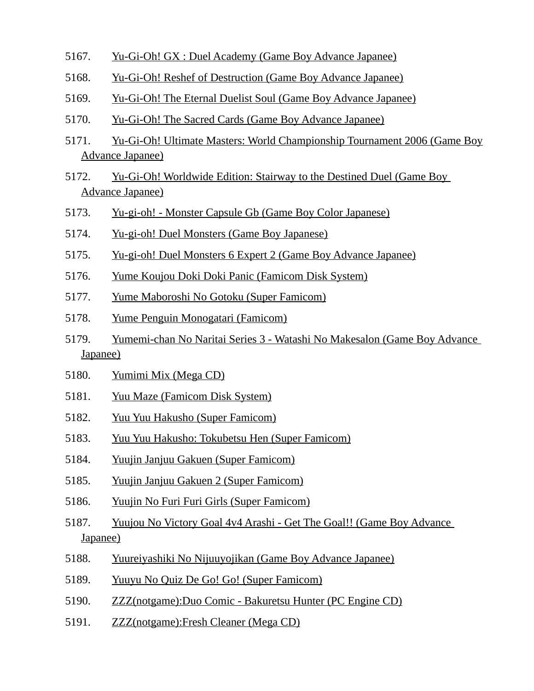- 5167. Yu-Gi-Oh! GX : Duel Academy (Game Boy Advance Japanee)
- 5168. Yu-Gi-Oh! Reshef of Destruction (Game Boy Advance Japanee)
- 5169. Yu-Gi-Oh! The Eternal Duelist Soul (Game Boy Advance Japanee)
- 5170. Yu-Gi-Oh! The Sacred Cards (Game Boy Advance Japanee)
- 5171. Yu-Gi-Oh! Ultimate Masters: World Championship Tournament 2006 (Game Boy Advance Japanee)
- 5172. Yu-Gi-Oh! Worldwide Edition: Stairway to the Destined Duel (Game Boy Advance Japanee)
- 5173. Yu-gi-oh! Monster Capsule Gb (Game Boy Color Japanese)
- 5174. Yu-gi-oh! Duel Monsters (Game Boy Japanese)
- 5175. Yu-gi-oh! Duel Monsters 6 Expert 2 (Game Boy Advance Japanee)
- 5176. Yume Koujou Doki Doki Panic (Famicom Disk System)
- 5177. Yume Maboroshi No Gotoku (Super Famicom)
- 5178. Yume Penguin Monogatari (Famicom)
- 5179. Yumemi-chan No Naritai Series 3 Watashi No Makesalon (Game Boy Advance Japanee)
- 5180. Yumimi Mix (Mega CD)
- 5181. Yuu Maze (Famicom Disk System)
- 5182. Yuu Yuu Hakusho (Super Famicom)
- 5183. Yuu Yuu Hakusho: Tokubetsu Hen (Super Famicom)
- 5184. Yuujin Janjuu Gakuen (Super Famicom)
- 5185. Yuujin Janjuu Gakuen 2 (Super Famicom)
- 5186. Yuujin No Furi Furi Girls (Super Famicom)
- 5187. Yuujou No Victory Goal 4v4 Arashi Get The Goal!! (Game Boy Advance Japanee)
- 5188. Yuureiyashiki No Nijuuyojikan (Game Boy Advance Japanee)
- 5189. Yuuyu No Quiz De Go! Go! (Super Famicom)
- 5190. ZZZ(notgame):Duo Comic Bakuretsu Hunter (PC Engine CD)
- 5191. ZZZ(notgame):Fresh Cleaner (Mega CD)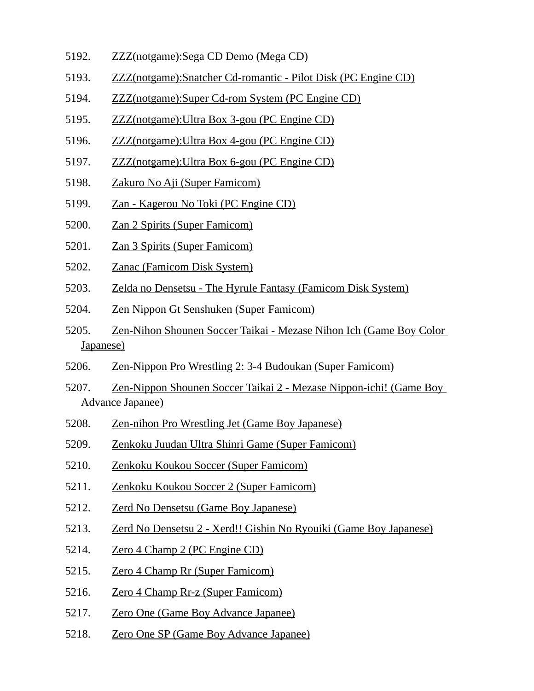- 5192. ZZZ(notgame):Sega CD Demo (Mega CD)
- 5193. ZZZ(notgame):Snatcher Cd-romantic Pilot Disk (PC Engine CD)
- 5194. ZZZ(notgame):Super Cd-rom System (PC Engine CD)
- 5195. ZZZ(notgame):Ultra Box 3-gou (PC Engine CD)
- 5196. ZZZ(notgame):Ultra Box 4-gou (PC Engine CD)
- 5197. ZZZ(notgame):Ultra Box 6-gou (PC Engine CD)
- 5198. Zakuro No Aji (Super Famicom)
- 5199. Zan Kagerou No Toki (PC Engine CD)
- 5200. Zan 2 Spirits (Super Famicom)
- 5201. Zan 3 Spirits (Super Famicom)
- 5202. Zanac (Famicom Disk System)
- 5203. Zelda no Densetsu The Hyrule Fantasy (Famicom Disk System)
- 5204. Zen Nippon Gt Senshuken (Super Famicom)
- 5205. Zen-Nihon Shounen Soccer Taikai Mezase Nihon Ich (Game Boy Color Japanese)
- 5206. Zen-Nippon Pro Wrestling 2: 3-4 Budoukan (Super Famicom)
- 5207. Zen-Nippon Shounen Soccer Taikai 2 Mezase Nippon-ichi! (Game Boy Advance Japanee)
- 5208. Zen-nihon Pro Wrestling Jet (Game Boy Japanese)
- 5209. Zenkoku Juudan Ultra Shinri Game (Super Famicom)
- 5210. Zenkoku Koukou Soccer (Super Famicom)
- 5211. Zenkoku Koukou Soccer 2 (Super Famicom)
- 5212. Zerd No Densetsu (Game Boy Japanese)
- 5213. Zerd No Densetsu 2 Xerd!! Gishin No Ryouiki (Game Boy Japanese)
- 5214. Zero 4 Champ 2 (PC Engine CD)
- 5215. Zero 4 Champ Rr (Super Famicom)
- 5216. Zero 4 Champ Rr-z (Super Famicom)
- 5217. Zero One (Game Boy Advance Japanee)
- 5218. Zero One SP (Game Boy Advance Japanee)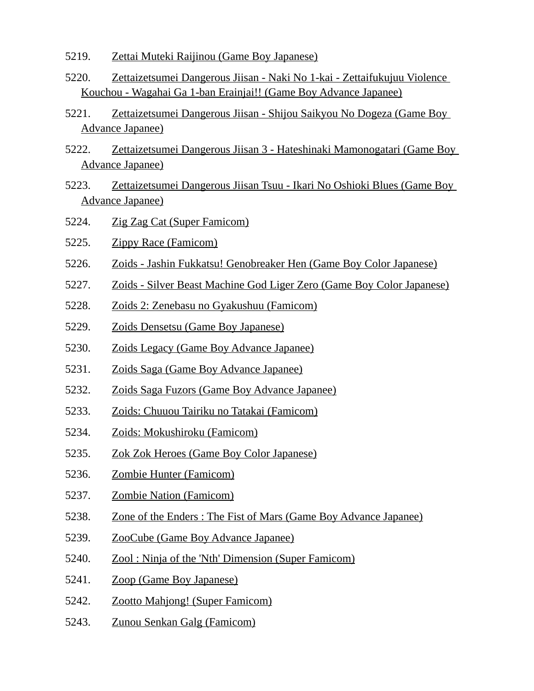- 5219. Zettai Muteki Raijinou (Game Boy Japanese)
- 5220. Zettaizetsumei Dangerous Jiisan Naki No 1-kai Zettaifukujuu Violence Kouchou - Wagahai Ga 1-ban Erainjai!! (Game Boy Advance Japanee)
- 5221. Zettaizetsumei Dangerous Jiisan Shijou Saikyou No Dogeza (Game Boy Advance Japanee)
- 5222. Zettaizetsumei Dangerous Jiisan 3 Hateshinaki Mamonogatari (Game Boy Advance Japanee)
- 5223. Zettaizetsumei Dangerous Jiisan Tsuu Ikari No Oshioki Blues (Game Boy Advance Japanee)
- 5224. Zig Zag Cat (Super Famicom)
- 5225. Zippy Race (Famicom)
- 5226. Zoids Jashin Fukkatsu! Genobreaker Hen (Game Boy Color Japanese)
- 5227. Zoids Silver Beast Machine God Liger Zero (Game Boy Color Japanese)
- 5228. Zoids 2: Zenebasu no Gyakushuu (Famicom)
- 5229. Zoids Densetsu (Game Boy Japanese)
- 5230. Zoids Legacy (Game Boy Advance Japanee)
- 5231. Zoids Saga (Game Boy Advance Japanee)
- 5232. Zoids Saga Fuzors (Game Boy Advance Japanee)
- 5233. Zoids: Chuuou Tairiku no Tatakai (Famicom)
- 5234. Zoids: Mokushiroku (Famicom)
- 5235. Zok Zok Heroes (Game Boy Color Japanese)
- 5236. Zombie Hunter (Famicom)
- 5237. Zombie Nation (Famicom)
- 5238. Zone of the Enders : The Fist of Mars (Game Boy Advance Japanee)
- 5239. ZooCube (Game Boy Advance Japanee)
- 5240. Zool : Ninja of the 'Nth' Dimension (Super Famicom)
- 5241. Zoop (Game Boy Japanese)
- 5242. Zootto Mahjong! (Super Famicom)
- 5243. Zunou Senkan Galg (Famicom)